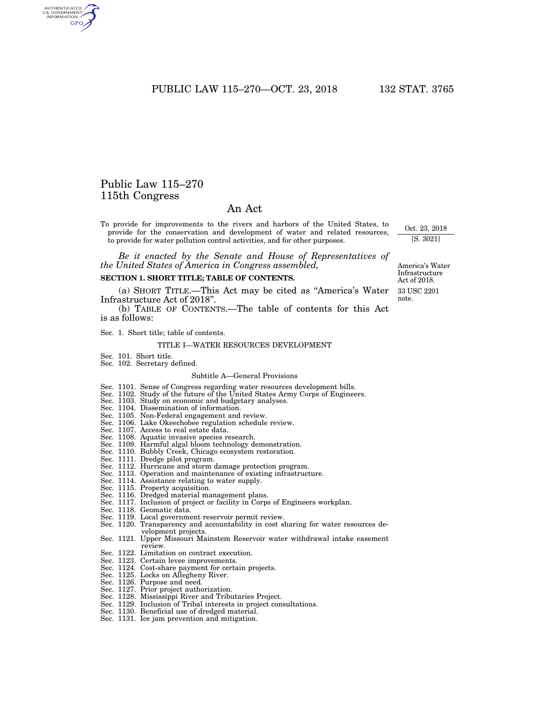PUBLIC LAW 115-270-OCT. 23, 2018 132 STAT. 3765

# Public Law 115–270 115th Congress

# An Act

To provide for improvements to the rivers and harbors of the United States, to provide for the conservation and development of water and related resources, to provide for water pollution control activities, and for other purposes.

*Be it enacted by the Senate and House of Representatives of the United States of America in Congress assembled,* 

#### **SECTION 1. SHORT TITLE; TABLE OF CONTENTS.**

(a) SHORT TITLE.—This Act may be cited as ''America's Water Infrastructure Act of 2018''.

(b) TABLE OF CONTENTS.—The table of contents for this Act is as follows:

Sec. 1. Short title; table of contents.

#### TITLE I—WATER RESOURCES DEVELOPMENT

Sec. 101. Short title. Sec. 102. Secretary defined.

#### Subtitle A—General Provisions

- Sec. 1101. Sense of Congress regarding water resources development bills.
- Sec. 1102. Study of the future of the United States Army Corps of Engineers.
- Sec. 1103. Study on economic and budgetary analyses.
- Sec. 1104. Dissemination of information.
- Sec. 1105. Non-Federal engagement and review.
- Sec. 1106. Lake Okeechobee regulation schedule review.
- Sec. 1107. Access to real estate data.
- Sec. 1108. Aquatic invasive species research.
- Sec. 1109. Harmful algal bloom technology demonstration.
- Sec. 1110. Bubbly Creek, Chicago ecosystem restoration.
- Sec. 1111. Dredge pilot program.
- Sec. 1112. Hurricane and storm damage protection program.
- Sec. 1113. Operation and maintenance of existing infrastructure.
- Sec. 1114. Assistance relating to water supply.
- Sec. 1115. Property acquisition.
- Sec. 1116. Dredged material management plans.
- Sec. 1117. Inclusion of project or facility in Corps of Engineers workplan.
- Sec. 1118. Geomatic data.
- Sec. 1119. Local government reservoir permit review.
- Sec. 1120. Transparency and accountability in cost sharing for water resources development projects.
- Sec. 1121. Upper Missouri Mainstem Reservoir water withdrawal intake easement review.
- Sec. 1122. Limitation on contract execution.
- Sec. 1123. Certain levee improvements.
- Sec. 1124. Cost-share payment for certain projects.
- Sec. 1125. Locks on Allegheny River.
- Sec. 1126. Purpose and need.
- Sec. 1127. Prior project authorization.
- Sec. 1128. Mississippi River and Tributaries Project.
- Sec. 1129. Inclusion of Tribal interests in project consultations.
- Sec. 1130. Beneficial use of dredged material.
- Sec. 1131. Ice jam prevention and mitigation.

33 USC 2201 note. America's Water Infrastructure Act of 2018.

Oct. 23, 2018 [S. 3021]

**GPO** 

AUTHENTICATED<br>U.S. GOVERNMENT<br>INFORMATION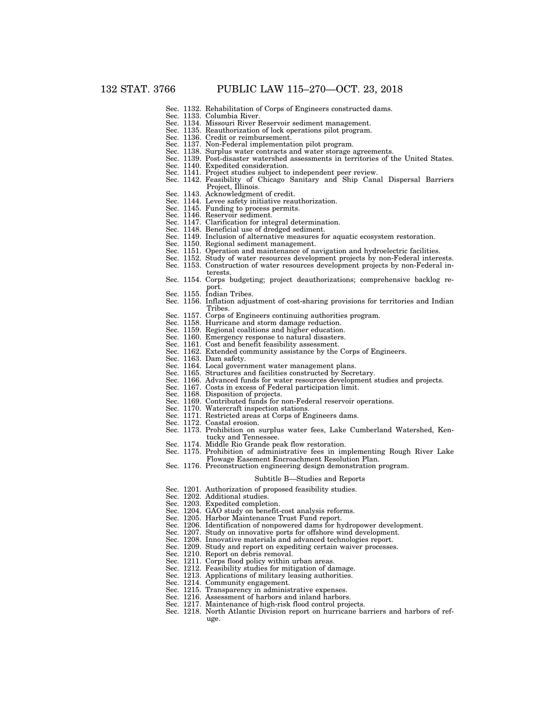- Sec. 1132. Rehabilitation of Corps of Engineers constructed dams.
- 
- Sec. 1133. Columbia River. Sec. 1134. Missouri River Reservoir sediment management.
- Sec. 1135. Reauthorization of lock operations pilot program.
- Sec. 1136. Credit or reimbursement.
- Sec. 1137. Non-Federal implementation pilot program. Sec. 1138. Surplus water contracts and water storage agreements.
- 
- Sec. 1139. Post-disaster watershed assessments in territories of the United States. Sec. 1140. Expedited consideration.
- 
- Sec. 1141. Project studies subject to independent peer review. Sec. 1142. Feasibility of Chicago Sanitary and Ship Canal Dispersal Barriers Project, Illinois.
- 
- Sec. 1143. Acknowledgment of credit. Sec. 1144. Levee safety initiative reauthorization.
- Sec. 1145. Funding to process permits.
- Sec. 1146. Reservoir sediment.
- Sec. 1147. Clarification for integral determination. Sec. 1148. Beneficial use of dredged sediment.
- 
- Sec. 1149. Inclusion of alternative measures for aquatic ecosystem restoration.
- Sec. 1150. Regional sediment management.
- Sec. 1151. Operation and maintenance of navigation and hydroelectric facilities.<br>Sec. 1152. Study of water resources development projects by non-Federal intere
- 1152. Study of water resources development projects by non-Federal interests.
- Sec. 1153. Construction of water resources development projects by non-Federal interests.
- Sec. 1154. Corps budgeting; project deauthorizations; comprehensive backlog report.
- Sec. 1155. Indian Tribes.
- Sec. 1156. Inflation adjustment of cost-sharing provisions for territories and Indian Tribes.
- Sec. 1157. Corps of Engineers continuing authorities program.
- Sec. 1158. Hurricane and storm damage reduction.
- Sec. 1159. Regional coalitions and higher education.
- Sec. 1160. Emergency response to natural disasters.
- Sec. 1161. Cost and benefit feasibility assessment.
- Sec. 1162. Extended community assistance by the Corps of Engineers.
- Sec. 1163. Dam safety.
- Sec. 1164. Local government water management plans.
- Sec. 1165. Structures and facilities constructed by Secretary.
- Sec. 1166. Advanced funds for water resources development studies and projects.
- Sec. 1167. Costs in excess of Federal participation limit.
- Sec. 1168. Disposition of projects.
- Sec. 1169. Contributed funds for non-Federal reservoir operations.
- Sec. 1170. Watercraft inspection stations.
- Sec. 1171. Restricted areas at Corps of Engineers dams.
- Sec. 1172. Coastal erosion.
- Sec. 1173. Prohibition on surplus water fees, Lake Cumberland Watershed, Kentucky and Tennessee.
- Sec. 1174. Middle Rio Grande peak flow restoration.
- Sec. 1175. Prohibition of administrative fees in implementing Rough River Lake Flowage Easement Encroachment Resolution Plan.
- Sec. 1176. Preconstruction engineering design demonstration program.

#### Subtitle B—Studies and Reports

- Sec. 1201. Authorization of proposed feasibility studies.
- Sec. 1202. Additional studies.
- Sec. 1203. Expedited completion.
- Sec. 1204. GAO study on benefit-cost analysis reforms.
- Sec. 1205. Harbor Maintenance Trust Fund report.
- Sec. 1206. Identification of nonpowered dams for hydropower development.
- Sec. 1207. Study on innovative ports for offshore wind development.
- Sec. 1208. Innovative materials and advanced technologies report.
- Sec. 1209. Study and report on expediting certain waiver processes.
- Sec. 1210. Report on debris removal.
- 
- Sec. 1211. Corps flood policy within urban areas. Sec. 1212. Feasibility studies for mitigation of damage.
- Sec. 1213. Applications of military leasing authorities.
- 
- Sec. 1214. Community engagement. Sec. 1215. Transparency in administrative expenses.
- Sec. 1216. Assessment of harbors and inland harbors.
- Sec. 1217. Maintenance of high-risk flood control projects.
- Sec. 1218. North Atlantic Division report on hurricane barriers and harbors of refuge.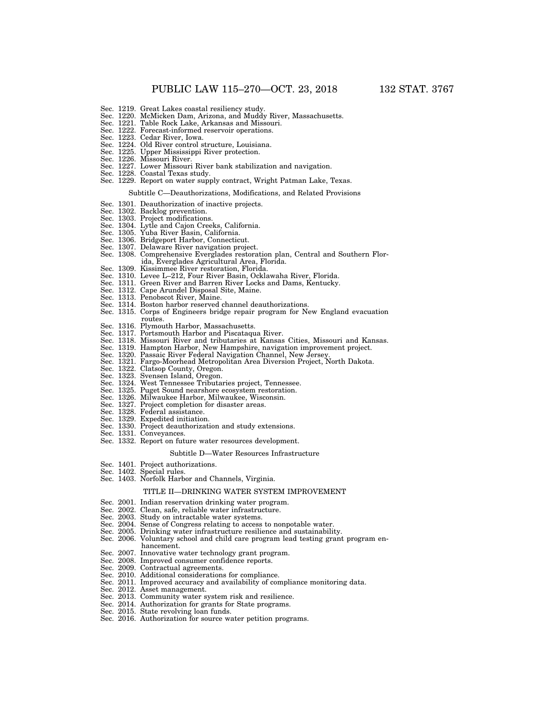- Sec. 1219. Great Lakes coastal resiliency study.
- Sec. 1220. McMicken Dam, Arizona, and Muddy River, Massachusetts.<br>Sec. 1221. Table Rock Lake. Arkansas and Missouri.
- Sec. 1221. Table Rock Lake, Arkansas and Missouri.
- Sec. 1222. Forecast-informed reservoir operations.<br>Sec. 1223. Cedar River. Iowa.
- Sec. 1223. Cedar River, Iowa.
- Sec. 1224. Old River control structure, Louisiana.<br>Sec. 1225. Upper Mississippi River protection.
- Sec. 1225. Upper Mississippi River protection.
- 
- Sec. 1226. Missouri River. Sec. 1227. Lower Missouri River bank stabilization and navigation.
- Sec. 1228. Coastal Texas study.
- Sec. 1229. Report on water supply contract, Wright Patman Lake, Texas.

#### Subtitle C—Deauthorizations, Modifications, and Related Provisions

- Sec. 1301. Deauthorization of inactive projects.
- Sec. 1302. Backlog prevention.
- Sec. 1303. Project modifications.
- Sec. 1304. Lytle and Cajon Creeks, California.
- 
- Sec. 1305. Yuba River Basin, California. Sec. 1306. Bridgeport Harbor, Connecticut.
- Sec. 1307. Delaware River navigation project.<br>Sec. 1308. Comprehensive Everglades restora
- Sec. 1308. Comprehensive Everglades restoration plan, Central and Southern Florida, Everglades Agricultural Area, Florida.
- 
- Sec. 1309. Kissimmee River restoration, Florida. Sec. 1310. Levee L–212, Four River Basin, Ocklawaha River, Florida.
- Sec. 1311. Green River and Barren River Locks and Dams, Kentucky. Sec. 1312. Cape Arundel Disposal Site, Maine.
- 
- 
- Sec. 1313. Penobscot River, Maine. Sec. 1314. Boston harbor reserved channel deauthorizations.
- Sec. 1315. Corps of Engineers bridge repair program for New England evacuation routes.
- Sec. 1316. Plymouth Harbor, Massachusetts.
- 
- Sec. 1317. Portsmouth Harbor and Piscataqua River. Sec. 1318. Missouri River and tributaries at Kansas Cities, Missouri and Kansas.
- Sec. 1319. Hampton Harbor, New Hampshire, navigation improvement project.
- Sec. 1320. Passaic River Federal Navigation Channel, New Jersey.
- Sec. 1321. Fargo-Moorhead Metropolitan Area Diversion Project, North Dakota. Sec. 1322. Clatsop County, Oregon. Sec. 1323. Svensen Island, Oregon.
- 
- 
- 
- Sec. 1324. West Tennessee Tributaries project, Tennessee.<br>Sec. 1325. Puget Sound nearshore ecosystem restoration. Sec. 1325. Puget Sound nearshore ecosystem restoration.<br>Sec. 1326. Milwaukee Harbor, Milwaukee, Wisconsin.
- Sec. 1326. Milwaukee Harbor, Milwaukee, Wisconsin.
- Project completion for disaster areas.
- Sec. 1328. Federal assistance.
- Sec. 1329. Expedited initiation.
- Sec. 1330. Project deauthorization and study extensions.
- Sec. 1331. Conveyances.
- Sec. 1332. Report on future water resources development.

#### Subtitle D—Water Resources Infrastructure

- Sec. 1401. Project authorizations.
- Sec. 1402. Special rules.
- Sec. 1403. Norfolk Harbor and Channels, Virginia.

## TITLE II—DRINKING WATER SYSTEM IMPROVEMENT

- Sec. 2001. Indian reservation drinking water program.
- Sec. 2002. Clean, safe, reliable water infrastructure. Sec. 2003. Study on intractable water systems.
- 
- Sec. 2004. Sense of Congress relating to access to nonpotable water.
- Sec. 2005. Drinking water infrastructure resilience and sustainability.
- Sec. 2006. Voluntary school and child care program lead testing grant program enhancement.
- Sec. 2007. Innovative water technology grant program.
- Sec. 2008. Improved consumer confidence reports.
- Sec. 2009. Contractual agreements.
- Sec. 2010. Additional considerations for compliance.
- Sec. 2011. Improved accuracy and availability of compliance monitoring data.
- Sec. 2012. Asset management.
- Sec. 2013. Community water system risk and resilience.
- Sec. 2014. Authorization for grants for State programs.
- Sec. 2015. State revolving loan funds.
- Sec. 2016. Authorization for source water petition programs.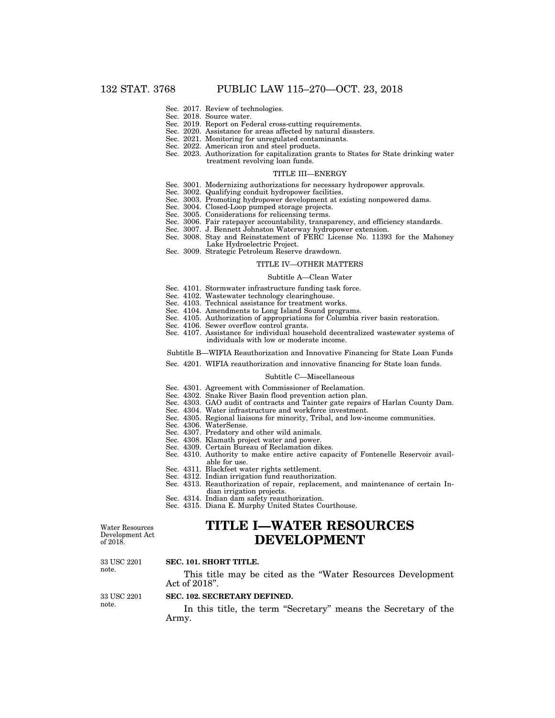- Sec. 2017. Review of technologies.
- Sec. 2018. Source water.
- Sec. 2019. Report on Federal cross-cutting requirements.
- Sec. 2020. Assistance for areas affected by natural disasters.
- Sec. 2021. Monitoring for unregulated contaminants.
- Sec. 2022. American iron and steel products.
- Sec. 2023. Authorization for capitalization grants to States for State drinking water treatment revolving loan funds.

#### TITLE III—ENERGY

- Sec. 3001. Modernizing authorizations for necessary hydropower approvals.
- Sec. 3002. Qualifying conduit hydropower facilities.
- Sec. 3003. Promoting hydropower development at existing nonpowered dams.
- Sec. 3004. Closed-Loop pumped storage projects.
- Sec. 3005. Considerations for relicensing terms.
- Sec. 3006. Fair ratepayer accountability, transparency, and efficiency standards.
- Sec. 3007. J. Bennett Johnston Waterway hydropower extension.
- Sec. 3008. Stay and Reinstatement of FERC License No. 11393 for the Mahoney Lake Hydroelectric Project.
	- Sec. 3009. Strategic Petroleum Reserve drawdown.

#### TITLE IV—OTHER MATTERS

#### Subtitle A—Clean Water

- Sec. 4101. Stormwater infrastructure funding task force.
- Sec. 4102. Wastewater technology clearinghouse.
- Sec. 4103. Technical assistance for treatment works.
- Sec. 4104. Amendments to Long Island Sound programs.
- Sec. 4105. Authorization of appropriations for Columbia river basin restoration.
- Sec. 4106. Sewer overflow control grants.
- Sec. 4107. Assistance for individual household decentralized wastewater systems of individuals with low or moderate income.

#### Subtitle B—WIFIA Reauthorization and Innovative Financing for State Loan Funds

Sec. 4201. WIFIA reauthorization and innovative financing for State loan funds.

## Subtitle C—Miscellaneous

- Sec. 4301. Agreement with Commissioner of Reclamation.
- Sec. 4302. Snake River Basin flood prevention action plan.
- Sec. 4303. GAO audit of contracts and Tainter gate repairs of Harlan County Dam.
- Sec. 4304. Water infrastructure and workforce investment.
- Sec. 4305. Regional liaisons for minority, Tribal, and low-income communities.
	- Sec. 4306. WaterSense.
	- Sec. 4307. Predatory and other wild animals.
	- Sec. 4308. Klamath project water and power.
	- Sec. 4309. Certain Bureau of Reclamation dikes.
- Sec. 4310. Authority to make entire active capacity of Fontenelle Reservoir available for use.
- Sec. 4311. Blackfeet water rights settlement.
- Sec. 4312. Indian irrigation fund reauthorization.
- Sec. 4313. Reauthorization of repair, replacement, and maintenance of certain Indian irrigation projects.
- Sec. 4314. Indian dam safety reauthorization.
- Sec. 4315. Diana E. Murphy United States Courthouse.

Water Resources Development Act of 2018.

# **TITLE I—WATER RESOURCES DEVELOPMENT**

33 USC 2201 note.

# **SEC. 101. SHORT TITLE.**

This title may be cited as the ''Water Resources Development Act of 2018''.

33 USC 2201 note.

## **SEC. 102. SECRETARY DEFINED.**

In this title, the term ''Secretary'' means the Secretary of the Army.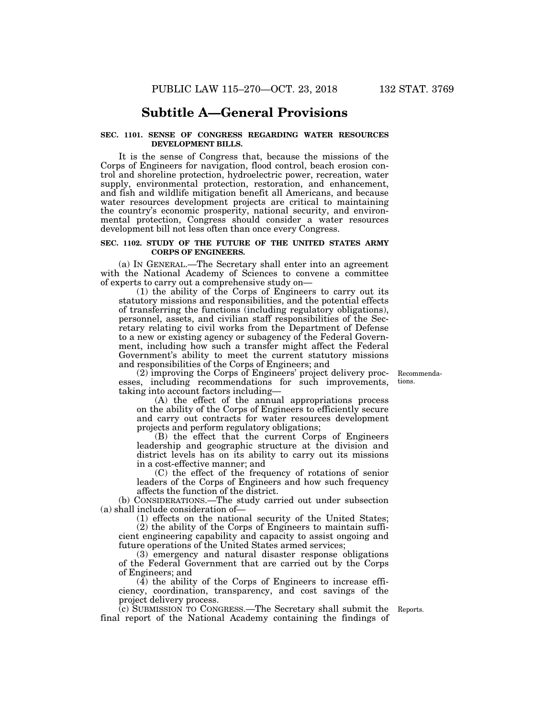# **Subtitle A—General Provisions**

# **SEC. 1101. SENSE OF CONGRESS REGARDING WATER RESOURCES DEVELOPMENT BILLS.**

It is the sense of Congress that, because the missions of the Corps of Engineers for navigation, flood control, beach erosion control and shoreline protection, hydroelectric power, recreation, water supply, environmental protection, restoration, and enhancement, and fish and wildlife mitigation benefit all Americans, and because water resources development projects are critical to maintaining the country's economic prosperity, national security, and environmental protection, Congress should consider a water resources development bill not less often than once every Congress.

# **SEC. 1102. STUDY OF THE FUTURE OF THE UNITED STATES ARMY CORPS OF ENGINEERS.**

(a) IN GENERAL.—The Secretary shall enter into an agreement with the National Academy of Sciences to convene a committee of experts to carry out a comprehensive study on—

(1) the ability of the Corps of Engineers to carry out its statutory missions and responsibilities, and the potential effects of transferring the functions (including regulatory obligations), personnel, assets, and civilian staff responsibilities of the Secretary relating to civil works from the Department of Defense to a new or existing agency or subagency of the Federal Government, including how such a transfer might affect the Federal Government's ability to meet the current statutory missions and responsibilities of the Corps of Engineers; and

(2) improving the Corps of Engineers' project delivery processes, including recommendations for such improvements, taking into account factors including—

(A) the effect of the annual appropriations process on the ability of the Corps of Engineers to efficiently secure and carry out contracts for water resources development projects and perform regulatory obligations;

(B) the effect that the current Corps of Engineers leadership and geographic structure at the division and district levels has on its ability to carry out its missions in a cost-effective manner; and

(C) the effect of the frequency of rotations of senior leaders of the Corps of Engineers and how such frequency affects the function of the district.

(b) CONSIDERATIONS.—The study carried out under subsection (a) shall include consideration of—

(1) effects on the national security of the United States; (2) the ability of the Corps of Engineers to maintain suffi-

cient engineering capability and capacity to assist ongoing and future operations of the United States armed services;

(3) emergency and natural disaster response obligations of the Federal Government that are carried out by the Corps of Engineers; and

 $(4)$  the ability of the Corps of Engineers to increase efficiency, coordination, transparency, and cost savings of the project delivery process.

(c) SUBMISSION TO CONGRESS.—The Secretary shall submit the Reports. final report of the National Academy containing the findings of

Recommendations.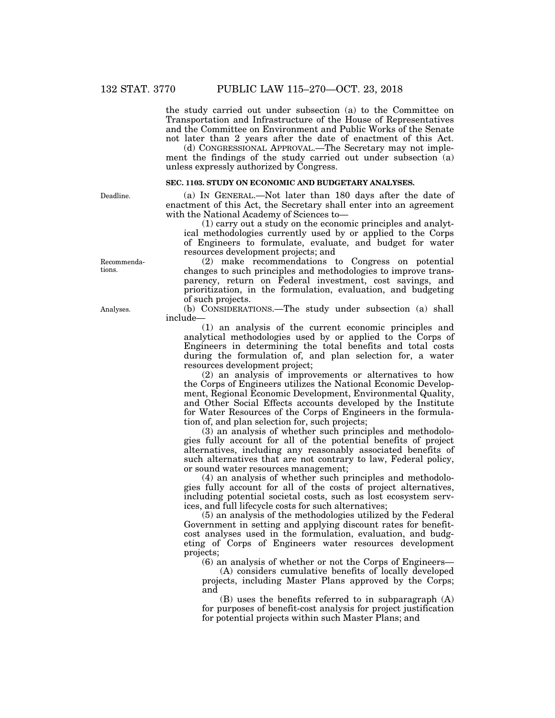the study carried out under subsection (a) to the Committee on Transportation and Infrastructure of the House of Representatives and the Committee on Environment and Public Works of the Senate not later than 2 years after the date of enactment of this Act.

(d) CONGRESSIONAL APPROVAL.—The Secretary may not implement the findings of the study carried out under subsection (a) unless expressly authorized by Congress.

# **SEC. 1103. STUDY ON ECONOMIC AND BUDGETARY ANALYSES.**

(a) IN GENERAL.—Not later than 180 days after the date of enactment of this Act, the Secretary shall enter into an agreement with the National Academy of Sciences to—

(1) carry out a study on the economic principles and analytical methodologies currently used by or applied to the Corps of Engineers to formulate, evaluate, and budget for water resources development projects; and

(2) make recommendations to Congress on potential changes to such principles and methodologies to improve transparency, return on Federal investment, cost savings, and prioritization, in the formulation, evaluation, and budgeting of such projects.

(b) CONSIDERATIONS.—The study under subsection (a) shall include—

(1) an analysis of the current economic principles and analytical methodologies used by or applied to the Corps of Engineers in determining the total benefits and total costs during the formulation of, and plan selection for, a water resources development project;

(2) an analysis of improvements or alternatives to how the Corps of Engineers utilizes the National Economic Development, Regional Economic Development, Environmental Quality, and Other Social Effects accounts developed by the Institute for Water Resources of the Corps of Engineers in the formulation of, and plan selection for, such projects;

(3) an analysis of whether such principles and methodologies fully account for all of the potential benefits of project alternatives, including any reasonably associated benefits of such alternatives that are not contrary to law, Federal policy, or sound water resources management;

(4) an analysis of whether such principles and methodologies fully account for all of the costs of project alternatives, including potential societal costs, such as lost ecosystem services, and full lifecycle costs for such alternatives;

(5) an analysis of the methodologies utilized by the Federal Government in setting and applying discount rates for benefitcost analyses used in the formulation, evaluation, and budgeting of Corps of Engineers water resources development projects;

(6) an analysis of whether or not the Corps of Engineers—

(A) considers cumulative benefits of locally developed projects, including Master Plans approved by the Corps; and

(B) uses the benefits referred to in subparagraph (A) for purposes of benefit-cost analysis for project justification for potential projects within such Master Plans; and

Recommenda-

Deadline.

tions.

Analyses.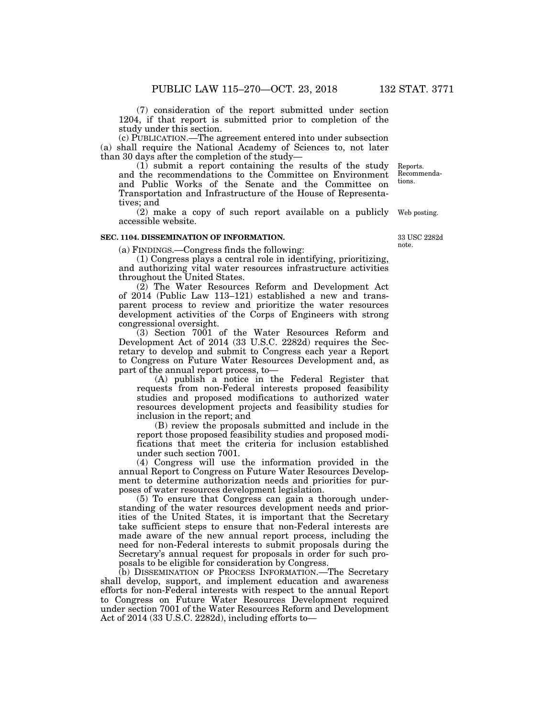(7) consideration of the report submitted under section 1204, if that report is submitted prior to completion of the study under this section.

(c) PUBLICATION.—The agreement entered into under subsection (a) shall require the National Academy of Sciences to, not later than 30 days after the completion of the study—

(1) submit a report containing the results of the study and the recommendations to the Committee on Environment and Public Works of the Senate and the Committee on Transportation and Infrastructure of the House of Representatives; and Reports. Recommendations.

(2) make a copy of such report available on a publicly Web posting. accessible website.

# **SEC. 1104. DISSEMINATION OF INFORMATION.**

(a) FINDINGS.—Congress finds the following:

(1) Congress plays a central role in identifying, prioritizing, and authorizing vital water resources infrastructure activities throughout the United States.

(2) The Water Resources Reform and Development Act of 2014 (Public Law 113–121) established a new and transparent process to review and prioritize the water resources development activities of the Corps of Engineers with strong congressional oversight.

(3) Section 7001 of the Water Resources Reform and Development Act of 2014 (33 U.S.C. 2282d) requires the Secretary to develop and submit to Congress each year a Report to Congress on Future Water Resources Development and, as part of the annual report process, to—

(A) publish a notice in the Federal Register that requests from non-Federal interests proposed feasibility studies and proposed modifications to authorized water resources development projects and feasibility studies for inclusion in the report; and

(B) review the proposals submitted and include in the report those proposed feasibility studies and proposed modifications that meet the criteria for inclusion established under such section 7001.

(4) Congress will use the information provided in the annual Report to Congress on Future Water Resources Development to determine authorization needs and priorities for purposes of water resources development legislation.

(5) To ensure that Congress can gain a thorough understanding of the water resources development needs and priorities of the United States, it is important that the Secretary take sufficient steps to ensure that non-Federal interests are made aware of the new annual report process, including the need for non-Federal interests to submit proposals during the Secretary's annual request for proposals in order for such proposals to be eligible for consideration by Congress.

(b) DISSEMINATION OF PROCESS INFORMATION.—The Secretary shall develop, support, and implement education and awareness efforts for non-Federal interests with respect to the annual Report to Congress on Future Water Resources Development required under section 7001 of the Water Resources Reform and Development Act of 2014 (33 U.S.C. 2282d), including efforts to—

33 USC 2282d note.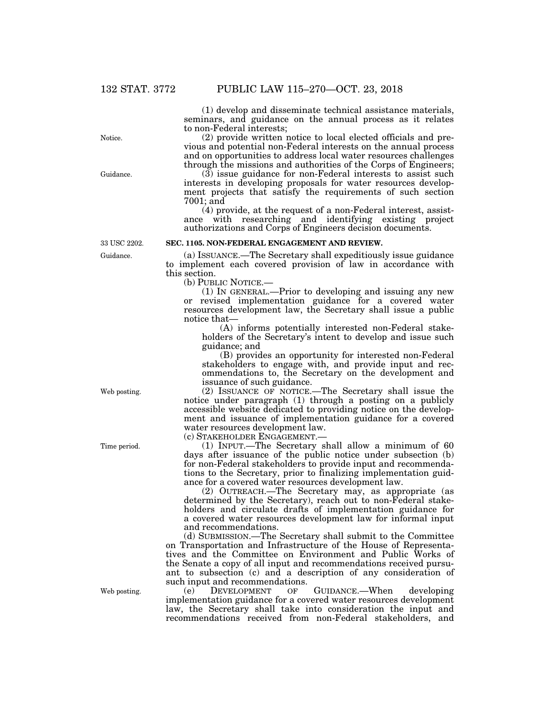(1) develop and disseminate technical assistance materials, seminars, and guidance on the annual process as it relates to non-Federal interests;

(2) provide written notice to local elected officials and previous and potential non-Federal interests on the annual process and on opportunities to address local water resources challenges through the missions and authorities of the Corps of Engineers;

(3) issue guidance for non-Federal interests to assist such interests in developing proposals for water resources development projects that satisfy the requirements of such section 7001; and

(4) provide, at the request of a non-Federal interest, assistance with researching and identifying existing project authorizations and Corps of Engineers decision documents.

#### **SEC. 1105. NON-FEDERAL ENGAGEMENT AND REVIEW.**

(a) ISSUANCE.—The Secretary shall expeditiously issue guidance to implement each covered provision of law in accordance with this section.

(b) PUBLIC NOTICE.—

(1) IN GENERAL.—Prior to developing and issuing any new or revised implementation guidance for a covered water resources development law, the Secretary shall issue a public notice that—

(A) informs potentially interested non-Federal stakeholders of the Secretary's intent to develop and issue such guidance; and

(B) provides an opportunity for interested non-Federal stakeholders to engage with, and provide input and recommendations to, the Secretary on the development and issuance of such guidance.

(2) ISSUANCE OF NOTICE.—The Secretary shall issue the notice under paragraph (1) through a posting on a publicly accessible website dedicated to providing notice on the development and issuance of implementation guidance for a covered water resources development law.

(c) STAKEHOLDER ENGAGEMENT.—

(1) INPUT.—The Secretary shall allow a minimum of 60 days after issuance of the public notice under subsection (b) for non-Federal stakeholders to provide input and recommendations to the Secretary, prior to finalizing implementation guidance for a covered water resources development law.

(2) OUTREACH.—The Secretary may, as appropriate (as determined by the Secretary), reach out to non-Federal stakeholders and circulate drafts of implementation guidance for a covered water resources development law for informal input and recommendations.

(d) SUBMISSION.—The Secretary shall submit to the Committee on Transportation and Infrastructure of the House of Representatives and the Committee on Environment and Public Works of the Senate a copy of all input and recommendations received pursuant to subsection (c) and a description of any consideration of such input and recommendations.

(e) DEVELOPMENT OF GUIDANCE.—When developing implementation guidance for a covered water resources development law, the Secretary shall take into consideration the input and recommendations received from non-Federal stakeholders, and

Guidance. 33 USC 2202

Web posting.

Time period.

Web posting.

Notice.

Guidance.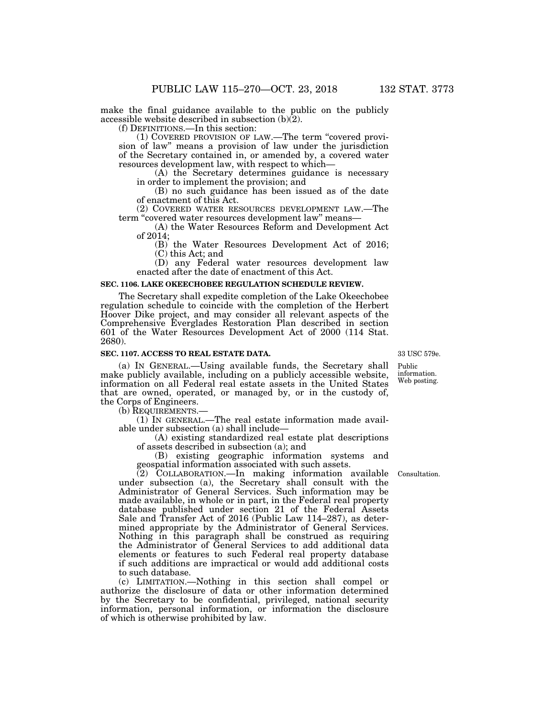make the final guidance available to the public on the publicly accessible website described in subsection  $(b)(2)$ .

(f) DEFINITIONS.—In this section:

(1) COVERED PROVISION OF LAW.—The term ''covered provision of law'' means a provision of law under the jurisdiction of the Secretary contained in, or amended by, a covered water resources development law, with respect to which—

(A) the Secretary determines guidance is necessary in order to implement the provision; and

(B) no such guidance has been issued as of the date of enactment of this Act.

(2) COVERED WATER RESOURCES DEVELOPMENT LAW.—The term "covered water resources development law" means-

(A) the Water Resources Reform and Development Act of 2014;

(B) the Water Resources Development Act of 2016; (C) this Act; and

(D) any Federal water resources development law enacted after the date of enactment of this Act.

#### **SEC. 1106. LAKE OKEECHOBEE REGULATION SCHEDULE REVIEW.**

The Secretary shall expedite completion of the Lake Okeechobee regulation schedule to coincide with the completion of the Herbert Hoover Dike project, and may consider all relevant aspects of the Comprehensive Everglades Restoration Plan described in section 601 of the Water Resources Development Act of 2000 (114 Stat. 2680).

#### **SEC. 1107. ACCESS TO REAL ESTATE DATA.**

(a) IN GENERAL.—Using available funds, the Secretary shall make publicly available, including on a publicly accessible website, information on all Federal real estate assets in the United States that are owned, operated, or managed by, or in the custody of, the Corps of Engineers.

(b) REQUIREMENTS.—<br>(1) IN GENERAL.—The real estate information made available under subsection (a) shall include—

(A) existing standardized real estate plat descriptions of assets described in subsection (a); and

(B) existing geographic information systems and geospatial information associated with such assets.

(2) COLLABORATION.—In making information available under subsection (a), the Secretary shall consult with the Administrator of General Services. Such information may be made available, in whole or in part, in the Federal real property database published under section 21 of the Federal Assets Sale and Transfer Act of 2016 (Public Law 114–287), as determined appropriate by the Administrator of General Services. Nothing in this paragraph shall be construed as requiring the Administrator of General Services to add additional data elements or features to such Federal real property database if such additions are impractical or would add additional costs to such database.

(c) LIMITATION.—Nothing in this section shall compel or authorize the disclosure of data or other information determined by the Secretary to be confidential, privileged, national security information, personal information, or information the disclosure of which is otherwise prohibited by law.

Public information. 33 USC 579e.

Web posting.

Consultation.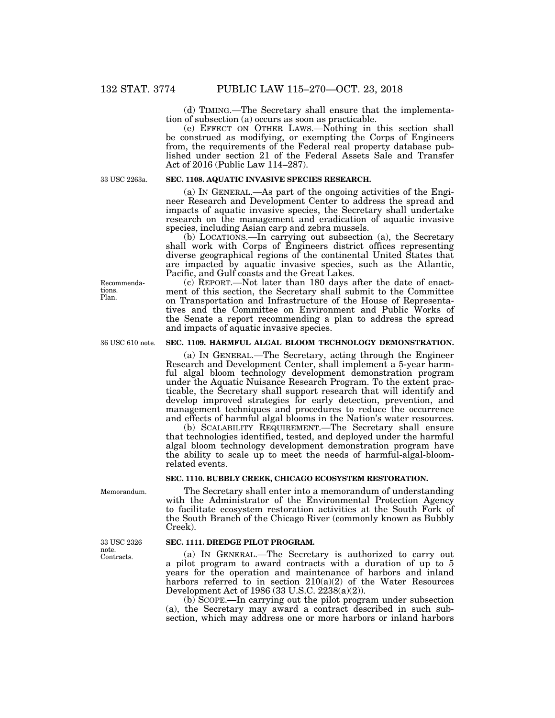(d) TIMING.—The Secretary shall ensure that the implementation of subsection (a) occurs as soon as practicable.

(e) EFFECT ON OTHER LAWS.—Nothing in this section shall be construed as modifying, or exempting the Corps of Engineers from, the requirements of the Federal real property database published under section 21 of the Federal Assets Sale and Transfer Act of 2016 (Public Law 114–287).

## **SEC. 1108. AQUATIC INVASIVE SPECIES RESEARCH.**

(a) IN GENERAL.—As part of the ongoing activities of the Engineer Research and Development Center to address the spread and impacts of aquatic invasive species, the Secretary shall undertake research on the management and eradication of aquatic invasive species, including Asian carp and zebra mussels.

(b) LOCATIONS.—In carrying out subsection (a), the Secretary shall work with Corps of Engineers district offices representing diverse geographical regions of the continental United States that are impacted by aquatic invasive species, such as the Atlantic, Pacific, and Gulf coasts and the Great Lakes.

(c) REPORT.—Not later than 180 days after the date of enactment of this section, the Secretary shall submit to the Committee on Transportation and Infrastructure of the House of Representatives and the Committee on Environment and Public Works of the Senate a report recommending a plan to address the spread and impacts of aquatic invasive species.

# **SEC. 1109. HARMFUL ALGAL BLOOM TECHNOLOGY DEMONSTRATION.**

(a) IN GENERAL.—The Secretary, acting through the Engineer Research and Development Center, shall implement a 5-year harmful algal bloom technology development demonstration program under the Aquatic Nuisance Research Program. To the extent practicable, the Secretary shall support research that will identify and develop improved strategies for early detection, prevention, and management techniques and procedures to reduce the occurrence and effects of harmful algal blooms in the Nation's water resources.

(b) SCALABILITY REQUIREMENT.—The Secretary shall ensure that technologies identified, tested, and deployed under the harmful algal bloom technology development demonstration program have the ability to scale up to meet the needs of harmful-algal-bloomrelated events.

# **SEC. 1110. BUBBLY CREEK, CHICAGO ECOSYSTEM RESTORATION.**

The Secretary shall enter into a memorandum of understanding with the Administrator of the Environmental Protection Agency to facilitate ecosystem restoration activities at the South Fork of the South Branch of the Chicago River (commonly known as Bubbly Creek).

#### **SEC. 1111. DREDGE PILOT PROGRAM.**

(a) IN GENERAL.—The Secretary is authorized to carry out a pilot program to award contracts with a duration of up to 5 years for the operation and maintenance of harbors and inland harbors referred to in section  $210(a)(2)$  of the Water Resources Development Act of 1986 (33 U.S.C. 2238(a)(2)).

(b) SCOPE.—In carrying out the pilot program under subsection (a), the Secretary may award a contract described in such subsection, which may address one or more harbors or inland harbors

Recommendations. Plan.

33 USC 2263a.

36 USC 610 note.

33 USC 2326 note. Contracts.

Memorandum.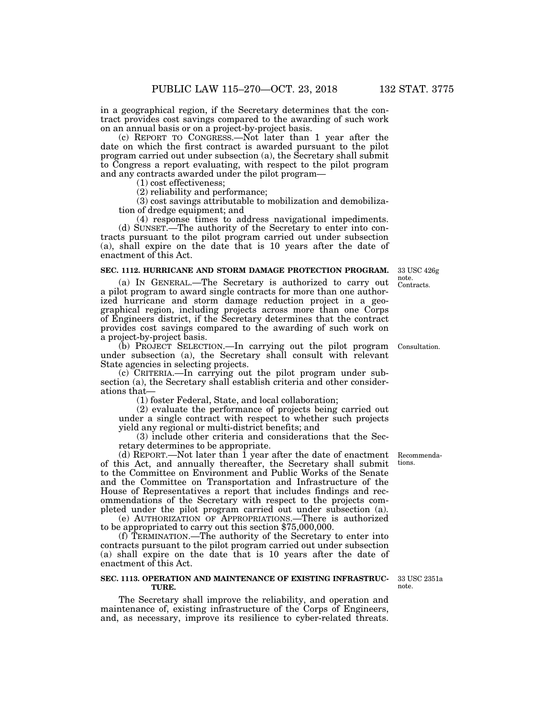in a geographical region, if the Secretary determines that the contract provides cost savings compared to the awarding of such work on an annual basis or on a project-by-project basis.

(c) REPORT TO CONGRESS.—Not later than 1 year after the date on which the first contract is awarded pursuant to the pilot program carried out under subsection (a), the Secretary shall submit to Congress a report evaluating, with respect to the pilot program and any contracts awarded under the pilot program—

(1) cost effectiveness;

(2) reliability and performance;

(3) cost savings attributable to mobilization and demobilization of dredge equipment; and

(4) response times to address navigational impediments. (d) SUNSET.—The authority of the Secretary to enter into contracts pursuant to the pilot program carried out under subsection (a), shall expire on the date that is 10 years after the date of enactment of this Act.

#### **SEC. 1112. HURRICANE AND STORM DAMAGE PROTECTION PROGRAM.**

(a) IN GENERAL.—The Secretary is authorized to carry out a pilot program to award single contracts for more than one authorized hurricane and storm damage reduction project in a geographical region, including projects across more than one Corps of Engineers district, if the Secretary determines that the contract provides cost savings compared to the awarding of such work on a project-by-project basis.

(b) PROJECT SELECTION.—In carrying out the pilot program under subsection (a), the Secretary shall consult with relevant State agencies in selecting projects.

(c) CRITERIA.—In carrying out the pilot program under subsection (a), the Secretary shall establish criteria and other considerations that—

(1) foster Federal, State, and local collaboration;

(2) evaluate the performance of projects being carried out under a single contract with respect to whether such projects yield any regional or multi-district benefits; and

(3) include other criteria and considerations that the Secretary determines to be appropriate.

(d) REPORT.—Not later than 1 year after the date of enactment of this Act, and annually thereafter, the Secretary shall submit to the Committee on Environment and Public Works of the Senate and the Committee on Transportation and Infrastructure of the House of Representatives a report that includes findings and recommendations of the Secretary with respect to the projects completed under the pilot program carried out under subsection (a).

(e) AUTHORIZATION OF APPROPRIATIONS.—There is authorized to be appropriated to carry out this section \$75,000,000.

(f) TERMINATION.—The authority of the Secretary to enter into contracts pursuant to the pilot program carried out under subsection (a) shall expire on the date that is 10 years after the date of enactment of this Act.

#### **SEC. 1113. OPERATION AND MAINTENANCE OF EXISTING INFRASTRUC-TURE.**

The Secretary shall improve the reliability, and operation and maintenance of, existing infrastructure of the Corps of Engineers, and, as necessary, improve its resilience to cyber-related threats.

33 USC 2351a note.

Recommenda-

tions.

note. Contracts.

Consultation.

33 USC 426g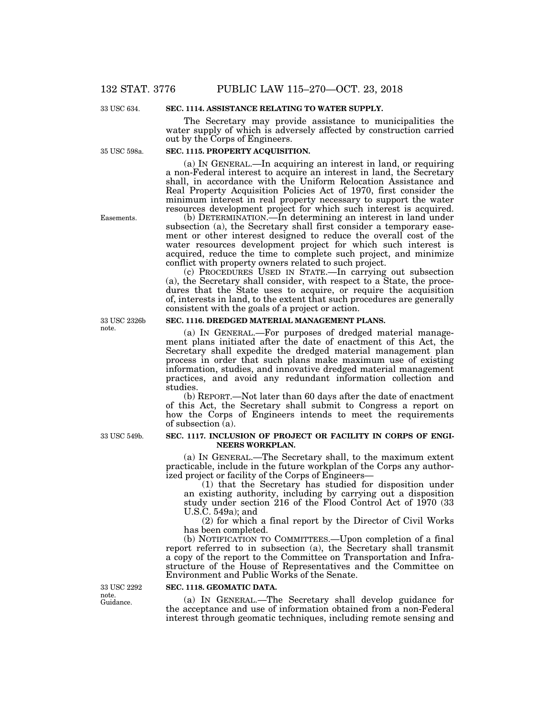33 USC 634.

35 USC 598a.

# **SEC. 1114. ASSISTANCE RELATING TO WATER SUPPLY.**

The Secretary may provide assistance to municipalities the water supply of which is adversely affected by construction carried out by the Corps of Engineers.

# **SEC. 1115. PROPERTY ACQUISITION.**

(a) IN GENERAL.—In acquiring an interest in land, or requiring a non-Federal interest to acquire an interest in land, the Secretary shall, in accordance with the Uniform Relocation Assistance and Real Property Acquisition Policies Act of 1970, first consider the minimum interest in real property necessary to support the water resources development project for which such interest is acquired.

(b) DETERMINATION.—In determining an interest in land under subsection (a), the Secretary shall first consider a temporary easement or other interest designed to reduce the overall cost of the water resources development project for which such interest is acquired, reduce the time to complete such project, and minimize conflict with property owners related to such project.

(c) PROCEDURES USED IN STATE.—In carrying out subsection (a), the Secretary shall consider, with respect to a State, the procedures that the State uses to acquire, or require the acquisition of, interests in land, to the extent that such procedures are generally consistent with the goals of a project or action.

#### **SEC. 1116. DREDGED MATERIAL MANAGEMENT PLANS.**

(a) IN GENERAL.—For purposes of dredged material management plans initiated after the date of enactment of this Act, the Secretary shall expedite the dredged material management plan process in order that such plans make maximum use of existing information, studies, and innovative dredged material management practices, and avoid any redundant information collection and studies.

(b) REPORT.—Not later than 60 days after the date of enactment of this Act, the Secretary shall submit to Congress a report on how the Corps of Engineers intends to meet the requirements of subsection  $(a)$ .

## **SEC. 1117. INCLUSION OF PROJECT OR FACILITY IN CORPS OF ENGI-NEERS WORKPLAN.**

(a) IN GENERAL.—The Secretary shall, to the maximum extent practicable, include in the future workplan of the Corps any authorized project or facility of the Corps of Engineers—

(1) that the Secretary has studied for disposition under an existing authority, including by carrying out a disposition study under section 216 of the Flood Control Act of 1970 (33 U.S.C. 549a); and

(2) for which a final report by the Director of Civil Works has been completed.

(b) NOTIFICATION TO COMMITTEES.—Upon completion of a final report referred to in subsection (a), the Secretary shall transmit a copy of the report to the Committee on Transportation and Infrastructure of the House of Representatives and the Committee on Environment and Public Works of the Senate.

# **SEC. 1118. GEOMATIC DATA.**

(a) IN GENERAL.—The Secretary shall develop guidance for the acceptance and use of information obtained from a non-Federal interest through geomatic techniques, including remote sensing and

Easements.

33 USC 2326b note.

33 USC 549b.

33 USC 2292 note. Guidance.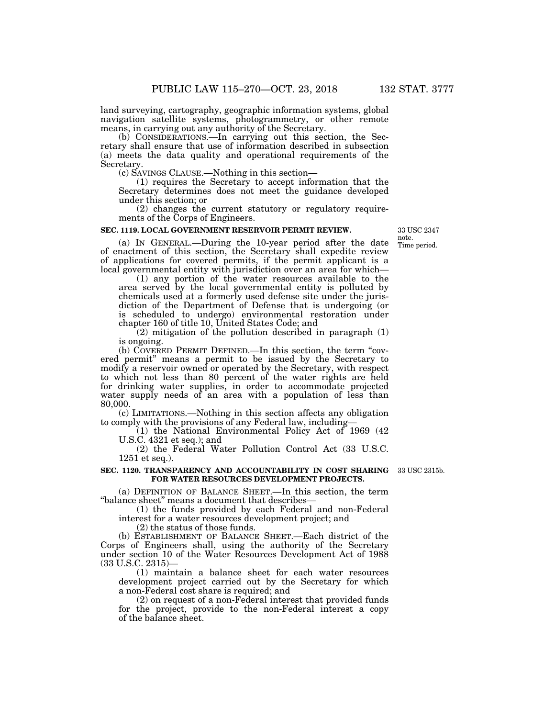land surveying, cartography, geographic information systems, global navigation satellite systems, photogrammetry, or other remote means, in carrying out any authority of the Secretary.

(b) CONSIDERATIONS.—In carrying out this section, the Secretary shall ensure that use of information described in subsection (a) meets the data quality and operational requirements of the Secretary.

(c) SAVINGS CLAUSE.—Nothing in this section—

(1) requires the Secretary to accept information that the Secretary determines does not meet the guidance developed under this section; or

(2) changes the current statutory or regulatory requirements of the Corps of Engineers.

## **SEC. 1119. LOCAL GOVERNMENT RESERVOIR PERMIT REVIEW.**

(a) IN GENERAL.—During the 10-year period after the date of enactment of this section, the Secretary shall expedite review of applications for covered permits, if the permit applicant is a local governmental entity with jurisdiction over an area for which—

(1) any portion of the water resources available to the area served by the local governmental entity is polluted by chemicals used at a formerly used defense site under the jurisdiction of the Department of Defense that is undergoing (or is scheduled to undergo) environmental restoration under chapter 160 of title 10, United States Code; and

(2) mitigation of the pollution described in paragraph (1) is ongoing.

(b) COVERED PERMIT DEFINED.—In this section, the term ''covered permit'' means a permit to be issued by the Secretary to modify a reservoir owned or operated by the Secretary, with respect to which not less than 80 percent of the water rights are held for drinking water supplies, in order to accommodate projected water supply needs of an area with a population of less than 80,000.

(c) LIMITATIONS.—Nothing in this section affects any obligation to comply with the provisions of any Federal law, including—

(1) the National Environmental Policy Act of 1969 (42 U.S.C. 4321 et seq.); and

(2) the Federal Water Pollution Control Act (33 U.S.C. 1251 et seq.).

#### **SEC. 1120. TRANSPARENCY AND ACCOUNTABILITY IN COST SHARING**  33 USC 2315b. **FOR WATER RESOURCES DEVELOPMENT PROJECTS.**

(a) DEFINITION OF BALANCE SHEET.—In this section, the term ''balance sheet'' means a document that describes—

(1) the funds provided by each Federal and non-Federal interest for a water resources development project; and

(2) the status of those funds.

(b) ESTABLISHMENT OF BALANCE SHEET.—Each district of the Corps of Engineers shall, using the authority of the Secretary under section 10 of the Water Resources Development Act of 1988 (33 U.S.C. 2315)—

(1) maintain a balance sheet for each water resources development project carried out by the Secretary for which a non-Federal cost share is required; and

(2) on request of a non-Federal interest that provided funds for the project, provide to the non-Federal interest a copy of the balance sheet.

33 USC 2347 note. Time period.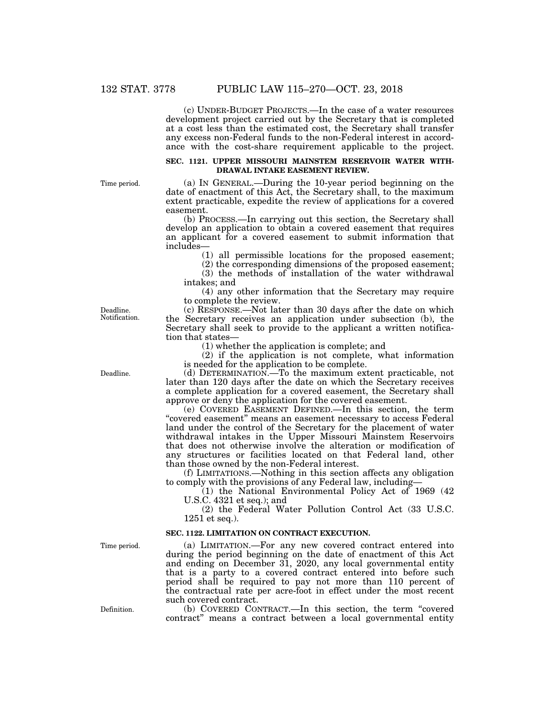(c) UNDER-BUDGET PROJECTS.—In the case of a water resources development project carried out by the Secretary that is completed at a cost less than the estimated cost, the Secretary shall transfer any excess non-Federal funds to the non-Federal interest in accordance with the cost-share requirement applicable to the project.

# **SEC. 1121. UPPER MISSOURI MAINSTEM RESERVOIR WATER WITH-DRAWAL INTAKE EASEMENT REVIEW.**

Time period.

(a) IN GENERAL.—During the 10-year period beginning on the date of enactment of this Act, the Secretary shall, to the maximum extent practicable, expedite the review of applications for a covered easement.

(b) PROCESS.—In carrying out this section, the Secretary shall develop an application to obtain a covered easement that requires an applicant for a covered easement to submit information that includes—

(1) all permissible locations for the proposed easement;

(2) the corresponding dimensions of the proposed easement; (3) the methods of installation of the water withdrawal intakes; and

(4) any other information that the Secretary may require to complete the review.

(c) RESPONSE.—Not later than 30 days after the date on which the Secretary receives an application under subsection (b), the Secretary shall seek to provide to the applicant a written notification that states—

(1) whether the application is complete; and

(2) if the application is not complete, what information is needed for the application to be complete.

(d) DETERMINATION.—To the maximum extent practicable, not later than 120 days after the date on which the Secretary receives a complete application for a covered easement, the Secretary shall approve or deny the application for the covered easement.

(e) COVERED EASEMENT DEFINED.—In this section, the term "covered easement" means an easement necessary to access Federal land under the control of the Secretary for the placement of water withdrawal intakes in the Upper Missouri Mainstem Reservoirs that does not otherwise involve the alteration or modification of any structures or facilities located on that Federal land, other than those owned by the non-Federal interest.

(f) LIMITATIONS.—Nothing in this section affects any obligation to comply with the provisions of any Federal law, including—

(1) the National Environmental Policy Act of 1969 (42 U.S.C. 4321 et seq.); and

(2) the Federal Water Pollution Control Act (33 U.S.C. 1251 et seq.).

# **SEC. 1122. LIMITATION ON CONTRACT EXECUTION.**

(a) LIMITATION.—For any new covered contract entered into during the period beginning on the date of enactment of this Act and ending on December 31, 2020, any local governmental entity that is a party to a covered contract entered into before such period shall be required to pay not more than 110 percent of the contractual rate per acre-foot in effect under the most recent such covered contract.

(b) COVERED CONTRACT.—In this section, the term ''covered contract'' means a contract between a local governmental entity

Deadline. Notification.

Deadline.

Time period.

Definition.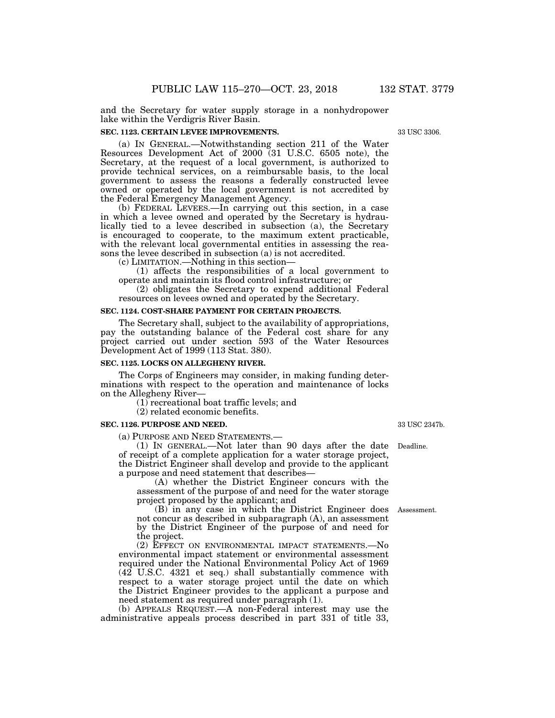and the Secretary for water supply storage in a nonhydropower lake within the Verdigris River Basin.

## **SEC. 1123. CERTAIN LEVEE IMPROVEMENTS.**

(a) IN GENERAL.—Notwithstanding section 211 of the Water Resources Development Act of 2000 (31 U.S.C. 6505 note), the Secretary, at the request of a local government, is authorized to provide technical services, on a reimbursable basis, to the local government to assess the reasons a federally constructed levee owned or operated by the local government is not accredited by the Federal Emergency Management Agency.

(b) FEDERAL LEVEES.—In carrying out this section, in a case in which a levee owned and operated by the Secretary is hydraulically tied to a levee described in subsection (a), the Secretary is encouraged to cooperate, to the maximum extent practicable, with the relevant local governmental entities in assessing the reasons the levee described in subsection (a) is not accredited.

(c) LIMITATION.—Nothing in this section—

(1) affects the responsibilities of a local government to operate and maintain its flood control infrastructure; or

(2) obligates the Secretary to expend additional Federal resources on levees owned and operated by the Secretary.

#### **SEC. 1124. COST-SHARE PAYMENT FOR CERTAIN PROJECTS.**

The Secretary shall, subject to the availability of appropriations, pay the outstanding balance of the Federal cost share for any project carried out under section 593 of the Water Resources Development Act of 1999 (113 Stat. 380).

#### **SEC. 1125. LOCKS ON ALLEGHENY RIVER.**

The Corps of Engineers may consider, in making funding determinations with respect to the operation and maintenance of locks on the Allegheny River—

(1) recreational boat traffic levels; and

(2) related economic benefits.

# **SEC. 1126. PURPOSE AND NEED.**

(a) PURPOSE AND NEED STATEMENTS.—

(1) IN GENERAL.—Not later than 90 days after the date Deadline. of receipt of a complete application for a water storage project, the District Engineer shall develop and provide to the applicant a purpose and need statement that describes—

(A) whether the District Engineer concurs with the assessment of the purpose of and need for the water storage project proposed by the applicant; and

(B) in any case in which the District Engineer does Assessment. not concur as described in subparagraph (A), an assessment by the District Engineer of the purpose of and need for the project.

(2) EFFECT ON ENVIRONMENTAL IMPACT STATEMENTS.—No environmental impact statement or environmental assessment required under the National Environmental Policy Act of 1969 (42 U.S.C. 4321 et seq.) shall substantially commence with respect to a water storage project until the date on which the District Engineer provides to the applicant a purpose and need statement as required under paragraph (1).

(b) APPEALS REQUEST.—A non-Federal interest may use the administrative appeals process described in part 331 of title 33,

33 USC 2347b.

33 USC 3306.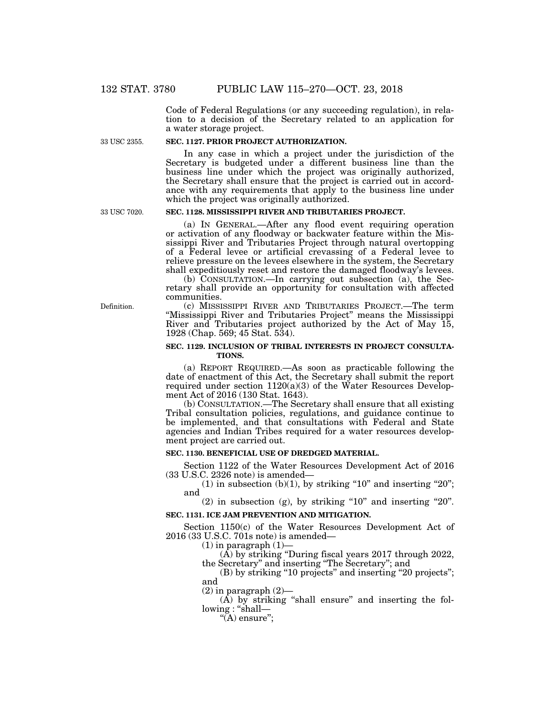Code of Federal Regulations (or any succeeding regulation), in relation to a decision of the Secretary related to an application for a water storage project.

33 USC 2355.

# **SEC. 1127. PRIOR PROJECT AUTHORIZATION.**

In any case in which a project under the jurisdiction of the Secretary is budgeted under a different business line than the business line under which the project was originally authorized, the Secretary shall ensure that the project is carried out in accordance with any requirements that apply to the business line under which the project was originally authorized.

33 USC 7020.

# **SEC. 1128. MISSISSIPPI RIVER AND TRIBUTARIES PROJECT.**

(a) IN GENERAL.—After any flood event requiring operation or activation of any floodway or backwater feature within the Mississippi River and Tributaries Project through natural overtopping of a Federal levee or artificial crevassing of a Federal levee to relieve pressure on the levees elsewhere in the system, the Secretary shall expeditiously reset and restore the damaged floodway's levees.

(b) CONSULTATION.—In carrying out subsection (a), the Secretary shall provide an opportunity for consultation with affected communities.

(c) MISSISSIPPI RIVER AND TRIBUTARIES PROJECT.—The term ''Mississippi River and Tributaries Project'' means the Mississippi River and Tributaries project authorized by the Act of May 15, 1928 (Chap. 569; 45 Stat. 534).

## **SEC. 1129. INCLUSION OF TRIBAL INTERESTS IN PROJECT CONSULTA-TIONS.**

(a) REPORT REQUIRED.—As soon as practicable following the date of enactment of this Act, the Secretary shall submit the report required under section  $1120(a)(3)$  of the Water Resources Development Act of 2016 (130 Stat. 1643).

(b) CONSULTATION.—The Secretary shall ensure that all existing Tribal consultation policies, regulations, and guidance continue to be implemented, and that consultations with Federal and State agencies and Indian Tribes required for a water resources development project are carried out.

# **SEC. 1130. BENEFICIAL USE OF DREDGED MATERIAL.**

Section 1122 of the Water Resources Development Act of 2016 (33 U.S.C. 2326 note) is amended—

(1) in subsection  $(b)(1)$ , by striking "10" and inserting "20"; and

 $(2)$  in subsection  $(g)$ , by striking "10" and inserting "20".

# **SEC. 1131. ICE JAM PREVENTION AND MITIGATION.**

Section 1150(c) of the Water Resources Development Act of 2016 (33 U.S.C. 701s note) is amended—

 $(1)$  in paragraph  $(1)$ –

(A) by striking ''During fiscal years 2017 through 2022, the Secretary'' and inserting ''The Secretary''; and

(B) by striking ''10 projects'' and inserting ''20 projects''; and

 $(2)$  in paragraph  $(2)$ —

 $(A)$  by striking "shall ensure" and inserting the following : "shall—

 $\H$ <sup>"(A)</sup> ensure";

Definition.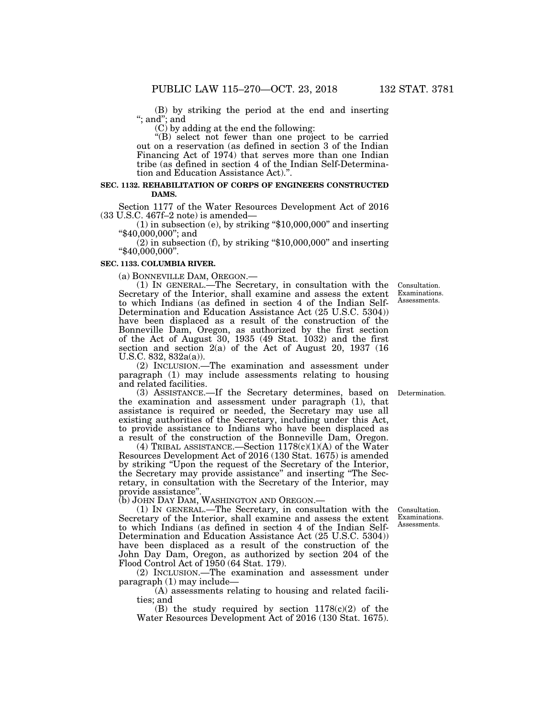(B) by striking the period at the end and inserting ''; and''; and

(C) by adding at the end the following:

''(B) select not fewer than one project to be carried out on a reservation (as defined in section 3 of the Indian Financing Act of 1974) that serves more than one Indian tribe (as defined in section 4 of the Indian Self-Determination and Education Assistance Act).''.

#### **SEC. 1132. REHABILITATION OF CORPS OF ENGINEERS CONSTRUCTED DAMS.**

Section 1177 of the Water Resources Development Act of 2016  $(33 \text{ U.S.C. } 467f-2 \text{ note})$  is amended—<br> $(1)$  in subsection (e), by striking "\$10,000,000" and inserting

(1) in subsection (e), by striking ''\$10,000,000'' and inserting ''\$40,000,000''; and (2) in subsection (f), by striking ''\$10,000,000'' and inserting ''\$40,000,000''.

## **SEC. 1133. COLUMBIA RIVER.**

(a) BONNEVILLE DAM, OREGON.— (1) IN GENERAL.—The Secretary, in consultation with the Secretary of the Interior, shall examine and assess the extent to which Indians (as defined in section 4 of the Indian Self-Determination and Education Assistance Act (25 U.S.C. 5304)) have been displaced as a result of the construction of the Bonneville Dam, Oregon, as authorized by the first section of the Act of August 30, 1935 (49 Stat. 1032) and the first section and section 2(a) of the Act of August 20, 1937 (16 U.S.C. 832, 832a(a)).

(2) INCLUSION.—The examination and assessment under paragraph (1) may include assessments relating to housing and related facilities.

(3) ASSISTANCE.—If the Secretary determines, based on the examination and assessment under paragraph (1), that assistance is required or needed, the Secretary may use all existing authorities of the Secretary, including under this Act, to provide assistance to Indians who have been displaced as a result of the construction of the Bonneville Dam, Oregon.

(4) TRIBAL ASSISTANCE.—Section  $1178(c)(1)(A)$  of the Water Resources Development Act of 2016 (130 Stat. 1675) is amended by striking ''Upon the request of the Secretary of the Interior, the Secretary may provide assistance'' and inserting ''The Secretary, in consultation with the Secretary of the Interior, may provide assistance".<br>(b) JOHN DAY DAM, WASHINGTON AND OREGON.—

 $(1)$  IN GENERAL.—The Secretary, in consultation with the Secretary of the Interior, shall examine and assess the extent to which Indians (as defined in section 4 of the Indian Self-Determination and Education Assistance Act (25 U.S.C. 5304)) have been displaced as a result of the construction of the John Day Dam, Oregon, as authorized by section 204 of the Flood Control Act of 1950 (64 Stat. 179).

(2) INCLUSION.—The examination and assessment under paragraph (1) may include—

(A) assessments relating to housing and related facilities; and

(B) the study required by section  $1178(c)(2)$  of the Water Resources Development Act of 2016 (130 Stat. 1675).

Consultation. Examinations. Assessments.

Determination.

Consultation. Examinations. Assessments.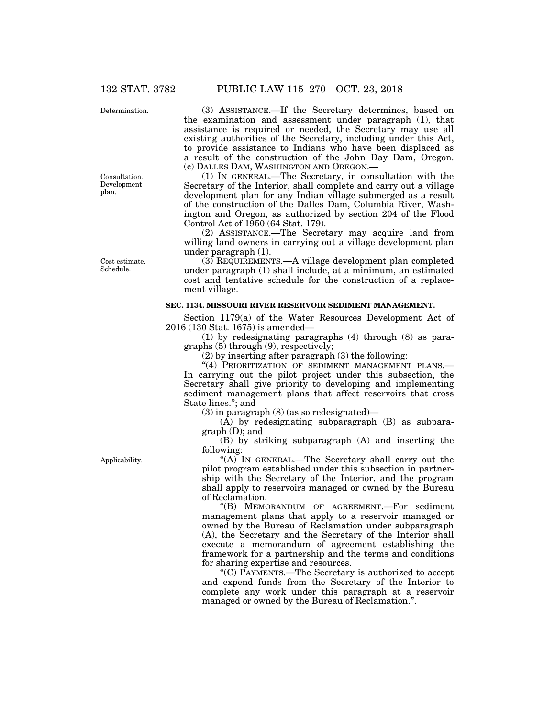Determination.

Consultation. Development plan.

Cost estimate. Schedule.

132 STAT. 3782 PUBLIC LAW 115–270—OCT. 23, 2018

(3) ASSISTANCE.—If the Secretary determines, based on the examination and assessment under paragraph (1), that assistance is required or needed, the Secretary may use all existing authorities of the Secretary, including under this Act, to provide assistance to Indians who have been displaced as a result of the construction of the John Day Dam, Oregon. (c) DALLES DAM, WASHINGTON AND OREGON.—

(1) IN GENERAL.—The Secretary, in consultation with the Secretary of the Interior, shall complete and carry out a village development plan for any Indian village submerged as a result of the construction of the Dalles Dam, Columbia River, Washington and Oregon, as authorized by section 204 of the Flood Control Act of 1950 (64 Stat. 179).

(2) ASSISTANCE.—The Secretary may acquire land from willing land owners in carrying out a village development plan under paragraph (1).

(3) REQUIREMENTS.—A village development plan completed under paragraph (1) shall include, at a minimum, an estimated cost and tentative schedule for the construction of a replacement village.

# **SEC. 1134. MISSOURI RIVER RESERVOIR SEDIMENT MANAGEMENT.**

Section 1179(a) of the Water Resources Development Act of 2016 (130 Stat. 1675) is amended—

(1) by redesignating paragraphs (4) through (8) as paragraphs (5) through (9), respectively;

(2) by inserting after paragraph (3) the following:

"(4) PRIORITIZATION OF SEDIMENT MANAGEMENT PLANS.-In carrying out the pilot project under this subsection, the Secretary shall give priority to developing and implementing sediment management plans that affect reservoirs that cross State lines.''; and

(3) in paragraph (8) (as so redesignated)—

(A) by redesignating subparagraph (B) as subparagraph (D); and

(B) by striking subparagraph (A) and inserting the following:

"(A) IN GENERAL.—The Secretary shall carry out the pilot program established under this subsection in partnership with the Secretary of the Interior, and the program shall apply to reservoirs managed or owned by the Bureau of Reclamation.

''(B) MEMORANDUM OF AGREEMENT.—For sediment management plans that apply to a reservoir managed or owned by the Bureau of Reclamation under subparagraph (A), the Secretary and the Secretary of the Interior shall execute a memorandum of agreement establishing the framework for a partnership and the terms and conditions for sharing expertise and resources.

''(C) PAYMENTS.—The Secretary is authorized to accept and expend funds from the Secretary of the Interior to complete any work under this paragraph at a reservoir managed or owned by the Bureau of Reclamation.''.

Applicability.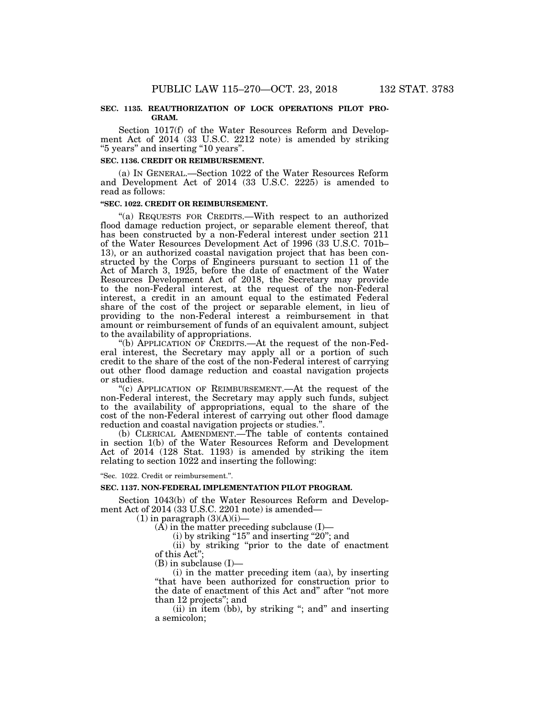### **SEC. 1135. REAUTHORIZATION OF LOCK OPERATIONS PILOT PRO-GRAM.**

Section 1017(f) of the Water Resources Reform and Development Act of 2014 (33 U.S.C. 2212 note) is amended by striking ''5 years'' and inserting ''10 years''.

## **SEC. 1136. CREDIT OR REIMBURSEMENT.**

(a) IN GENERAL.—Section 1022 of the Water Resources Reform and Development Act of 2014 (33 U.S.C. 2225) is amended to read as follows:

# **''SEC. 1022. CREDIT OR REIMBURSEMENT.**

''(a) REQUESTS FOR CREDITS.—With respect to an authorized flood damage reduction project, or separable element thereof, that has been constructed by a non-Federal interest under section 211 of the Water Resources Development Act of 1996 (33 U.S.C. 701b– 13), or an authorized coastal navigation project that has been constructed by the Corps of Engineers pursuant to section 11 of the Act of March 3, 1925, before the date of enactment of the Water Resources Development Act of 2018, the Secretary may provide to the non-Federal interest, at the request of the non-Federal interest, a credit in an amount equal to the estimated Federal share of the cost of the project or separable element, in lieu of providing to the non-Federal interest a reimbursement in that amount or reimbursement of funds of an equivalent amount, subject to the availability of appropriations.

''(b) APPLICATION OF CREDITS.—At the request of the non-Federal interest, the Secretary may apply all or a portion of such credit to the share of the cost of the non-Federal interest of carrying out other flood damage reduction and coastal navigation projects or studies.

''(c) APPLICATION OF REIMBURSEMENT.—At the request of the non-Federal interest, the Secretary may apply such funds, subject to the availability of appropriations, equal to the share of the cost of the non-Federal interest of carrying out other flood damage reduction and coastal navigation projects or studies."

(b) CLERICAL AMENDMENT.—The table of contents contained in section 1(b) of the Water Resources Reform and Development Act of 2014 (128 Stat. 1193) is amended by striking the item relating to section 1022 and inserting the following:

''Sec. 1022. Credit or reimbursement.''.

### **SEC. 1137. NON-FEDERAL IMPLEMENTATION PILOT PROGRAM.**

Section 1043(b) of the Water Resources Reform and Development Act of 2014 (33 U.S.C. 2201 note) is amended—

 $(1)$  in paragraph  $(3)(A)(i)$ —

(A) in the matter preceding subclause (I)—

 $(i)$  by striking "15" and inserting "20"; and

(ii) by striking ''prior to the date of enactment of this Act'

(B) in subclause (I)—

(i) in the matter preceding item (aa), by inserting ''that have been authorized for construction prior to the date of enactment of this Act and'' after ''not more than 12 projects''; and

(ii) in item (bb), by striking ''; and'' and inserting a semicolon;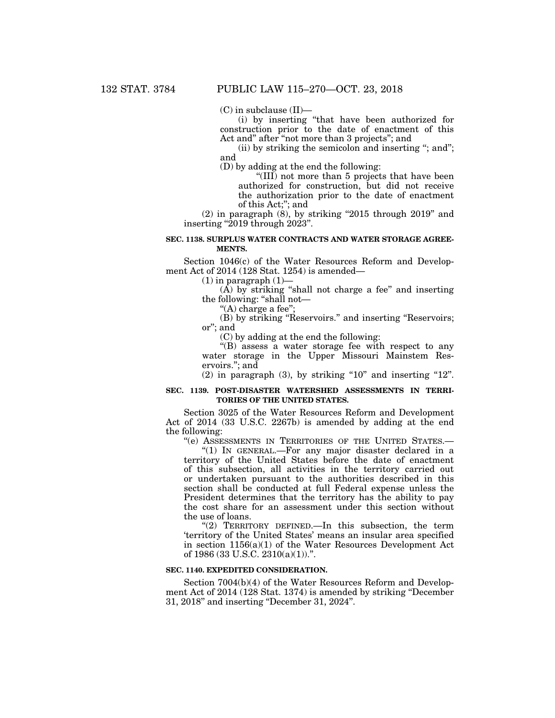$(C)$  in subclause  $(II)$ —

(i) by inserting ''that have been authorized for construction prior to the date of enactment of this Act and'' after ''not more than 3 projects''; and

(ii) by striking the semicolon and inserting ''; and''; and

(D) by adding at the end the following:

''(III) not more than 5 projects that have been authorized for construction, but did not receive the authorization prior to the date of enactment of this Act;''; and

 $(2)$  in paragraph  $(8)$ , by striking "2015 through 2019" and inserting "2019 through 2023".

## **SEC. 1138. SURPLUS WATER CONTRACTS AND WATER STORAGE AGREE-MENTS.**

Section 1046(c) of the Water Resources Reform and Development Act of 2014 (128 Stat. 1254) is amended—

 $(1)$  in paragraph  $(1)$ —

 $(A)$  by striking "shall not charge a fee" and inserting the following: ''shall not—

''(A) charge a fee'';

(B) by striking ''Reservoirs.'' and inserting ''Reservoirs; or''; and

(C) by adding at the end the following:

 $\mathrm{H}(B)$  assess a water storage fee with respect to any water storage in the Upper Missouri Mainstem Reservoirs.''; and

 $(2)$  in paragraph  $(3)$ , by striking "10" and inserting "12".

## **SEC. 1139. POST-DISASTER WATERSHED ASSESSMENTS IN TERRI-TORIES OF THE UNITED STATES.**

Section 3025 of the Water Resources Reform and Development Act of 2014 (33 U.S.C. 2267b) is amended by adding at the end the following:

"(e) ASSESSMENTS IN TERRITORIES OF THE UNITED STATES.-

''(1) IN GENERAL.—For any major disaster declared in a territory of the United States before the date of enactment of this subsection, all activities in the territory carried out or undertaken pursuant to the authorities described in this section shall be conducted at full Federal expense unless the President determines that the territory has the ability to pay the cost share for an assessment under this section without the use of loans.

"(2) TERRITORY DEFINED. In this subsection, the term 'territory of the United States' means an insular area specified in section 1156(a)(1) of the Water Resources Development Act of 1986 (33 U.S.C. 2310(a)(1)).".

## **SEC. 1140. EXPEDITED CONSIDERATION.**

Section 7004(b)(4) of the Water Resources Reform and Development Act of 2014 (128 Stat. 1374) is amended by striking ''December 31, 2018'' and inserting ''December 31, 2024''.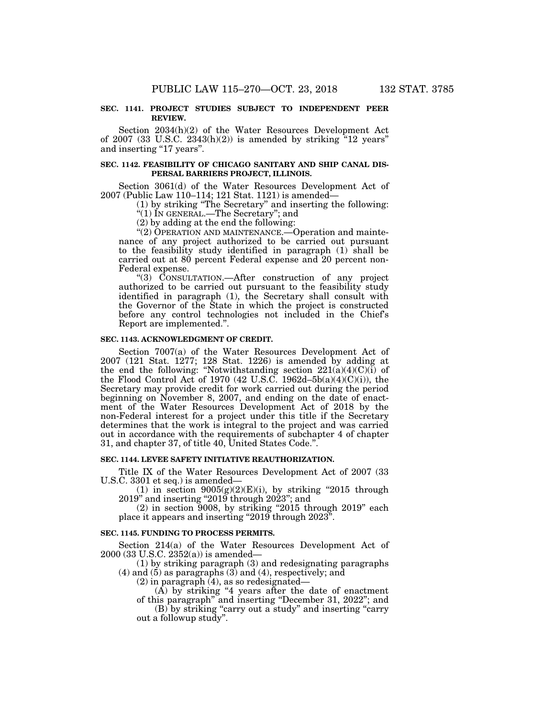#### **SEC. 1141. PROJECT STUDIES SUBJECT TO INDEPENDENT PEER REVIEW.**

Section 2034(h)(2) of the Water Resources Development Act of  $2007$  (33 U.S.C.  $2343(h)(2)$ ) is amended by striking  $412$  years" and inserting "17 years".

## **SEC. 1142. FEASIBILITY OF CHICAGO SANITARY AND SHIP CANAL DIS-PERSAL BARRIERS PROJECT, ILLINOIS.**

Section 3061(d) of the Water Resources Development Act of 2007 (Public Law 110–114; 121 Stat. 1121) is amended—

(1) by striking ''The Secretary'' and inserting the following: ''(1) IN GENERAL.—The Secretary''; and

(2) by adding at the end the following:

''(2) OPERATION AND MAINTENANCE.—Operation and maintenance of any project authorized to be carried out pursuant to the feasibility study identified in paragraph (1) shall be carried out at 80 percent Federal expense and 20 percent non-Federal expense.

''(3) CONSULTATION.—After construction of any project authorized to be carried out pursuant to the feasibility study identified in paragraph (1), the Secretary shall consult with the Governor of the State in which the project is constructed before any control technologies not included in the Chief's Report are implemented.''.

## **SEC. 1143. ACKNOWLEDGMENT OF CREDIT.**

Section 7007(a) of the Water Resources Development Act of 2007 (121 Stat. 1277; 128 Stat. 1226) is amended by adding at the end the following: "Notwithstanding section  $221(a)(4)(C)(i)$  of the Flood Control Act of 1970 (42 U.S.C. 1962d–5b(a)(4)(C)(i)), the Secretary may provide credit for work carried out during the period beginning on November 8, 2007, and ending on the date of enactment of the Water Resources Development Act of 2018 by the non-Federal interest for a project under this title if the Secretary determines that the work is integral to the project and was carried out in accordance with the requirements of subchapter 4 of chapter 31, and chapter 37, of title 40, United States Code.''.

# **SEC. 1144. LEVEE SAFETY INITIATIVE REAUTHORIZATION.**

Title IX of the Water Resources Development Act of 2007 (33 U.S.C. 3301 et seq.) is amended—

(1) in section  $9005(g)(2)(E)(i)$ , by striking "2015 through 2019'' and inserting ''2019 through 2023''; and

 $(2)$  in section 9008, by striking "2015 through 2019" each place it appears and inserting ''2019 through 2023''.

## **SEC. 1145. FUNDING TO PROCESS PERMITS.**

Section 214(a) of the Water Resources Development Act of 2000 (33 U.S.C. 2352(a)) is amended—

(1) by striking paragraph (3) and redesignating paragraphs  $(4)$  and  $(5)$  as paragraphs  $(3)$  and  $(4)$ , respectively; and

(2) in paragraph (4), as so redesignated—

 $(A)$  by striking "4 years after the date of enactment of this paragraph'' and inserting ''December 31, 2022''; and (B) by striking "carry out a study" and inserting "carry

out a followup study''.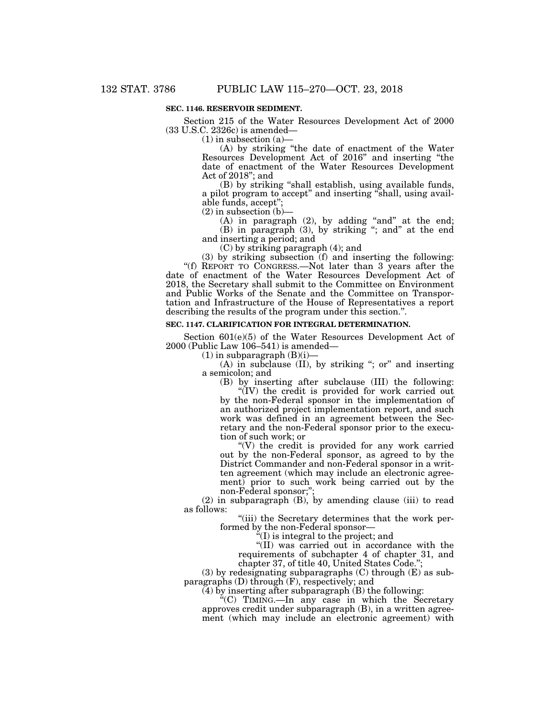# **SEC. 1146. RESERVOIR SEDIMENT.**

Section 215 of the Water Resources Development Act of 2000 (33 U.S.C. 2326c) is amended—

 $(1)$  in subsection  $(a)$ -

(A) by striking ''the date of enactment of the Water Resources Development Act of 2016'' and inserting ''the date of enactment of the Water Resources Development Act of 2018''; and

(B) by striking ''shall establish, using available funds, a pilot program to accept'' and inserting ''shall, using available funds, accept'';

 $(2)$  in subsection  $(b)$ —

 $(A)$  in paragraph  $(2)$ , by adding "and" at the end; (B) in paragraph (3), by striking ''; and'' at the end and inserting a period; and

(C) by striking paragraph (4); and

(3) by striking subsection (f) and inserting the following: "(f) REPORT TO CONGRESS.—Not later than 3 years after the date of enactment of the Water Resources Development Act of 2018, the Secretary shall submit to the Committee on Environment and Public Works of the Senate and the Committee on Transportation and Infrastructure of the House of Representatives a report describing the results of the program under this section.''.

## **SEC. 1147. CLARIFICATION FOR INTEGRAL DETERMINATION.**

Section 601(e)(5) of the Water Resources Development Act of 2000 (Public Law 106–541) is amended—

 $(1)$  in subparagraph  $(B)(i)$ 

 $(A)$  in subclause  $(II)$ , by striking "; or" and inserting a semicolon; and

(B) by inserting after subclause (III) the following:

"(IV) the credit is provided for work carried out by the non-Federal sponsor in the implementation of an authorized project implementation report, and such work was defined in an agreement between the Secretary and the non-Federal sponsor prior to the execution of such work; or

''(V) the credit is provided for any work carried out by the non-Federal sponsor, as agreed to by the District Commander and non-Federal sponsor in a written agreement (which may include an electronic agreement) prior to such work being carried out by the non-Federal sponsor;'';

 $(2)$  in subparagraph  $(B)$ , by amending clause (iii) to read as follows:

> ''(iii) the Secretary determines that the work performed by the non-Federal sponsor—

 $\cdot$ <sup>"(I)</sup> is integral to the project; and

''(II) was carried out in accordance with the requirements of subchapter 4 of chapter 31, and chapter 37, of title 40, United States Code.'';

(3) by redesignating subparagraphs (C) through (E) as subparagraphs (D) through (F), respectively; and

(4) by inserting after subparagraph (B) the following:

''(C) TIMING.—In any case in which the Secretary approves credit under subparagraph (B), in a written agreement (which may include an electronic agreement) with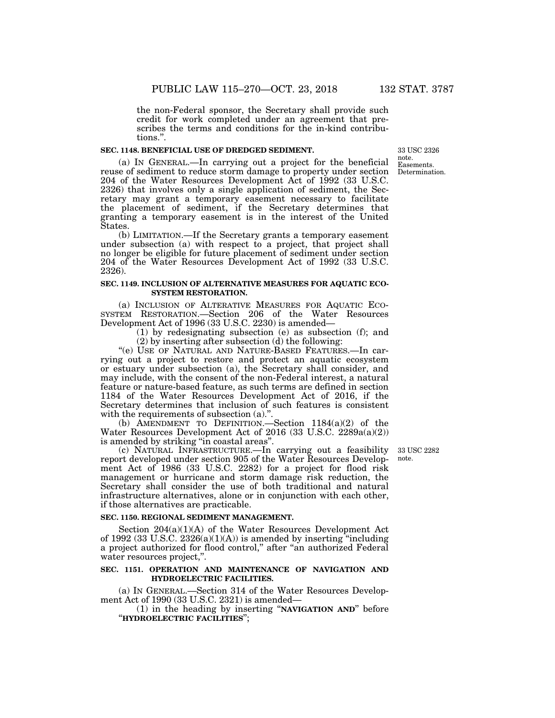the non-Federal sponsor, the Secretary shall provide such credit for work completed under an agreement that prescribes the terms and conditions for the in-kind contributions.''.

#### **SEC. 1148. BENEFICIAL USE OF DREDGED SEDIMENT.**

(a) IN GENERAL.—In carrying out a project for the beneficial reuse of sediment to reduce storm damage to property under section 204 of the Water Resources Development Act of 1992 (33 U.S.C. 2326) that involves only a single application of sediment, the Secretary may grant a temporary easement necessary to facilitate the placement of sediment, if the Secretary determines that granting a temporary easement is in the interest of the United States.

(b) LIMITATION.—If the Secretary grants a temporary easement under subsection (a) with respect to a project, that project shall no longer be eligible for future placement of sediment under section 204 of the Water Resources Development Act of 1992 (33 U.S.C. 2326).

## **SEC. 1149. INCLUSION OF ALTERNATIVE MEASURES FOR AQUATIC ECO-SYSTEM RESTORATION.**

(a) INCLUSION OF ALTERATIVE MEASURES FOR AQUATIC ECO-SYSTEM RESTORATION.—Section 206 of the Water Resources Development Act of 1996 (33 U.S.C. 2230) is amended—

(1) by redesignating subsection (e) as subsection (f); and (2) by inserting after subsection (d) the following:

''(e) USE OF NATURAL AND NATURE-BASED FEATURES.—In carrying out a project to restore and protect an aquatic ecosystem or estuary under subsection (a), the Secretary shall consider, and may include, with the consent of the non-Federal interest, a natural feature or nature-based feature, as such terms are defined in section 1184 of the Water Resources Development Act of 2016, if the Secretary determines that inclusion of such features is consistent with the requirements of subsection (a)."

(b) AMENDMENT TO DEFINITION.—Section  $1184(a)(2)$  of the Water Resources Development Act of 2016 (33 U.S.C. 2289a(a)(2)) is amended by striking ''in coastal areas''.

(c) NATURAL INFRASTRUCTURE.—In carrying out a feasibility report developed under section 905 of the Water Resources Development Act of 1986 (33 U.S.C. 2282) for a project for flood risk management or hurricane and storm damage risk reduction, the Secretary shall consider the use of both traditional and natural infrastructure alternatives, alone or in conjunction with each other, if those alternatives are practicable.

#### **SEC. 1150. REGIONAL SEDIMENT MANAGEMENT.**

Section 204(a)(1)(A) of the Water Resources Development Act of 1992 (33 U.S.C. 2326(a)(1)(A)) is amended by inserting "including a project authorized for flood control,'' after ''an authorized Federal water resources project,''.

## **SEC. 1151. OPERATION AND MAINTENANCE OF NAVIGATION AND HYDROELECTRIC FACILITIES.**

(a) IN GENERAL.—Section 314 of the Water Resources Development Act of 1990 (33 U.S.C. 2321) is amended—

(1) in the heading by inserting ''**NAVIGATION AND**'' before ''**HYDROELECTRIC FACILITIES**'';

33 USC 2282 note.

Easements. Determination. 33 USC 2326 note.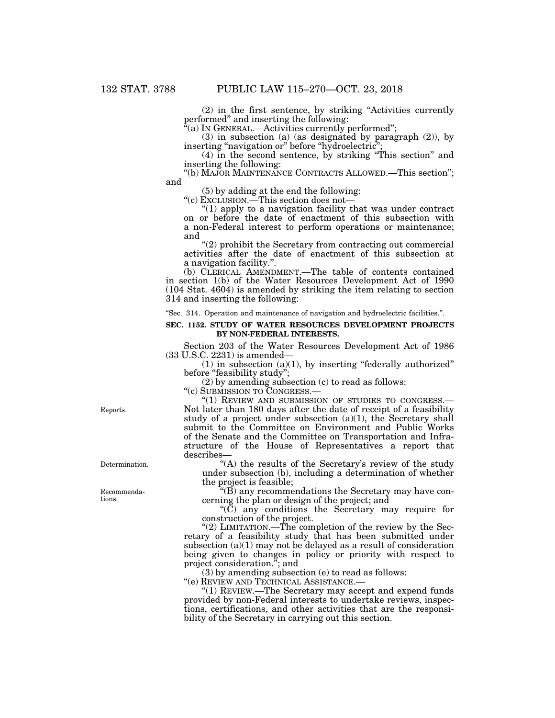(2) in the first sentence, by striking ''Activities currently performed'' and inserting the following:

''(a) IN GENERAL.—Activities currently performed'';

(3) in subsection (a) (as designated by paragraph (2)), by inserting "navigation or" before "hydroelectric";

(4) in the second sentence, by striking ''This section'' and inserting the following:

''(b) MAJOR MAINTENANCE CONTRACTS ALLOWED.—This section'';

and

(5) by adding at the end the following:

''(c) EXCLUSION.—This section does not—

''(1) apply to a navigation facility that was under contract on or before the date of enactment of this subsection with a non-Federal interest to perform operations or maintenance; and

''(2) prohibit the Secretary from contracting out commercial activities after the date of enactment of this subsection at a navigation facility.''.

(b) CLERICAL AMENDMENT.—The table of contents contained in section 1(b) of the Water Resources Development Act of 1990 (104 Stat. 4604) is amended by striking the item relating to section 314 and inserting the following:

''Sec. 314. Operation and maintenance of navigation and hydroelectric facilities.''.

## **SEC. 1152. STUDY OF WATER RESOURCES DEVELOPMENT PROJECTS BY NON-FEDERAL INTERESTS.**

Section 203 of the Water Resources Development Act of 1986 (33 U.S.C. 2231) is amended—

 $(1)$  in subsection  $(a)(1)$ , by inserting "federally authorized" before "feasibility study";

(2) by amending subsection (c) to read as follows:

''(c) SUBMISSION TO CONGRESS.—

"(1) REVIEW AND SUBMISSION OF STUDIES TO CONGRESS.-Not later than 180 days after the date of receipt of a feasibility study of a project under subsection  $(a)(1)$ , the Secretary shall submit to the Committee on Environment and Public Works of the Senate and the Committee on Transportation and Infrastructure of the House of Representatives a report that describes—

"(A) the results of the Secretary's review of the study" under subsection (b), including a determination of whether the project is feasible;

''(B) any recommendations the Secretary may have concerning the plan or design of the project; and

''(C) any conditions the Secretary may require for construction of the project.

''(2) LIMITATION.—The completion of the review by the Secretary of a feasibility study that has been submitted under subsection  $(a)(1)$  may not be delayed as a result of consideration being given to changes in policy or priority with respect to project consideration."; and

(3) by amending subsection (e) to read as follows:

''(e) REVIEW AND TECHNICAL ASSISTANCE.—

''(1) REVIEW.—The Secretary may accept and expend funds provided by non-Federal interests to undertake reviews, inspections, certifications, and other activities that are the responsibility of the Secretary in carrying out this section.

Reports.

Determination.

Recommendations.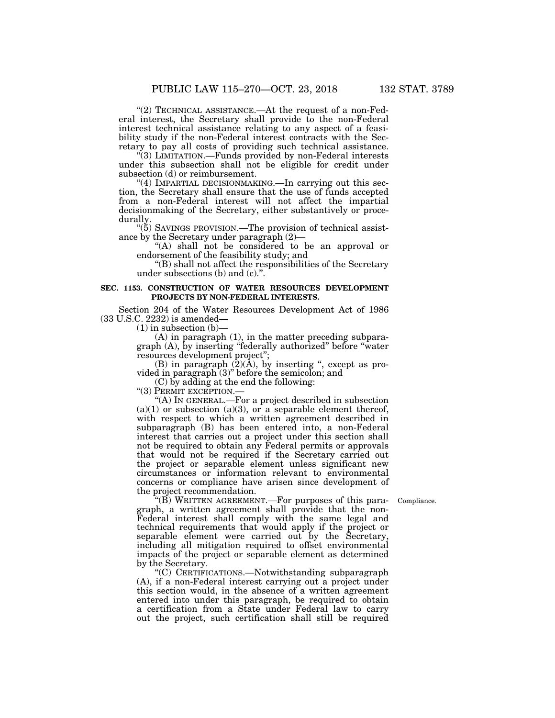" $(2)$  TECHNICAL ASSISTANCE.—At the request of a non-Federal interest, the Secretary shall provide to the non-Federal interest technical assistance relating to any aspect of a feasibility study if the non-Federal interest contracts with the Secretary to pay all costs of providing such technical assistance.

''(3) LIMITATION.—Funds provided by non-Federal interests under this subsection shall not be eligible for credit under subsection (d) or reimbursement.

"(4) IMPARTIAL DECISIONMAKING.—In carrying out this section, the Secretary shall ensure that the use of funds accepted from a non-Federal interest will not affect the impartial decisionmaking of the Secretary, either substantively or procedurally.

" $(5)$  SAVINGS PROVISION.—The provision of technical assistance by the Secretary under paragraph (2)—

"(A) shall not be considered to be an approval or endorsement of the feasibility study; and

''(B) shall not affect the responsibilities of the Secretary under subsections (b) and (c).''.

#### **SEC. 1153. CONSTRUCTION OF WATER RESOURCES DEVELOPMENT PROJECTS BY NON-FEDERAL INTERESTS.**

Section 204 of the Water Resources Development Act of 1986 (33 U.S.C. 2232) is amended—

 $(1)$  in subsection  $(b)$ –

(A) in paragraph (1), in the matter preceding subparagraph (A), by inserting ''federally authorized'' before ''water resources development project'';

 $(B)$  in paragraph  $(2)(A)$ , by inserting ", except as provided in paragraph (3)'' before the semicolon; and

(C) by adding at the end the following:

"(3) PERMIT EXCEPTION.

''(A) IN GENERAL.—For a project described in subsection  $(a)(1)$  or subsection  $(a)(3)$ , or a separable element thereof, with respect to which a written agreement described in subparagraph (B) has been entered into, a non-Federal interest that carries out a project under this section shall not be required to obtain any Federal permits or approvals that would not be required if the Secretary carried out the project or separable element unless significant new circumstances or information relevant to environmental concerns or compliance have arisen since development of the project recommendation.

Compliance.

"(B) WRITTEN AGREEMENT.—For purposes of this paragraph, a written agreement shall provide that the non-Federal interest shall comply with the same legal and technical requirements that would apply if the project or separable element were carried out by the Secretary, including all mitigation required to offset environmental impacts of the project or separable element as determined by the Secretary.

''(C) CERTIFICATIONS.—Notwithstanding subparagraph (A), if a non-Federal interest carrying out a project under this section would, in the absence of a written agreement entered into under this paragraph, be required to obtain a certification from a State under Federal law to carry out the project, such certification shall still be required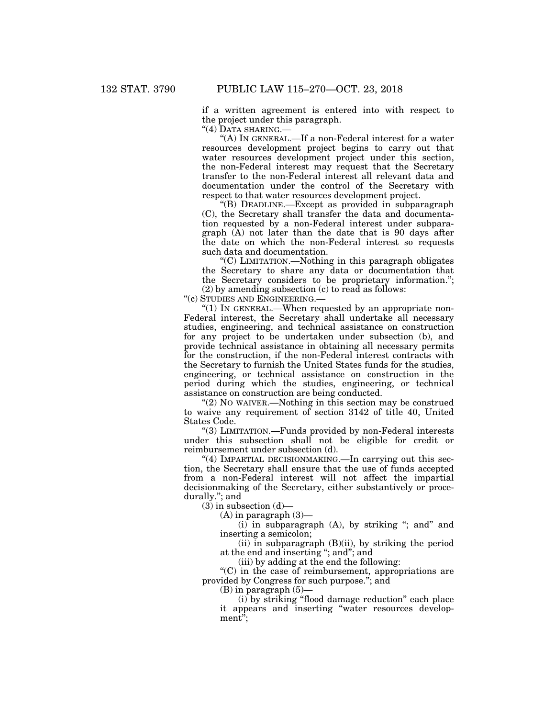if a written agreement is entered into with respect to the project under this paragraph.

"(4) DATA SHARING.-

''(A) IN GENERAL.—If a non-Federal interest for a water resources development project begins to carry out that water resources development project under this section, the non-Federal interest may request that the Secretary transfer to the non-Federal interest all relevant data and documentation under the control of the Secretary with respect to that water resources development project.

''(B) DEADLINE.—Except as provided in subparagraph (C), the Secretary shall transfer the data and documentation requested by a non-Federal interest under subparagraph (A) not later than the date that is 90 days after the date on which the non-Federal interest so requests such data and documentation.

''(C) LIMITATION.—Nothing in this paragraph obligates the Secretary to share any data or documentation that the Secretary considers to be proprietary information.''; (2) by amending subsection (c) to read as follows:

''(c) STUDIES AND ENGINEERING.—

" $(1)$  In GENERAL.—When requested by an appropriate non-Federal interest, the Secretary shall undertake all necessary studies, engineering, and technical assistance on construction for any project to be undertaken under subsection (b), and provide technical assistance in obtaining all necessary permits for the construction, if the non-Federal interest contracts with the Secretary to furnish the United States funds for the studies, engineering, or technical assistance on construction in the period during which the studies, engineering, or technical

assistance on construction are being conducted. ''(2) NO WAIVER.—Nothing in this section may be construed to waive any requirement of section 3142 of title 40, United States Code.

''(3) LIMITATION.—Funds provided by non-Federal interests under this subsection shall not be eligible for credit or reimbursement under subsection (d).

"(4) IMPARTIAL DECISIONMAKING.—In carrying out this section, the Secretary shall ensure that the use of funds accepted from a non-Federal interest will not affect the impartial decisionmaking of the Secretary, either substantively or procedurally.''; and

 $(3)$  in subsection  $(d)$ —

 $(A)$  in paragraph  $(3)$ —

 $(i)$  in subparagraph  $(A)$ , by striking "; and" and inserting a semicolon;

(ii) in subparagraph  $(B)(ii)$ , by striking the period at the end and inserting ''; and''; and

(iii) by adding at the end the following:

''(C) in the case of reimbursement, appropriations are provided by Congress for such purpose.''; and

 $(B)$  in paragraph  $(5)$ —

(i) by striking ''flood damage reduction'' each place it appears and inserting ''water resources development'';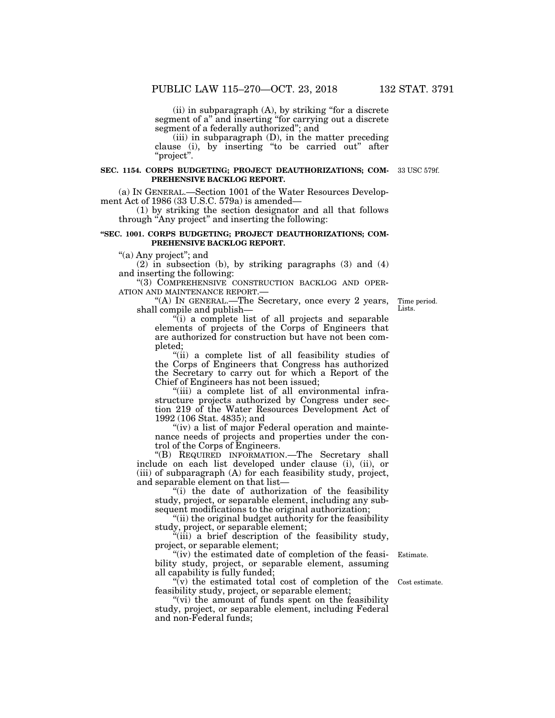(ii) in subparagraph (A), by striking ''for a discrete segment of a'' and inserting ''for carrying out a discrete segment of a federally authorized''; and

(iii) in subparagraph (D), in the matter preceding clause (i), by inserting ''to be carried out'' after ''project''.

#### **SEC. 1154. CORPS BUDGETING; PROJECT DEAUTHORIZATIONS; COM-**33 USC 579f. **PREHENSIVE BACKLOG REPORT.**

(a) IN GENERAL.—Section 1001 of the Water Resources Development Act of 1986 (33 U.S.C. 579a) is amended—

(1) by striking the section designator and all that follows through ''Any project'' and inserting the following:

## **''SEC. 1001. CORPS BUDGETING; PROJECT DEAUTHORIZATIONS; COM-PREHENSIVE BACKLOG REPORT.**

''(a) Any project''; and

(2) in subsection (b), by striking paragraphs (3) and (4) and inserting the following:

''(3) COMPREHENSIVE CONSTRUCTION BACKLOG AND OPER-ATION AND MAINTENANCE REPORT.—

''(A) IN GENERAL.—The Secretary, once every 2 years, shall compile and publish—

"(i) a complete list of all projects and separable elements of projects of the Corps of Engineers that are authorized for construction but have not been completed;

"(ii) a complete list of all feasibility studies of the Corps of Engineers that Congress has authorized the Secretary to carry out for which a Report of the Chief of Engineers has not been issued;

"(iii) a complete list of all environmental infrastructure projects authorized by Congress under section 219 of the Water Resources Development Act of 1992 (106 Stat. 4835); and

"(iv) a list of major Federal operation and maintenance needs of projects and properties under the control of the Corps of Engineers.

''(B) REQUIRED INFORMATION.—The Secretary shall include on each list developed under clause (i), (ii), or (iii) of subparagraph (A) for each feasibility study, project, and separable element on that list—

''(i) the date of authorization of the feasibility study, project, or separable element, including any subsequent modifications to the original authorization;

''(ii) the original budget authority for the feasibility study, project, or separable element;

''(iii) a brief description of the feasibility study, project, or separable element;

 $f(iv)$  the estimated date of completion of the feasibility study, project, or separable element, assuming all capability is fully funded;

 $\sqrt[n]{v}$  the estimated total cost of completion of the feasibility study, project, or separable element;

"(vi) the amount of funds spent on the feasibility" study, project, or separable element, including Federal and non-Federal funds;

Cost estimate.

Estimate.

Time period. Lists.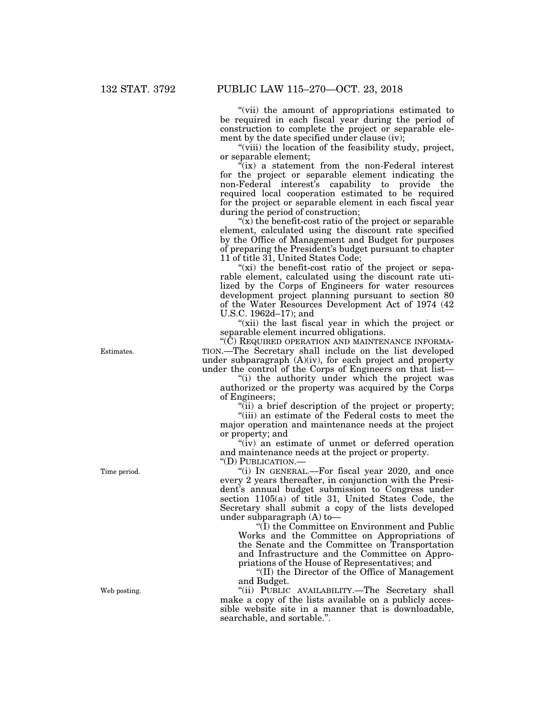"(vii) the amount of appropriations estimated to be required in each fiscal year during the period of construction to complete the project or separable element by the date specified under clause (iv);

"(viii) the location of the feasibility study, project, or separable element;

 $\mathbf{u}(\mathbf{x})$  a statement from the non-Federal interest for the project or separable element indicating the non-Federal interest's capability to provide the required local cooperation estimated to be required for the project or separable element in each fiscal year during the period of construction;

 $(x)$  the benefit-cost ratio of the project or separable element, calculated using the discount rate specified by the Office of Management and Budget for purposes of preparing the President's budget pursuant to chapter 11 of title 31, United States Code;

" $(xi)$  the benefit-cost ratio of the project or separable element, calculated using the discount rate utilized by the Corps of Engineers for water resources development project planning pursuant to section 80 of the Water Resources Development Act of 1974 (42 U.S.C. 1962d–17); and

"(xii) the last fiscal year in which the project or separable element incurred obligations.

" $(\tilde{C})$  REQUIRED OPERATION AND MAINTENANCE INFORMA-TION.—The Secretary shall include on the list developed under subparagraph  $(A)(iv)$ , for each project and property under the control of the Corps of Engineers on that list—

"(i) the authority under which the project was authorized or the property was acquired by the Corps of Engineers;

(ii) a brief description of the project or property;

''(iii) an estimate of the Federal costs to meet the major operation and maintenance needs at the project or property; and

''(iv) an estimate of unmet or deferred operation and maintenance needs at the project or property.

''(D) PUBLICATION.—

"(i) IN GENERAL.—For fiscal year 2020, and once every 2 years thereafter, in conjunction with the President's annual budget submission to Congress under section 1105(a) of title 31, United States Code, the Secretary shall submit a copy of the lists developed under subparagraph (A) to—

''(I) the Committee on Environment and Public Works and the Committee on Appropriations of the Senate and the Committee on Transportation and Infrastructure and the Committee on Appropriations of the House of Representatives; and

''(II) the Director of the Office of Management and Budget.

''(ii) PUBLIC AVAILABILITY.—The Secretary shall make a copy of the lists available on a publicly accessible website site in a manner that is downloadable, searchable, and sortable.''.

Estimates.

Time period.

Web posting.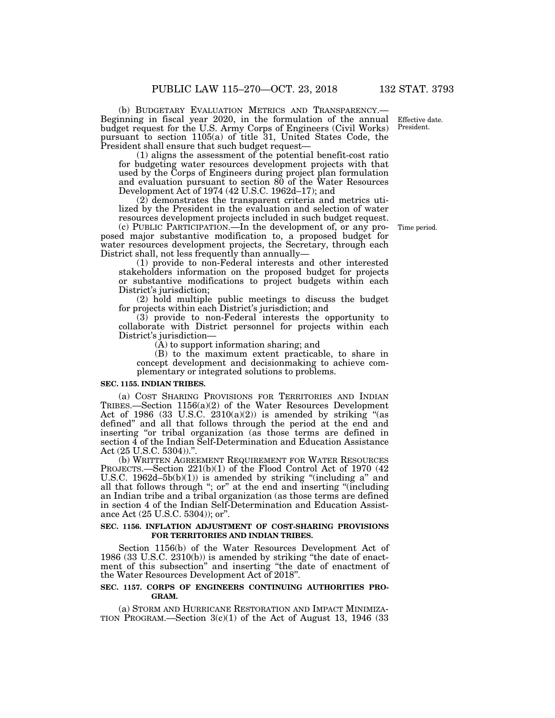(b) BUDGETARY EVALUATION METRICS AND TRANSPARENCY.— Beginning in fiscal year 2020, in the formulation of the annual budget request for the U.S. Army Corps of Engineers (Civil Works) pursuant to section 1105(a) of title 31, United States Code, the President shall ensure that such budget request—

(1) aligns the assessment of the potential benefit-cost ratio for budgeting water resources development projects with that used by the Corps of Engineers during project plan formulation and evaluation pursuant to section 80 of the Water Resources Development Act of 1974 (42 U.S.C. 1962d–17); and

(2) demonstrates the transparent criteria and metrics utilized by the President in the evaluation and selection of water resources development projects included in such budget request.

(c) PUBLIC PARTICIPATION.—In the development of, or any proposed major substantive modification to, a proposed budget for water resources development projects, the Secretary, through each District shall, not less frequently than annually—

(1) provide to non-Federal interests and other interested stakeholders information on the proposed budget for projects or substantive modifications to project budgets within each District's jurisdiction;

(2) hold multiple public meetings to discuss the budget for projects within each District's jurisdiction; and

(3) provide to non-Federal interests the opportunity to collaborate with District personnel for projects within each District's jurisdiction—

(A) to support information sharing; and

(B) to the maximum extent practicable, to share in concept development and decisionmaking to achieve complementary or integrated solutions to problems.

#### **SEC. 1155. INDIAN TRIBES.**

(a) COST SHARING PROVISIONS FOR TERRITORIES AND INDIAN TRIBES.—Section 1156(a)(2) of the Water Resources Development Act of 1986 (33 U.S.C.  $2310(a)(2)$ ) is amended by striking "(as defined'' and all that follows through the period at the end and inserting "or tribal organization (as those terms are defined in section  $\overline{4}$  of the Indian Self-Determination and Education Assistance Act (25 U.S.C. 5304)).''.

(b) WRITTEN AGREEMENT REQUIREMENT FOR WATER RESOURCES PROJECTS.—Section 221(b)(1) of the Flood Control Act of 1970 (42 U.S.C. 1962d-5b $(b)(1)$ ) is amended by striking "(including a" and all that follows through ''; or'' at the end and inserting ''(including an Indian tribe and a tribal organization (as those terms are defined in section 4 of the Indian Self-Determination and Education Assistance Act (25 U.S.C. 5304)); or''.

#### **SEC. 1156. INFLATION ADJUSTMENT OF COST-SHARING PROVISIONS FOR TERRITORIES AND INDIAN TRIBES.**

Section 1156(b) of the Water Resources Development Act of 1986 (33 U.S.C. 2310(b)) is amended by striking ''the date of enactment of this subsection'' and inserting ''the date of enactment of the Water Resources Development Act of 2018''.

### **SEC. 1157. CORPS OF ENGINEERS CONTINUING AUTHORITIES PRO-GRAM.**

(a) STORM AND HURRICANE RESTORATION AND IMPACT MINIMIZA- TION PROGRAM.—Section  $3(c)(1)$  of the Act of August 13, 1946 (33

Effective date. President.

Time period.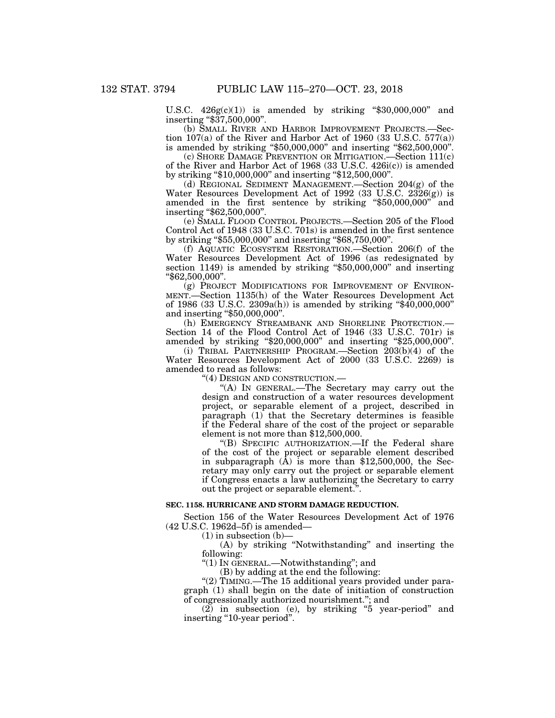U.S.C.  $426g(c)(1)$  is amended by striking "\$30,000,000" and inserting ''\$37,500,000''.

(b) SMALL RIVER AND HARBOR IMPROVEMENT PROJECTS.—Section 107(a) of the River and Harbor Act of 1960 (33 U.S.C. 577(a)) is amended by striking ''\$50,000,000'' and inserting ''\$62,500,000''.

(c) SHORE DAMAGE PREVENTION OR MITIGATION.—Section 111(c) of the River and Harbor Act of 1968 (33 U.S.C. 426i(c)) is amended by striking "\$10,000,000" and inserting "\$12,500,000".

(d) REGIONAL SEDIMENT MANAGEMENT.—Section 204(g) of the Water Resources Development Act of 1992 (33 U.S.C.  $2326(g)$ ) is amended in the first sentence by striking ''\$50,000,000'' and inserting ''\$62,500,000''.

(e) SMALL FLOOD CONTROL PROJECTS.—Section 205 of the Flood Control Act of 1948 (33 U.S.C. 701s) is amended in the first sentence by striking ''\$55,000,000'' and inserting ''\$68,750,000''.

(f) AQUATIC ECOSYSTEM RESTORATION.—Section 206(f) of the Water Resources Development Act of 1996 (as redesignated by section 1149) is amended by striking "\$50,000,000" and inserting ''\$62,500,000''.

(g) PROJECT MODIFICATIONS FOR IMPROVEMENT OF ENVIRON-MENT.—Section 1135(h) of the Water Resources Development Act of 1986 (33 U.S.C. 2309a(h)) is amended by striking " $\frac{1}{940,000,000}$ " and inserting ''\$50,000,000''.

(h) EMERGENCY STREAMBANK AND SHORELINE PROTECTION.— Section 14 of the Flood Control Act of 1946 (33 U.S.C. 701r) is amended by striking "\$20,000,000" and inserting "\$25,000,000".

(i) TRIBAL PARTNERSHIP PROGRAM.—Section 203(b)(4) of the Water Resources Development Act of 2000 (33 U.S.C. 2269) is amended to read as follows:

''(4) DESIGN AND CONSTRUCTION.—

''(A) IN GENERAL.—The Secretary may carry out the design and construction of a water resources development project, or separable element of a project, described in paragraph (1) that the Secretary determines is feasible if the Federal share of the cost of the project or separable element is not more than \$12,500,000.

''(B) SPECIFIC AUTHORIZATION.—If the Federal share of the cost of the project or separable element described in subparagraph  $(\bar{A})$  is more than \$12,500,000, the Secretary may only carry out the project or separable element if Congress enacts a law authorizing the Secretary to carry out the project or separable element.''.

#### **SEC. 1158. HURRICANE AND STORM DAMAGE REDUCTION.**

Section 156 of the Water Resources Development Act of 1976 (42 U.S.C. 1962d–5f) is amended—

 $(1)$  in subsection  $(b)$ –

(A) by striking ''Notwithstanding'' and inserting the following:

''(1) IN GENERAL.—Notwithstanding''; and

(B) by adding at the end the following:

"(2) TIMING.—The 15 additional years provided under paragraph (1) shall begin on the date of initiation of construction of congressionally authorized nourishment.''; and

 $(2)$  in subsection (e), by striking "5 year-period" and inserting "10-year period".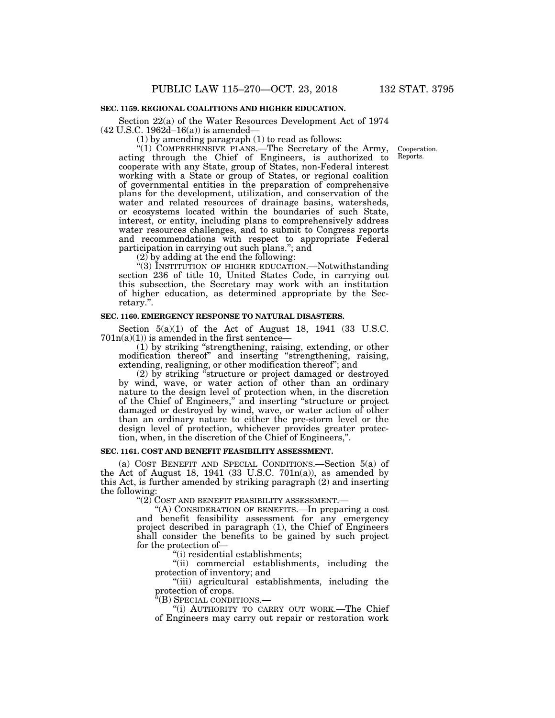# **SEC. 1159. REGIONAL COALITIONS AND HIGHER EDUCATION.**

Section 22(a) of the Water Resources Development Act of 1974 (42 U.S.C. 1962d–16(a)) is amended—

(1) by amending paragraph (1) to read as follows:

Cooperation. Reports.

''(1) COMPREHENSIVE PLANS.—The Secretary of the Army, acting through the Chief of Engineers, is authorized to cooperate with any State, group of States, non-Federal interest working with a State or group of States, or regional coalition of governmental entities in the preparation of comprehensive plans for the development, utilization, and conservation of the water and related resources of drainage basins, watersheds, or ecosystems located within the boundaries of such State, interest, or entity, including plans to comprehensively address water resources challenges, and to submit to Congress reports and recommendations with respect to appropriate Federal participation in carrying out such plans.''; and

(2) by adding at the end the following:

"(3) INSTITUTION OF HIGHER EDUCATION.—Notwithstanding section 236 of title 10, United States Code, in carrying out this subsection, the Secretary may work with an institution of higher education, as determined appropriate by the Secretary.''.

#### **SEC. 1160. EMERGENCY RESPONSE TO NATURAL DISASTERS.**

Section  $5(a)(1)$  of the Act of August 18, 1941 (33 U.S.C.  $701n(a)(1)$ ) is amended in the first sentence-

(1) by striking ''strengthening, raising, extending, or other modification thereof'' and inserting ''strengthening, raising, extending, realigning, or other modification thereof''; and

(2) by striking ''structure or project damaged or destroyed by wind, wave, or water action of other than an ordinary nature to the design level of protection when, in the discretion of the Chief of Engineers,'' and inserting ''structure or project damaged or destroyed by wind, wave, or water action of other than an ordinary nature to either the pre-storm level or the design level of protection, whichever provides greater protection, when, in the discretion of the Chief of Engineers,''.

#### **SEC. 1161. COST AND BENEFIT FEASIBILITY ASSESSMENT.**

(a) COST BENEFIT AND SPECIAL CONDITIONS.—Section 5(a) of the Act of August 18, 1941 (33 U.S.C. 701 $n(a)$ ), as amended by this Act, is further amended by striking paragraph (2) and inserting the following:

 $\mathrm{``(2)}\ \mathrm{COST}$  and benefit feasibility assessment.—

''(A) CONSIDERATION OF BENEFITS.—In preparing a cost and benefit feasibility assessment for any emergency project described in paragraph (1), the Chief of Engineers shall consider the benefits to be gained by such project for the protection of—

''(i) residential establishments;

''(ii) commercial establishments, including the protection of inventory; and

''(iii) agricultural establishments, including the protection of crops.

''(B) SPECIAL CONDITIONS.—

"(i) AUTHORITY TO CARRY OUT WORK.—The Chief of Engineers may carry out repair or restoration work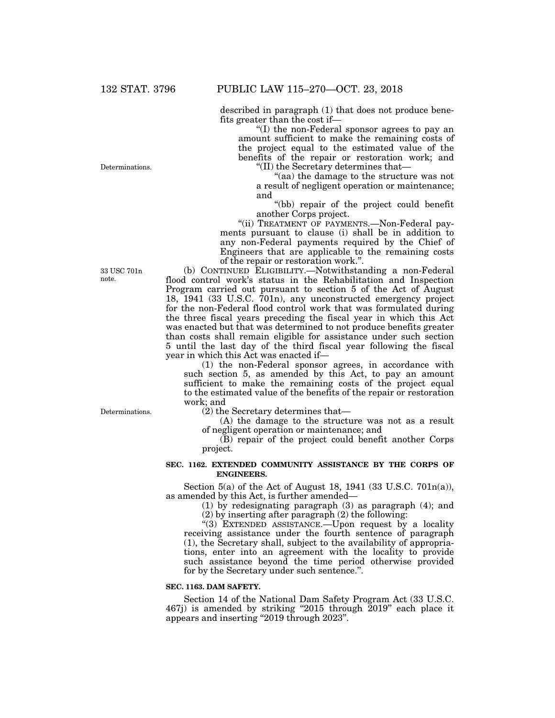described in paragraph (1) that does not produce benefits greater than the cost if—

''(I) the non-Federal sponsor agrees to pay an amount sufficient to make the remaining costs of the project equal to the estimated value of the benefits of the repair or restoration work; and ''(II) the Secretary determines that—

''(aa) the damage to the structure was not a result of negligent operation or maintenance; and

"(bb) repair of the project could benefit another Corps project.

"(ii) TREATMENT OF PAYMENTS.-Non-Federal payments pursuant to clause (i) shall be in addition to any non-Federal payments required by the Chief of Engineers that are applicable to the remaining costs of the repair or restoration work.''.

(b) CONTINUED ELIGIBILITY.—Notwithstanding a non-Federal flood control work's status in the Rehabilitation and Inspection Program carried out pursuant to section 5 of the Act of August 18, 1941 (33 U.S.C. 701n), any unconstructed emergency project for the non-Federal flood control work that was formulated during the three fiscal years preceding the fiscal year in which this Act was enacted but that was determined to not produce benefits greater than costs shall remain eligible for assistance under such section 5 until the last day of the third fiscal year following the fiscal year in which this Act was enacted if—

(1) the non-Federal sponsor agrees, in accordance with such section 5, as amended by this Act, to pay an amount sufficient to make the remaining costs of the project equal to the estimated value of the benefits of the repair or restoration work; and

Determinations.

(2) the Secretary determines that—

(A) the damage to the structure was not as a result of negligent operation or maintenance; and

(B) repair of the project could benefit another Corps project.

# **SEC. 1162. EXTENDED COMMUNITY ASSISTANCE BY THE CORPS OF ENGINEERS.**

Section 5(a) of the Act of August 18, 1941 (33 U.S.C. 701n(a)), as amended by this Act, is further amended—

> (1) by redesignating paragraph (3) as paragraph (4); and (2) by inserting after paragraph (2) the following:

"(3) EXTENDED ASSISTANCE.—Upon request by a locality receiving assistance under the fourth sentence of paragraph (1), the Secretary shall, subject to the availability of appropriations, enter into an agreement with the locality to provide such assistance beyond the time period otherwise provided for by the Secretary under such sentence.''.

#### **SEC. 1163. DAM SAFETY.**

Section 14 of the National Dam Safety Program Act (33 U.S.C. 467j) is amended by striking ''2015 through 2019'' each place it appears and inserting ''2019 through 2023''.

Determinations.

33 USC 701n note.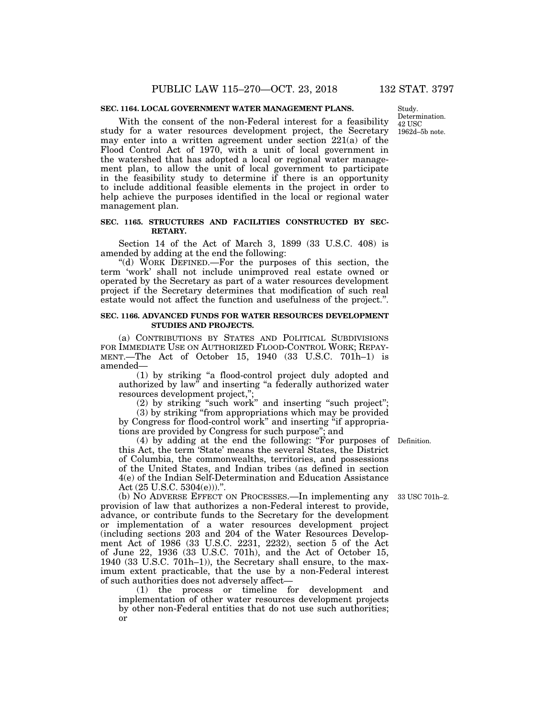## **SEC. 1164. LOCAL GOVERNMENT WATER MANAGEMENT PLANS.**

With the consent of the non-Federal interest for a feasibility study for a water resources development project, the Secretary may enter into a written agreement under section 221(a) of the Flood Control Act of 1970, with a unit of local government in the watershed that has adopted a local or regional water management plan, to allow the unit of local government to participate in the feasibility study to determine if there is an opportunity to include additional feasible elements in the project in order to help achieve the purposes identified in the local or regional water management plan.

## **SEC. 1165. STRUCTURES AND FACILITIES CONSTRUCTED BY SEC-RETARY.**

Section 14 of the Act of March 3, 1899 (33 U.S.C. 408) is amended by adding at the end the following:

''(d) WORK DEFINED.—For the purposes of this section, the term 'work' shall not include unimproved real estate owned or operated by the Secretary as part of a water resources development project if the Secretary determines that modification of such real estate would not affect the function and usefulness of the project.''.

#### **SEC. 1166. ADVANCED FUNDS FOR WATER RESOURCES DEVELOPMENT STUDIES AND PROJECTS.**

(a) CONTRIBUTIONS BY STATES AND POLITICAL SUBDIVISIONS FOR IMMEDIATE USE ON AUTHORIZED FLOOD-CONTROL WORK; REPAY-MENT.—The Act of October 15, 1940 (33 U.S.C. 701h–1) is amended—

(1) by striking ''a flood-control project duly adopted and authorized by law" and inserting "a federally authorized water resources development project,'';

(2) by striking ''such work'' and inserting ''such project'';

(3) by striking ''from appropriations which may be provided by Congress for flood-control work'' and inserting ''if appropriations are provided by Congress for such purpose''; and

33 USC 701h–2.

(4) by adding at the end the following: ''For purposes of Definition. this Act, the term 'State' means the several States, the District of Columbia, the commonwealths, territories, and possessions of the United States, and Indian tribes (as defined in section 4(e) of the Indian Self-Determination and Education Assistance Act (25 U.S.C. 5304(e))).''.

(b) NO ADVERSE EFFECT ON PROCESSES.—In implementing any provision of law that authorizes a non-Federal interest to provide, advance, or contribute funds to the Secretary for the development or implementation of a water resources development project (including sections 203 and 204 of the Water Resources Development Act of 1986 (33 U.S.C. 2231, 2232), section 5 of the Act of June 22, 1936 (33 U.S.C. 701h), and the Act of October 15, 1940 (33 U.S.C. 701h–1)), the Secretary shall ensure, to the maximum extent practicable, that the use by a non-Federal interest of such authorities does not adversely affect—

(1) the process or timeline for development and implementation of other water resources development projects by other non-Federal entities that do not use such authorities; or

Study. Determination. 42 USC 1962d–5b note.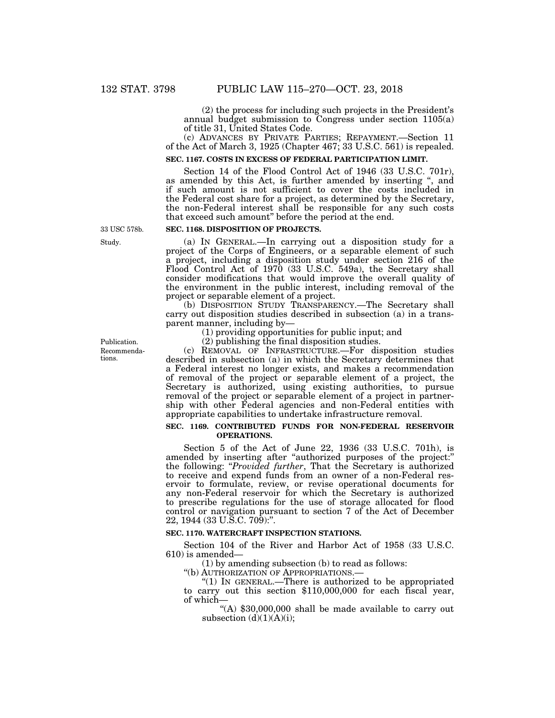(2) the process for including such projects in the President's annual budget submission to Congress under section 1105(a) of title 31, United States Code.

(c) ADVANCES BY PRIVATE PARTIES; REPAYMENT.—Section 11 of the Act of March 3, 1925 (Chapter 467; 33 U.S.C. 561) is repealed.

# **SEC. 1167. COSTS IN EXCESS OF FEDERAL PARTICIPATION LIMIT.**

Section 14 of the Flood Control Act of 1946 (33 U.S.C. 701r), as amended by this Act, is further amended by inserting ", and if such amount is not sufficient to cover the costs included in the Federal cost share for a project, as determined by the Secretary, the non-Federal interest shall be responsible for any such costs that exceed such amount'' before the period at the end.

# **SEC. 1168. DISPOSITION OF PROJECTS.**

(a) IN GENERAL.—In carrying out a disposition study for a project of the Corps of Engineers, or a separable element of such a project, including a disposition study under section 216 of the Flood Control Act of 1970 (33 U.S.C. 549a), the Secretary shall consider modifications that would improve the overall quality of the environment in the public interest, including removal of the project or separable element of a project.

(b) DISPOSITION STUDY TRANSPARENCY.—The Secretary shall carry out disposition studies described in subsection (a) in a transparent manner, including by—

(1) providing opportunities for public input; and

(2) publishing the final disposition studies.

(c) REMOVAL OF INFRASTRUCTURE.—For disposition studies described in subsection (a) in which the Secretary determines that a Federal interest no longer exists, and makes a recommendation of removal of the project or separable element of a project, the Secretary is authorized, using existing authorities, to pursue removal of the project or separable element of a project in partnership with other Federal agencies and non-Federal entities with appropriate capabilities to undertake infrastructure removal.

#### **SEC. 1169. CONTRIBUTED FUNDS FOR NON-FEDERAL RESERVOIR OPERATIONS.**

Section 5 of the Act of June 22, 1936 (33 U.S.C. 701h), is amended by inserting after ''authorized purposes of the project:'' the following: ''*Provided further*, That the Secretary is authorized to receive and expend funds from an owner of a non-Federal reservoir to formulate, review, or revise operational documents for any non-Federal reservoir for which the Secretary is authorized to prescribe regulations for the use of storage allocated for flood control or navigation pursuant to section 7 of the Act of December 22, 1944 (33 U.S.C. 709):''.

## **SEC. 1170. WATERCRAFT INSPECTION STATIONS.**

Section 104 of the River and Harbor Act of 1958 (33 U.S.C. 610) is amended—

(1) by amending subsection (b) to read as follows:

"(b) AUTHORIZATION OF APPROPRIATIONS.-

" $(1)$  In GENERAL.—There is authorized to be appropriated to carry out this section \$110,000,000 for each fiscal year, of which—

''(A) \$30,000,000 shall be made available to carry out subsection  $(d)(1)(A)(i)$ ;

33 USC 578b.

Study.

Recommendations. Publication.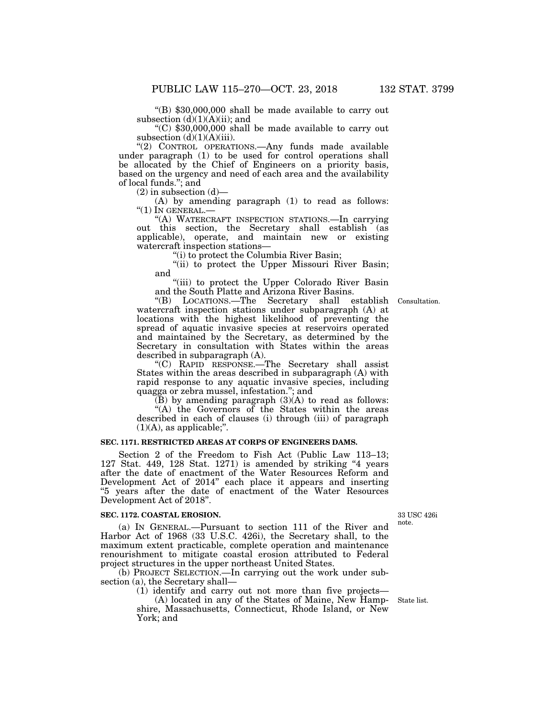''(B) \$30,000,000 shall be made available to carry out subsection  $(d)(1)(A)(ii)$ ; and

 $(C)$  \$30,000,000 shall be made available to carry out subsection  $(d)(1)(A)(iii)$ .

"(2) CONTROL OPERATIONS.—Any funds made available under paragraph (1) to be used for control operations shall be allocated by the Chief of Engineers on a priority basis, based on the urgency and need of each area and the availability of local funds.''; and

(2) in subsection (d)—

(A) by amending paragraph (1) to read as follows: "(1) In GENERAL.—

"(A) WATERCRAFT INSPECTION STATIONS.—In carrying out this section, the Secretary shall establish (as applicable), operate, and maintain new or existing watercraft inspection stations—

''(i) to protect the Columbia River Basin;

"(ii) to protect the Upper Missouri River Basin; and

"(iii) to protect the Upper Colorado River Basin and the South Platte and Arizona River Basins.

''(B) LOCATIONS.—The Secretary shall establish watercraft inspection stations under subparagraph (A) at locations with the highest likelihood of preventing the spread of aquatic invasive species at reservoirs operated and maintained by the Secretary, as determined by the Secretary in consultation with States within the areas described in subparagraph (A).

''(C) RAPID RESPONSE.—The Secretary shall assist States within the areas described in subparagraph (A) with rapid response to any aquatic invasive species, including quagga or zebra mussel, infestation.''; and

 $(B)$  by amending paragraph  $(3)(A)$  to read as follows:

''(A) the Governors of the States within the areas described in each of clauses (i) through (iii) of paragraph  $(1)(A)$ , as applicable;".

# **SEC. 1171. RESTRICTED AREAS AT CORPS OF ENGINEERS DAMS.**

Section 2 of the Freedom to Fish Act (Public Law 113–13; 127 Stat. 449, 128 Stat. 1271) is amended by striking ''4 years after the date of enactment of the Water Resources Reform and Development Act of 2014" each place it appears and inserting ''5 years after the date of enactment of the Water Resources Development Act of 2018''.

#### **SEC. 1172. COASTAL EROSION.**

(a) IN GENERAL.—Pursuant to section 111 of the River and Harbor Act of 1968 (33 U.S.C. 426i), the Secretary shall, to the maximum extent practicable, complete operation and maintenance renourishment to mitigate coastal erosion attributed to Federal project structures in the upper northeast United States.

(b) PROJECT SELECTION.—In carrying out the work under subsection (a), the Secretary shall—

(1) identify and carry out not more than five projects—

(A) located in any of the States of Maine, New Hampshire, Massachusetts, Connecticut, Rhode Island, or New York; and

33 USC 426i note.

Consultation.

State list.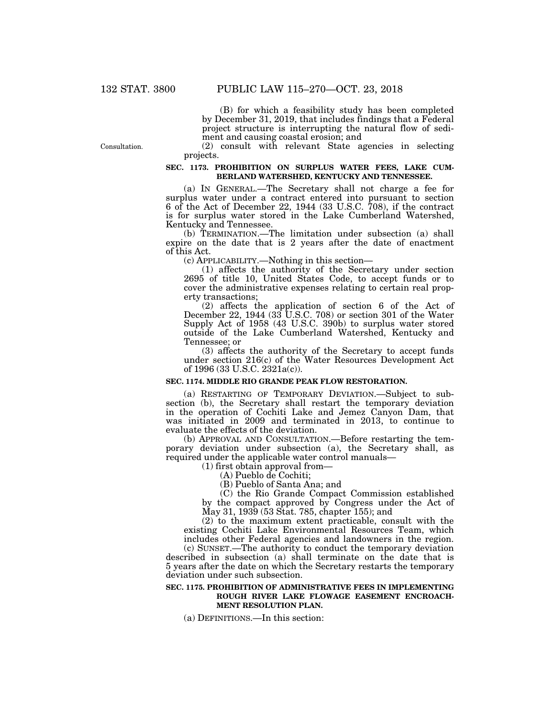(B) for which a feasibility study has been completed by December 31, 2019, that includes findings that a Federal project structure is interrupting the natural flow of sediment and causing coastal erosion; and

(2) consult with relevant State agencies in selecting projects.

#### **SEC. 1173. PROHIBITION ON SURPLUS WATER FEES, LAKE CUM-BERLAND WATERSHED, KENTUCKY AND TENNESSEE.**

(a) IN GENERAL.—The Secretary shall not charge a fee for surplus water under a contract entered into pursuant to section 6 of the Act of December 22, 1944 (33 U.S.C. 708), if the contract is for surplus water stored in the Lake Cumberland Watershed, Kentucky and Tennessee.

(b) TERMINATION.—The limitation under subsection (a) shall expire on the date that is 2 years after the date of enactment of this Act.

(c) APPLICABILITY.—Nothing in this section—

(1) affects the authority of the Secretary under section 2695 of title 10, United States Code, to accept funds or to cover the administrative expenses relating to certain real property transactions;

(2) affects the application of section 6 of the Act of December 22, 1944 (33 U.S.C. 708) or section 301 of the Water Supply Act of 1958 (43 U.S.C. 390b) to surplus water stored outside of the Lake Cumberland Watershed, Kentucky and Tennessee; or

(3) affects the authority of the Secretary to accept funds under section 216(c) of the Water Resources Development Act of 1996 (33 U.S.C. 2321a(c)).

## **SEC. 1174. MIDDLE RIO GRANDE PEAK FLOW RESTORATION.**

(a) RESTARTING OF TEMPORARY DEVIATION.—Subject to subsection (b), the Secretary shall restart the temporary deviation in the operation of Cochiti Lake and Jemez Canyon Dam, that was initiated in 2009 and terminated in 2013, to continue to evaluate the effects of the deviation.

(b) APPROVAL AND CONSULTATION.—Before restarting the temporary deviation under subsection (a), the Secretary shall, as required under the applicable water control manuals—

(1) first obtain approval from—

(A) Pueblo de Cochiti;

(B) Pueblo of Santa Ana; and

(C) the Rio Grande Compact Commission established by the compact approved by Congress under the Act of May 31, 1939 (53 Stat. 785, chapter 155); and

(2) to the maximum extent practicable, consult with the existing Cochiti Lake Environmental Resources Team, which includes other Federal agencies and landowners in the region.

(c) SUNSET.—The authority to conduct the temporary deviation described in subsection (a) shall terminate on the date that is 5 years after the date on which the Secretary restarts the temporary deviation under such subsection.

## **SEC. 1175. PROHIBITION OF ADMINISTRATIVE FEES IN IMPLEMENTING ROUGH RIVER LAKE FLOWAGE EASEMENT ENCROACH-MENT RESOLUTION PLAN.**

(a) DEFINITIONS.—In this section:

Consultation.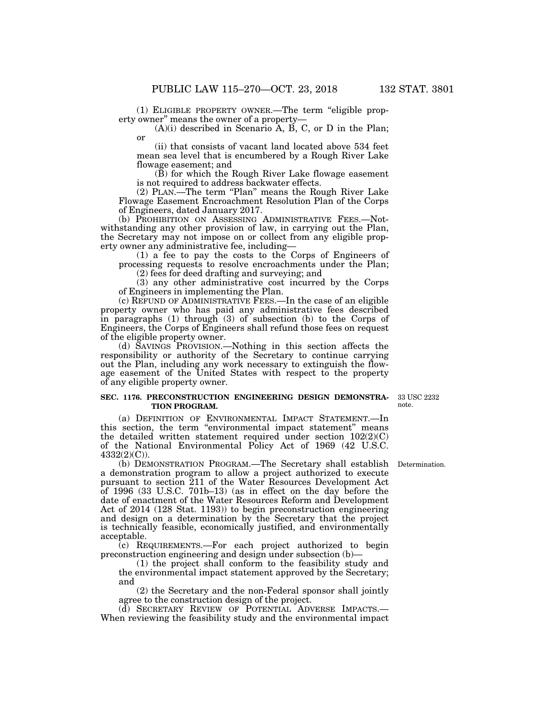(1) ELIGIBLE PROPERTY OWNER.—The term ''eligible property owner'' means the owner of a property—

(A)(i) described in Scenario A, B, C, or D in the Plan; or

(ii) that consists of vacant land located above 534 feet mean sea level that is encumbered by a Rough River Lake flowage easement; and

(B) for which the Rough River Lake flowage easement is not required to address backwater effects.

(2) PLAN.—The term "Plan" means the Rough River Lake Flowage Easement Encroachment Resolution Plan of the Corps of Engineers, dated January 2017.

(b) PROHIBITION ON ASSESSING ADMINISTRATIVE FEES.—Notwithstanding any other provision of law, in carrying out the Plan, the Secretary may not impose on or collect from any eligible property owner any administrative fee, including—

(1) a fee to pay the costs to the Corps of Engineers of processing requests to resolve encroachments under the Plan;

(2) fees for deed drafting and surveying; and

(3) any other administrative cost incurred by the Corps of Engineers in implementing the Plan.

(c) REFUND OF ADMINISTRATIVE FEES.—In the case of an eligible property owner who has paid any administrative fees described in paragraphs (1) through (3) of subsection (b) to the Corps of Engineers, the Corps of Engineers shall refund those fees on request of the eligible property owner.

(d) SAVINGS PROVISION.—Nothing in this section affects the responsibility or authority of the Secretary to continue carrying out the Plan, including any work necessary to extinguish the flowage easement of the United States with respect to the property of any eligible property owner.

# **SEC. 1176. PRECONSTRUCTION ENGINEERING DESIGN DEMONSTRA-TION PROGRAM.**

33 USC 2232 note.

(a) DEFINITION OF ENVIRONMENTAL IMPACT STATEMENT.—In this section, the term "environmental impact statement" means the detailed written statement required under section 102(2)(C) of the National Environmental Policy Act of 1969 (42 U.S.C. 4332(2)(C)).

(b) DEMONSTRATION PROGRAM.—The Secretary shall establish a demonstration program to allow a project authorized to execute pursuant to section 211 of the Water Resources Development Act of 1996 (33 U.S.C. 701b–13) (as in effect on the day before the date of enactment of the Water Resources Reform and Development Act of 2014 (128 Stat. 1193)) to begin preconstruction engineering and design on a determination by the Secretary that the project is technically feasible, economically justified, and environmentally acceptable.

(c) REQUIREMENTS.—For each project authorized to begin preconstruction engineering and design under subsection (b)—

(1) the project shall conform to the feasibility study and the environmental impact statement approved by the Secretary; and

(2) the Secretary and the non-Federal sponsor shall jointly agree to the construction design of the project.<br>
(d) SECRETARY REVIEW OF POTENTIAL ADVERSE IMPACTS.

When reviewing the feasibility study and the environmental impact

Determination.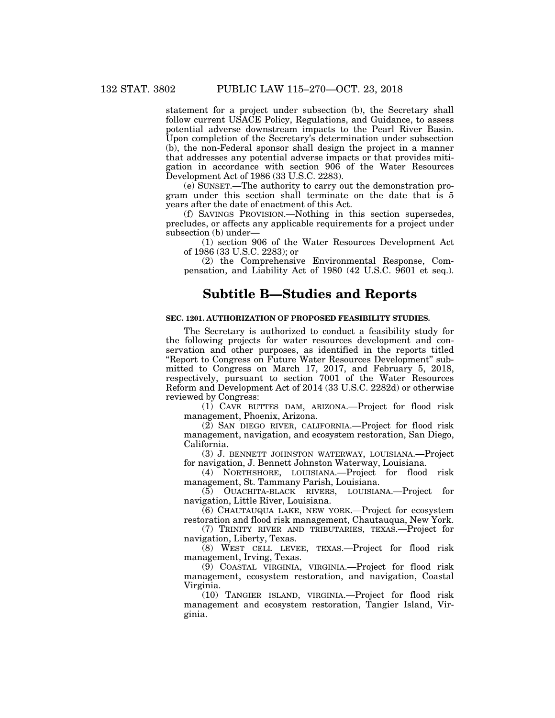statement for a project under subsection (b), the Secretary shall follow current USACE Policy, Regulations, and Guidance, to assess potential adverse downstream impacts to the Pearl River Basin. Upon completion of the Secretary's determination under subsection (b), the non-Federal sponsor shall design the project in a manner that addresses any potential adverse impacts or that provides mitigation in accordance with section 906 of the Water Resources Development Act of 1986 (33 U.S.C. 2283).

(e) SUNSET.—The authority to carry out the demonstration program under this section shall terminate on the date that is 5 years after the date of enactment of this Act.

(f) SAVINGS PROVISION.—Nothing in this section supersedes, precludes, or affects any applicable requirements for a project under subsection (b) under—

(1) section 906 of the Water Resources Development Act of 1986 (33 U.S.C. 2283); or

(2) the Comprehensive Environmental Response, Compensation, and Liability Act of 1980 (42 U.S.C. 9601 et seq.).

# **Subtitle B—Studies and Reports**

# **SEC. 1201. AUTHORIZATION OF PROPOSED FEASIBILITY STUDIES.**

The Secretary is authorized to conduct a feasibility study for the following projects for water resources development and conservation and other purposes, as identified in the reports titled "Report to Congress on Future Water Resources Development" submitted to Congress on March 17, 2017, and February 5, 2018, respectively, pursuant to section 7001 of the Water Resources Reform and Development Act of 2014 (33 U.S.C. 2282d) or otherwise reviewed by Congress:

(1) CAVE BUTTES DAM, ARIZONA.—Project for flood risk management, Phoenix, Arizona.

(2) SAN DIEGO RIVER, CALIFORNIA.—Project for flood risk management, navigation, and ecosystem restoration, San Diego, California.

(3) J. BENNETT JOHNSTON WATERWAY, LOUISIANA.—Project for navigation, J. Bennett Johnston Waterway, Louisiana.

(4) NORTHSHORE, LOUISIANA.—Project for flood risk management, St. Tammany Parish, Louisiana.

(5) OUACHITA-BLACK RIVERS, LOUISIANA.—Project for navigation, Little River, Louisiana.

(6) CHAUTAUQUA LAKE, NEW YORK.—Project for ecosystem restoration and flood risk management, Chautauqua, New York.

(7) TRINITY RIVER AND TRIBUTARIES, TEXAS.—Project for navigation, Liberty, Texas.

(8) WEST CELL LEVEE, TEXAS.—Project for flood risk management, Irving, Texas.

(9) COASTAL VIRGINIA, VIRGINIA.—Project for flood risk management, ecosystem restoration, and navigation, Coastal Virginia.

(10) TANGIER ISLAND, VIRGINIA.—Project for flood risk management and ecosystem restoration, Tangier Island, Virginia.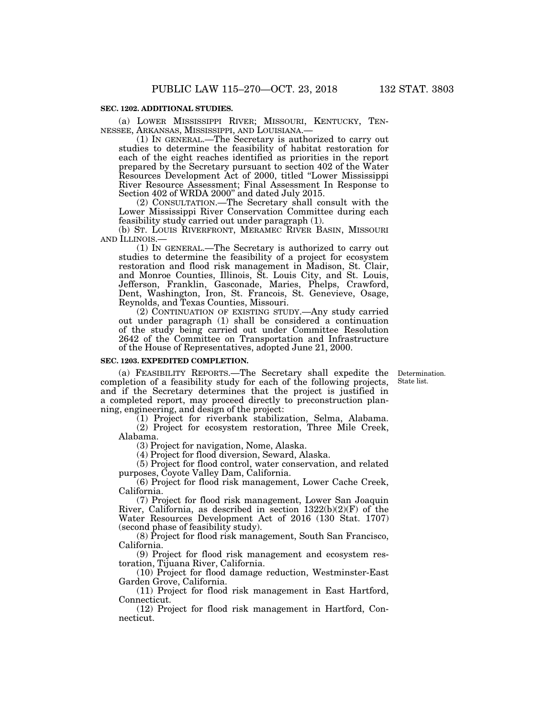(a) LOWER MISSISSIPPI RIVER; MISSOURI, KENTUCKY, TEN-NESSEE, ARKANSAS, MISSISSIPPI, AND LOUISIANA.—

(1) IN GENERAL.—The Secretary is authorized to carry out studies to determine the feasibility of habitat restoration for each of the eight reaches identified as priorities in the report prepared by the Secretary pursuant to section 402 of the Water Resources Development Act of 2000, titled ''Lower Mississippi River Resource Assessment; Final Assessment In Response to Section 402 of WRDA 2000'' and dated July 2015.

(2) CONSULTATION.—The Secretary shall consult with the Lower Mississippi River Conservation Committee during each feasibility study carried out under paragraph (1).

(b) ST. LOUIS RIVERFRONT, MERAMEC RIVER BASIN, MISSOURI AND ILLINOIS.—

(1) IN GENERAL.—The Secretary is authorized to carry out studies to determine the feasibility of a project for ecosystem restoration and flood risk management in Madison, St. Clair, and Monroe Counties, Illinois, St. Louis City, and St. Louis, Jefferson, Franklin, Gasconade, Maries, Phelps, Crawford, Dent, Washington, Iron, St. Francois, St. Genevieve, Osage, Reynolds, and Texas Counties, Missouri.

(2) CONTINUATION OF EXISTING STUDY.—Any study carried out under paragraph (1) shall be considered a continuation of the study being carried out under Committee Resolution 2642 of the Committee on Transportation and Infrastructure of the House of Representatives, adopted June 21, 2000.

#### **SEC. 1203. EXPEDITED COMPLETION.**

(a) FEASIBILITY REPORTS.—The Secretary shall expedite the completion of a feasibility study for each of the following projects, and if the Secretary determines that the project is justified in a completed report, may proceed directly to preconstruction planning, engineering, and design of the project:

(1) Project for riverbank stabilization, Selma, Alabama. (2) Project for ecosystem restoration, Three Mile Creek, Alabama.

(3) Project for navigation, Nome, Alaska.

(4) Project for flood diversion, Seward, Alaska.

(5) Project for flood control, water conservation, and related purposes, Coyote Valley Dam, California.

(6) Project for flood risk management, Lower Cache Creek, California.

(7) Project for flood risk management, Lower San Joaquin River, California, as described in section  $1322(b)(2)(F)$  of the Water Resources Development Act of 2016 (130 Stat. 1707) (second phase of feasibility study).

(8) Project for flood risk management, South San Francisco, California.

(9) Project for flood risk management and ecosystem restoration, Tijuana River, California.

(10) Project for flood damage reduction, Westminster-East Garden Grove, California.

(11) Project for flood risk management in East Hartford, Connecticut.

(12) Project for flood risk management in Hartford, Connecticut.

Determination. State list.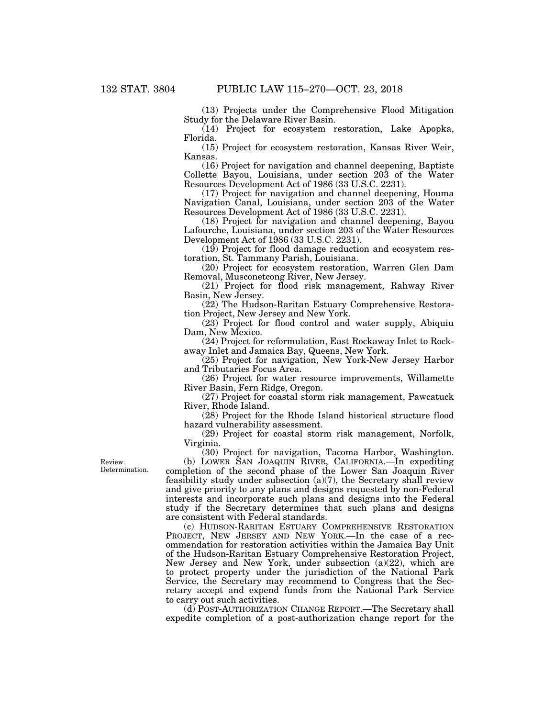(13) Projects under the Comprehensive Flood Mitigation Study for the Delaware River Basin.

(14) Project for ecosystem restoration, Lake Apopka, Florida.

(15) Project for ecosystem restoration, Kansas River Weir, Kansas.

(16) Project for navigation and channel deepening, Baptiste Collette Bayou, Louisiana, under section 203 of the Water Resources Development Act of 1986 (33 U.S.C. 2231).

(17) Project for navigation and channel deepening, Houma Navigation Canal, Louisiana, under section 203 of the Water Resources Development Act of 1986 (33 U.S.C. 2231).

(18) Project for navigation and channel deepening, Bayou Lafourche, Louisiana, under section 203 of the Water Resources Development Act of 1986 (33 U.S.C. 2231).

(19) Project for flood damage reduction and ecosystem restoration, St. Tammany Parish, Louisiana.

(20) Project for ecosystem restoration, Warren Glen Dam Removal, Musconetcong River, New Jersey.

(21) Project for flood risk management, Rahway River Basin, New Jersey.

(22) The Hudson-Raritan Estuary Comprehensive Restoration Project, New Jersey and New York.

(23) Project for flood control and water supply, Abiquiu Dam, New Mexico.

(24) Project for reformulation, East Rockaway Inlet to Rockaway Inlet and Jamaica Bay, Queens, New York.

(25) Project for navigation, New York-New Jersey Harbor and Tributaries Focus Area.

(26) Project for water resource improvements, Willamette River Basin, Fern Ridge, Oregon.

(27) Project for coastal storm risk management, Pawcatuck River, Rhode Island.

(28) Project for the Rhode Island historical structure flood hazard vulnerability assessment.

(29) Project for coastal storm risk management, Norfolk, Virginia.

(30) Project for navigation, Tacoma Harbor, Washington. (b) LOWER SAN JOAQUIN RIVER, CALIFORNIA.—In expediting completion of the second phase of the Lower San Joaquin River

feasibility study under subsection (a)(7), the Secretary shall review and give priority to any plans and designs requested by non-Federal interests and incorporate such plans and designs into the Federal study if the Secretary determines that such plans and designs are consistent with Federal standards.

(c) HUDSON-RARITAN ESTUARY COMPREHENSIVE RESTORATION PROJECT, NEW JERSEY AND NEW YORK.—In the case of a recommendation for restoration activities within the Jamaica Bay Unit of the Hudson-Raritan Estuary Comprehensive Restoration Project, New Jersey and New York, under subsection (a)(22), which are to protect property under the jurisdiction of the National Park Service, the Secretary may recommend to Congress that the Secretary accept and expend funds from the National Park Service to carry out such activities.

(d) POST-AUTHORIZATION CHANGE REPORT.—The Secretary shall expedite completion of a post-authorization change report for the

Review. Determination.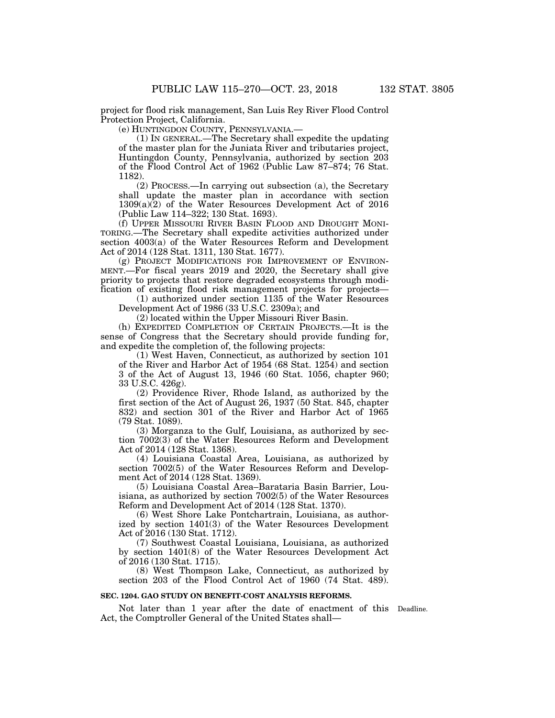project for flood risk management, San Luis Rey River Flood Control Protection Project, California.

(e) HUNTINGDON COUNTY, PENNSYLVANIA.—

(1) IN GENERAL.—The Secretary shall expedite the updating of the master plan for the Juniata River and tributaries project, Huntingdon County, Pennsylvania, authorized by section 203 of the Flood Control Act of 1962 (Public Law 87–874; 76 Stat. 1182).

(2) PROCESS.—In carrying out subsection (a), the Secretary shall update the master plan in accordance with section  $1309(a)\dot{2}$  of the Water Resources Development Act of 2016 (Public Law 114–322; 130 Stat. 1693).

(f) UPPER MISSOURI RIVER BASIN FLOOD AND DROUGHT MONI-TORING.—The Secretary shall expedite activities authorized under section 4003(a) of the Water Resources Reform and Development Act of 2014 (128 Stat. 1311, 130 Stat. 1677).

(g) PROJECT MODIFICATIONS FOR IMPROVEMENT OF ENVIRON-MENT.—For fiscal years 2019 and 2020, the Secretary shall give priority to projects that restore degraded ecosystems through modification of existing flood risk management projects for projects—

(1) authorized under section 1135 of the Water Resources Development Act of 1986 (33 U.S.C. 2309a); and

(2) located within the Upper Missouri River Basin.

(h) EXPEDITED COMPLETION OF CERTAIN PROJECTS.—It is the sense of Congress that the Secretary should provide funding for, and expedite the completion of, the following projects:

(1) West Haven, Connecticut, as authorized by section 101 of the River and Harbor Act of 1954 (68 Stat. 1254) and section 3 of the Act of August 13, 1946 (60 Stat. 1056, chapter 960; 33 U.S.C. 426g).

(2) Providence River, Rhode Island, as authorized by the first section of the Act of August 26, 1937 (50 Stat. 845, chapter 832) and section 301 of the River and Harbor Act of 1965 (79 Stat. 1089).

(3) Morganza to the Gulf, Louisiana, as authorized by section 7002(3) of the Water Resources Reform and Development Act of 2014 (128 Stat. 1368).

(4) Louisiana Coastal Area, Louisiana, as authorized by section 7002(5) of the Water Resources Reform and Development Act of 2014 (128 Stat. 1369).

(5) Louisiana Coastal Area–Barataria Basin Barrier, Louisiana, as authorized by section 7002(5) of the Water Resources Reform and Development Act of 2014 (128 Stat. 1370).

(6) West Shore Lake Pontchartrain, Louisiana, as authorized by section 1401(3) of the Water Resources Development Act of 2016 (130 Stat. 1712).

(7) Southwest Coastal Louisiana, Louisiana, as authorized by section 1401(8) of the Water Resources Development Act of 2016 (130 Stat. 1715).

(8) West Thompson Lake, Connecticut, as authorized by section 203 of the Flood Control Act of 1960 (74 Stat. 489).

# **SEC. 1204. GAO STUDY ON BENEFIT-COST ANALYSIS REFORMS.**

Not later than 1 year after the date of enactment of this Deadline. Act, the Comptroller General of the United States shall—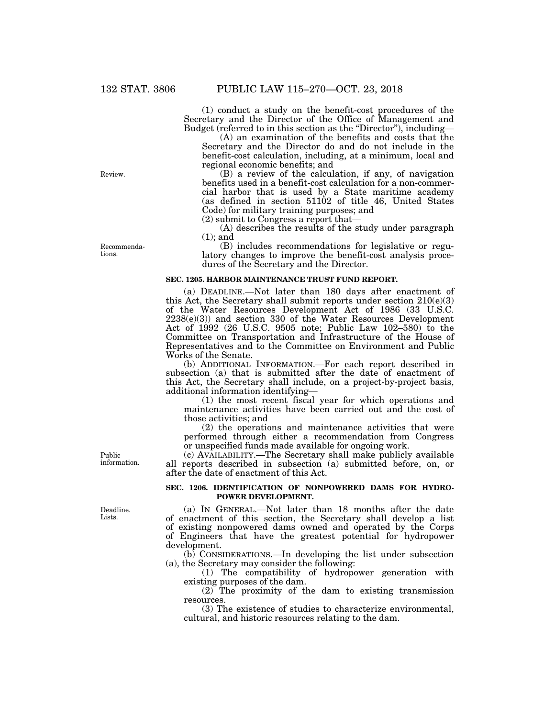(1) conduct a study on the benefit-cost procedures of the Secretary and the Director of the Office of Management and Budget (referred to in this section as the "Director"), including—

(A) an examination of the benefits and costs that the Secretary and the Director do and do not include in the benefit-cost calculation, including, at a minimum, local and regional economic benefits; and

(B) a review of the calculation, if any, of navigation benefits used in a benefit-cost calculation for a non-commercial harbor that is used by a State maritime academy (as defined in section 51102 of title 46, United States Code) for military training purposes; and

(2) submit to Congress a report that—

(A) describes the results of the study under paragraph (1); and

(B) includes recommendations for legislative or regulatory changes to improve the benefit-cost analysis procedures of the Secretary and the Director.

#### **SEC. 1205. HARBOR MAINTENANCE TRUST FUND REPORT.**

(a) DEADLINE.—Not later than 180 days after enactment of this Act, the Secretary shall submit reports under section  $210(e)(3)$ of the Water Resources Development Act of 1986 (33 U.S.C.  $2238(e)(3)$  and section 330 of the Water Resources Development Act of 1992 (26 U.S.C. 9505 note; Public Law 102–580) to the Committee on Transportation and Infrastructure of the House of Representatives and to the Committee on Environment and Public Works of the Senate.

(b) ADDITIONAL INFORMATION.—For each report described in subsection (a) that is submitted after the date of enactment of this Act, the Secretary shall include, on a project-by-project basis, additional information identifying—

(1) the most recent fiscal year for which operations and maintenance activities have been carried out and the cost of those activities; and

(2) the operations and maintenance activities that were performed through either a recommendation from Congress or unspecified funds made available for ongoing work.

(c) AVAILABILITY.—The Secretary shall make publicly available all reports described in subsection (a) submitted before, on, or after the date of enactment of this Act.

# **SEC. 1206. IDENTIFICATION OF NONPOWERED DAMS FOR HYDRO-POWER DEVELOPMENT.**

(a) IN GENERAL.—Not later than 18 months after the date of enactment of this section, the Secretary shall develop a list of existing nonpowered dams owned and operated by the Corps of Engineers that have the greatest potential for hydropower development.

(b) CONSIDERATIONS.—In developing the list under subsection (a), the Secretary may consider the following:

(1) The compatibility of hydropower generation with existing purposes of the dam.

(2) The proximity of the dam to existing transmission resources.

(3) The existence of studies to characterize environmental, cultural, and historic resources relating to the dam.

Public information.

Deadline. Lists.

Review.

Recommendations.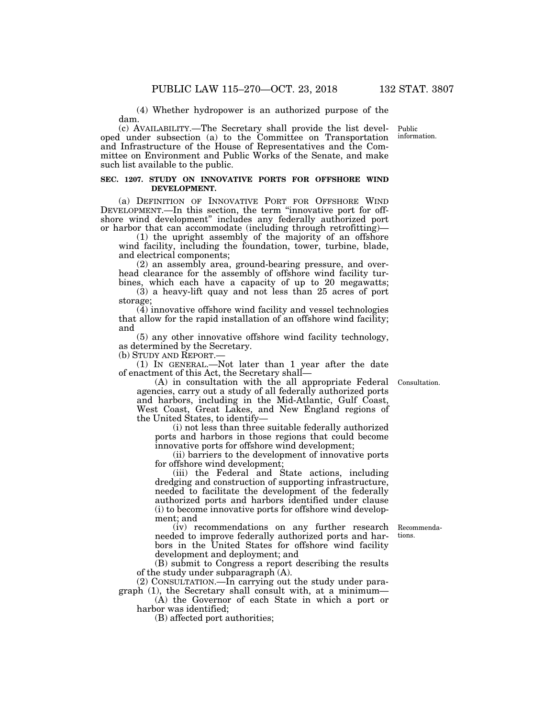(4) Whether hydropower is an authorized purpose of the dam.

(c) AVAILABILITY.—The Secretary shall provide the list developed under subsection (a) to the Committee on Transportation and Infrastructure of the House of Representatives and the Committee on Environment and Public Works of the Senate, and make such list available to the public.

#### **SEC. 1207. STUDY ON INNOVATIVE PORTS FOR OFFSHORE WIND DEVELOPMENT.**

(a) DEFINITION OF INNOVATIVE PORT FOR OFFSHORE WIND DEVELOPMENT.—In this section, the term ''innovative port for offshore wind development'' includes any federally authorized port or harbor that can accommodate (including through retrofitting)—

(1) the upright assembly of the majority of an offshore wind facility, including the foundation, tower, turbine, blade, and electrical components;

(2) an assembly area, ground-bearing pressure, and overhead clearance for the assembly of offshore wind facility turbines, which each have a capacity of up to 20 megawatts;

(3) a heavy-lift quay and not less than 25 acres of port storage;

(4) innovative offshore wind facility and vessel technologies that allow for the rapid installation of an offshore wind facility; and

(5) any other innovative offshore wind facility technology, as determined by the Secretary.

(b) STUDY AND REPORT.—

(1) IN GENERAL.—Not later than 1 year after the date of enactment of this Act, the Secretary shall—

(A) in consultation with the all appropriate Federal agencies, carry out a study of all federally authorized ports and harbors, including in the Mid-Atlantic, Gulf Coast, West Coast, Great Lakes, and New England regions of the United States, to identify—

(i) not less than three suitable federally authorized ports and harbors in those regions that could become innovative ports for offshore wind development;

(ii) barriers to the development of innovative ports for offshore wind development;

(iii) the Federal and State actions, including dredging and construction of supporting infrastructure, needed to facilitate the development of the federally authorized ports and harbors identified under clause (i) to become innovative ports for offshore wind development; and

(iv) recommendations on any further research Recommendaneeded to improve federally authorized ports and harbors in the United States for offshore wind facility development and deployment; and

(B) submit to Congress a report describing the results of the study under subparagraph (A).

(2) CONSULTATION.—In carrying out the study under paragraph (1), the Secretary shall consult with, at a minimum—

(A) the Governor of each State in which a port or harbor was identified;

(B) affected port authorities;

Consultation.

tions.

Public information.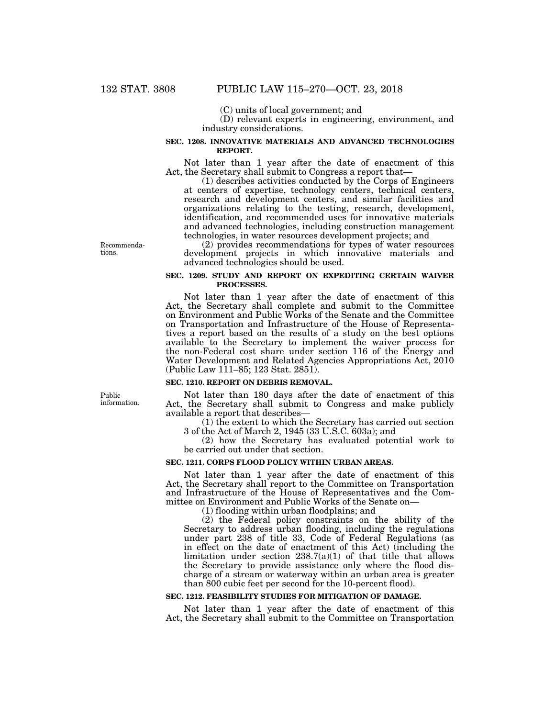(C) units of local government; and

(D) relevant experts in engineering, environment, and industry considerations.

# **SEC. 1208. INNOVATIVE MATERIALS AND ADVANCED TECHNOLOGIES REPORT.**

Not later than 1 year after the date of enactment of this Act, the Secretary shall submit to Congress a report that-

(1) describes activities conducted by the Corps of Engineers at centers of expertise, technology centers, technical centers, research and development centers, and similar facilities and organizations relating to the testing, research, development, identification, and recommended uses for innovative materials and advanced technologies, including construction management technologies, in water resources development projects; and

(2) provides recommendations for types of water resources development projects in which innovative materials and advanced technologies should be used.

# **SEC. 1209. STUDY AND REPORT ON EXPEDITING CERTAIN WAIVER PROCESSES.**

Not later than 1 year after the date of enactment of this Act, the Secretary shall complete and submit to the Committee on Environment and Public Works of the Senate and the Committee on Transportation and Infrastructure of the House of Representatives a report based on the results of a study on the best options available to the Secretary to implement the waiver process for the non-Federal cost share under section 116 of the Energy and Water Development and Related Agencies Appropriations Act, 2010 (Public Law 111–85; 123 Stat. 2851).

# **SEC. 1210. REPORT ON DEBRIS REMOVAL.**

Not later than 180 days after the date of enactment of this Act, the Secretary shall submit to Congress and make publicly available a report that describes—

(1) the extent to which the Secretary has carried out section 3 of the Act of March 2, 1945 (33 U.S.C. 603a); and

(2) how the Secretary has evaluated potential work to be carried out under that section.

# **SEC. 1211. CORPS FLOOD POLICY WITHIN URBAN AREAS.**

Not later than 1 year after the date of enactment of this Act, the Secretary shall report to the Committee on Transportation and Infrastructure of the House of Representatives and the Committee on Environment and Public Works of the Senate on—

(1) flooding within urban floodplains; and

(2) the Federal policy constraints on the ability of the Secretary to address urban flooding, including the regulations under part 238 of title 33, Code of Federal Regulations (as in effect on the date of enactment of this Act) (including the limitation under section  $238.7(a)(1)$  of that title that allows the Secretary to provide assistance only where the flood discharge of a stream or waterway within an urban area is greater than 800 cubic feet per second for the 10-percent flood).

# **SEC. 1212. FEASIBILITY STUDIES FOR MITIGATION OF DAMAGE.**

Not later than 1 year after the date of enactment of this Act, the Secretary shall submit to the Committee on Transportation

Recommendations.

Public information.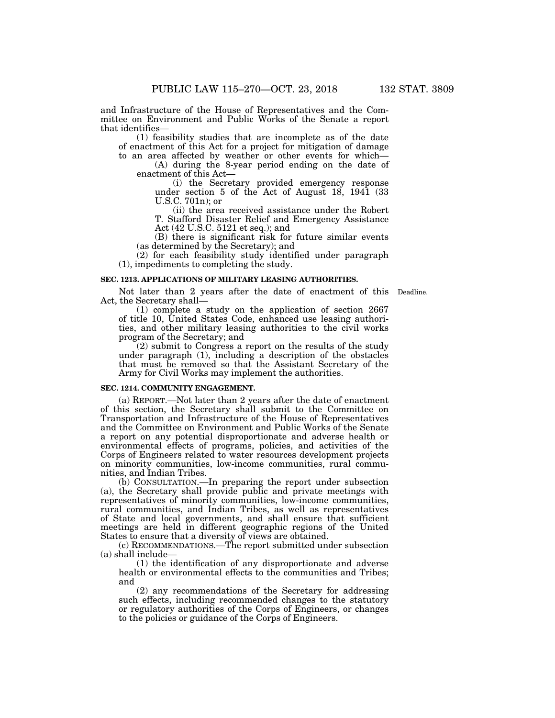and Infrastructure of the House of Representatives and the Committee on Environment and Public Works of the Senate a report that identifies—

(1) feasibility studies that are incomplete as of the date of enactment of this Act for a project for mitigation of damage to an area affected by weather or other events for which—

(A) during the 8-year period ending on the date of enactment of this Act—

(i) the Secretary provided emergency response under section 5 of the Act of August 18, 1941 (33 U.S.C. 701n); or

(ii) the area received assistance under the Robert T. Stafford Disaster Relief and Emergency Assistance Act (42 U.S.C. 5121 et seq.); and

(B) there is significant risk for future similar events (as determined by the Secretary); and

(2) for each feasibility study identified under paragraph (1), impediments to completing the study.

# **SEC. 1213. APPLICATIONS OF MILITARY LEASING AUTHORITIES.**

Not later than 2 years after the date of enactment of this Deadline. Act, the Secretary shall—

(1) complete a study on the application of section 2667 of title 10, United States Code, enhanced use leasing authorities, and other military leasing authorities to the civil works program of the Secretary; and

(2) submit to Congress a report on the results of the study under paragraph (1), including a description of the obstacles that must be removed so that the Assistant Secretary of the Army for Civil Works may implement the authorities.

# **SEC. 1214. COMMUNITY ENGAGEMENT.**

(a) REPORT.—Not later than 2 years after the date of enactment of this section, the Secretary shall submit to the Committee on Transportation and Infrastructure of the House of Representatives and the Committee on Environment and Public Works of the Senate a report on any potential disproportionate and adverse health or environmental effects of programs, policies, and activities of the Corps of Engineers related to water resources development projects on minority communities, low-income communities, rural communities, and Indian Tribes.

(b) CONSULTATION.—In preparing the report under subsection (a), the Secretary shall provide public and private meetings with representatives of minority communities, low-income communities, rural communities, and Indian Tribes, as well as representatives of State and local governments, and shall ensure that sufficient meetings are held in different geographic regions of the United States to ensure that a diversity of views are obtained.

(c) RECOMMENDATIONS.—The report submitted under subsection (a) shall include—

(1) the identification of any disproportionate and adverse health or environmental effects to the communities and Tribes; and

(2) any recommendations of the Secretary for addressing such effects, including recommended changes to the statutory or regulatory authorities of the Corps of Engineers, or changes to the policies or guidance of the Corps of Engineers.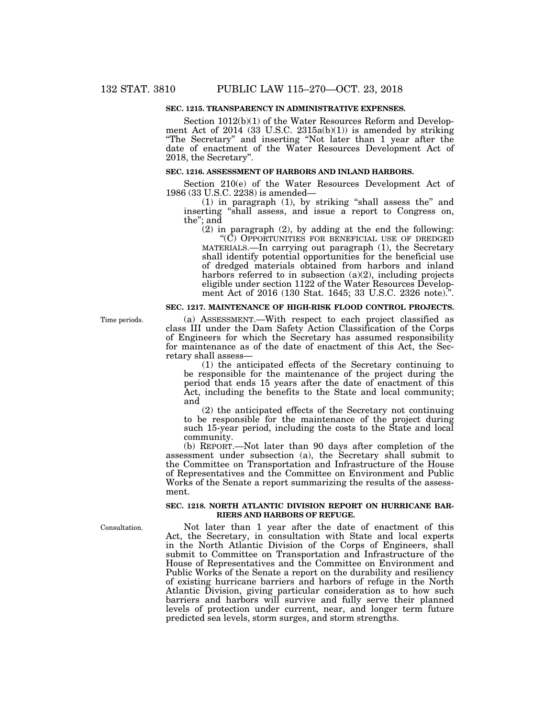# **SEC. 1215. TRANSPARENCY IN ADMINISTRATIVE EXPENSES.**

Section  $1012(b)(1)$  of the Water Resources Reform and Development Act of 2014 (33 U.S.C. 2315a(b)(1)) is amended by striking ''The Secretary'' and inserting ''Not later than 1 year after the date of enactment of the Water Resources Development Act of 2018, the Secretary''.

#### **SEC. 1216. ASSESSMENT OF HARBORS AND INLAND HARBORS.**

Section 210(e) of the Water Resources Development Act of 1986 (33 U.S.C. 2238) is amended—

(1) in paragraph (1), by striking ''shall assess the'' and inserting ''shall assess, and issue a report to Congress on, the''; and

(2) in paragraph (2), by adding at the end the following:

''(C) OPPORTUNITIES FOR BENEFICIAL USE OF DREDGED MATERIALS.—In carrying out paragraph (1), the Secretary shall identify potential opportunities for the beneficial use of dredged materials obtained from harbors and inland harbors referred to in subsection  $(a)(2)$ , including projects eligible under section 1122 of the Water Resources Development Act of 2016 (130 Stat. 1645; 33 U.S.C. 2326 note).".

#### **SEC. 1217. MAINTENANCE OF HIGH-RISK FLOOD CONTROL PROJECTS.**

(a) ASSESSMENT.—With respect to each project classified as class III under the Dam Safety Action Classification of the Corps of Engineers for which the Secretary has assumed responsibility for maintenance as of the date of enactment of this Act, the Secretary shall assess—

(1) the anticipated effects of the Secretary continuing to be responsible for the maintenance of the project during the period that ends 15 years after the date of enactment of this Act, including the benefits to the State and local community; and

(2) the anticipated effects of the Secretary not continuing to be responsible for the maintenance of the project during such 15-year period, including the costs to the State and local community.

(b) REPORT.—Not later than 90 days after completion of the assessment under subsection (a), the Secretary shall submit to the Committee on Transportation and Infrastructure of the House of Representatives and the Committee on Environment and Public Works of the Senate a report summarizing the results of the assessment.

# **SEC. 1218. NORTH ATLANTIC DIVISION REPORT ON HURRICANE BAR-RIERS AND HARBORS OF REFUGE.**

Consultation.

Not later than 1 year after the date of enactment of this Act, the Secretary, in consultation with State and local experts in the North Atlantic Division of the Corps of Engineers, shall submit to Committee on Transportation and Infrastructure of the House of Representatives and the Committee on Environment and Public Works of the Senate a report on the durability and resiliency of existing hurricane barriers and harbors of refuge in the North Atlantic Division, giving particular consideration as to how such barriers and harbors will survive and fully serve their planned levels of protection under current, near, and longer term future predicted sea levels, storm surges, and storm strengths.

Time periods.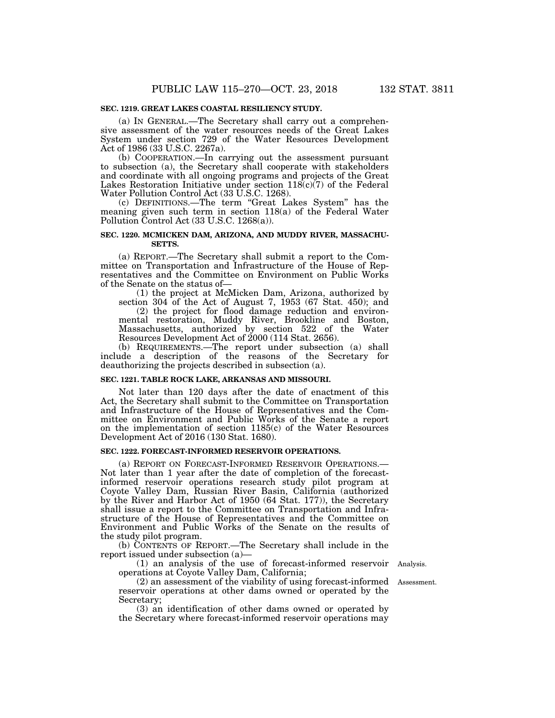(a) IN GENERAL.—The Secretary shall carry out a comprehensive assessment of the water resources needs of the Great Lakes System under section 729 of the Water Resources Development Act of 1986 (33 U.S.C. 2267a).

(b) COOPERATION.—In carrying out the assessment pursuant to subsection (a), the Secretary shall cooperate with stakeholders and coordinate with all ongoing programs and projects of the Great Lakes Restoration Initiative under section  $118(c)\overline{(7)}$  of the Federal Water Pollution Control Act (33 U.S.C. 1268).

(c) DEFINITIONS.—The term ''Great Lakes System'' has the meaning given such term in section 118(a) of the Federal Water Pollution Control Act (33 U.S.C. 1268(a)).

# **SEC. 1220. MCMICKEN DAM, ARIZONA, AND MUDDY RIVER, MASSACHU-SETTS.**

(a) REPORT.—The Secretary shall submit a report to the Committee on Transportation and Infrastructure of the House of Representatives and the Committee on Environment on Public Works of the Senate on the status of—

(1) the project at McMicken Dam, Arizona, authorized by section 304 of the Act of August 7, 1953 (67 Stat. 450); and

(2) the project for flood damage reduction and environmental restoration, Muddy River, Brookline and Boston, Massachusetts, authorized by section 522 of the Water Resources Development Act of 2000 (114 Stat. 2656).

(b) REQUIREMENTS.—The report under subsection (a) shall include a description of the reasons of the Secretary for deauthorizing the projects described in subsection (a).

#### **SEC. 1221. TABLE ROCK LAKE, ARKANSAS AND MISSOURI.**

Not later than 120 days after the date of enactment of this Act, the Secretary shall submit to the Committee on Transportation and Infrastructure of the House of Representatives and the Committee on Environment and Public Works of the Senate a report on the implementation of section 1185(c) of the Water Resources Development Act of 2016 (130 Stat. 1680).

#### **SEC. 1222. FORECAST-INFORMED RESERVOIR OPERATIONS.**

(a) REPORT ON FORECAST-INFORMED RESERVOIR OPERATIONS.— Not later than 1 year after the date of completion of the forecastinformed reservoir operations research study pilot program at Coyote Valley Dam, Russian River Basin, California (authorized by the River and Harbor Act of 1950 (64 Stat. 177)), the Secretary shall issue a report to the Committee on Transportation and Infrastructure of the House of Representatives and the Committee on Environment and Public Works of the Senate on the results of the study pilot program.

(b) CONTENTS OF REPORT.—The Secretary shall include in the report issued under subsection (a)—

(1) an analysis of the use of forecast-informed reservoir Analysis. operations at Coyote Valley Dam, California; (2) an assessment of the viability of using forecast-informed

reservoir operations at other dams owned or operated by the Secretary; Assessment.

(3) an identification of other dams owned or operated by the Secretary where forecast-informed reservoir operations may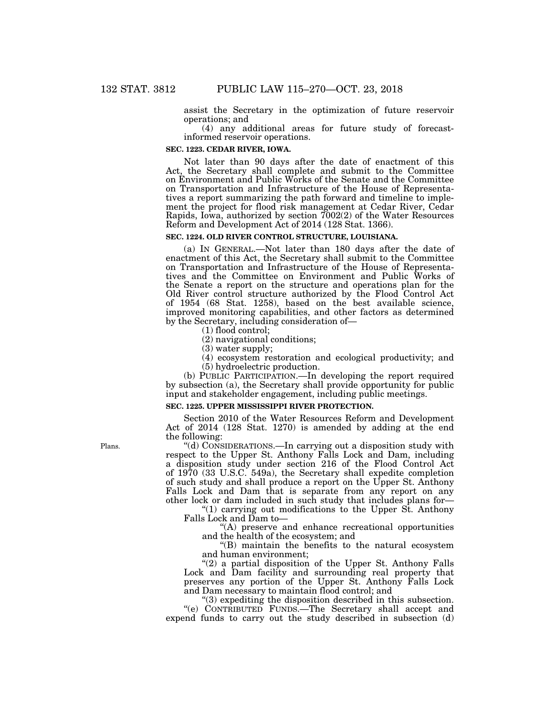assist the Secretary in the optimization of future reservoir operations; and

(4) any additional areas for future study of forecastinformed reservoir operations.

# **SEC. 1223. CEDAR RIVER, IOWA.**

Not later than 90 days after the date of enactment of this Act, the Secretary shall complete and submit to the Committee on Environment and Public Works of the Senate and the Committee on Transportation and Infrastructure of the House of Representatives a report summarizing the path forward and timeline to implement the project for flood risk management at Cedar River, Cedar Rapids, Iowa, authorized by section 7002(2) of the Water Resources Reform and Development Act of 2014 (128 Stat. 1366).

### **SEC. 1224. OLD RIVER CONTROL STRUCTURE, LOUISIANA.**

(a) IN GENERAL.—Not later than 180 days after the date of enactment of this Act, the Secretary shall submit to the Committee on Transportation and Infrastructure of the House of Representatives and the Committee on Environment and Public Works of the Senate a report on the structure and operations plan for the Old River control structure authorized by the Flood Control Act of 1954 (68 Stat. 1258), based on the best available science, improved monitoring capabilities, and other factors as determined by the Secretary, including consideration of—

(1) flood control;

(2) navigational conditions;

(3) water supply;

(4) ecosystem restoration and ecological productivity; and (5) hydroelectric production.

(b) PUBLIC PARTICIPATION.—In developing the report required by subsection (a), the Secretary shall provide opportunity for public input and stakeholder engagement, including public meetings.

# **SEC. 1225. UPPER MISSISSIPPI RIVER PROTECTIO**

Section 2010 of the Water Resources Reform and Development Act of 2014 (128 Stat. 1270) is amended by adding at the end the following:

''(d) CONSIDERATIONS.—In carrying out a disposition study with respect to the Upper St. Anthony Falls Lock and Dam, including a disposition study under section 216 of the Flood Control Act of 1970 (33 U.S.C. 549a), the Secretary shall expedite completion of such study and shall produce a report on the Upper St. Anthony Falls Lock and Dam that is separate from any report on any other lock or dam included in such study that includes plans for—

''(1) carrying out modifications to the Upper St. Anthony Falls Lock and Dam to—

''(A) preserve and enhance recreational opportunities and the health of the ecosystem; and

''(B) maintain the benefits to the natural ecosystem and human environment;

"(2) a partial disposition of the Upper St. Anthony Falls Lock and Dam facility and surrounding real property that preserves any portion of the Upper St. Anthony Falls Lock and Dam necessary to maintain flood control; and

''(3) expediting the disposition described in this subsection. ''(e) CONTRIBUTED FUNDS.—The Secretary shall accept and expend funds to carry out the study described in subsection (d)

Plans.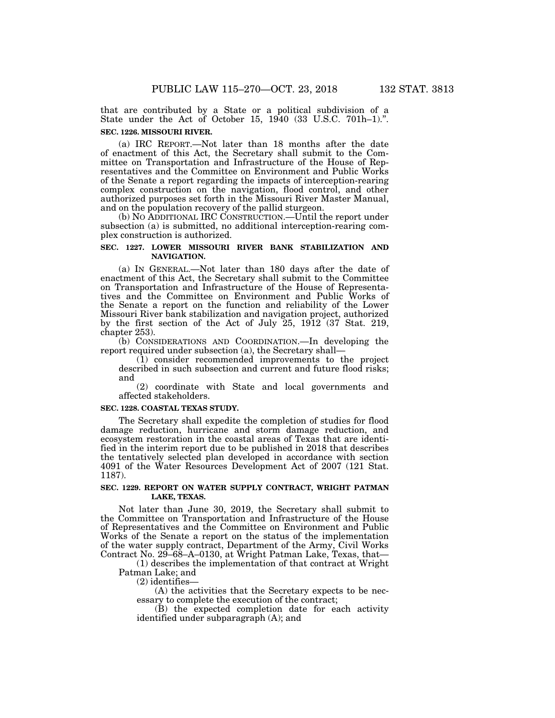that are contributed by a State or a political subdivision of a State under the Act of October 15, 1940 (33 U.S.C. 701h–1).''. **SEC. 1226. MISSOURI RIVER.** 

(a) IRC REPORT.—Not later than 18 months after the date of enactment of this Act, the Secretary shall submit to the Committee on Transportation and Infrastructure of the House of Representatives and the Committee on Environment and Public Works of the Senate a report regarding the impacts of interception-rearing complex construction on the navigation, flood control, and other authorized purposes set forth in the Missouri River Master Manual, and on the population recovery of the pallid sturgeon.

(b) NO ADDITIONAL IRC CONSTRUCTION.—Until the report under subsection (a) is submitted, no additional interception-rearing complex construction is authorized.

# **SEC. 1227. LOWER MISSOURI RIVER BANK STABILIZATION AND NAVIGATION.**

(a) IN GENERAL.—Not later than 180 days after the date of enactment of this Act, the Secretary shall submit to the Committee on Transportation and Infrastructure of the House of Representatives and the Committee on Environment and Public Works of the Senate a report on the function and reliability of the Lower Missouri River bank stabilization and navigation project, authorized by the first section of the Act of July 25, 1912 (37 Stat. 219, chapter 253).

(b) CONSIDERATIONS AND COORDINATION.—In developing the report required under subsection (a), the Secretary shall—

(1) consider recommended improvements to the project described in such subsection and current and future flood risks; and

(2) coordinate with State and local governments and affected stakeholders.

#### **SEC. 1228. COASTAL TEXAS STUDY.**

The Secretary shall expedite the completion of studies for flood damage reduction, hurricane and storm damage reduction, and ecosystem restoration in the coastal areas of Texas that are identified in the interim report due to be published in 2018 that describes the tentatively selected plan developed in accordance with section 4091 of the Water Resources Development Act of 2007 (121 Stat. 1187).

# **SEC. 1229. REPORT ON WATER SUPPLY CONTRACT, WRIGHT PATMAN LAKE, TEXAS.**

Not later than June 30, 2019, the Secretary shall submit to the Committee on Transportation and Infrastructure of the House of Representatives and the Committee on Environment and Public Works of the Senate a report on the status of the implementation of the water supply contract, Department of the Army, Civil Works Contract No. 29–68–A–0130, at Wright Patman Lake, Texas, that—

(1) describes the implementation of that contract at Wright Patman Lake; and

(2) identifies—

(A) the activities that the Secretary expects to be necessary to complete the execution of the contract;

(B) the expected completion date for each activity identified under subparagraph (A); and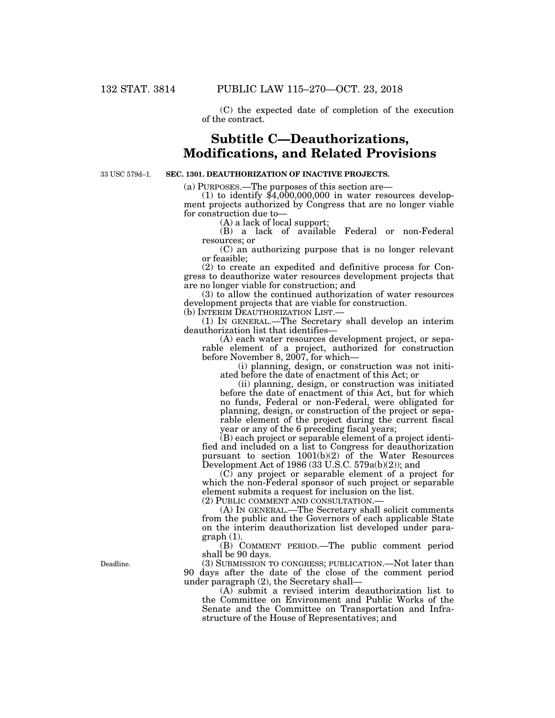(C) the expected date of completion of the execution of the contract.

# **Subtitle C—Deauthorizations, Modifications, and Related Provisions**

33 USC 579d–1.

# **SEC. 1301. DEAUTHORIZATION OF INACTIVE PROJECTS.**

(a) PURPOSES.—The purposes of this section are— (1) to identify \$4,000,000,000 in water resources development projects authorized by Congress that are no longer viable for construction due to—

(A) a lack of local support;

(B) a lack of available Federal or non-Federal resources; or

(C) an authorizing purpose that is no longer relevant or feasible;

(2) to create an expedited and definitive process for Congress to deauthorize water resources development projects that are no longer viable for construction; and

(3) to allow the continued authorization of water resources development projects that are viable for construction.<br>(b) INTERIM DEAUTHORIZATION LIST.—

 $(1)$  IN GENERAL.—The Secretary shall develop an interim deauthorization list that identifies—

(A) each water resources development project, or separable element of a project, authorized for construction before November 8, 2007, for which—

(i) planning, design, or construction was not initiated before the date of enactment of this Act; or

(ii) planning, design, or construction was initiated before the date of enactment of this Act, but for which no funds, Federal or non-Federal, were obligated for planning, design, or construction of the project or separable element of the project during the current fiscal year or any of the 6 preceding fiscal years;

(B) each project or separable element of a project identified and included on a list to Congress for deauthorization pursuant to section 1001(b)(2) of the Water Resources Development Act of 1986 (33 U.S.C. 579a(b)(2)); and

(C) any project or separable element of a project for which the non-Federal sponsor of such project or separable element submits a request for inclusion on the list.<br>(2) PUBLIC COMMENT AND CONSULTATION.—

 $(A)$  In GENERAL.—The Secretary shall solicit comments from the public and the Governors of each applicable State on the interim deauthorization list developed under paragraph (1).

(B) COMMENT PERIOD.—The public comment period shall be 90 days.

(3) SUBMISSION TO CONGRESS; PUBLICATION.—Not later than 90 days after the date of the close of the comment period under paragraph (2), the Secretary shall—

(A) submit a revised interim deauthorization list to the Committee on Environment and Public Works of the Senate and the Committee on Transportation and Infrastructure of the House of Representatives; and

Deadline.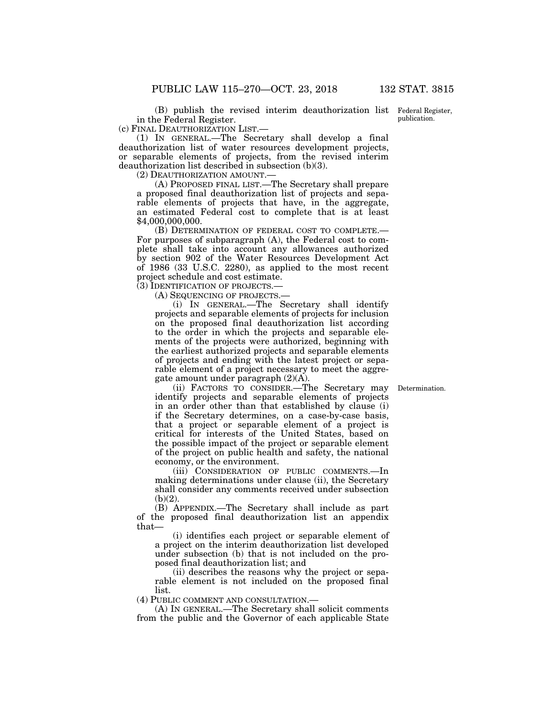(B) publish the revised interim deauthorization list Federal Register, in the Federal Register.

(c) FINAL DEAUTHORIZATION LIST.—

(1) IN GENERAL.—The Secretary shall develop a final deauthorization list of water resources development projects, or separable elements of projects, from the revised interim deauthorization list described in subsection (b)(3).

(2) DEAUTHORIZATION AMOUNT.—

(A) PROPOSED FINAL LIST.—The Secretary shall prepare a proposed final deauthorization list of projects and separable elements of projects that have, in the aggregate, an estimated Federal cost to complete that is at least \$4,000,000,000.

(B) DETERMINATION OF FEDERAL COST TO COMPLETE.— For purposes of subparagraph (A), the Federal cost to complete shall take into account any allowances authorized by section 902 of the Water Resources Development Act of 1986 (33 U.S.C. 2280), as applied to the most recent project schedule and cost estimate.

(3) IDENTIFICATION OF PROJECTS.—

(A) SEQUENCING OF PROJECTS.—

(i) IN GENERAL.—The Secretary shall identify projects and separable elements of projects for inclusion on the proposed final deauthorization list according to the order in which the projects and separable elements of the projects were authorized, beginning with the earliest authorized projects and separable elements of projects and ending with the latest project or separable element of a project necessary to meet the aggregate amount under paragraph (2)(A).

(ii) FACTORS TO CONSIDER.—The Secretary may identify projects and separable elements of projects in an order other than that established by clause (i) if the Secretary determines, on a case-by-case basis, that a project or separable element of a project is critical for interests of the United States, based on the possible impact of the project or separable element of the project on public health and safety, the national economy, or the environment.

(iii) CONSIDERATION OF PUBLIC COMMENTS.—In making determinations under clause (ii), the Secretary shall consider any comments received under subsection  $(b)(2)$ .

(B) APPENDIX.—The Secretary shall include as part of the proposed final deauthorization list an appendix that—

(i) identifies each project or separable element of a project on the interim deauthorization list developed under subsection (b) that is not included on the proposed final deauthorization list; and

(ii) describes the reasons why the project or separable element is not included on the proposed final list.

(4) PUBLIC COMMENT AND CONSULTATION.—

(A) IN GENERAL.—The Secretary shall solicit comments from the public and the Governor of each applicable State

Determination.

publication.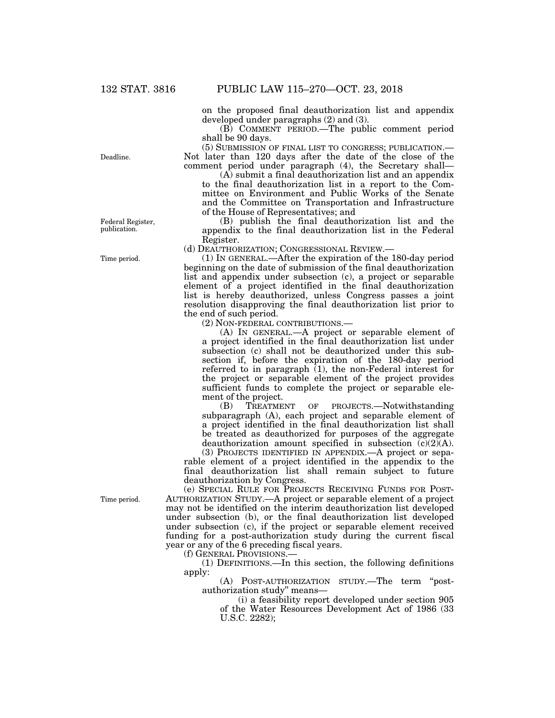on the proposed final deauthorization list and appendix developed under paragraphs (2) and (3).

(B) COMMENT PERIOD.—The public comment period shall be 90 days.

(5) SUBMISSION OF FINAL LIST TO CONGRESS; PUBLICATION.— Not later than 120 days after the date of the close of the comment period under paragraph (4), the Secretary shall—

(A) submit a final deauthorization list and an appendix to the final deauthorization list in a report to the Committee on Environment and Public Works of the Senate and the Committee on Transportation and Infrastructure of the House of Representatives; and

(B) publish the final deauthorization list and the appendix to the final deauthorization list in the Federal Register.

(d) DEAUTHORIZATION; CONGRESSIONAL REVIEW.—

(1) IN GENERAL.—After the expiration of the 180-day period beginning on the date of submission of the final deauthorization list and appendix under subsection (c), a project or separable element of a project identified in the final deauthorization list is hereby deauthorized, unless Congress passes a joint resolution disapproving the final deauthorization list prior to the end of such period.

(2) NON-FEDERAL CONTRIBUTIONS.—

(A) IN GENERAL.—A project or separable element of a project identified in the final deauthorization list under subsection (c) shall not be deauthorized under this subsection if, before the expiration of the 180-day period referred to in paragraph  $(1)$ , the non-Federal interest for the project or separable element of the project provides sufficient funds to complete the project or separable element of the project.

(B) TREATMENT OF PROJECTS.—Notwithstanding subparagraph (A), each project and separable element of a project identified in the final deauthorization list shall be treated as deauthorized for purposes of the aggregate deauthorization amount specified in subsection  $\widetilde{c}(2)(A)$ .

(3) PROJECTS IDENTIFIED IN APPENDIX.—A project or separable element of a project identified in the appendix to the final deauthorization list shall remain subject to future deauthorization by Congress.

(e) SPECIAL RULE FOR PROJECTS RECEIVING FUNDS FOR POST-AUTHORIZATION STUDY.—A project or separable element of a project may not be identified on the interim deauthorization list developed under subsection (b), or the final deauthorization list developed under subsection (c), if the project or separable element received funding for a post-authorization study during the current fiscal year or any of the 6 preceding fiscal years.

(f) GENERAL PROVISIONS.—

(1) DEFINITIONS.—In this section, the following definitions apply:

(A) POST-AUTHORIZATION STUDY.—The term ''postauthorization study'' means—

(i) a feasibility report developed under section 905 of the Water Resources Development Act of 1986 (33 U.S.C. 2282);

Deadline.

Federal Register, publication.

Time period.

Time period.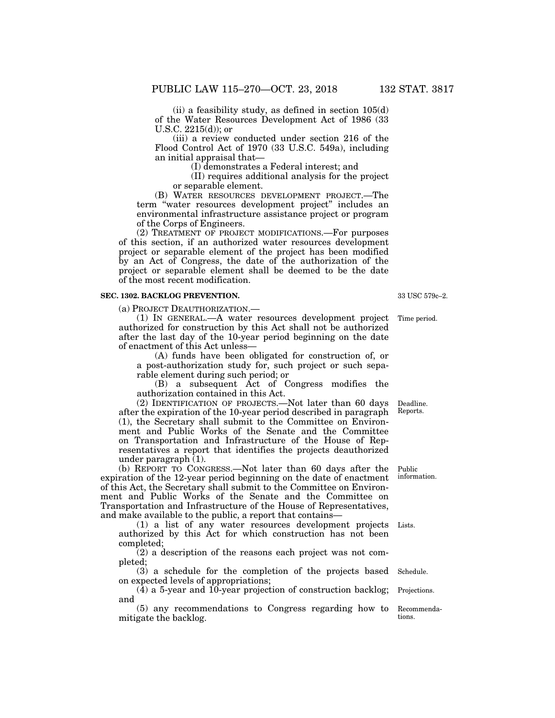$(ii)$  a feasibility study, as defined in section  $105(d)$ of the Water Resources Development Act of 1986 (33 U.S.C. 2215(d)); or

(iii) a review conducted under section 216 of the Flood Control Act of 1970 (33 U.S.C. 549a), including an initial appraisal that—

(I) demonstrates a Federal interest; and

(II) requires additional analysis for the project or separable element.

(B) WATER RESOURCES DEVELOPMENT PROJECT.—The term ''water resources development project'' includes an environmental infrastructure assistance project or program of the Corps of Engineers.

(2) TREATMENT OF PROJECT MODIFICATIONS.—For purposes of this section, if an authorized water resources development project or separable element of the project has been modified by an Act of Congress, the date of the authorization of the project or separable element shall be deemed to be the date of the most recent modification.

# **SEC. 1302. BACKLOG PREVENTION.**

(a) PROJECT DEAUTHORIZATION.—

(1) IN GENERAL.—A water resources development project authorized for construction by this Act shall not be authorized after the last day of the 10-year period beginning on the date of enactment of this Act unless—

(A) funds have been obligated for construction of, or a post-authorization study for, such project or such separable element during such period; or

(B) a subsequent Act of Congress modifies the authorization contained in this Act.

(2) IDENTIFICATION OF PROJECTS.—Not later than 60 days after the expiration of the 10-year period described in paragraph (1), the Secretary shall submit to the Committee on Environment and Public Works of the Senate and the Committee on Transportation and Infrastructure of the House of Representatives a report that identifies the projects deauthorized under paragraph (1).

(b) REPORT TO CONGRESS.—Not later than 60 days after the expiration of the 12-year period beginning on the date of enactment of this Act, the Secretary shall submit to the Committee on Environment and Public Works of the Senate and the Committee on Transportation and Infrastructure of the House of Representatives, and make available to the public, a report that contains—

(1) a list of any water resources development projects authorized by this Act for which construction has not been completed;

(2) a description of the reasons each project was not completed;

(3) a schedule for the completion of the projects based on expected levels of appropriations;

 $(4)$  a 5-year and 10-year projection of construction backlog; and

(5) any recommendations to Congress regarding how to mitigate the backlog.

33 USC 579c–2.

Time period.

Deadline. Reports.

Public information.

Lists.

Schedule.

Projections.

Recommendations.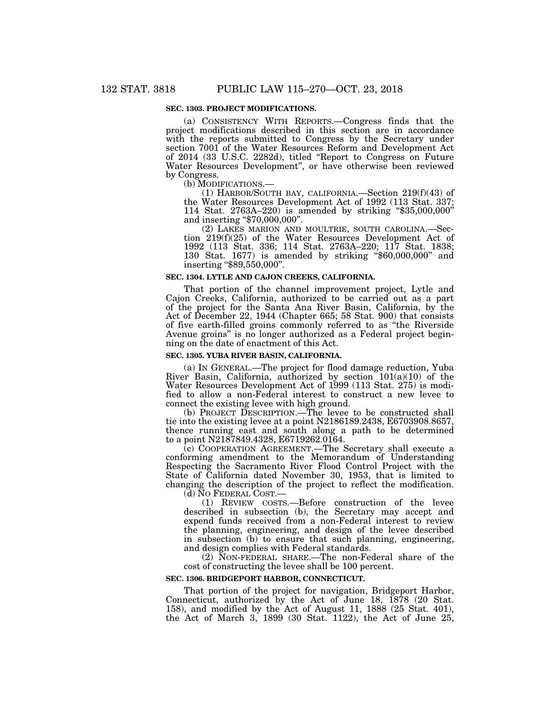# **SEC. 1303. PROJECT MODIFICATIONS.**

(a) CONSISTENCY WITH REPORTS.—Congress finds that the project modifications described in this section are in accordance with the reports submitted to Congress by the Secretary under section 7001 of the Water Resources Reform and Development Act of 2014 (33 U.S.C. 2282d), titled ''Report to Congress on Future Water Resources Development'', or have otherwise been reviewed by Congress.<br>(b) MODIFICATIONS.—

(1) HARBOR/SOUTH BAY, CALIFORNIA.—Section  $219(f)(43)$  of the Water Resources Development Act of 1992 (113 Stat. 337; 114 Stat. 2763A–220) is amended by striking ''\$35,000,000'' and inserting ''\$70,000,000''.

(2) LAKES MARION AND MOULTRIE, SOUTH CAROLINA.—Section 219(f)(25) of the Water Resources Development Act of 1992 (113 Stat. 336; 114 Stat. 2763A–220; 117 Stat. 1838; 130 Stat. 1677) is amended by striking ''\$60,000,000'' and inserting "\$89,550,000".

#### **SEC. 1304. LYTLE AND CAJON CREEKS, CALIFORNIA.**

That portion of the channel improvement project, Lytle and Cajon Creeks, California, authorized to be carried out as a part of the project for the Santa Ana River Basin, California, by the Act of December 22, 1944 (Chapter 665; 58 Stat. 900) that consists of five earth-filled groins commonly referred to as ''the Riverside Avenue groins'' is no longer authorized as a Federal project beginning on the date of enactment of this Act.

#### **SEC. 1305. YUBA RIVER BASIN, CALIFORNIA.**

(a) IN GENERAL.—The project for flood damage reduction, Yuba River Basin, California, authorized by section  $101(a)(10)$  of the Water Resources Development Act of 1999 (113 Stat. 275) is modified to allow a non-Federal interest to construct a new levee to connect the existing levee with high ground.

(b) PROJECT DESCRIPTION.—The levee to be constructed shall tie into the existing levee at a point N2186189.2438, E6703908.8657, thence running east and south along a path to be determined to a point N2187849.4328, E6719262.0164.

(c) COOPERATION AGREEMENT.—The Secretary shall execute a conforming amendment to the Memorandum of Understanding Respecting the Sacramento River Flood Control Project with the State of California dated November 30, 1953, that is limited to changing the description of the project to reflect the modification.

(d) NO FEDERAL COST.—

(1) REVIEW COSTS.—Before construction of the levee described in subsection (b), the Secretary may accept and expend funds received from a non-Federal interest to review the planning, engineering, and design of the levee described in subsection (b) to ensure that such planning, engineering, and design complies with Federal standards.

(2) NON-FEDERAL SHARE.—The non-Federal share of the cost of constructing the levee shall be 100 percent.

# **SEC. 1306. BRIDGEPORT HARBOR, CONNECTICUT.**

That portion of the project for navigation, Bridgeport Harbor, Connecticut, authorized by the Act of June 18, 1878 (20 Stat. 158), and modified by the Act of August 11, 1888 (25 Stat. 401), the Act of March 3, 1899 (30 Stat. 1122), the Act of June 25,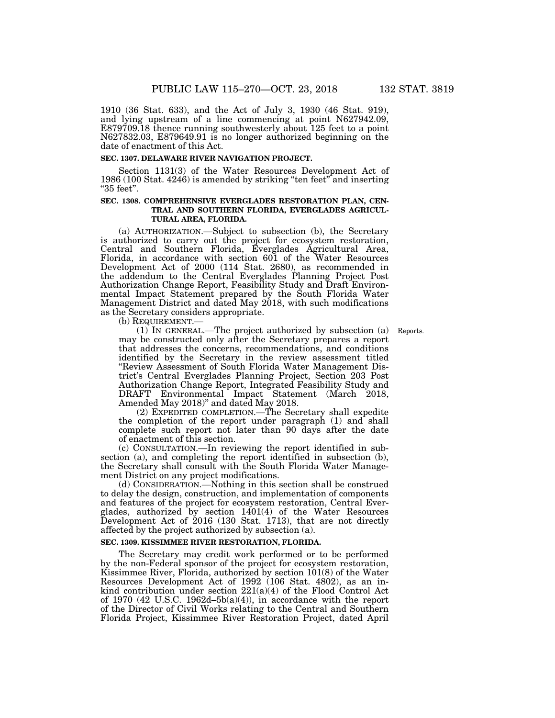1910 (36 Stat. 633), and the Act of July 3, 1930 (46 Stat. 919), and lying upstream of a line commencing at point N627942.09, E879709.18 thence running southwesterly about 125 feet to a point N627832.03, E879649.91 is no longer authorized beginning on the date of enactment of this Act.

### **SEC. 1307. DELAWARE RIVER NAVIGATION PROJECT.**

Section 1131(3) of the Water Resources Development Act of 1986 (100 Stat. 4246) is amended by striking ''ten feet'' and inserting ''35 feet''.

# **SEC. 1308. COMPREHENSIVE EVERGLADES RESTORATION PLAN, CEN-TRAL AND SOUTHERN FLORIDA, EVERGLADES AGRICUL-TURAL AREA, FLORIDA.**

(a) AUTHORIZATION.—Subject to subsection (b), the Secretary is authorized to carry out the project for ecosystem restoration, Central and Southern Florida, Everglades Agricultural Area, Florida, in accordance with section 601 of the Water Resources Development Act of 2000 (114 Stat. 2680), as recommended in the addendum to the Central Everglades Planning Project Post Authorization Change Report, Feasibility Study and Draft Environmental Impact Statement prepared by the South Florida Water Management District and dated May 2018, with such modifications as the Secretary considers appropriate.

(b) REQUIREMENT.—

(1) IN GENERAL.—The project authorized by subsection (a) Reports. may be constructed only after the Secretary prepares a report that addresses the concerns, recommendations, and conditions identified by the Secretary in the review assessment titled ''Review Assessment of South Florida Water Management District's Central Everglades Planning Project, Section 203 Post Authorization Change Report, Integrated Feasibility Study and DRAFT Environmental Impact Statement (March 2018, Amended May 2018)'' and dated May 2018.

(2) EXPEDITED COMPLETION.—The Secretary shall expedite the completion of the report under paragraph (1) and shall complete such report not later than 90 days after the date of enactment of this section.

(c) CONSULTATION.—In reviewing the report identified in subsection (a), and completing the report identified in subsection (b), the Secretary shall consult with the South Florida Water Management District on any project modifications.

(d) CONSIDERATION.—Nothing in this section shall be construed to delay the design, construction, and implementation of components and features of the project for ecosystem restoration, Central Everglades, authorized by section 1401(4) of the Water Resources Development Act of 2016 (130 Stat. 1713), that are not directly affected by the project authorized by subsection (a).

#### **SEC. 1309. KISSIMMEE RIVER RESTORATION, FLORIDA.**

The Secretary may credit work performed or to be performed by the non-Federal sponsor of the project for ecosystem restoration, Kissimmee River, Florida, authorized by section 101(8) of the Water Resources Development Act of 1992 (106 Stat. 4802), as an inkind contribution under section  $221(a)(4)$  of the Flood Control Act of 1970 (42 U.S.C. 1962d–5b(a)(4)), in accordance with the report of the Director of Civil Works relating to the Central and Southern Florida Project, Kissimmee River Restoration Project, dated April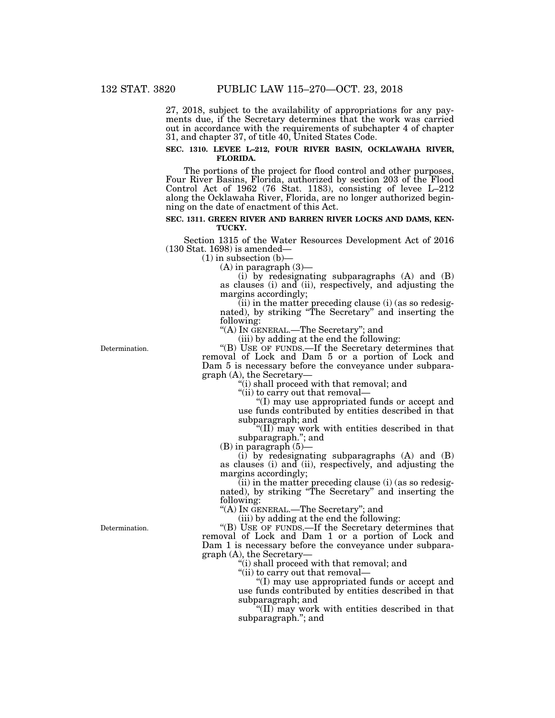27, 2018, subject to the availability of appropriations for any payments due, if the Secretary determines that the work was carried out in accordance with the requirements of subchapter 4 of chapter 31, and chapter 37, of title 40, United States Code.

# **SEC. 1310. LEVEE L–212, FOUR RIVER BASIN, OCKLAWAHA RIVER, FLORIDA.**

The portions of the project for flood control and other purposes, Four River Basins, Florida, authorized by section 203 of the Flood Control Act of 1962 (76 Stat. 1183), consisting of levee L–212 along the Ocklawaha River, Florida, are no longer authorized beginning on the date of enactment of this Act.

# **SEC. 1311. GREEN RIVER AND BARREN RIVER LOCKS AND DAMS, KEN-TUCKY.**

Section 1315 of the Water Resources Development Act of 2016 (130 Stat. 1698) is amended—

 $(1)$  in subsection  $(b)$ –

 $(A)$  in paragraph  $(3)$ —

(i) by redesignating subparagraphs (A) and (B) as clauses (i) and (ii), respectively, and adjusting the margins accordingly;

(ii) in the matter preceding clause (i) (as so redesignated), by striking ''The Secretary'' and inserting the following:

''(A) IN GENERAL.—The Secretary''; and

(iii) by adding at the end the following:

''(B) USE OF FUNDS.—If the Secretary determines that removal of Lock and Dam 5 or a portion of Lock and Dam 5 is necessary before the conveyance under subparagraph (A), the Secretary—

''(i) shall proceed with that removal; and

''(ii) to carry out that removal—

''(I) may use appropriated funds or accept and use funds contributed by entities described in that subparagraph; and

''(II) may work with entities described in that subparagraph.''; and

 $(B)$  in paragraph  $(5)$ —

(i) by redesignating subparagraphs (A) and (B) as clauses (i) and (ii), respectively, and adjusting the margins accordingly;

(ii) in the matter preceding clause (i) (as so redesignated), by striking ''The Secretary'' and inserting the following:

''(A) IN GENERAL.—The Secretary''; and

(iii) by adding at the end the following:

''(B) USE OF FUNDS.—If the Secretary determines that removal of Lock and Dam 1 or a portion of Lock and Dam 1 is necessary before the conveyance under subparagraph (A), the Secretary—

''(i) shall proceed with that removal; and

"(ii) to carry out that removal-

''(I) may use appropriated funds or accept and use funds contributed by entities described in that subparagraph; and

''(II) may work with entities described in that subparagraph.''; and

Determination.

Determination.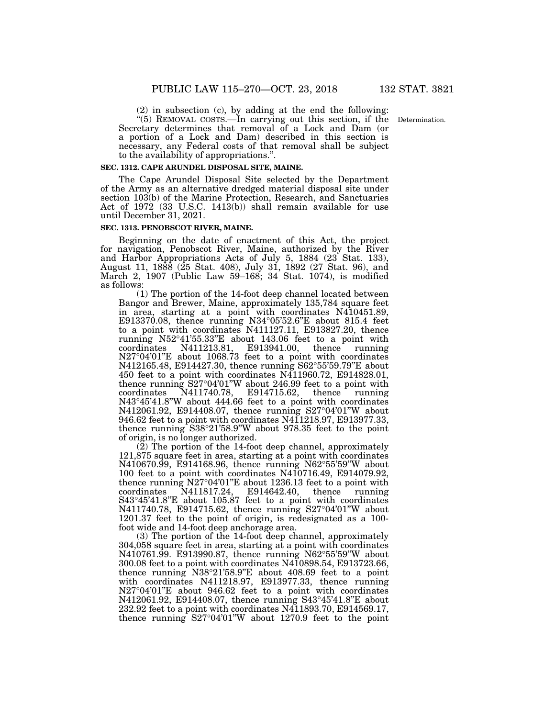Determination.

(2) in subsection (c), by adding at the end the following: ''(5) REMOVAL COSTS.—In carrying out this section, if the Secretary determines that removal of a Lock and Dam (or a portion of a Lock and Dam) described in this section is necessary, any Federal costs of that removal shall be subject to the availability of appropriations.''.

#### **SEC. 1312. CAPE ARUNDEL DISPOSAL SITE, MAINE.**

The Cape Arundel Disposal Site selected by the Department of the Army as an alternative dredged material disposal site under section 103(b) of the Marine Protection, Research, and Sanctuaries Act of 1972 (33 U.S.C. 1413(b)) shall remain available for use until December 31, 2021.

# **SEC. 1313. PENOBSCOT RIVER, MAINE.**

Beginning on the date of enactment of this Act, the project for navigation, Penobscot River, Maine, authorized by the River and Harbor Appropriations Acts of July 5, 1884 (23 Stat. 133), August 11, 1888 (25 Stat. 408), July 31, 1892 (27 Stat. 96), and March 2, 1907 (Public Law 59–168; 34 Stat. 1074), is modified as follows:

(1) The portion of the 14-foot deep channel located between Bangor and Brewer, Maine, approximately 135,784 square feet in area, starting at a point with coordinates N410451.89, E913370.08, thence running N34°05'52.6''E about 815.4 feet to a point with coordinates N411127.11, E913827.20, thence running N52°41'55.33"E about 143.06 feet to a point with coordinates N411213.81, E913941.00, thence running N411213.81, N27°04'01''E about 1068.73 feet to a point with coordinates N412165.48, E914427.30, thence running S62°55'59.79''E about 450 feet to a point with coordinates N411960.72, E914828.01, thence running S27°04'01''W about 246.99 feet to a point with coordinates N411740.78, E914715.62, thence running N411740.78, E914715.62, N43°45'41.8"W about 444.66 feet to a point with coordinates N412061.92, E914408.07, thence running S27°04'01''W about 946.62 feet to a point with coordinates N411218.97, E913977.33, thence running  $S38°21'58.9''W$  about 978.35 feet to the point of origin, is no longer authorized.

(2) The portion of the 14-foot deep channel, approximately 121,875 square feet in area, starting at a point with coordinates N410670.99, E914168.96, thence running N62°55'59''W about 100 feet to a point with coordinates N410716.49, E914079.92, thence running N27°04'01''E about 1236.13 feet to a point with coordinates N411817.24, E914642.40, thence running S43°45'41.8"E about 105.87 feet to a point with coordinates N411740.78, E914715.62, thence running S27°04'01''W about 1201.37 feet to the point of origin, is redesignated as a 100 foot wide and 14-foot deep anchorage area.

(3) The portion of the 14-foot deep channel, approximately 304,058 square feet in area, starting at a point with coordinates N410761.99. E913990.87, thence running N62°55'59''W about 300.08 feet to a point with coordinates N410898.54, E913723.66, thence running N38°21'58.9''E about 408.69 feet to a point with coordinates N411218.97, E913977.33, thence running N27°04'01''E about 946.62 feet to a point with coordinates N412061.92, E914408.07, thence running S43°45'41.8''E about 232.92 feet to a point with coordinates N411893.70, E914569.17, thence running S27°04'01''W about 1270.9 feet to the point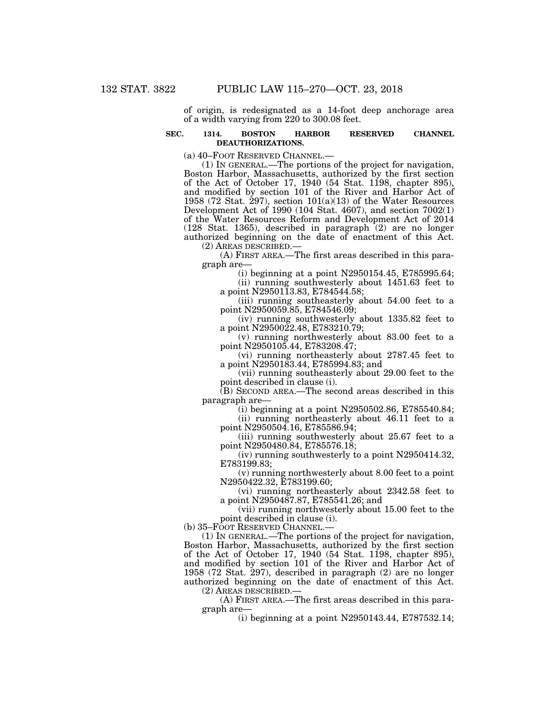of origin, is redesignated as a 14-foot deep anchorage area of a width varying from 220 to 300.08 feet.

# **SEC. 1314. BOSTON HARBOR RESERVED CHANNEL DEAUTHORIZATIONS.**

(a) 40–FOOT RESERVED CHANNEL.—

(1) IN GENERAL.—The portions of the project for navigation, Boston Harbor, Massachusetts, authorized by the first section of the Act of October 17, 1940 (54 Stat. 1198, chapter 895), and modified by section 101 of the River and Harbor Act of 1958 (72 Stat. 297), section  $101(a)(13)$  of the Water Resources Development Act of 1990 (104 Stat. 4607), and section 7002(1) of the Water Resources Reform and Development Act of 2014 (128 Stat. 1365), described in paragraph (2) are no longer authorized beginning on the date of enactment of this Act.

(2) AREAS DESCRIBED.—

(A) FIRST AREA.—The first areas described in this paragraph are—

(i) beginning at a point N2950154.45, E785995.64; (ii) running southwesterly about 1451.63 feet to

a point N2950113.83, E784544.58; (iii) running southeasterly about 54.00 feet to a point N2950059.85, E784546.09;

(iv) running southwesterly about 1335.82 feet to a point N2950022.48, E783210.79;

(v) running northwesterly about 83.00 feet to a point N2950105.44, E783208.47;

(vi) running northeasterly about 2787.45 feet to a point N2950183.44, E785994.83; and

(vii) running southeasterly about 29.00 feet to the point described in clause (i).

(B) SECOND AREA.—The second areas described in this paragraph are—

(i) beginning at a point N2950502.86, E785540.84; (ii) running northeasterly about 46.11 feet to a

point N2950504.16, E785586.94; (iii) running southwesterly about 25.67 feet to a

point N2950480.84, E785576.18;

(iv) running southwesterly to a point N2950414.32, E783199.83;

(v) running northwesterly about 8.00 feet to a point N2950422.32, E783199.60;

(vi) running northeasterly about 2342.58 feet to a point N2950487.87, E785541.26; and

(vii) running northwesterly about 15.00 feet to the point described in clause (i).

(b) 35-FOOT RESERVED CHANNEL.-

(1) IN GENERAL.—The portions of the project for navigation, Boston Harbor, Massachusetts, authorized by the first section of the Act of October 17, 1940 (54 Stat. 1198, chapter 895), and modified by section 101 of the River and Harbor Act of 1958 (72 Stat. 297), described in paragraph (2) are no longer authorized beginning on the date of enactment of this Act.

(2) AREAS DESCRIBED.—

(A) FIRST AREA.—The first areas described in this paragraph are—

(i) beginning at a point N2950143.44, E787532.14;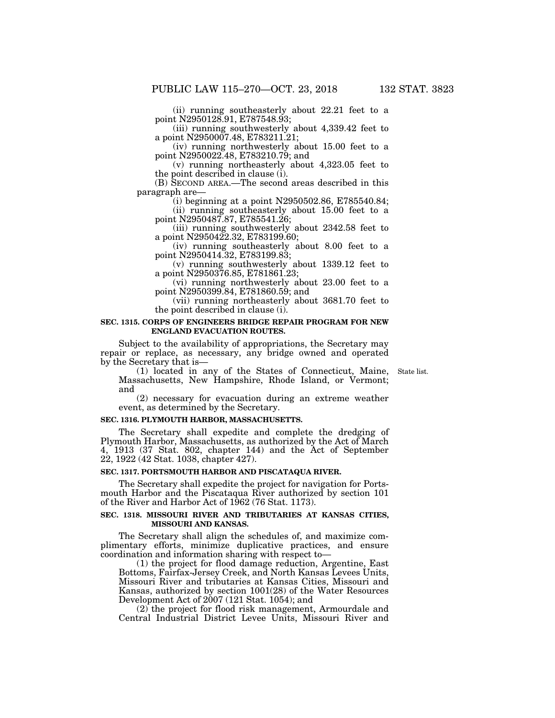(ii) running southeasterly about 22.21 feet to a point N2950128.91, E787548.93;

(iii) running southwesterly about 4,339.42 feet to a point N2950007.48, E783211.21;

(iv) running northwesterly about 15.00 feet to a point N2950022.48, E783210.79; and

(v) running northeasterly about 4,323.05 feet to the point described in clause (i).

(B) SECOND AREA.—The second areas described in this paragraph are—

(i) beginning at a point  $N2950502.86$ , E785540.84;

(ii) running southeasterly about 15.00 feet to a point N2950487.87, E785541.26;

(iii) running southwesterly about 2342.58 feet to a point N2950422.32, E783199.60;

(iv) running southeasterly about 8.00 feet to a point N2950414.32, E783199.83;

(v) running southwesterly about 1339.12 feet to a point N2950376.85, E781861.23;

(vi) running northwesterly about 23.00 feet to a point N2950399.84, E781860.59; and

(vii) running northeasterly about 3681.70 feet to the point described in clause (i).

### **SEC. 1315. CORPS OF ENGINEERS BRIDGE REPAIR PROGRAM FOR NEW ENGLAND EVACUATION ROUTES.**

Subject to the availability of appropriations, the Secretary may repair or replace, as necessary, any bridge owned and operated by the Secretary that is—

State list.

Massachusetts, New Hampshire, Rhode Island, or Vermont; and (2) necessary for evacuation during an extreme weather event, as determined by the Secretary.

(1) located in any of the States of Connecticut, Maine,

#### **SEC. 1316. PLYMOUTH HARBOR, MASSACHUSETTS.**

The Secretary shall expedite and complete the dredging of Plymouth Harbor, Massachusetts, as authorized by the Act of March 4, 1913 (37 Stat. 802, chapter 144) and the Act of September 22, 1922 (42 Stat. 1038, chapter 427).

### **SEC. 1317. PORTSMOUTH HARBOR AND PISCATAQUA RIVER.**

The Secretary shall expedite the project for navigation for Portsmouth Harbor and the Piscataqua River authorized by section 101 of the River and Harbor Act of 1962 (76 Stat. 1173).

# **SEC. 1318. MISSOURI RIVER AND TRIBUTARIES AT KANSAS CITIES, MISSOURI AND KANSAS.**

The Secretary shall align the schedules of, and maximize complimentary efforts, minimize duplicative practices, and ensure coordination and information sharing with respect to—

(1) the project for flood damage reduction, Argentine, East Bottoms, Fairfax-Jersey Creek, and North Kansas Levees Units, Missouri River and tributaries at Kansas Cities, Missouri and Kansas, authorized by section 1001(28) of the Water Resources Development Act of 2007 (121 Stat. 1054); and

(2) the project for flood risk management, Armourdale and Central Industrial District Levee Units, Missouri River and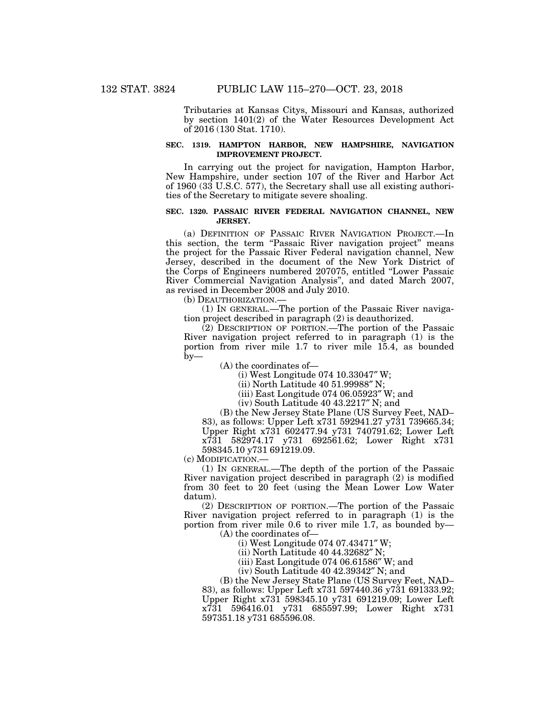Tributaries at Kansas Citys, Missouri and Kansas, authorized by section 1401(2) of the Water Resources Development Act of 2016 (130 Stat. 1710).

# **SEC. 1319. HAMPTON HARBOR, NEW HAMPSHIRE, NAVIGATION IMPROVEMENT PROJECT.**

In carrying out the project for navigation, Hampton Harbor, New Hampshire, under section 107 of the River and Harbor Act of 1960 (33 U.S.C. 577), the Secretary shall use all existing authorities of the Secretary to mitigate severe shoaling.

# **SEC. 1320. PASSAIC RIVER FEDERAL NAVIGATION CHANNEL, NEW JERSEY.**

(a) DEFINITION OF PASSAIC RIVER NAVIGATION PROJECT.—In this section, the term "Passaic River navigation project" means the project for the Passaic River Federal navigation channel, New Jersey, described in the document of the New York District of the Corps of Engineers numbered 207075, entitled ''Lower Passaic River Commercial Navigation Analysis'', and dated March 2007, as revised in December 2008 and July 2010.

(b) DEAUTHORIZATION.—

(1) IN GENERAL.—The portion of the Passaic River navigation project described in paragraph (2) is deauthorized.

(2) DESCRIPTION OF PORTION.—The portion of the Passaic River navigation project referred to in paragraph (1) is the portion from river mile 1.7 to river mile 15.4, as bounded  $by-$ 

(A) the coordinates of—

(i) West Longitude 074 10.33047″ W;

(ii) North Latitude 40 51.99988″ N;

(iii) East Longitude 074 06.05923″ W; and

(iv) South Latitude 40 43.2217″ N; and

(B) the New Jersey State Plane (US Survey Feet, NAD– 83), as follows: Upper Left x731 592941.27 y731 739665.34; Upper Right x731 602477.94 y731 740791.62; Lower Left x731 582974.17 y731 692561.62; Lower Right x731 598345.10 y731 691219.09.

(c) MODIFICATION.—

(1) IN GENERAL.—The depth of the portion of the Passaic River navigation project described in paragraph (2) is modified from 30 feet to 20 feet (using the Mean Lower Low Water datum).

(2) DESCRIPTION OF PORTION.—The portion of the Passaic River navigation project referred to in paragraph (1) is the portion from river mile 0.6 to river mile 1.7, as bounded by—

(A) the coordinates of—

(i) West Longitude 074 07.43471″ W;

(ii) North Latitude 40 44.32682″ N;

(iii) East Longitude 074 06.61586″ W; and

(iv) South Latitude 40 42.39342″ N; and

(B) the New Jersey State Plane (US Survey Feet, NAD– 83), as follows: Upper Left x731 597440.36 y731 691333.92; Upper Right x731 598345.10 y731 691219.09; Lower Left x731 596416.01 y731 685597.99; Lower Right x731 597351.18 y731 685596.08.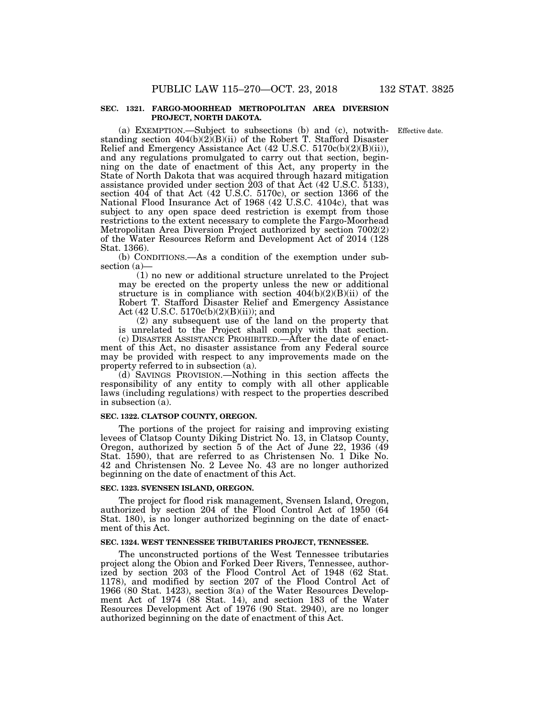# **SEC. 1321. FARGO-MOORHEAD METROPOLITAN AREA DIVERSION PROJECT, NORTH DAKOTA.**

Effective date.

(a) EXEMPTION.—Subject to subsections (b) and (c), notwithstanding section 404(b)(2)(B)(ii) of the Robert T. Stafford Disaster Relief and Emergency Assistance Act (42 U.S.C. 5170c(b)(2)(B)(ii)), and any regulations promulgated to carry out that section, beginning on the date of enactment of this Act, any property in the State of North Dakota that was acquired through hazard mitigation assistance provided under section 203 of that Act (42 U.S.C. 5133), section 404 of that Act (42 U.S.C. 5170c), or section 1366 of the National Flood Insurance Act of 1968 (42 U.S.C. 4104c), that was subject to any open space deed restriction is exempt from those restrictions to the extent necessary to complete the Fargo-Moorhead Metropolitan Area Diversion Project authorized by section 7002(2) of the Water Resources Reform and Development Act of 2014 (128 Stat. 1366).

(b) CONDITIONS.—As a condition of the exemption under subsection (a)—

(1) no new or additional structure unrelated to the Project may be erected on the property unless the new or additional structure is in compliance with section 404(b)(2)(B)(ii) of the Robert T. Stafford Disaster Relief and Emergency Assistance Act (42 U.S.C. 5170c(b)(2)(B)(ii)); and

(2) any subsequent use of the land on the property that is unrelated to the Project shall comply with that section.

(c) DISASTER ASSISTANCE PROHIBITED.—After the date of enactment of this Act, no disaster assistance from any Federal source may be provided with respect to any improvements made on the property referred to in subsection (a).

(d) SAVINGS PROVISION.—Nothing in this section affects the responsibility of any entity to comply with all other applicable laws (including regulations) with respect to the properties described in subsection (a).

# **SEC. 1322. CLATSOP COUNTY, OREGON.**

The portions of the project for raising and improving existing levees of Clatsop County Diking District No. 13, in Clatsop County, Oregon, authorized by section 5 of the Act of June 22, 1936 (49 Stat. 1590), that are referred to as Christensen No. 1 Dike No. 42 and Christensen No. 2 Levee No. 43 are no longer authorized beginning on the date of enactment of this Act.

# **SEC. 1323. SVENSEN ISLAND, OREGON.**

The project for flood risk management, Svensen Island, Oregon, authorized by section 204 of the Flood Control Act of 1950 (64 Stat. 180), is no longer authorized beginning on the date of enactment of this Act.

#### **SEC. 1324. WEST TENNESSEE TRIBUTARIES PROJECT, TENNESSEE.**

The unconstructed portions of the West Tennessee tributaries project along the Obion and Forked Deer Rivers, Tennessee, authorized by section 203 of the Flood Control Act of 1948 (62 Stat. 1178), and modified by section 207 of the Flood Control Act of 1966 (80 Stat. 1423), section 3(a) of the Water Resources Development Act of 1974 (88 Stat. 14), and section 183 of the Water Resources Development Act of 1976 (90 Stat. 2940), are no longer authorized beginning on the date of enactment of this Act.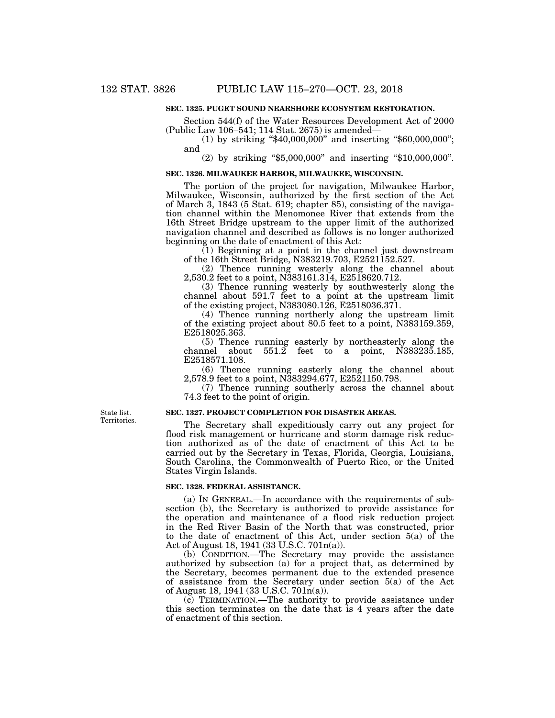# **SEC. 1325. PUGET SOUND NEARSHORE ECOSYSTEM RESTORATION.**

Section 544(f) of the Water Resources Development Act of 2000 (Public Law 106–541; 114 Stat. 2675) is amended—

(1) by striking ''\$40,000,000'' and inserting ''\$60,000,000''; and

(2) by striking ''\$5,000,000'' and inserting ''\$10,000,000''.

#### **SEC. 1326. MILWAUKEE HARBOR, MILWAUKEE, WISCONSIN.**

The portion of the project for navigation, Milwaukee Harbor, Milwaukee, Wisconsin, authorized by the first section of the Act of March 3, 1843 (5 Stat. 619; chapter 85), consisting of the navigation channel within the Menomonee River that extends from the 16th Street Bridge upstream to the upper limit of the authorized navigation channel and described as follows is no longer authorized beginning on the date of enactment of this Act:

(1) Beginning at a point in the channel just downstream of the 16th Street Bridge, N383219.703, E2521152.527.

(2) Thence running westerly along the channel about 2,530.2 feet to a point, N383161.314, E2518620.712.

(3) Thence running westerly by southwesterly along the channel about 591.7 feet to a point at the upstream limit of the existing project, N383080.126, E2518036.371.

(4) Thence running northerly along the upstream limit of the existing project about 80.5 feet to a point, N383159.359, E2518025.363.

(5) Thence running easterly by northeasterly along the channel about 551.2 feet to a point, N383235.185, E2518571.108.

(6) Thence running easterly along the channel about 2,578.9 feet to a point, N383294.677, E2521150.798.

(7) Thence running southerly across the channel about 74.3 feet to the point of origin.

#### State list. Territories.

# **SEC. 1327. PROJECT COMPLETION FOR DISASTER AREAS.**

The Secretary shall expeditiously carry out any project for flood risk management or hurricane and storm damage risk reduction authorized as of the date of enactment of this Act to be carried out by the Secretary in Texas, Florida, Georgia, Louisiana, South Carolina, the Commonwealth of Puerto Rico, or the United States Virgin Islands.

#### **SEC. 1328. FEDERAL ASSISTANCE.**

(a) IN GENERAL.—In accordance with the requirements of subsection (b), the Secretary is authorized to provide assistance for the operation and maintenance of a flood risk reduction project in the Red River Basin of the North that was constructed, prior to the date of enactment of this Act, under section 5(a) of the Act of August 18, 1941 (33 U.S.C. 701n(a)).

(b) CONDITION.—The Secretary may provide the assistance authorized by subsection (a) for a project that, as determined by the Secretary, becomes permanent due to the extended presence of assistance from the Secretary under section 5(a) of the Act of August 18, 1941 (33 U.S.C. 701n(a)).

(c) TERMINATION.—The authority to provide assistance under this section terminates on the date that is 4 years after the date of enactment of this section.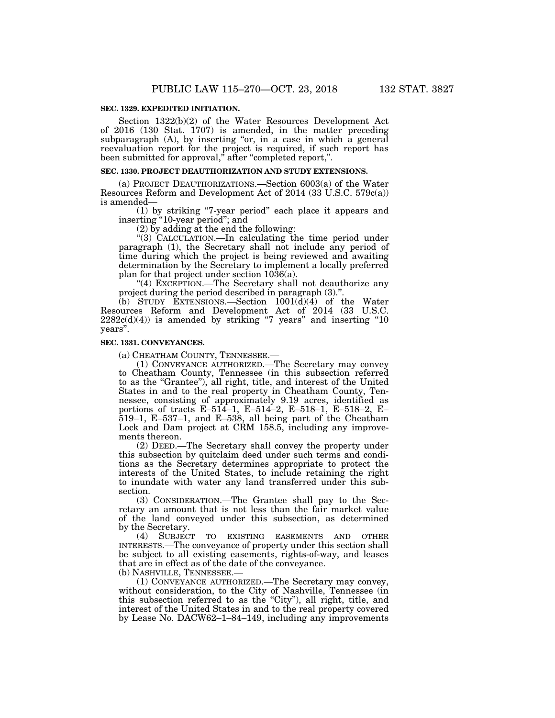# **SEC. 1329. EXPEDITED INITIATION.**

Section 1322(b)(2) of the Water Resources Development Act of 2016 (130 Stat. 1707) is amended, in the matter preceding subparagraph  $(A)$ , by inserting "or, in a case in which a general reevaluation report for the project is required, if such report has been submitted for approval," after "completed report,".

#### **SEC. 1330. PROJECT DEAUTHORIZATION AND STUDY EXTENSIONS.**

(a) PROJECT DEAUTHORIZATIONS.—Section 6003(a) of the Water Resources Reform and Development Act of 2014 (33 U.S.C. 579c(a)) is amended—

(1) by striking ''7-year period'' each place it appears and inserting ''10-year period''; and

(2) by adding at the end the following:

"(3) CALCULATION.—In calculating the time period under paragraph (1), the Secretary shall not include any period of time during which the project is being reviewed and awaiting determination by the Secretary to implement a locally preferred plan for that project under section 1036(a).

"(4) EXCEPTION.—The Secretary shall not deauthorize any project during the period described in paragraph (3).''.

(b) STUDY EXTENSIONS.—Section 1001(d)(4) of the Water Resources Reform and Development Act of 2014 (33 U.S.C.  $2282c(d)(4)$  is amended by striking "7 years" and inserting "10 years''.

# **SEC. 1331. CONVEYANCES.**

(a) CHEATHAM COUNTY, TENNESSEE.—

(1) CONVEYANCE AUTHORIZED.—The Secretary may convey to Cheatham County, Tennessee (in this subsection referred to as the ''Grantee''), all right, title, and interest of the United States in and to the real property in Cheatham County, Tennessee, consisting of approximately 9.19 acres, identified as portions of tracts E–514–1, E–514–2, E–518–1, E–518–2, E– 519–1, E–537–1, and E–538, all being part of the Cheatham Lock and Dam project at CRM 158.5, including any improvements thereon.

(2) DEED.—The Secretary shall convey the property under this subsection by quitclaim deed under such terms and conditions as the Secretary determines appropriate to protect the interests of the United States, to include retaining the right to inundate with water any land transferred under this subsection.

(3) CONSIDERATION.—The Grantee shall pay to the Secretary an amount that is not less than the fair market value of the land conveyed under this subsection, as determined by the Secretary.

(4) SUBJECT TO EXISTING EASEMENTS AND OTHER INTERESTS.—The conveyance of property under this section shall be subject to all existing easements, rights-of-way, and leases that are in effect as of the date of the conveyance.

(b) NASHVILLE, TENNESSEE.—

(1) CONVEYANCE AUTHORIZED.—The Secretary may convey, without consideration, to the City of Nashville, Tennessee (in this subsection referred to as the ''City''), all right, title, and interest of the United States in and to the real property covered by Lease No. DACW62–1–84–149, including any improvements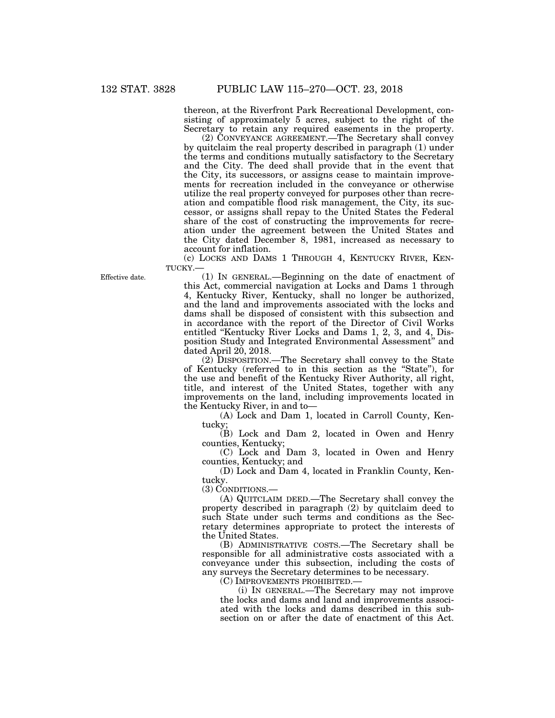thereon, at the Riverfront Park Recreational Development, consisting of approximately 5 acres, subject to the right of the Secretary to retain any required easements in the property.

(2) CONVEYANCE AGREEMENT.—The Secretary shall convey by quitclaim the real property described in paragraph (1) under the terms and conditions mutually satisfactory to the Secretary and the City. The deed shall provide that in the event that the City, its successors, or assigns cease to maintain improvements for recreation included in the conveyance or otherwise utilize the real property conveyed for purposes other than recreation and compatible flood risk management, the City, its successor, or assigns shall repay to the United States the Federal share of the cost of constructing the improvements for recreation under the agreement between the United States and the City dated December 8, 1981, increased as necessary to account for inflation.

(c) LOCKS AND DAMS 1 THROUGH 4, KENTUCKY RIVER, KEN-TUCKY.—

(1) IN GENERAL.—Beginning on the date of enactment of this Act, commercial navigation at Locks and Dams 1 through 4, Kentucky River, Kentucky, shall no longer be authorized, and the land and improvements associated with the locks and dams shall be disposed of consistent with this subsection and in accordance with the report of the Director of Civil Works entitled "Kentucky River Locks and Dams 1, 2, 3, and 4, Disposition Study and Integrated Environmental Assessment'' and dated April 20, 2018.

(2) DISPOSITION.—The Secretary shall convey to the State of Kentucky (referred to in this section as the ''State''), for the use and benefit of the Kentucky River Authority, all right, title, and interest of the United States, together with any improvements on the land, including improvements located in the Kentucky River, in and to—

(A) Lock and Dam 1, located in Carroll County, Kentucky;

(B) Lock and Dam 2, located in Owen and Henry counties, Kentucky;

(C) Lock and Dam 3, located in Owen and Henry counties, Kentucky; and

(D) Lock and Dam 4, located in Franklin County, Kentucky.

(3) CONDITIONS.—

(A) QUITCLAIM DEED.—The Secretary shall convey the property described in paragraph (2) by quitclaim deed to such State under such terms and conditions as the Secretary determines appropriate to protect the interests of the United States.

(B) ADMINISTRATIVE COSTS.—The Secretary shall be responsible for all administrative costs associated with a conveyance under this subsection, including the costs of any surveys the Secretary determines to be necessary.

(C) IMPROVEMENTS PROHIBITED.—

(i) IN GENERAL.—The Secretary may not improve the locks and dams and land and improvements associated with the locks and dams described in this subsection on or after the date of enactment of this Act.

Effective date.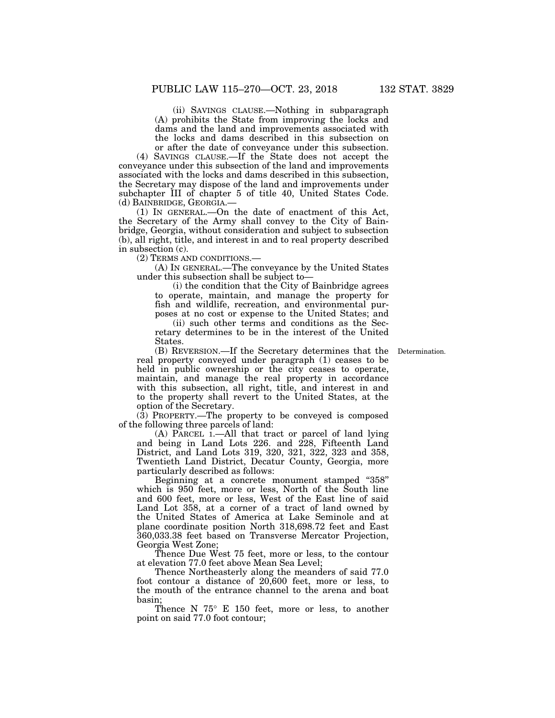(ii) SAVINGS CLAUSE.—Nothing in subparagraph (A) prohibits the State from improving the locks and dams and the land and improvements associated with the locks and dams described in this subsection on or after the date of conveyance under this subsection.

(4) SAVINGS CLAUSE.—If the State does not accept the conveyance under this subsection of the land and improvements associated with the locks and dams described in this subsection, the Secretary may dispose of the land and improvements under subchapter III of chapter 5 of title 40, United States Code. (d) BAINBRIDGE, GEORGIA.—

(1) IN GENERAL.—On the date of enactment of this Act, the Secretary of the Army shall convey to the City of Bainbridge, Georgia, without consideration and subject to subsection (b), all right, title, and interest in and to real property described in subsection (c).

(2) TERMS AND CONDITIONS.—

(A) IN GENERAL.—The conveyance by the United States under this subsection shall be subject to—

(i) the condition that the City of Bainbridge agrees to operate, maintain, and manage the property for fish and wildlife, recreation, and environmental purposes at no cost or expense to the United States; and

(ii) such other terms and conditions as the Secretary determines to be in the interest of the United States.

(B) REVERSION.—If the Secretary determines that the Determination. real property conveyed under paragraph (1) ceases to be held in public ownership or the city ceases to operate, maintain, and manage the real property in accordance with this subsection, all right, title, and interest in and to the property shall revert to the United States, at the option of the Secretary.

 $(3)$  PROPERTY.—The property to be conveyed is composed of the following three parcels of land:

(A) PARCEL 1.—All that tract or parcel of land lying and being in Land Lots 226. and 228, Fifteenth Land District, and Land Lots 319, 320, 321, 322, 323 and 358, Twentieth Land District, Decatur County, Georgia, more particularly described as follows:

Beginning at a concrete monument stamped ''358'' which is 950 feet, more or less, North of the South line and 600 feet, more or less, West of the East line of said Land Lot 358, at a corner of a tract of land owned by the United States of America at Lake Seminole and at plane coordinate position North 318,698.72 feet and East 360,033.38 feet based on Transverse Mercator Projection, Georgia West Zone;

Thence Due West 75 feet, more or less, to the contour at elevation 77.0 feet above Mean Sea Level;

Thence Northeasterly along the meanders of said 77.0 foot contour a distance of 20,600 feet, more or less, to the mouth of the entrance channel to the arena and boat basin;

Thence N 75° E 150 feet, more or less, to another point on said 77.0 foot contour;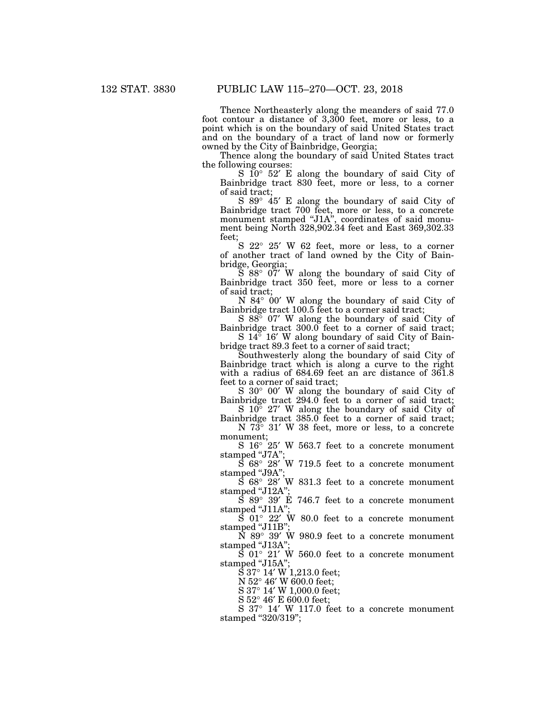Thence Northeasterly along the meanders of said 77.0 foot contour a distance of 3,300 feet, more or less, to a point which is on the boundary of said United States tract and on the boundary of a tract of land now or formerly owned by the City of Bainbridge, Georgia;

Thence along the boundary of said United States tract the following courses:

S  $10^{\circ}$  52' E along the boundary of said City of Bainbridge tract 830 feet, more or less, to a corner of said tract;

S 89° 45′ E along the boundary of said City of Bainbridge tract 700 feet, more or less, to a concrete monument stamped ''J1A'', coordinates of said monument being North 328,902.34 feet and East 369,302.33 feet;

S 22° 25′ W 62 feet, more or less, to a corner of another tract of land owned by the City of Bainbridge, Georgia;

S 88° 07′ W along the boundary of said City of Bainbridge tract 350 feet, more or less to a corner of said tract;

N 84° 00′ W along the boundary of said City of Bainbridge tract 100.5 feet to a corner said tract;

S 88° 07′ W along the boundary of said City of Bainbridge tract 300.0 feet to a corner of said tract; S 14° 16′ W along boundary of said City of Bain-

bridge tract 89.3 feet to a corner of said tract;

Southwesterly along the boundary of said City of Bainbridge tract which is along a curve to the right with a radius of 684.69 feet an arc distance of 361.8 feet to a corner of said tract;

S 30° 00′ W along the boundary of said City of Bainbridge tract 294.0 feet to a corner of said tract;

S 10° 27′ W along the boundary of said City of Bainbridge tract 385.0 feet to a corner of said tract; N 73° 31′ W 38 feet, more or less, to a concrete monument;

S 16° 25′ W 563.7 feet to a concrete monument stamped " $J7A$ "

S 68° 28′ W 719.5 feet to a concrete monument stamped "J9A";

 $S 68^\circ 28' W 831.3$  feet to a concrete monument stamped "J12A"

 $\hat{S}$  89° 39′ E 746.7 feet to a concrete monument stamped "J11A":

S 01° 22′ W 80.0 feet to a concrete monument stamped "J11B"

N 89° 39′ W 980.9 feet to a concrete monument stamped ''J13A'';

S 01° 21′ W 560.0 feet to a concrete monument stamped "J15A"

S 37° 14′ W 1,213.0 feet;

N 52° 46′ W 600.0 feet;

S 37° 14' W 1,000.0 feet;

S 52° 46' E 600.0 feet;

S 37° 14′ W 117.0 feet to a concrete monument stamped "320/319";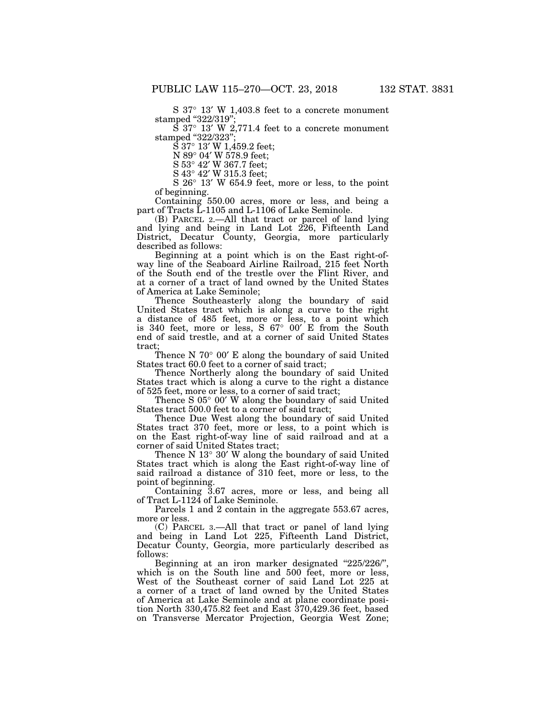S 37° 13′ W 1,403.8 feet to a concrete monument stamped "322/319"

 $\hat{S}$  37° 13′ W 2,771.4 feet to a concrete monument stamped "322/323"

S 37° 13′ W 1,459.2 feet;

N 89° 04′ W 578.9 feet;

S 53° 42′ W 367.7 feet;

S 43° 42′ W 315.3 feet;

S 26° 13′ W 654.9 feet, more or less, to the point of beginning.

Containing 550.00 acres, more or less, and being a part of Tracts L-1105 and L-1106 of Lake Seminole.

(B) PARCEL 2.—All that tract or parcel of land lying and lying and being in Land Lot 226, Fifteenth Land District, Decatur County, Georgia, more particularly described as follows:

Beginning at a point which is on the East right-ofway line of the Seaboard Airline Railroad, 215 feet North of the South end of the trestle over the Flint River, and at a corner of a tract of land owned by the United States of America at Lake Seminole;

Thence Southeasterly along the boundary of said United States tract which is along a curve to the right a distance of 485 feet, more or less, to a point which is 340 feet, more or less, S 67° 00′ E from the South end of said trestle, and at a corner of said United States tract;

Thence N  $70^{\circ}$  00' E along the boundary of said United States tract 60.0 feet to a corner of said tract;

Thence Northerly along the boundary of said United States tract which is along a curve to the right a distance of 525 feet, more or less, to a corner of said tract;

Thence S 05° 00′ W along the boundary of said United States tract 500.0 feet to a corner of said tract;

Thence Due West along the boundary of said United States tract 370 feet, more or less, to a point which is on the East right-of-way line of said railroad and at a corner of said United States tract;

Thence N 13° 30′ W along the boundary of said United States tract which is along the East right-of-way line of said railroad a distance of 310 feet, more or less, to the point of beginning.

Containing 3.67 acres, more or less, and being all of Tract L-1124 of Lake Seminole.

Parcels 1 and 2 contain in the aggregate 553.67 acres, more or less.

(C) PARCEL 3.—All that tract or panel of land lying and being in Land Lot 225, Fifteenth Land District, Decatur County, Georgia, more particularly described as follows:

Beginning at an iron marker designated "225/226/", which is on the South line and 500 feet, more or less, West of the Southeast corner of said Land Lot 225 at a corner of a tract of land owned by the United States of America at Lake Seminole and at plane coordinate position North 330,475.82 feet and East 370,429.36 feet, based on Transverse Mercator Projection, Georgia West Zone;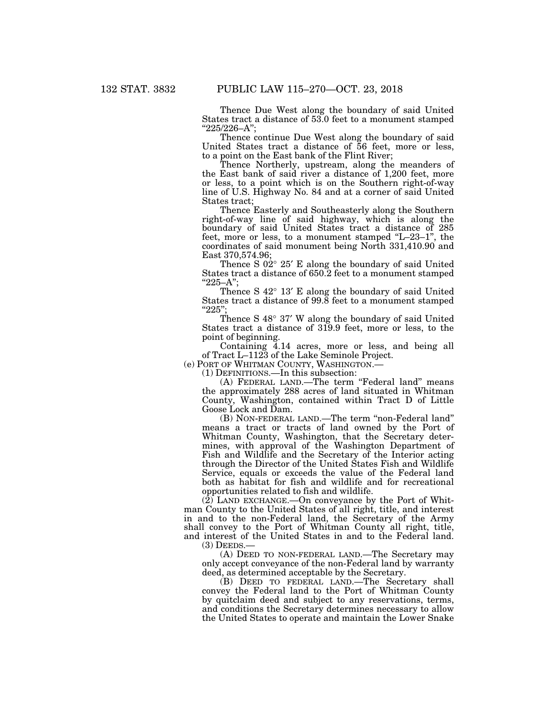Thence Due West along the boundary of said United States tract a distance of 53.0 feet to a monument stamped ''225/226–A'';

Thence continue Due West along the boundary of said United States tract a distance of 56 feet, more or less, to a point on the East bank of the Flint River;

Thence Northerly, upstream, along the meanders of the East bank of said river a distance of 1,200 feet, more or less, to a point which is on the Southern right-of-way line of U.S. Highway No. 84 and at a corner of said United States tract;

Thence Easterly and Southeasterly along the Southern right-of-way line of said highway, which is along the boundary of said United States tract a distance of 285 feet, more or less, to a monument stamped ''L–23–1'', the coordinates of said monument being North 331,410.90 and East 370,574.96;

Thence S  $0\overline{2}^{\circ}$  25' E along the boundary of said United States tract a distance of 650.2 feet to a monument stamped  $"225–A";$ 

Thence S 42° 13′ E along the boundary of said United States tract a distance of 99.8 feet to a monument stamped ''225'';

Thence S 48° 37′ W along the boundary of said United States tract a distance of 319.9 feet, more or less, to the point of beginning.

Containing 4.14 acres, more or less, and being all of Tract L–1123 of the Lake Seminole Project.

(e) PORT OF WHITMAN COUNTY, WASHINGTON.—

(1) DEFINITIONS.—In this subsection:

(A) FEDERAL LAND.—The term ''Federal land'' means the approximately 288 acres of land situated in Whitman County, Washington, contained within Tract D of Little Goose Lock and Dam.

(B) NON-FEDERAL LAND.—The term ''non-Federal land'' means a tract or tracts of land owned by the Port of Whitman County, Washington, that the Secretary determines, with approval of the Washington Department of Fish and Wildlife and the Secretary of the Interior acting through the Director of the United States Fish and Wildlife Service, equals or exceeds the value of the Federal land both as habitat for fish and wildlife and for recreational opportunities related to fish and wildlife.

 $(2)$  LAND EXCHANGE.—On conveyance by the Port of Whitman County to the United States of all right, title, and interest in and to the non-Federal land, the Secretary of the Army shall convey to the Port of Whitman County all right, title, and interest of the United States in and to the Federal land. (3) DEEDS.—

(A) DEED TO NON-FEDERAL LAND.—The Secretary may only accept conveyance of the non-Federal land by warranty deed, as determined acceptable by the Secretary.

(B) DEED TO FEDERAL LAND.—The Secretary shall convey the Federal land to the Port of Whitman County by quitclaim deed and subject to any reservations, terms, and conditions the Secretary determines necessary to allow the United States to operate and maintain the Lower Snake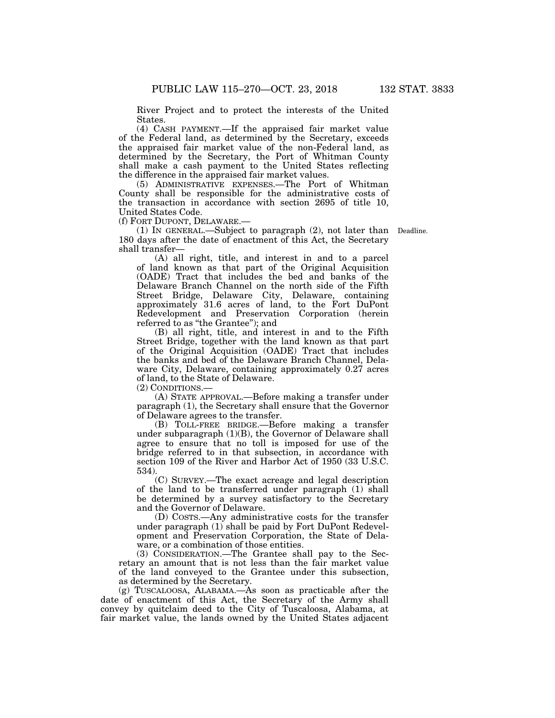River Project and to protect the interests of the United States.

(4) CASH PAYMENT.—If the appraised fair market value of the Federal land, as determined by the Secretary, exceeds the appraised fair market value of the non-Federal land, as determined by the Secretary, the Port of Whitman County shall make a cash payment to the United States reflecting the difference in the appraised fair market values.

(5) ADMINISTRATIVE EXPENSES.—The Port of Whitman County shall be responsible for the administrative costs of the transaction in accordance with section 2695 of title 10, United States Code.

(f) FORT DUPONT, DELAWARE.—

(1) IN GENERAL.—Subject to paragraph (2), not later than Deadline. 180 days after the date of enactment of this Act, the Secretary shall transfer—

(A) all right, title, and interest in and to a parcel of land known as that part of the Original Acquisition (OADE) Tract that includes the bed and banks of the Delaware Branch Channel on the north side of the Fifth Street Bridge, Delaware City, Delaware, containing approximately 31.6 acres of land, to the Fort DuPont Redevelopment and Preservation Corporation (herein referred to as "the Grantee"); and

(B) all right, title, and interest in and to the Fifth Street Bridge, together with the land known as that part of the Original Acquisition (OADE) Tract that includes the banks and bed of the Delaware Branch Channel, Delaware City, Delaware, containing approximately 0.27 acres of land, to the State of Delaware.

(2) CONDITIONS.—

(A) STATE APPROVAL.—Before making a transfer under paragraph (1), the Secretary shall ensure that the Governor of Delaware agrees to the transfer.

(B) TOLL-FREE BRIDGE.—Before making a transfer under subparagraph (1)(B), the Governor of Delaware shall agree to ensure that no toll is imposed for use of the bridge referred to in that subsection, in accordance with section 109 of the River and Harbor Act of 1950 (33 U.S.C. 534).

(C) SURVEY.—The exact acreage and legal description of the land to be transferred under paragraph (1) shall be determined by a survey satisfactory to the Secretary and the Governor of Delaware.

(D) COSTS.—Any administrative costs for the transfer under paragraph (1) shall be paid by Fort DuPont Redevelopment and Preservation Corporation, the State of Delaware, or a combination of those entities.

(3) CONSIDERATION.—The Grantee shall pay to the Secretary an amount that is not less than the fair market value of the land conveyed to the Grantee under this subsection, as determined by the Secretary.

(g) TUSCALOOSA, ALABAMA.—As soon as practicable after the date of enactment of this Act, the Secretary of the Army shall convey by quitclaim deed to the City of Tuscaloosa, Alabama, at fair market value, the lands owned by the United States adjacent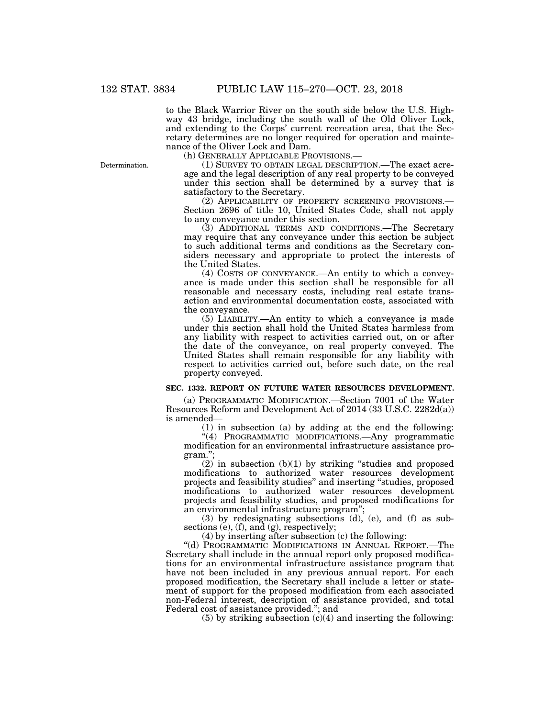Determination.

to the Black Warrior River on the south side below the U.S. Highway 43 bridge, including the south wall of the Old Oliver Lock, and extending to the Corps' current recreation area, that the Secretary determines are no longer required for operation and maintenance of the Oliver Lock and Dam.<br>(h) GENERALLY APPLICABLE PROVISIONS.—

 $(1)$  SURVEY TO OBTAIN LEGAL DESCRIPTION.—The exact acreage and the legal description of any real property to be conveyed under this section shall be determined by a survey that is satisfactory to the Secretary.

(2) APPLICABILITY OF PROPERTY SCREENING PROVISIONS.— Section 2696 of title 10, United States Code, shall not apply to any conveyance under this section.

(3) ADDITIONAL TERMS AND CONDITIONS.—The Secretary may require that any conveyance under this section be subject to such additional terms and conditions as the Secretary considers necessary and appropriate to protect the interests of the United States.

(4) COSTS OF CONVEYANCE.—An entity to which a conveyance is made under this section shall be responsible for all reasonable and necessary costs, including real estate transaction and environmental documentation costs, associated with the conveyance.

(5) LIABILITY.—An entity to which a conveyance is made under this section shall hold the United States harmless from any liability with respect to activities carried out, on or after the date of the conveyance, on real property conveyed. The United States shall remain responsible for any liability with respect to activities carried out, before such date, on the real property conveyed.

# **SEC. 1332. REPORT ON FUTURE WATER RESOURCES DEVELOPMENT.**

(a) PROGRAMMATIC MODIFICATION.—Section 7001 of the Water Resources Reform and Development Act of 2014 (33 U.S.C. 2282d(a)) is amended—

(1) in subsection (a) by adding at the end the following:

''(4) PROGRAMMATIC MODIFICATIONS.—Any programmatic modification for an environmental infrastructure assistance program.'';

 $(2)$  in subsection  $(b)(1)$  by striking "studies and proposed modifications to authorized water resources development projects and feasibility studies'' and inserting ''studies, proposed modifications to authorized water resources development projects and feasibility studies, and proposed modifications for an environmental infrastructure program'';

(3) by redesignating subsections (d), (e), and (f) as subsections (e), (f), and (g), respectively;

(4) by inserting after subsection (c) the following:

''(d) PROGRAMMATIC MODIFICATIONS IN ANNUAL REPORT.—The Secretary shall include in the annual report only proposed modifications for an environmental infrastructure assistance program that have not been included in any previous annual report. For each proposed modification, the Secretary shall include a letter or statement of support for the proposed modification from each associated non-Federal interest, description of assistance provided, and total Federal cost of assistance provided.''; and

 $(5)$  by striking subsection  $(c)(4)$  and inserting the following: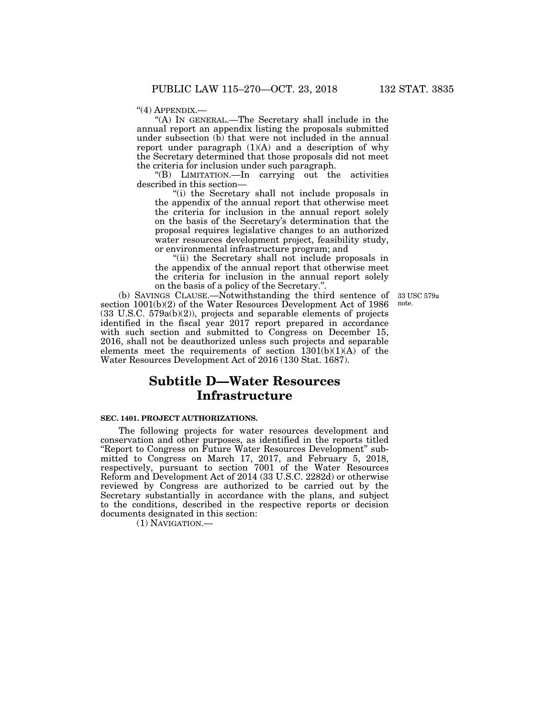''(4) APPENDIX.—

''(A) IN GENERAL.—The Secretary shall include in the annual report an appendix listing the proposals submitted under subsection (b) that were not included in the annual report under paragraph (1)(A) and a description of why the Secretary determined that those proposals did not meet the criteria for inclusion under such paragraph.

''(B) LIMITATION.—In carrying out the activities described in this section—

''(i) the Secretary shall not include proposals in the appendix of the annual report that otherwise meet the criteria for inclusion in the annual report solely on the basis of the Secretary's determination that the proposal requires legislative changes to an authorized water resources development project, feasibility study, or environmental infrastructure program; and

''(ii) the Secretary shall not include proposals in the appendix of the annual report that otherwise meet the criteria for inclusion in the annual report solely on the basis of a policy of the Secretary.''.

> 33 USC 579a note.

(b) SAVINGS CLAUSE.—Notwithstanding the third sentence of section 1001(b)(2) of the Water Resources Development Act of 1986 (33 U.S.C. 579a(b)(2)), projects and separable elements of projects identified in the fiscal year 2017 report prepared in accordance with such section and submitted to Congress on December 15, 2016, shall not be deauthorized unless such projects and separable elements meet the requirements of section  $1301(b)(1)(A)$  of the Water Resources Development Act of 2016 (130 Stat. 1687).

# **Subtitle D—Water Resources Infrastructure**

## **SEC. 1401. PROJECT AUTHORIZATIONS.**

The following projects for water resources development and conservation and other purposes, as identified in the reports titled "Report to Congress on Future Water Resources Development" submitted to Congress on March 17, 2017, and February 5, 2018, respectively, pursuant to section 7001 of the Water Resources Reform and Development Act of 2014 (33 U.S.C. 2282d) or otherwise reviewed by Congress are authorized to be carried out by the Secretary substantially in accordance with the plans, and subject to the conditions, described in the respective reports or decision documents designated in this section:

(1) NAVIGATION.—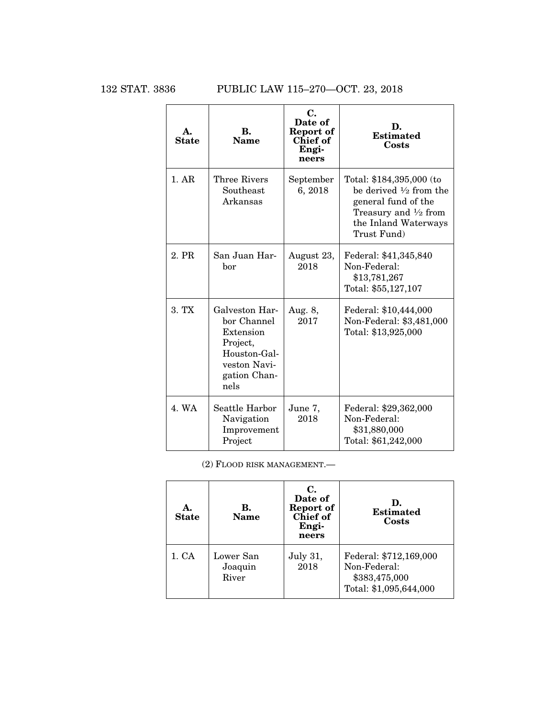| А.<br><b>State</b> | B.<br><b>Name</b>                                                                                              | С.<br>Date of<br>Report of<br>Chief of<br>Engi-<br>neers | D.<br><b>Estimated</b><br>Costs                                                                                                                                |
|--------------------|----------------------------------------------------------------------------------------------------------------|----------------------------------------------------------|----------------------------------------------------------------------------------------------------------------------------------------------------------------|
| 1.AR               | Three Rivers<br>Southeast<br>Arkansas                                                                          | September<br>6, 2018                                     | Total: \$184,395,000 (to<br>be derived $\frac{1}{2}$ from the<br>general fund of the<br>Treasury and $\frac{1}{2}$ from<br>the Inland Waterways<br>Trust Fund) |
| 2. PR              | San Juan Har-<br>bor                                                                                           | August 23,<br>2018                                       | Federal: \$41,345,840<br>Non-Federal:<br>\$13,781,267<br>Total: \$55,127,107                                                                                   |
| 3. TX              | Galveston Har-<br>bor Channel<br>Extension<br>Project,<br>Houston-Gal-<br>veston Navi-<br>gation Chan-<br>nels | Aug. 8,<br>2017                                          | Federal: \$10,444,000<br>Non-Federal: \$3,481,000<br>Total: \$13,925,000                                                                                       |
| 4. WA              | Seattle Harbor<br>Navigation<br>Improvement<br>Project                                                         | June 7,<br>2018                                          | Federal: \$29,362,000<br>Non-Federal:<br>\$31,880,000<br>Total: \$61,242,000                                                                                   |

(2) FLOOD RISK MANAGEMENT.—

| А.<br><b>State</b> | В.<br><b>Name</b>             | C.<br>Date of<br>Report of<br>Chief of<br>Engi-<br>neers | D.<br><b>Estimated</b><br>Costs                                                   |
|--------------------|-------------------------------|----------------------------------------------------------|-----------------------------------------------------------------------------------|
| 1. CA              | Lower San<br>Joaquin<br>River | <b>July 31,</b><br>2018                                  | Federal: \$712,169,000<br>Non-Federal:<br>\$383,475,000<br>Total: \$1,095,644,000 |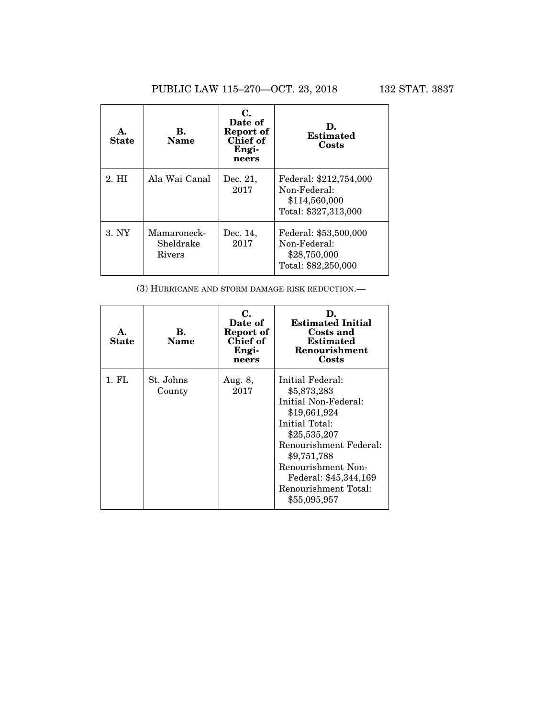# PUBLIC LAW 115-270-OCT. 23, 2018 132 STAT. 3837

| A.<br><b>State</b> | В.<br><b>Name</b>                  | С.<br>Date of<br>Report of<br>Chief of<br>Engi-<br>neers | D.<br><b>Estimated</b><br>Costs                                                 |
|--------------------|------------------------------------|----------------------------------------------------------|---------------------------------------------------------------------------------|
| 2. HI              | Ala Wai Canal                      | Dec. 21,<br>2017                                         | Federal: \$212,754,000<br>Non-Federal:<br>\$114,560,000<br>Total: \$327,313,000 |
| 3. NY              | Mamaroneck-<br>Sheldrake<br>Rivers | Dec. 14,<br>2017                                         | Federal: \$53,500,000<br>Non-Federal:<br>\$28,750,000<br>Total: \$82,250,000    |

(3) HURRICANE AND STORM DAMAGE RISK REDUCTION.—

| A.<br><b>State</b> | B.<br><b>Name</b>   | С.<br>Date of<br>Report of<br>Chief of<br>Engi-<br>neers | D.<br><b>Estimated Initial</b><br>Costs and<br><b>Estimated</b><br><b>Renourishment</b><br>Costs                                                                                                                                          |
|--------------------|---------------------|----------------------------------------------------------|-------------------------------------------------------------------------------------------------------------------------------------------------------------------------------------------------------------------------------------------|
| 1. FL              | St. Johns<br>County | Aug. 8,<br>2017                                          | Initial Federal:<br>\$5,873,283<br>Initial Non-Federal:<br>\$19,661,924<br>Initial Total:<br>\$25,535,207<br>Renourishment Federal:<br>\$9,751,788<br>Renourishment Non-<br>Federal: \$45,344,169<br>Renourishment Total:<br>\$55,095,957 |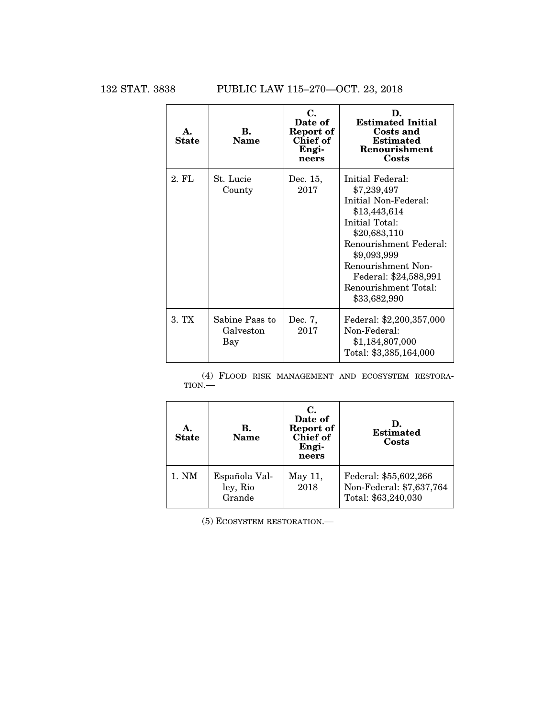132 STAT. 3838 PUBLIC LAW 115–270—OCT. 23, 2018

| $\mathbf{A}$ .<br><b>State</b> | B.<br><b>Name</b>                  | $\mathbf{C}$ .<br>Date of<br>Report of<br>Chief of<br>Engi-<br>neers | D.<br><b>Estimated Initial</b><br>Costs and<br><b>Estimated</b><br>Renourishment<br>Costs                                                                                                                                                 |
|--------------------------------|------------------------------------|----------------------------------------------------------------------|-------------------------------------------------------------------------------------------------------------------------------------------------------------------------------------------------------------------------------------------|
| 2. FL                          | St. Lucie<br>County                | Dec. 15,<br>2017                                                     | Initial Federal:<br>\$7,239,497<br>Initial Non-Federal:<br>\$13,443,614<br>Initial Total:<br>\$20,683,110<br>Renourishment Federal:<br>\$9,093,999<br>Renourishment Non-<br>Federal: \$24,588,991<br>Renourishment Total:<br>\$33,682,990 |
| 3. TX                          | Sabine Pass to<br>Galveston<br>Bay | Dec. 7,<br>2017                                                      | Federal: \$2,200,357,000<br>Non-Federal:<br>\$1,184,807,000<br>Total: \$3,385,164,000                                                                                                                                                     |

(4) FLOOD RISK MANAGEMENT AND ECOSYSTEM RESTORA-TION.—

| А.<br><b>State</b> | В.<br><b>Name</b>                   | C.<br>Date of<br>Report of<br>Chief of<br>Engi-<br>neers | D.<br><b>Estimated</b><br>Costs                                          |
|--------------------|-------------------------------------|----------------------------------------------------------|--------------------------------------------------------------------------|
| 1. NM              | Española Val-<br>ley, Rio<br>Grande | May 11,<br>2018                                          | Federal: \$55,602,266<br>Non-Federal: \$7,637,764<br>Total: \$63,240,030 |

(5) ECOSYSTEM RESTORATION.—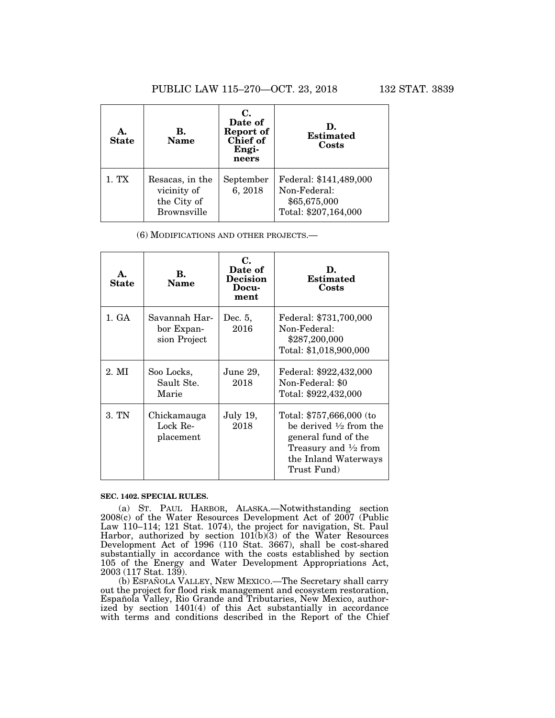# PUBLIC LAW 115-270-OCT. 23, 2018 132 STAT. 3839

| А.<br><b>State</b> | В.<br><b>Name</b>                                            | C.<br>Date of<br><b>Report of</b><br>Chief of<br>Engi-<br>neers | D.<br><b>Estimated</b><br>Costs                                                |
|--------------------|--------------------------------------------------------------|-----------------------------------------------------------------|--------------------------------------------------------------------------------|
| 1. TX              | Resacas, in the<br>vicinity of<br>the City of<br>Brownsville | September<br>6, 2018                                            | Federal: \$141,489,000<br>Non-Federal:<br>\$65,675,000<br>Total: \$207,164,000 |

(6) MODIFICATIONS AND OTHER PROJECTS.—

| Α.<br>State | В.<br><b>Name</b>                           | С.<br>Date of<br><b>Decision</b><br>Docu-<br>ment | D.<br><b>Estimated</b><br>Costs                                                                                                                                |
|-------------|---------------------------------------------|---------------------------------------------------|----------------------------------------------------------------------------------------------------------------------------------------------------------------|
| 1. G A      | Savannah Har-<br>bor Expan-<br>sion Project | Dec. 5,<br>2016                                   | Federal: \$731,700,000<br>Non-Federal:<br>\$287,200,000<br>Total: \$1,018,900,000                                                                              |
| 2. MI       | Soo Locks,<br>Sault Ste.<br>Marie           | June 29,<br>2018                                  | Federal: \$922,432,000<br>Non-Federal: \$0<br>Total: \$922,432,000                                                                                             |
| 3. TN       | Chickamauga<br>Lock Re-<br>placement        | July 19,<br>2018                                  | Total: \$757,666,000 (to<br>be derived $\frac{1}{2}$ from the<br>general fund of the<br>Treasury and $\frac{1}{2}$ from<br>the Inland Waterways<br>Trust Fund) |

# **SEC. 1402. SPECIAL RULES.**

(a) ST. PAUL HARBOR, ALASKA.—Notwithstanding section 2008(c) of the Water Resources Development Act of 2007 (Public Law 110–114; 121 Stat. 1074), the project for navigation, St. Paul Harbor, authorized by section 101(b)(3) of the Water Resources Development Act of 1996 (110 Stat. 3667), shall be cost-shared substantially in accordance with the costs established by section 105 of the Energy and Water Development Appropriations Act, 2003 (117 Stat. 139).

(b) ESPAÑOLA VALLEY, NEW MEXICO.—The Secretary shall carry out the project for flood risk management and ecosystem restoration, Española Valley, Rio Grande and Tributaries, New Mexico, authorized by section 1401(4) of this Act substantially in accordance with terms and conditions described in the Report of the Chief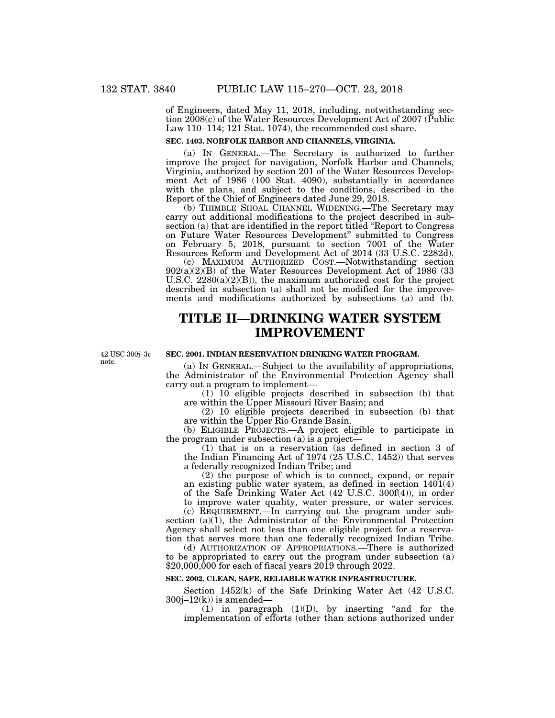of Engineers, dated May 11, 2018, including, notwithstanding section 2008(c) of the Water Resources Development Act of 2007 (Public Law 110–114; 121 Stat. 1074), the recommended cost share.

# **SEC. 1403. NORFOLK HARBOR AND CHANNELS, VIRGINIA.**

(a) IN GENERAL.—The Secretary is authorized to further improve the project for navigation, Norfolk Harbor and Channels, Virginia, authorized by section 201 of the Water Resources Development Act of 1986 (100 Stat. 4090), substantially in accordance with the plans, and subject to the conditions, described in the Report of the Chief of Engineers dated June 29, 2018.

(b) THIMBLE SHOAL CHANNEL WIDENING.—The Secretary may carry out additional modifications to the project described in subsection (a) that are identified in the report titled "Report to Congress" on Future Water Resources Development'' submitted to Congress on February 5, 2018, pursuant to section 7001 of the Water Resources Reform and Development Act of 2014 (33 U.S.C. 2282d).

(c) MAXIMUM AUTHORIZED COST.—Notwithstanding section 902(a)(2)(B) of the Water Resources Development Act of 1986 (33 U.S.C. 2280(a)(2)(B)), the maximum authorized cost for the project described in subsection (a) shall not be modified for the improvements and modifications authorized by subsections (a) and (b).

# **TITLE II—DRINKING WATER SYSTEM IMPROVEMENT**

42 USC 300j–3c note.

# **SEC. 2001. INDIAN RESERVATION DRINKING WATER PROGRAM.**

(a) IN GENERAL.—Subject to the availability of appropriations, the Administrator of the Environmental Protection Agency shall carry out a program to implement—

(1) 10 eligible projects described in subsection (b) that are within the Upper Missouri River Basin; and

(2) 10 eligible projects described in subsection (b) that are within the Upper Rio Grande Basin.

(b) ELIGIBLE PROJECTS.—A project eligible to participate in the program under subsection  $(a)$  is a project-

(1) that is on a reservation (as defined in section 3 of the Indian Financing Act of 1974 (25 U.S.C. 1452)) that serves a federally recognized Indian Tribe; and

(2) the purpose of which is to connect, expand, or repair an existing public water system, as defined in section 1401(4) of the Safe Drinking Water Act (42 U.S.C. 300f(4)), in order to improve water quality, water pressure, or water services.

(c) REQUIREMENT.—In carrying out the program under subsection (a)(1), the Administrator of the Environmental Protection Agency shall select not less than one eligible project for a reservation that serves more than one federally recognized Indian Tribe.

(d) AUTHORIZATION OF APPROPRIATIONS.—There is authorized to be appropriated to carry out the program under subsection (a) \$20,000,000 for each of fiscal years 2019 through 2022.

## **SEC. 2002. CLEAN, SAFE, RELIABLE WATER INFRASTRUCTURE.**

Section 1452(k) of the Safe Drinking Water Act (42 U.S.C.  $300j-12(k)$  is amended-

 $(1)$  in paragraph  $(1)(D)$ , by inserting "and for the implementation of efforts (other than actions authorized under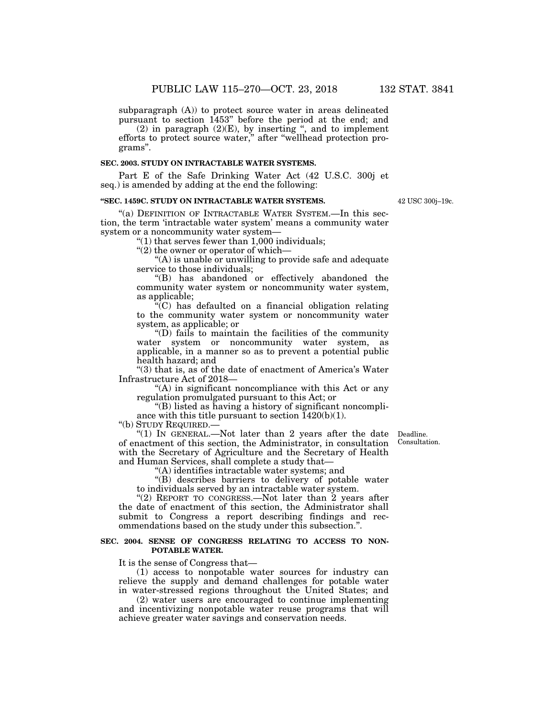subparagraph (A)) to protect source water in areas delineated pursuant to section 1453'' before the period at the end; and

 $(2)$  in paragraph  $(2)(E)$ , by inserting ", and to implement efforts to protect source water,'' after ''wellhead protection programs''.

# **SEC. 2003. STUDY ON INTRACTABLE WATER SYSTEMS.**

Part E of the Safe Drinking Water Act (42 U.S.C. 300j et seq.) is amended by adding at the end the following:

# **''SEC. 1459C. STUDY ON INTRACTABLE WATER SYSTEMS.**

''(a) DEFINITION OF INTRACTABLE WATER SYSTEM.—In this section, the term 'intractable water system' means a community water system or a noncommunity water system—

" $(1)$  that serves fewer than 1,000 individuals;

''(2) the owner or operator of which—

''(A) is unable or unwilling to provide safe and adequate service to those individuals;

''(B) has abandoned or effectively abandoned the community water system or noncommunity water system, as applicable;

 $\langle C \rangle$  has defaulted on a financial obligation relating to the community water system or noncommunity water system, as applicable; or

''(D) fails to maintain the facilities of the community water system or noncommunity water system, as applicable, in a manner so as to prevent a potential public health hazard; and

''(3) that is, as of the date of enactment of America's Water Infrastructure Act of 2018—

''(A) in significant noncompliance with this Act or any regulation promulgated pursuant to this Act; or

''(B) listed as having a history of significant noncompliance with this title pursuant to section 1420(b)(1).

''(b) STUDY REQUIRED.—

"(1) IN GENERAL.—Not later than 2 years after the date of enactment of this section, the Administrator, in consultation with the Secretary of Agriculture and the Secretary of Health and Human Services, shall complete a study that—

''(A) identifies intractable water systems; and

''(B) describes barriers to delivery of potable water to individuals served by an intractable water system.

"(2) REPORT TO CONGRESS.—Not later than 2 years after the date of enactment of this section, the Administrator shall submit to Congress a report describing findings and recommendations based on the study under this subsection.''.

## **SEC. 2004. SENSE OF CONGRESS RELATING TO ACCESS TO NON-POTABLE WATER.**

It is the sense of Congress that—

(1) access to nonpotable water sources for industry can relieve the supply and demand challenges for potable water in water-stressed regions throughout the United States; and

(2) water users are encouraged to continue implementing and incentivizing nonpotable water reuse programs that will achieve greater water savings and conservation needs.

Deadline. Consultation.

42 USC 300j–19c.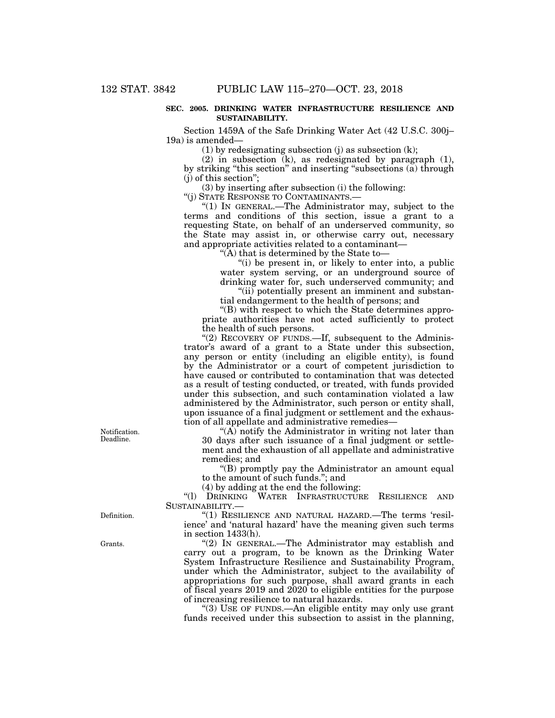## **SEC. 2005. DRINKING WATER INFRASTRUCTURE RESILIENCE AND SUSTAINABILITY.**

Section 1459A of the Safe Drinking Water Act (42 U.S.C. 300j– 19a) is amended—

(1) by redesignating subsection (j) as subsection  $(k)$ ;

(2) in subsection (k), as redesignated by paragraph (1), by striking ''this section'' and inserting ''subsections (a) through (j) of this section'';

(3) by inserting after subsection (i) the following:

''(j) STATE RESPONSE TO CONTAMINANTS.—

"(1) IN GENERAL.—The Administrator may, subject to the terms and conditions of this section, issue a grant to a requesting State, on behalf of an underserved community, so the State may assist in, or otherwise carry out, necessary and appropriate activities related to a contaminant—

" $(A)$  that is determined by the State to-

"(i) be present in, or likely to enter into, a public water system serving, or an underground source of drinking water for, such underserved community; and ''(ii) potentially present an imminent and substan-

tial endangerment to the health of persons; and

''(B) with respect to which the State determines appropriate authorities have not acted sufficiently to protect the health of such persons.

"(2) RECOVERY OF FUNDS.—If, subsequent to the Administrator's award of a grant to a State under this subsection, any person or entity (including an eligible entity), is found by the Administrator or a court of competent jurisdiction to have caused or contributed to contamination that was detected as a result of testing conducted, or treated, with funds provided under this subsection, and such contamination violated a law administered by the Administrator, such person or entity shall, upon issuance of a final judgment or settlement and the exhaustion of all appellate and administrative remedies—

"(A) notify the Administrator in writing not later than 30 days after such issuance of a final judgment or settlement and the exhaustion of all appellate and administrative remedies; and

''(B) promptly pay the Administrator an amount equal to the amount of such funds.''; and

(4) by adding at the end the following:

''(l) DRINKING WATER INFRASTRUCTURE RESILIENCE AND SUSTAINABILITY.—

''(1) RESILIENCE AND NATURAL HAZARD.—The terms 'resilience' and 'natural hazard' have the meaning given such terms in section 1433(h).

''(2) IN GENERAL.—The Administrator may establish and carry out a program, to be known as the Drinking Water System Infrastructure Resilience and Sustainability Program, under which the Administrator, subject to the availability of appropriations for such purpose, shall award grants in each of fiscal years 2019 and 2020 to eligible entities for the purpose of increasing resilience to natural hazards.

''(3) USE OF FUNDS.—An eligible entity may only use grant funds received under this subsection to assist in the planning,

Notification. Deadline.

Definition.

Grants.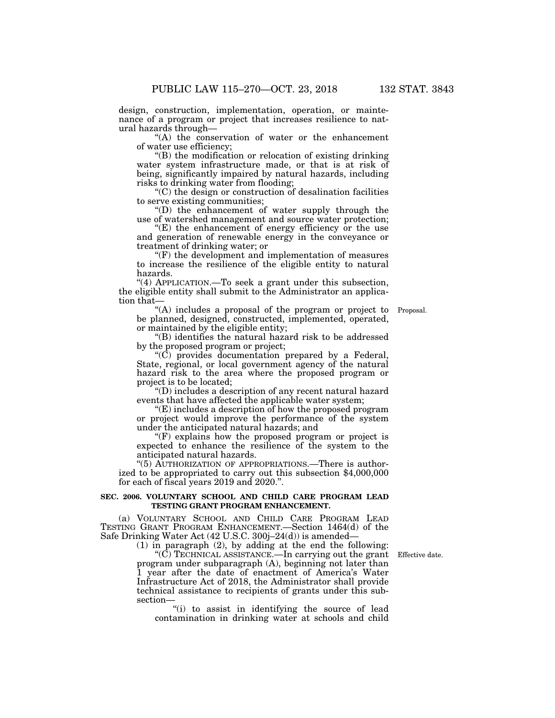design, construction, implementation, operation, or maintenance of a program or project that increases resilience to natural hazards through—

''(A) the conservation of water or the enhancement of water use efficiency;

''(B) the modification or relocation of existing drinking water system infrastructure made, or that is at risk of being, significantly impaired by natural hazards, including risks to drinking water from flooding;

''(C) the design or construction of desalination facilities to serve existing communities;

''(D) the enhancement of water supply through the use of watershed management and source water protection;

"(E) the enhancement of energy efficiency or the use and generation of renewable energy in the conveyance or treatment of drinking water; or

 $f(F)$  the development and implementation of measures to increase the resilience of the eligible entity to natural hazards.

"(4) APPLICATION.—To seek a grant under this subsection, the eligible entity shall submit to the Administrator an application that-

''(A) includes a proposal of the program or project to Proposal. be planned, designed, constructed, implemented, operated, or maintained by the eligible entity;

''(B) identifies the natural hazard risk to be addressed by the proposed program or project;

''(C) provides documentation prepared by a Federal, State, regional, or local government agency of the natural hazard risk to the area where the proposed program or project is to be located;

''(D) includes a description of any recent natural hazard events that have affected the applicable water system;

''(E) includes a description of how the proposed program or project would improve the performance of the system under the anticipated natural hazards; and

 $f(F)$  explains how the proposed program or project is expected to enhance the resilience of the system to the anticipated natural hazards.

''(5) AUTHORIZATION OF APPROPRIATIONS.—There is authorized to be appropriated to carry out this subsection \$4,000,000 for each of fiscal years 2019 and 2020.''.

### **SEC. 2006. VOLUNTARY SCHOOL AND CHILD CARE PROGRAM LEAD TESTING GRANT PROGRAM ENHANCEMENT.**

(a) VOLUNTARY SCHOOL AND CHILD CARE PROGRAM LEAD TESTING GRANT PROGRAM ENHANCEMENT.—Section 1464(d) of the Safe Drinking Water Act (42 U.S.C. 300j–24(d)) is amended—

Effective date.

(1) in paragraph (2), by adding at the end the following: ''(C) TECHNICAL ASSISTANCE.—In carrying out the grant program under subparagraph (A), beginning not later than 1 year after the date of enactment of America's Water Infrastructure Act of 2018, the Administrator shall provide technical assistance to recipients of grants under this subsection—

''(i) to assist in identifying the source of lead contamination in drinking water at schools and child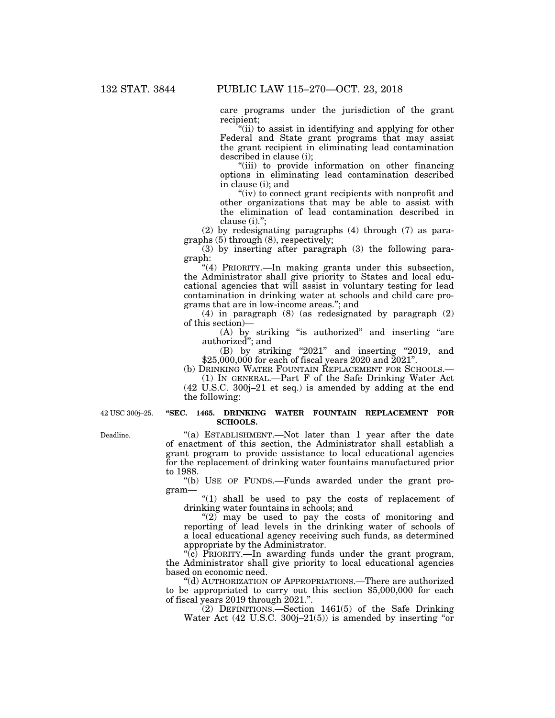care programs under the jurisdiction of the grant recipient;

''(ii) to assist in identifying and applying for other Federal and State grant programs that may assist the grant recipient in eliminating lead contamination described in clause (i);

''(iii) to provide information on other financing options in eliminating lead contamination described in clause (i); and

"(iv) to connect grant recipients with nonprofit and other organizations that may be able to assist with the elimination of lead contamination described in clause (i).'';

(2) by redesignating paragraphs (4) through (7) as paragraphs (5) through (8), respectively;

(3) by inserting after paragraph (3) the following paragraph:

"(4) PRIORITY.—In making grants under this subsection, the Administrator shall give priority to States and local educational agencies that will assist in voluntary testing for lead contamination in drinking water at schools and child care programs that are in low-income areas.''; and

(4) in paragraph (8) (as redesignated by paragraph (2) of this section)—

(A) by striking "is authorized" and inserting "are authorized''; and

(B) by striking ''2021'' and inserting ''2019, and \$25,000,000 for each of fiscal years 2020 and 2021".

(b) DRINKING WATER FOUNTAIN REPLACEMENT FOR SCHOOLS.—

(1) IN GENERAL.—Part F of the Safe Drinking Water Act (42 U.S.C. 300j–21 et seq.) is amended by adding at the end the following:

42 USC 300j–25.

# **''SEC. 1465. DRINKING WATER FOUNTAIN REPLACEMENT FOR SCHOOLS.**

"(a) ESTABLISHMENT.—Not later than 1 year after the date of enactment of this section, the Administrator shall establish a grant program to provide assistance to local educational agencies for the replacement of drinking water fountains manufactured prior to 1988.

''(b) USE OF FUNDS.—Funds awarded under the grant program—

''(1) shall be used to pay the costs of replacement of drinking water fountains in schools; and

" $(2)$  may be used to pay the costs of monitoring and reporting of lead levels in the drinking water of schools of a local educational agency receiving such funds, as determined appropriate by the Administrator.

''(c) PRIORITY.—In awarding funds under the grant program, the Administrator shall give priority to local educational agencies based on economic need.

''(d) AUTHORIZATION OF APPROPRIATIONS.—There are authorized to be appropriated to carry out this section \$5,000,000 for each of fiscal years 2019 through 2021.''.

(2) DEFINITIONS.—Section 1461(5) of the Safe Drinking Water Act (42 U.S.C. 300j–21(5)) is amended by inserting "or

Deadline.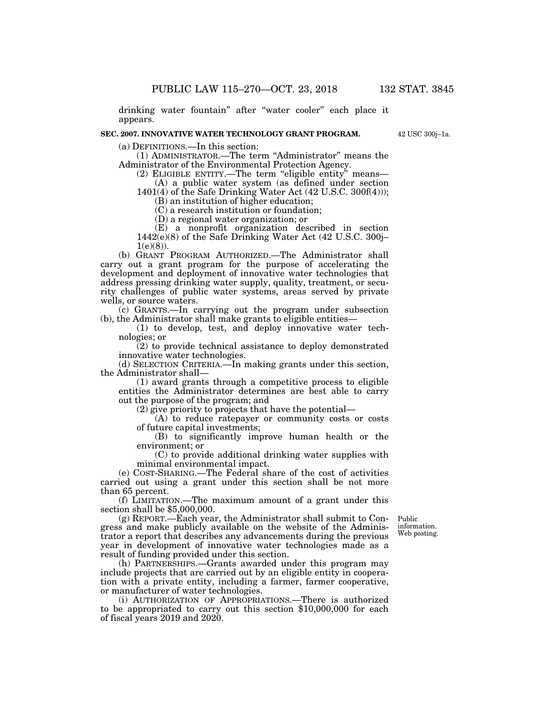drinking water fountain'' after ''water cooler'' each place it appears.

#### **SEC. 2007. INNOVATIVE WATER TECHNOLOGY GRANT PROGRAM.**

42 USC 300j–1a.

(a) DEFINITIONS.—In this section:

(1) ADMINISTRATOR.—The term ''Administrator'' means the Administrator of the Environmental Protection Agency.

(2) ELIGIBLE ENTITY.—The term ''eligible entity'' means— (A) a public water system (as defined under section

1401(4) of the Safe Drinking Water Act (42 U.S.C. 300f(4)));

(B) an institution of higher education;

(C) a research institution or foundation;

(D) a regional water organization; or

(E) a nonprofit organization described in section 1442(e)(8) of the Safe Drinking Water Act (42 U.S.C. 300j–  $1(e)(8)$ ).

(b) GRANT PROGRAM AUTHORIZED.—The Administrator shall carry out a grant program for the purpose of accelerating the development and deployment of innovative water technologies that address pressing drinking water supply, quality, treatment, or security challenges of public water systems, areas served by private wells, or source waters.

(c) GRANTS.—In carrying out the program under subsection (b), the Administrator shall make grants to eligible entities—

(1) to develop, test, and deploy innovative water technologies; or

(2) to provide technical assistance to deploy demonstrated innovative water technologies.

(d) SELECTION CRITERIA.—In making grants under this section, the Administrator shall—

(1) award grants through a competitive process to eligible entities the Administrator determines are best able to carry out the purpose of the program; and

(2) give priority to projects that have the potential—

(A) to reduce ratepayer or community costs or costs of future capital investments;

(B) to significantly improve human health or the environment; or

(C) to provide additional drinking water supplies with minimal environmental impact.

(e) COST-SHARING.—The Federal share of the cost of activities carried out using a grant under this section shall be not more than 65 percent.

(f) LIMITATION.—The maximum amount of a grant under this section shall be \$5,000,000.

(g) REPORT.—Each year, the Administrator shall submit to Congress and make publicly available on the website of the Administrator a report that describes any advancements during the previous year in development of innovative water technologies made as a result of funding provided under this section.

(h) PARTNERSHIPS.—Grants awarded under this program may include projects that are carried out by an eligible entity in cooperation with a private entity, including a farmer, farmer cooperative, or manufacturer of water technologies.

(i) AUTHORIZATION OF APPROPRIATIONS.—There is authorized to be appropriated to carry out this section \$10,000,000 for each of fiscal years 2019 and 2020.

Public information. Web posting.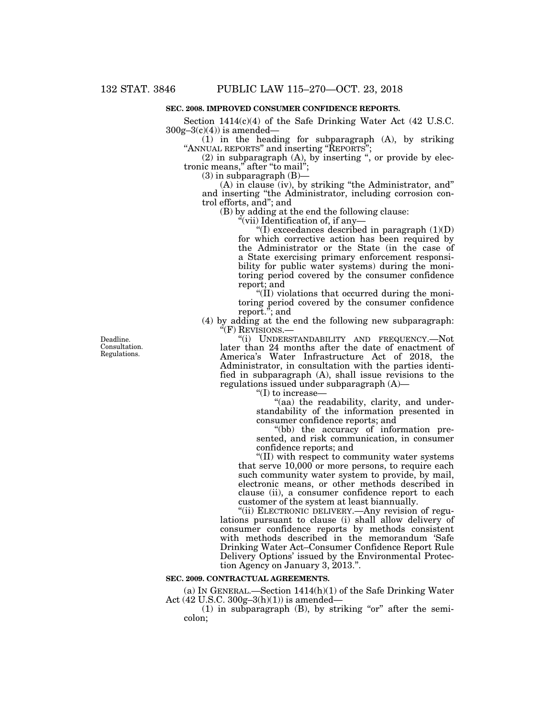# **SEC. 2008. IMPROVED CONSUMER CONFIDENCE REPORTS.**

Section  $1414(c)(4)$  of the Safe Drinking Water Act (42 U.S.C.  $300g-3(c)(4)$ ) is amended—

(1) in the heading for subparagraph (A), by striking ''ANNUAL REPORTS'' and inserting ''REPORTS'';

 $(2)$  in subparagraph  $(A)$ , by inserting ", or provide by electronic means,'' after ''to mail'';

 $(3)$  in subparagraph  $(B)$ —

(A) in clause (iv), by striking ''the Administrator, and'' and inserting ''the Administrator, including corrosion control efforts, and''; and

(B) by adding at the end the following clause:

''(vii) Identification of, if any—

"(I) exceedances described in paragraph  $(1)(D)$ for which corrective action has been required by the Administrator or the State (in the case of a State exercising primary enforcement responsibility for public water systems) during the monitoring period covered by the consumer confidence report; and

''(II) violations that occurred during the monitoring period covered by the consumer confidence report.''; and

(4) by adding at the end the following new subparagraph: "(F) REVISIONS.-

''(i) UNDERSTANDABILITY AND FREQUENCY.—Not later than 24 months after the date of enactment of America's Water Infrastructure Act of 2018, the Administrator, in consultation with the parties identified in subparagraph (A), shall issue revisions to the regulations issued under subparagraph (A)—

''(I) to increase—

''(aa) the readability, clarity, and understandability of the information presented in consumer confidence reports; and

"(bb) the accuracy of information presented, and risk communication, in consumer confidence reports; and

''(II) with respect to community water systems that serve 10,000 or more persons, to require each such community water system to provide, by mail, electronic means, or other methods described in clause (ii), a consumer confidence report to each customer of the system at least biannually.

"(ii) ELECTRONIC DELIVERY. Any revision of regulations pursuant to clause (i) shall allow delivery of consumer confidence reports by methods consistent with methods described in the memorandum 'Safe Drinking Water Act–Consumer Confidence Report Rule Delivery Options' issued by the Environmental Protection Agency on January 3, 2013.''.

### **SEC. 2009. CONTRACTUAL AGREEMENTS.**

(a) IN GENERAL.—Section  $1414(h)(1)$  of the Safe Drinking Water Act  $(42 \text{ U.S.C. } 300g-3(h)(1))$  is amended—

(1) in subparagraph (B), by striking "or" after the semicolon;

Deadline. Consultation. Regulations.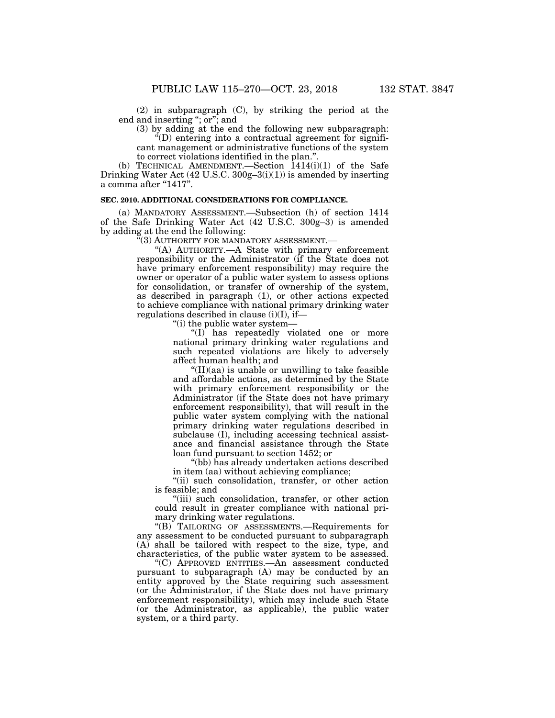(2) in subparagraph (C), by striking the period at the end and inserting "; or"; and

(3) by adding at the end the following new subparagraph:

''(D) entering into a contractual agreement for significant management or administrative functions of the system to correct violations identified in the plan.''.

(b) TECHNICAL AMENDMENT.—Section  $1414(i)(1)$  of the Safe Drinking Water Act  $(42 \text{ U.S.C. } 300 \text{g} - 3(i)(1))$  is amended by inserting a comma after "1417".

# **SEC. 2010. ADDITIONAL CONSIDERATIONS FOR COMPLIANCE.**

(a) MANDATORY ASSESSMENT.—Subsection (h) of section 1414 of the Safe Drinking Water Act (42 U.S.C. 300g–3) is amended by adding at the end the following:

''(3) AUTHORITY FOR MANDATORY ASSESSMENT.—

"(A) AUTHORITY.—A State with primary enforcement responsibility or the Administrator (if the State does not have primary enforcement responsibility) may require the owner or operator of a public water system to assess options for consolidation, or transfer of ownership of the system, as described in paragraph (1), or other actions expected to achieve compliance with national primary drinking water regulations described in clause (i)(I), if—

''(i) the public water system—

''(I) has repeatedly violated one or more national primary drinking water regulations and such repeated violations are likely to adversely affect human health; and

 $\frac{f''(II)(aa)}{I''(II)(aa)}$  is unable or unwilling to take feasible and affordable actions, as determined by the State with primary enforcement responsibility or the Administrator (if the State does not have primary enforcement responsibility), that will result in the public water system complying with the national primary drinking water regulations described in subclause (I), including accessing technical assistance and financial assistance through the State loan fund pursuant to section 1452; or

''(bb) has already undertaken actions described in item (aa) without achieving compliance;

''(ii) such consolidation, transfer, or other action is feasible; and

"(iii) such consolidation, transfer, or other action could result in greater compliance with national primary drinking water regulations.

''(B) TAILORING OF ASSESSMENTS.—Requirements for any assessment to be conducted pursuant to subparagraph (A) shall be tailored with respect to the size, type, and characteristics, of the public water system to be assessed.

''(C) APPROVED ENTITIES.—An assessment conducted pursuant to subparagraph (A) may be conducted by an entity approved by the State requiring such assessment (or the Administrator, if the State does not have primary enforcement responsibility), which may include such State (or the Administrator, as applicable), the public water system, or a third party.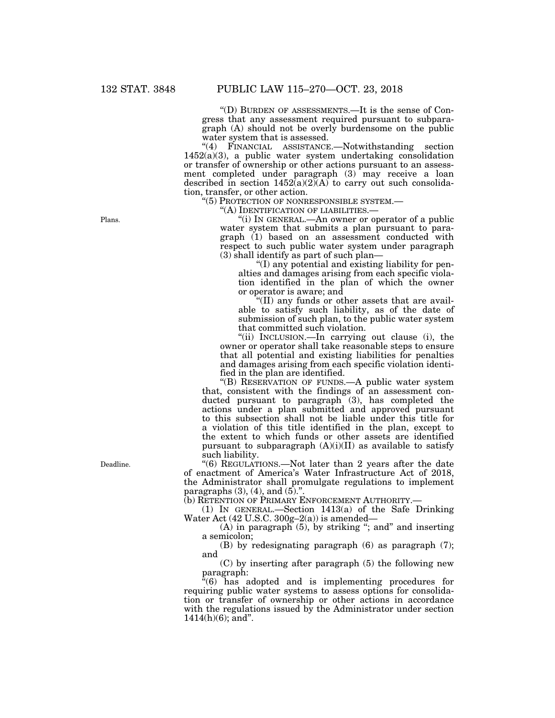''(D) BURDEN OF ASSESSMENTS.—It is the sense of Congress that any assessment required pursuant to subparagraph (A) should not be overly burdensome on the public water system that is assessed.

''(4) FINANCIAL ASSISTANCE.—Notwithstanding section  $1452(a)(3)$ , a public water system undertaking consolidation or transfer of ownership or other actions pursuant to an assessment completed under paragraph (3) may receive a loan described in section  $1452(a)(2)(A)$  to carry out such consolidation, transfer, or other action.<br>
"(5) PROTECTION OF NONRESPONSIBLE SYSTEM.—

"(A) IDENTIFICATION OF LIABILITIES.—<br>"(i) IN GENERAL.—An owner or operator of a public water system that submits a plan pursuant to paragraph (1) based on an assessment conducted with respect to such public water system under paragraph (3) shall identify as part of such plan—

''(I) any potential and existing liability for penalties and damages arising from each specific violation identified in the plan of which the owner or operator is aware; and

''(II) any funds or other assets that are available to satisfy such liability, as of the date of submission of such plan, to the public water system that committed such violation.

''(ii) INCLUSION.—In carrying out clause (i), the owner or operator shall take reasonable steps to ensure that all potential and existing liabilities for penalties and damages arising from each specific violation identified in the plan are identified.

''(B) RESERVATION OF FUNDS.—A public water system that, consistent with the findings of an assessment conducted pursuant to paragraph  $(3)$ , has completed the actions under a plan submitted and approved pursuant to this subsection shall not be liable under this title for a violation of this title identified in the plan, except to the extent to which funds or other assets are identified pursuant to subparagraph  $(A)(i)(II)$  as available to satisfy such liability.

''(6) REGULATIONS.—Not later than 2 years after the date of enactment of America's Water Infrastructure Act of 2018, the Administrator shall promulgate regulations to implement paragraphs  $(3)$ ,  $(4)$ , and  $(5)$ .".

(b) RETENTION OF PRIMARY ENFORCEMENT AUTHORITY.—

(1) IN GENERAL.—Section 1413(a) of the Safe Drinking Water Act  $(42 \text{ U.S.C. } 300 \text{g} - 2(\text{a}))$  is amended—

 $(A)$  in paragraph  $(5)$ , by striking "; and" and inserting a semicolon;

(B) by redesignating paragraph (6) as paragraph (7); and

(C) by inserting after paragraph (5) the following new paragraph:

''(6) has adopted and is implementing procedures for requiring public water systems to assess options for consolidation or transfer of ownership or other actions in accordance with the regulations issued by the Administrator under section  $1414(h)(6)$ ; and".

Plans.

Deadline.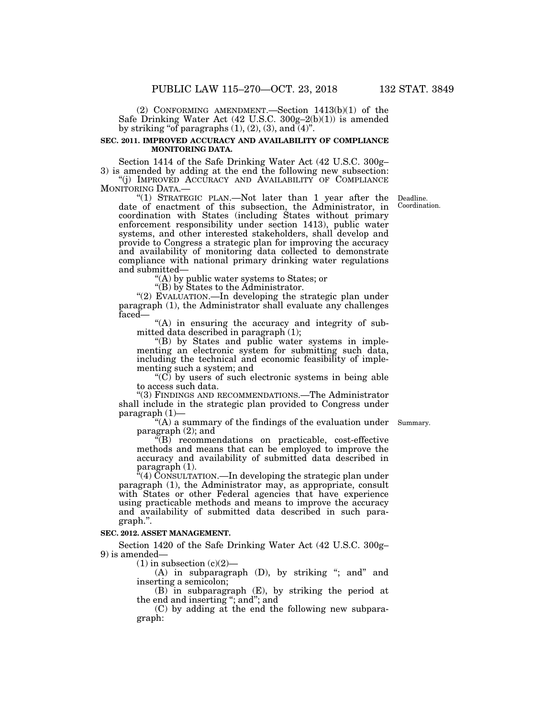(2) CONFORMING AMENDMENT.—Section 1413(b)(1) of the Safe Drinking Water Act (42 U.S.C. 300g–2(b)(1)) is amended by striking "of paragraphs  $(1)$ ,  $(2)$ ,  $(3)$ , and  $(4)$ ".

## **SEC. 2011. IMPROVED ACCURACY AND AVAILABILITY OF COMPLIANCE MONITORING DATA.**

Section 1414 of the Safe Drinking Water Act (42 U.S.C. 300g– 3) is amended by adding at the end the following new subsection: ''(j) IMPROVED ACCURACY AND AVAILABILITY OF COMPLIANCE

"(1) STRATEGIC PLAN.—Not later than 1 year after the date of enactment of this subsection, the Administrator, in coordination with States (including States without primary enforcement responsibility under section 1413), public water systems, and other interested stakeholders, shall develop and provide to Congress a strategic plan for improving the accuracy and availability of monitoring data collected to demonstrate compliance with national primary drinking water regulations and submitted—

''(A) by public water systems to States; or

''(B) by States to the Administrator.

"(2) EVALUATION.—In developing the strategic plan under paragraph (1), the Administrator shall evaluate any challenges faced—

"(A) in ensuring the accuracy and integrity of submitted data described in paragraph (1);

''(B) by States and public water systems in implementing an electronic system for submitting such data, including the technical and economic feasibility of implementing such a system; and

''(C) by users of such electronic systems in being able to access such data.

''(3) FINDINGS AND RECOMMENDATIONS.—The Administrator shall include in the strategic plan provided to Congress under paragraph (1)—

"(A) a summary of the findings of the evaluation under Summary. paragraph (2); and

 $\sqrt{\text{B}}$  recommendations on practicable, cost-effective methods and means that can be employed to improve the accuracy and availability of submitted data described in paragraph (1).

 $\sqrt{4}$ (4) CONSULTATION.—In developing the strategic plan under paragraph (1), the Administrator may, as appropriate, consult with States or other Federal agencies that have experience using practicable methods and means to improve the accuracy and availability of submitted data described in such paragraph.''.

## **SEC. 2012. ASSET MANAGEMENT.**

Section 1420 of the Safe Drinking Water Act (42 U.S.C. 300g– 9) is amended—

 $(1)$  in subsection  $(c)(2)$ —

(A) in subparagraph (D), by striking "; and" and inserting a semicolon;

(B) in subparagraph (E), by striking the period at the end and inserting ''; and''; and

(C) by adding at the end the following new subparagraph:

Deadline. Coordination.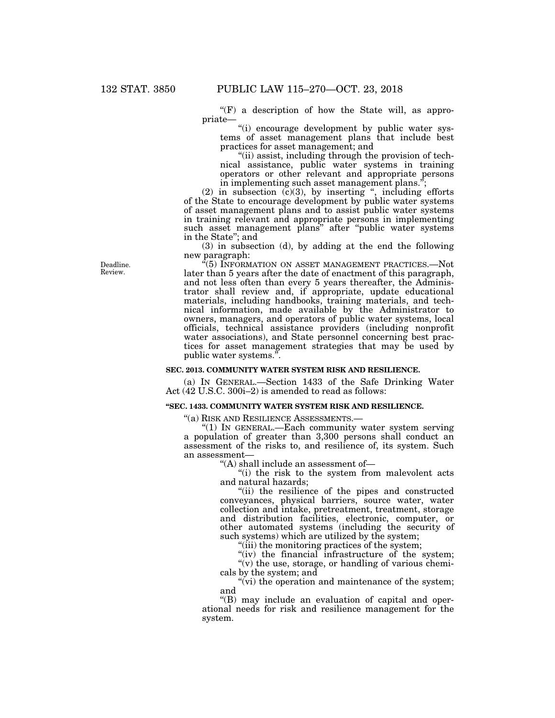$(F)$  a description of how the State will, as appropriate—

''(i) encourage development by public water systems of asset management plans that include best practices for asset management; and

''(ii) assist, including through the provision of technical assistance, public water systems in training operators or other relevant and appropriate persons in implementing such asset management plans.";

 $(2)$  in subsection  $(c)(3)$ , by inserting ", including efforts of the State to encourage development by public water systems of asset management plans and to assist public water systems in training relevant and appropriate persons in implementing such asset management plans" after "public water systems" in the State''; and

(3) in subsection (d), by adding at the end the following new paragraph:

 $F(5)$  INFORMATION ON ASSET MANAGEMENT PRACTICES.—Not later than 5 years after the date of enactment of this paragraph, and not less often than every 5 years thereafter, the Administrator shall review and, if appropriate, update educational materials, including handbooks, training materials, and technical information, made available by the Administrator to owners, managers, and operators of public water systems, local officials, technical assistance providers (including nonprofit water associations), and State personnel concerning best practices for asset management strategies that may be used by public water systems.''.

## **SEC. 2013. COMMUNITY WATER SYSTEM RISK AND RESILIENCE.**

(a) IN GENERAL.—Section 1433 of the Safe Drinking Water Act (42 U.S.C. 300i–2) is amended to read as follows:

### **''SEC. 1433. COMMUNITY WATER SYSTEM RISK AND RESILIENCE.**

''(a) RISK AND RESILIENCE ASSESSMENTS.— ''(1) IN GENERAL.—Each community water system serving a population of greater than 3,300 persons shall conduct an assessment of the risks to, and resilience of, its system. Such an assessment—

''(A) shall include an assessment of—

''(i) the risk to the system from malevolent acts and natural hazards;

"(ii) the resilience of the pipes and constructed conveyances, physical barriers, source water, water collection and intake, pretreatment, treatment, storage and distribution facilities, electronic, computer, or other automated systems (including the security of such systems) which are utilized by the system;

''(iii) the monitoring practices of the system;

"(iv) the financial infrastructure of the system;

"(v) the use, storage, or handling of various chemicals by the system; and

" $(vi)$  the operation and maintenance of the system; and

''(B) may include an evaluation of capital and operational needs for risk and resilience management for the system.

Deadline. Review.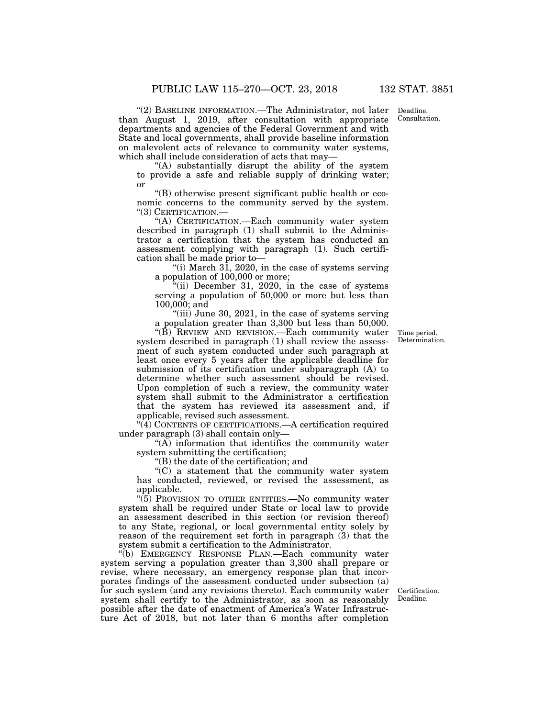''(2) BASELINE INFORMATION.—The Administrator, not later than August 1, 2019, after consultation with appropriate departments and agencies of the Federal Government and with State and local governments, shall provide baseline information on malevolent acts of relevance to community water systems, which shall include consideration of acts that may—

"(A) substantially disrupt the ability of the system to provide a safe and reliable supply of drinking water; or

''(B) otherwise present significant public health or economic concerns to the community served by the system. ''(3) CERTIFICATION.—

''(A) CERTIFICATION.—Each community water system described in paragraph (1) shall submit to the Administrator a certification that the system has conducted an assessment complying with paragraph (1). Such certification shall be made prior to—

"(i) March  $3\overline{1}$ ,  $2020$ , in the case of systems serving a population of 100,000 or more;

 $\alpha$ <sup>"</sup>(ii) December 31, 2020, in the case of systems serving a population of 50,000 or more but less than 100,000; and

"(iii) June 30, 2021, in the case of systems serving a population greater than 3,300 but less than 50,000.

" $(\hat{B})$  REVIEW AND REVISION.—Each community water system described in paragraph (1) shall review the assessment of such system conducted under such paragraph at least once every 5 years after the applicable deadline for submission of its certification under subparagraph (A) to determine whether such assessment should be revised. Upon completion of such a review, the community water system shall submit to the Administrator a certification that the system has reviewed its assessment and, if applicable, revised such assessment.

 $\sqrt[4]{4}$  CONTENTS OF CERTIFICATIONS.—A certification required under paragraph (3) shall contain only—

 $\sqrt{\rm A}$ ) information that identifies the community water system submitting the certification;

''(B) the date of the certification; and

''(C) a statement that the community water system has conducted, reviewed, or revised the assessment, as applicable.

" $(\tilde{5})$  Provision to other entities.—No community water system shall be required under State or local law to provide an assessment described in this section (or revision thereof) to any State, regional, or local governmental entity solely by reason of the requirement set forth in paragraph (3) that the system submit a certification to the Administrator.

''(b) EMERGENCY RESPONSE PLAN.—Each community water system serving a population greater than 3,300 shall prepare or revise, where necessary, an emergency response plan that incorporates findings of the assessment conducted under subsection (a) for such system (and any revisions thereto). Each community water system shall certify to the Administrator, as soon as reasonably possible after the date of enactment of America's Water Infrastructure Act of 2018, but not later than 6 months after completion

Certification. Deadline.

Time period. Determination.

Deadline. Consultation.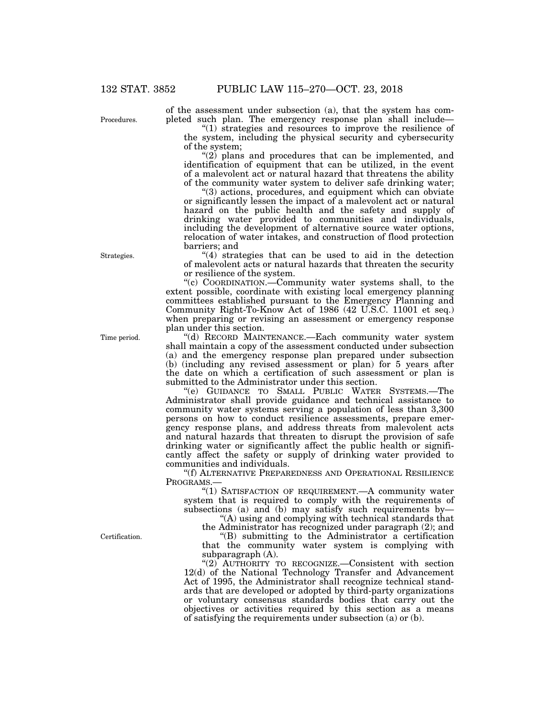Procedures.

of the assessment under subsection (a), that the system has completed such plan. The emergency response plan shall include—

" $(1)$  strategies and resources to improve the resilience of the system, including the physical security and cybersecurity of the system;

 $(2)$  plans and procedures that can be implemented, and identification of equipment that can be utilized, in the event of a malevolent act or natural hazard that threatens the ability of the community water system to deliver safe drinking water;

"(3) actions, procedures, and equipment which can obviate or significantly lessen the impact of a malevolent act or natural hazard on the public health and the safety and supply of drinking water provided to communities and individuals, including the development of alternative source water options, relocation of water intakes, and construction of flood protection barriers; and

 $(4)$  strategies that can be used to aid in the detection of malevolent acts or natural hazards that threaten the security or resilience of the system.

''(c) COORDINATION.—Community water systems shall, to the extent possible, coordinate with existing local emergency planning committees established pursuant to the Emergency Planning and Community Right-To-Know Act of 1986 (42 U.S.C. 11001 et seq.) when preparing or revising an assessment or emergency response plan under this section.

''(d) RECORD MAINTENANCE.—Each community water system shall maintain a copy of the assessment conducted under subsection (a) and the emergency response plan prepared under subsection (b) (including any revised assessment or plan) for 5 years after the date on which a certification of such assessment or plan is submitted to the Administrator under this section.

''(e) GUIDANCE TO SMALL PUBLIC WATER SYSTEMS.—The Administrator shall provide guidance and technical assistance to community water systems serving a population of less than 3,300 persons on how to conduct resilience assessments, prepare emergency response plans, and address threats from malevolent acts and natural hazards that threaten to disrupt the provision of safe drinking water or significantly affect the public health or significantly affect the safety or supply of drinking water provided to communities and individuals.

''(f) ALTERNATIVE PREPAREDNESS AND OPERATIONAL RESILIENCE PROGRAMS.—

"(1) SATISFACTION OF REQUIREMENT.—A community water system that is required to comply with the requirements of subsections (a) and (b) may satisfy such requirements by—

''(A) using and complying with technical standards that

the Administrator has recognized under paragraph (2); and ''(B) submitting to the Administrator a certification

that the community water system is complying with subparagraph (A).

"(2) AUTHORITY TO RECOGNIZE.—Consistent with section 12(d) of the National Technology Transfer and Advancement Act of 1995, the Administrator shall recognize technical standards that are developed or adopted by third-party organizations or voluntary consensus standards bodies that carry out the objectives or activities required by this section as a means of satisfying the requirements under subsection (a) or (b).

Time period.

Strategies.

Certification.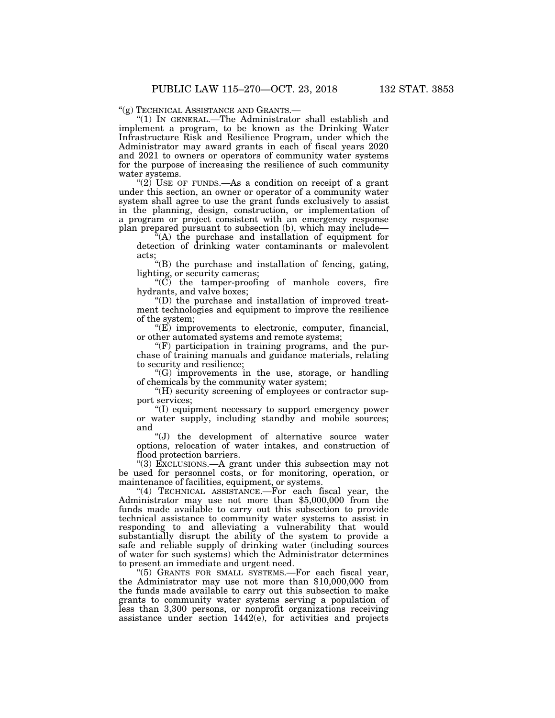''(g) TECHNICAL ASSISTANCE AND GRANTS.— ''(1) IN GENERAL.—The Administrator shall establish and implement a program, to be known as the Drinking Water Infrastructure Risk and Resilience Program, under which the Administrator may award grants in each of fiscal years 2020 and 2021 to owners or operators of community water systems for the purpose of increasing the resilience of such community water systems.

" $(2)$  USE OF FUNDS.—As a condition on receipt of a grant under this section, an owner or operator of a community water system shall agree to use the grant funds exclusively to assist in the planning, design, construction, or implementation of a program or project consistent with an emergency response plan prepared pursuant to subsection (b), which may include—

''(A) the purchase and installation of equipment for detection of drinking water contaminants or malevolent acts;

''(B) the purchase and installation of fencing, gating, lighting, or security cameras;

''(C) the tamper-proofing of manhole covers, fire hydrants, and valve boxes;

''(D) the purchase and installation of improved treatment technologies and equipment to improve the resilience of the system;

 $\mathcal{L}(E)$  improvements to electronic, computer, financial, or other automated systems and remote systems;

''(F) participation in training programs, and the purchase of training manuals and guidance materials, relating to security and resilience;

 $(C)$  improvements in the use, storage, or handling of chemicals by the community water system;

''(H) security screening of employees or contractor support services;

''(I) equipment necessary to support emergency power or water supply, including standby and mobile sources; and

''(J) the development of alternative source water options, relocation of water intakes, and construction of flood protection barriers.

''(3) EXCLUSIONS.—A grant under this subsection may not be used for personnel costs, or for monitoring, operation, or maintenance of facilities, equipment, or systems.

"(4) TECHNICAL ASSISTANCE.—For each fiscal year, the Administrator may use not more than \$5,000,000 from the funds made available to carry out this subsection to provide technical assistance to community water systems to assist in responding to and alleviating a vulnerability that would substantially disrupt the ability of the system to provide a safe and reliable supply of drinking water (including sources of water for such systems) which the Administrator determines to present an immediate and urgent need.

''(5) GRANTS FOR SMALL SYSTEMS.—For each fiscal year, the Administrator may use not more than \$10,000,000 from the funds made available to carry out this subsection to make grants to community water systems serving a population of less than 3,300 persons, or nonprofit organizations receiving assistance under section 1442(e), for activities and projects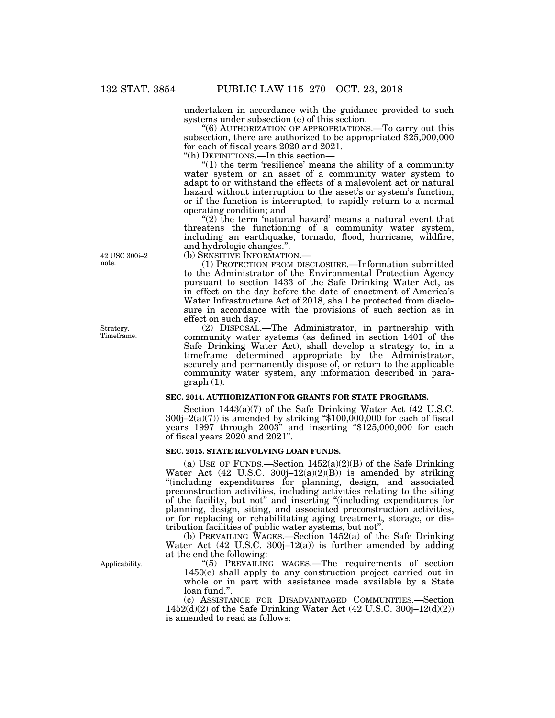undertaken in accordance with the guidance provided to such systems under subsection (e) of this section.

''(6) AUTHORIZATION OF APPROPRIATIONS.—To carry out this subsection, there are authorized to be appropriated \$25,000,000 for each of fiscal years 2020 and 2021.

''(h) DEFINITIONS.—In this section—

" $(1)$  the term 'resilience' means the ability of a community water system or an asset of a community water system to adapt to or withstand the effects of a malevolent act or natural hazard without interruption to the asset's or system's function, or if the function is interrupted, to rapidly return to a normal operating condition; and

" $(2)$  the term 'natural hazard' means a natural event that threatens the functioning of a community water system, including an earthquake, tornado, flood, hurricane, wildfire, and hydrologic changes.''.

(b) SENSITIVE INFORMATION.—

(1) PROTECTION FROM DISCLOSURE.—Information submitted to the Administrator of the Environmental Protection Agency pursuant to section 1433 of the Safe Drinking Water Act, as in effect on the day before the date of enactment of America's Water Infrastructure Act of 2018, shall be protected from disclosure in accordance with the provisions of such section as in effect on such day.

(2) DISPOSAL.—The Administrator, in partnership with community water systems (as defined in section 1401 of the Safe Drinking Water Act), shall develop a strategy to, in a timeframe determined appropriate by the Administrator, securely and permanently dispose of, or return to the applicable community water system, any information described in para $graph(1)$ .

### **SEC. 2014. AUTHORIZATION FOR GRANTS FOR STATE PROGRAMS.**

Section 1443(a)(7) of the Safe Drinking Water Act (42 U.S.C.  $300j-2(a)(7)$ ) is amended by striking "\$100,000,000 for each of fiscal years 1997 through 2003'' and inserting ''\$125,000,000 for each of fiscal years 2020 and 2021''.

### **SEC. 2015. STATE REVOLVING LOAN FUNDS.**

(a) USE OF FUNDS.—Section  $1452(a)(2)(B)$  of the Safe Drinking Water Act  $(42 \text{ U.S.C. } 300j-12(a)(2)(B))$  is amended by striking ''(including expenditures for planning, design, and associated preconstruction activities, including activities relating to the siting of the facility, but not'' and inserting ''(including expenditures for planning, design, siting, and associated preconstruction activities, or for replacing or rehabilitating aging treatment, storage, or distribution facilities of public water systems, but not''.

(b) PREVAILING WAGES.—Section 1452(a) of the Safe Drinking Water Act  $(42 \text{ U.S.C. } 300j-12(a))$  is further amended by adding at the end the following:

''(5) PREVAILING WAGES.—The requirements of section 1450(e) shall apply to any construction project carried out in whole or in part with assistance made available by a State loan fund.''.

(c) ASSISTANCE FOR DISADVANTAGED COMMUNITIES.—Section  $1452(d)(2)$  of the Safe Drinking Water Act  $(42 \text{ U.S.C. } 300j-12(d)(2))$ is amended to read as follows:

42 USC 300i–2 note.

Strategy. Timeframe.

Applicability.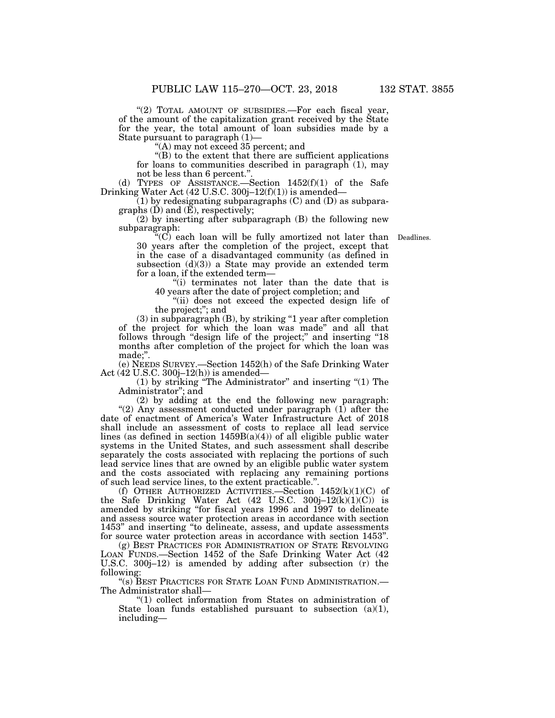"(2) TOTAL AMOUNT OF SUBSIDIES.-For each fiscal year, of the amount of the capitalization grant received by the State for the year, the total amount of loan subsidies made by a State pursuant to paragraph (1)—

''(A) may not exceed 35 percent; and

''(B) to the extent that there are sufficient applications for loans to communities described in paragraph (1), may not be less than 6 percent."

(d) TYPES OF ASSISTANCE.—Section  $1452(f)(1)$  of the Safe Drinking Water Act (42 U.S.C. 300j–12(f)(1)) is amended—

(1) by redesignating subparagraphs (C) and (D) as subparagraphs (D) and (E), respectively;

(2) by inserting after subparagraph (B) the following new subparagraph:

''(C) each loan will be fully amortized not later than Deadlines. 30 years after the completion of the project, except that in the case of a disadvantaged community (as defined in subsection (d)(3)) a State may provide an extended term for a loan, if the extended term—

''(i) terminates not later than the date that is 40 years after the date of project completion; and

''(ii) does not exceed the expected design life of the project;''; and

(3) in subparagraph (B), by striking ''1 year after completion of the project for which the loan was made'' and all that follows through "design life of the project;" and inserting "18 months after completion of the project for which the loan was made;''.

(e) NEEDS SURVEY.—Section 1452(h) of the Safe Drinking Water Act (42 U.S.C. 300j–12(h)) is amended—

(1) by striking ''The Administrator'' and inserting ''(1) The Administrator''; and

(2) by adding at the end the following new paragraph: "(2) Any assessment conducted under paragraph (1) after the date of enactment of America's Water Infrastructure Act of 2018 shall include an assessment of costs to replace all lead service lines (as defined in section  $1459B(a)(4)$ ) of all eligible public water systems in the United States, and such assessment shall describe separately the costs associated with replacing the portions of such lead service lines that are owned by an eligible public water system and the costs associated with replacing any remaining portions of such lead service lines, to the extent practicable.''.

(f) OTHER AUTHORIZED ACTIVITIES.—Section 1452(k)(1)(C) of the Safe Drinking Water Act  $(42 \text{ U.S.C. } 300j-12(k)(1)(C))$  is amended by striking ''for fiscal years 1996 and 1997 to delineate and assess source water protection areas in accordance with section 1453'' and inserting ''to delineate, assess, and update assessments for source water protection areas in accordance with section 1453''.

(g) BEST PRACTICES FOR ADMINISTRATION OF STATE REVOLVING LOAN FUNDS.—Section 1452 of the Safe Drinking Water Act (42 U.S.C. 300j–12) is amended by adding after subsection (r) the following:

''(s) BEST PRACTICES FOR STATE LOAN FUND ADMINISTRATION.— The Administrator shall—

''(1) collect information from States on administration of State loan funds established pursuant to subsection (a)(1), including—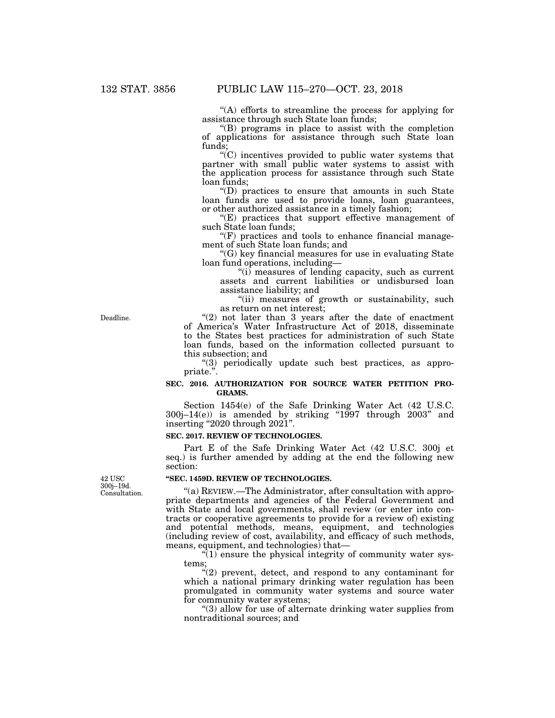''(A) efforts to streamline the process for applying for assistance through such State loan funds;

''(B) programs in place to assist with the completion of applications for assistance through such State loan funds;

''(C) incentives provided to public water systems that partner with small public water systems to assist with the application process for assistance through such State loan funds;

''(D) practices to ensure that amounts in such State loan funds are used to provide loans, loan guarantees, or other authorized assistance in a timely fashion;

 $E$ ) practices that support effective management of such State loan funds;

 $\mathcal{F}(F)$  practices and tools to enhance financial management of such State loan funds; and

''(G) key financial measures for use in evaluating State loan fund operations, including—

''(i) measures of lending capacity, such as current assets and current liabilities or undisbursed loan assistance liability; and

"(ii) measures of growth or sustainability, such as return on net interest;

" $(2)$  not later than 3 years after the date of enactment of America's Water Infrastructure Act of 2018, disseminate to the States best practices for administration of such State loan funds, based on the information collected pursuant to this subsection; and

''(3) periodically update such best practices, as appropriate."

# **SEC. 2016. AUTHORIZATION FOR SOURCE WATER PETITION PRO-GRAMS.**

Section 1454(e) of the Safe Drinking Water Act (42 U.S.C.  $300j-14(e)$  is amended by striking "1997 through  $2003$ " and inserting ''2020 through 2021''.

## **SEC. 2017. REVIEW OF TECHNOLOGIES.**

Part E of the Safe Drinking Water Act (42 U.S.C. 300j et seq.) is further amended by adding at the end the following new section:

### **''SEC. 1459D. REVIEW OF TECHNOLOGIES.**

42 USC 300j–19d. Consultation.

''(a) REVIEW.—The Administrator, after consultation with appropriate departments and agencies of the Federal Government and with State and local governments, shall review (or enter into contracts or cooperative agreements to provide for a review of) existing and potential methods, means, equipment, and technologies (including review of cost, availability, and efficacy of such methods, means, equipment, and technologies) that—

"(1) ensure the physical integrity of community water systems;

 $'(2)$  prevent, detect, and respond to any contaminant for which a national primary drinking water regulation has been promulgated in community water systems and source water for community water systems;

''(3) allow for use of alternate drinking water supplies from nontraditional sources; and

Deadline.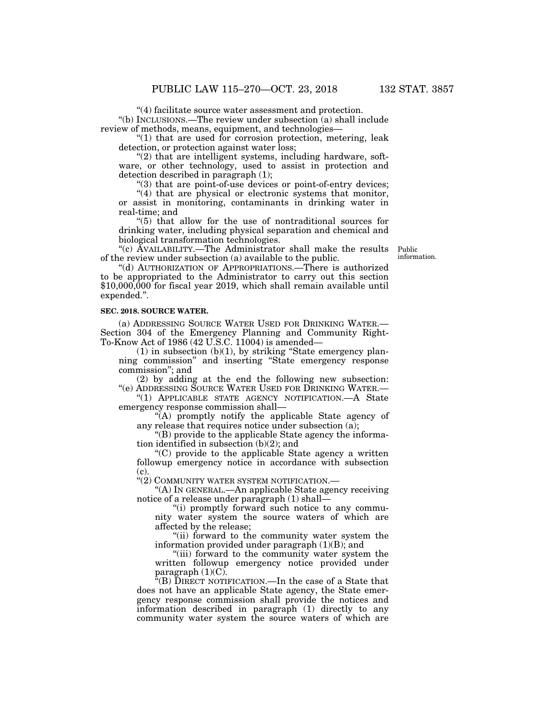''(4) facilitate source water assessment and protection.

"(b) INCLUSIONS.—The review under subsection  $\alpha$ ) shall include review of methods, means, equipment, and technologies—

''(1) that are used for corrosion protection, metering, leak detection, or protection against water loss;

 $(2)$  that are intelligent systems, including hardware, software, or other technology, used to assist in protection and detection described in paragraph (1);

"(3) that are point-of-use devices or point-of-entry devices;

"(4) that are physical or electronic systems that monitor, or assist in monitoring, contaminants in drinking water in real-time; and

''(5) that allow for the use of nontraditional sources for drinking water, including physical separation and chemical and biological transformation technologies.

''(c) AVAILABILITY.—The Administrator shall make the results of the review under subsection (a) available to the public.

Public information.

''(d) AUTHORIZATION OF APPROPRIATIONS.—There is authorized to be appropriated to the Administrator to carry out this section \$10,000,000 for fiscal year 2019, which shall remain available until expended.''.

# **SEC. 2018. SOURCE WATER.**

(a) ADDRESSING SOURCE WATER USED FOR DRINKING WATER.— Section 304 of the Emergency Planning and Community Right-To-Know Act of 1986 (42 U.S.C. 11004) is amended—

 $(1)$  in subsection  $(b)(1)$ , by striking "State emergency planning commission'' and inserting ''State emergency response commission''; and

(2) by adding at the end the following new subsection: ''(e) ADDRESSING SOURCE WATER USED FOR DRINKING WATER.—

"(1) APPLICABLE STATE AGENCY NOTIFICATION.—A State emergency response commission shall—

''(A) promptly notify the applicable State agency of any release that requires notice under subsection (a);

''(B) provide to the applicable State agency the information identified in subsection (b)(2); and

 $(C)$  provide to the applicable State agency a written followup emergency notice in accordance with subsection  $(c)$ .

"(2) COMMUNITY WATER SYSTEM NOTIFICATION.—

''(A) IN GENERAL.—An applicable State agency receiving notice of a release under paragraph (1) shall—

''(i) promptly forward such notice to any community water system the source waters of which are affected by the release;

''(ii) forward to the community water system the information provided under paragraph  $(1)(B)$ ; and

"(iii) forward to the community water system the written followup emergency notice provided under paragraph (1)(C).

''(B) DIRECT NOTIFICATION.—In the case of a State that does not have an applicable State agency, the State emergency response commission shall provide the notices and information described in paragraph (1) directly to any community water system the source waters of which are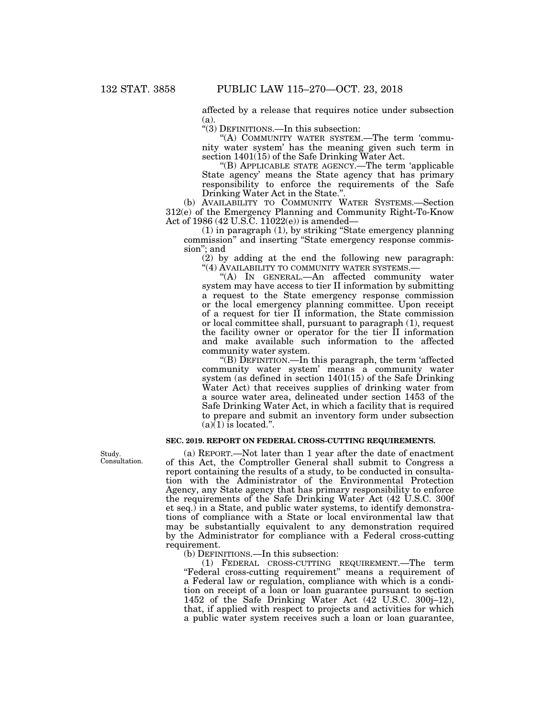affected by a release that requires notice under subsection (a).

''(3) DEFINITIONS.—In this subsection:

''(A) COMMUNITY WATER SYSTEM.—The term 'community water system' has the meaning given such term in section 1401(15) of the Safe Drinking Water Act.

''(B) APPLICABLE STATE AGENCY.—The term 'applicable State agency' means the State agency that has primary responsibility to enforce the requirements of the Safe Drinking Water Act in the State.''.

(b) AVAILABILITY TO COMMUNITY WATER SYSTEMS.—Section 312(e) of the Emergency Planning and Community Right-To-Know Act of 1986 (42 U.S.C. 11022(e)) is amended—

(1) in paragraph (1), by striking ''State emergency planning commission'' and inserting ''State emergency response commission''; and

(2) by adding at the end the following new paragraph: "(4) AVAILABILITY TO COMMUNITY WATER SYSTEMS.-

''(A) IN GENERAL.—An affected community water system may have access to tier II information by submitting a request to the State emergency response commission or the local emergency planning committee. Upon receipt of a request for tier II information, the State commission or local committee shall, pursuant to paragraph (1), request the facility owner or operator for the tier II information and make available such information to the affected community water system.

''(B) DEFINITION.—In this paragraph, the term 'affected community water system' means a community water system (as defined in section 1401(15) of the Safe Drinking Water Act) that receives supplies of drinking water from a source water area, delineated under section 1453 of the Safe Drinking Water Act, in which a facility that is required to prepare and submit an inventory form under subsection  $(a)$ (1) is located.".

# **SEC. 2019. REPORT ON FEDERAL CROSS-CUTTING REQUIREMENTS.**

(a) REPORT.—Not later than 1 year after the date of enactment of this Act, the Comptroller General shall submit to Congress a report containing the results of a study, to be conducted in consultation with the Administrator of the Environmental Protection Agency, any State agency that has primary responsibility to enforce the requirements of the Safe Drinking Water Act (42 U.S.C. 300f et seq.) in a State, and public water systems, to identify demonstrations of compliance with a State or local environmental law that may be substantially equivalent to any demonstration required by the Administrator for compliance with a Federal cross-cutting requirement.

(b) DEFINITIONS.—In this subsection:

(1) FEDERAL CROSS-CUTTING REQUIREMENT.—The term ''Federal cross-cutting requirement'' means a requirement of a Federal law or regulation, compliance with which is a condition on receipt of a loan or loan guarantee pursuant to section 1452 of the Safe Drinking Water Act (42 U.S.C. 300j–12), that, if applied with respect to projects and activities for which a public water system receives such a loan or loan guarantee,

Study. Consultation.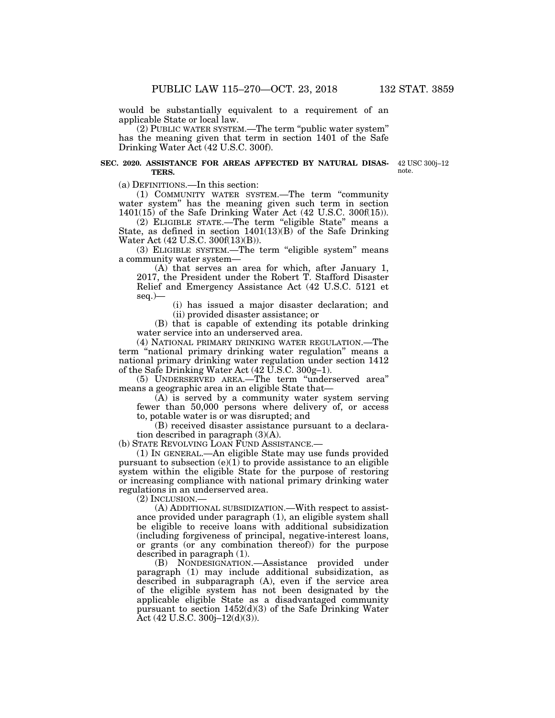would be substantially equivalent to a requirement of an applicable State or local law.

(2) PUBLIC WATER SYSTEM.—The term ''public water system'' has the meaning given that term in section 1401 of the Safe Drinking Water Act (42 U.S.C. 300f).

## **SEC. 2020. ASSISTANCE FOR AREAS AFFECTED BY NATURAL DISAS-TERS.**

42 USC 300j–12 note.

(a) DEFINITIONS.—In this section:

(1) COMMUNITY WATER SYSTEM.—The term ''community water system'' has the meaning given such term in section 1401(15) of the Safe Drinking Water Act (42 U.S.C. 300f(15)).

(2) ELIGIBLE STATE.—The term ''eligible State'' means a State, as defined in section 1401(13)(B) of the Safe Drinking Water Act (42 U.S.C. 300f(13)(B)).

(3) ELIGIBLE SYSTEM.—The term ''eligible system'' means a community water system—

(A) that serves an area for which, after January 1, 2017, the President under the Robert T. Stafford Disaster Relief and Emergency Assistance Act (42 U.S.C. 5121 et seq.)—

(i) has issued a major disaster declaration; and (ii) provided disaster assistance; or

(B) that is capable of extending its potable drinking water service into an underserved area.

(4) NATIONAL PRIMARY DRINKING WATER REGULATION.—The term ''national primary drinking water regulation'' means a national primary drinking water regulation under section 1412 of the Safe Drinking Water Act (42 U.S.C. 300g–1).

(5) UNDERSERVED AREA.—The term ''underserved area'' means a geographic area in an eligible State that—

(A) is served by a community water system serving fewer than 50,000 persons where delivery of, or access to, potable water is or was disrupted; and

(B) received disaster assistance pursuant to a declaration described in paragraph (3)(A).

(b) STATE REVOLVING LOAN FUND ASSISTANCE.

(1) IN GENERAL.—An eligible State may use funds provided pursuant to subsection  $(e)(1)$  to provide assistance to an eligible system within the eligible State for the purpose of restoring or increasing compliance with national primary drinking water regulations in an underserved area.

(2) INCLUSION.—

(A) ADDITIONAL SUBSIDIZATION.—With respect to assistance provided under paragraph (1), an eligible system shall be eligible to receive loans with additional subsidization (including forgiveness of principal, negative-interest loans, or grants (or any combination thereof)) for the purpose described in paragraph (1).

(B) NONDESIGNATION.—Assistance provided under paragraph (1) may include additional subsidization, as described in subparagraph (A), even if the service area of the eligible system has not been designated by the applicable eligible State as a disadvantaged community pursuant to section  $1452(d)(3)$  of the Safe Drinking Water  $\text{Act}$  (42 U.S.C. 300j–12(d)(3)).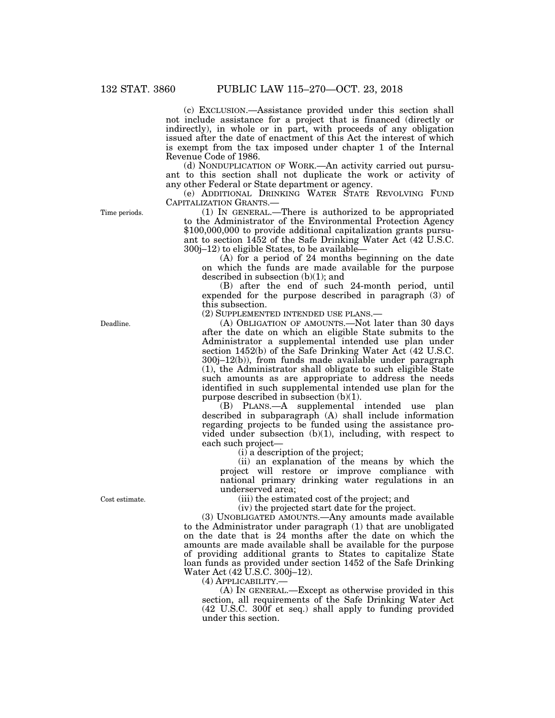(c) EXCLUSION.—Assistance provided under this section shall not include assistance for a project that is financed (directly or indirectly), in whole or in part, with proceeds of any obligation issued after the date of enactment of this Act the interest of which is exempt from the tax imposed under chapter 1 of the Internal Revenue Code of 1986.

(d) NONDUPLICATION OF WORK.—An activity carried out pursuant to this section shall not duplicate the work or activity of any other Federal or State department or agency.

(e) ADDITIONAL DRINKING WATER STATE REVOLVING FUND CAPITALIZATION GRANTS.—

Time periods.

Deadline.

(1) IN GENERAL.—There is authorized to be appropriated to the Administrator of the Environmental Protection Agency \$100,000,000 to provide additional capitalization grants pursuant to section 1452 of the Safe Drinking Water Act (42 U.S.C. 300j–12) to eligible States, to be available—

(A) for a period of 24 months beginning on the date on which the funds are made available for the purpose described in subsection (b)(1); and

(B) after the end of such 24-month period, until expended for the purpose described in paragraph (3) of this subsection.

(2) SUPPLEMENTED INTENDED USE PLANS.—

(A) OBLIGATION OF AMOUNTS.—Not later than 30 days after the date on which an eligible State submits to the Administrator a supplemental intended use plan under section 1452(b) of the Safe Drinking Water Act (42 U.S.C. 300j–12(b)), from funds made available under paragraph (1), the Administrator shall obligate to such eligible State such amounts as are appropriate to address the needs identified in such supplemental intended use plan for the purpose described in subsection (b)(1).

(B) PLANS.—A supplemental intended use plan described in subparagraph (A) shall include information regarding projects to be funded using the assistance provided under subsection (b)(1), including, with respect to each such project—

 $(i)$  a description of the project;

(ii) an explanation of the means by which the project will restore or improve compliance with national primary drinking water regulations in an underserved area;

(iii) the estimated cost of the project; and

(iv) the projected start date for the project.

(3) UNOBLIGATED AMOUNTS.—Any amounts made available to the Administrator under paragraph (1) that are unobligated on the date that is 24 months after the date on which the amounts are made available shall be available for the purpose of providing additional grants to States to capitalize State loan funds as provided under section 1452 of the Safe Drinking Water Act (42 U.S.C. 300j-12).

(4) APPLICABILITY.—

(A) IN GENERAL.—Except as otherwise provided in this section, all requirements of the Safe Drinking Water Act (42 U.S.C. 300f et seq.) shall apply to funding provided under this section.

Cost estimate.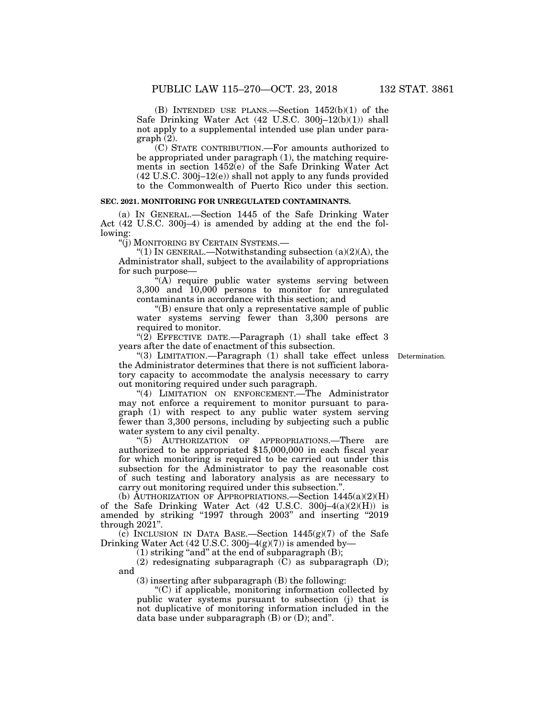(B) INTENDED USE PLANS.—Section 1452(b)(1) of the Safe Drinking Water Act (42 U.S.C. 300j–12(b)(1)) shall not apply to a supplemental intended use plan under para $graph(2)$ .

(C) STATE CONTRIBUTION.—For amounts authorized to be appropriated under paragraph (1), the matching requirements in section 1452(e) of the Safe Drinking Water Act  $(42 \text{ U.S.C. } 300j-12(e))$  shall not apply to any funds provided to the Commonwealth of Puerto Rico under this section.

# **SEC. 2021. MONITORING FOR UNREGULATED CONTAMINANTS.**

(a) IN GENERAL.—Section 1445 of the Safe Drinking Water Act (42 U.S.C. 300j–4) is amended by adding at the end the following:

''(j) MONITORING BY CERTAIN SYSTEMS.—

"(1) IN GENERAL.—Notwithstanding subsection  $(a)(2)(A)$ , the Administrator shall, subject to the availability of appropriations for such purpose—

''(A) require public water systems serving between 3,300 and 10,000 persons to monitor for unregulated contaminants in accordance with this section; and

 $'(B)$  ensure that only a representative sample of public water systems serving fewer than 3,300 persons are required to monitor.

"(2) EFFECTIVE DATE.—Paragraph  $(1)$  shall take effect 3 years after the date of enactment of this subsection.

''(3) LIMITATION.—Paragraph (1) shall take effect unless Determination. the Administrator determines that there is not sufficient laboratory capacity to accommodate the analysis necessary to carry out monitoring required under such paragraph.

''(4) LIMITATION ON ENFORCEMENT.—The Administrator may not enforce a requirement to monitor pursuant to paragraph (1) with respect to any public water system serving fewer than 3,300 persons, including by subjecting such a public water system to any civil penalty.

''(5) AUTHORIZATION OF APPROPRIATIONS.—There are authorized to be appropriated \$15,000,000 in each fiscal year for which monitoring is required to be carried out under this subsection for the Administrator to pay the reasonable cost of such testing and laboratory analysis as are necessary to carry out monitoring required under this subsection.''.

(b) AUTHORIZATION OF APPROPRIATIONS.—Section  $1445(a)(2)(H)$ of the Safe Drinking Water Act (42 U.S.C. 300j–4(a)(2)(H)) is amended by striking "1997 through 2003" and inserting "2019 through  $2021$ ".

 $(c)$  INCLUSION IN DATA BASE.—Section 1445 $(g)(7)$  of the Safe Drinking Water Act  $(42 \text{ U.S.C. } 300j-4(g)(7))$  is amended by-

 $(1)$  striking "and" at the end of subparagraph  $(B)$ ;

(2) redesignating subparagraph (C) as subparagraph (D); and

(3) inserting after subparagraph (B) the following:

''(C) if applicable, monitoring information collected by public water systems pursuant to subsection (j) that is not duplicative of monitoring information included in the data base under subparagraph (B) or (D); and''.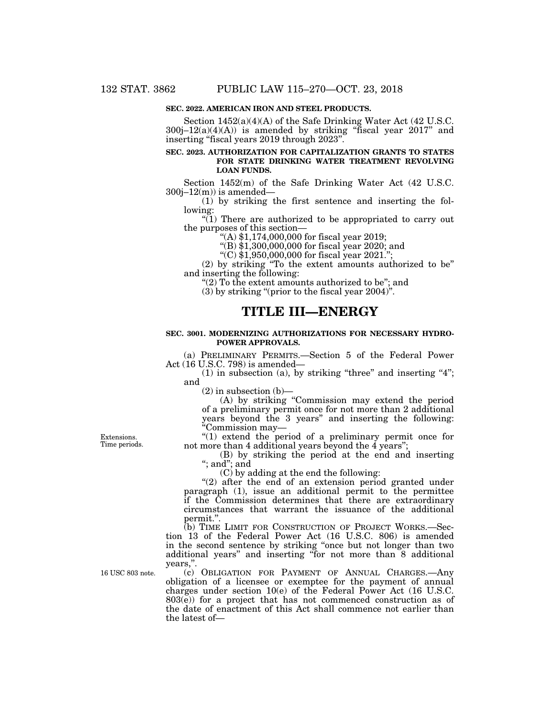# **SEC. 2022. AMERICAN IRON AND STEEL PRODUCTS.**

Section 1452(a)(4)(A) of the Safe Drinking Water Act (42 U.S.C.  $300j-12(a)(4)(A)$  is amended by striking "fiscal year  $2017$ " and inserting ''fiscal years 2019 through 2023''.

# **SEC. 2023. AUTHORIZATION FOR CAPITALIZATION GRANTS TO STATES FOR STATE DRINKING WATER TREATMENT REVOLVING LOAN FUNDS.**

Section 1452(m) of the Safe Drinking Water Act (42 U.S.C.  $300j-12(m)$  is amended—

(1) by striking the first sentence and inserting the following:

"(1) There are authorized to be appropriated to carry out the purposes of this section—

"(A)  $$1,174,000,000$  for fiscal year 2019;

''(B) \$1,300,000,000 for fiscal year 2020; and

''(C) \$1,950,000,000 for fiscal year 2021.'';

(2) by striking ''To the extent amounts authorized to be'' and inserting the following:

"(2) To the extent amounts authorized to be"; and

 $(3)$  by striking "(prior to the fiscal year 2004)".

# **TITLE III—ENERGY**

# **SEC. 3001. MODERNIZING AUTHORIZATIONS FOR NECESSARY HYDRO-POWER APPROVALS.**

(a) PRELIMINARY PERMITS.—Section 5 of the Federal Power Act (16 U.S.C. 798) is amended—

(1) in subsection (a), by striking "three" and inserting " $4$ "; and

 $(2)$  in subsection  $(b)$ —

(A) by striking ''Commission may extend the period of a preliminary permit once for not more than 2 additional years beyond the 3 years'' and inserting the following: ''Commission may—

"(1) extend the period of a preliminary permit once for not more than 4 additional years beyond the 4 years";

(B) by striking the period at the end and inserting ''; and''; and

(C) by adding at the end the following:

"(2) after the end of an extension period granted under paragraph (1), issue an additional permit to the permittee if the Commission determines that there are extraordinary circumstances that warrant the issuance of the additional permit.''.

(b) TIME LIMIT FOR CONSTRUCTION OF PROJECT WORKS.—Section 13 of the Federal Power Act (16 U.S.C. 806) is amended in the second sentence by striking ''once but not longer than two additional years'' and inserting ''for not more than 8 additional years,''.

(c) OBLIGATION FOR PAYMENT OF ANNUAL CHARGES.—Any obligation of a licensee or exemptee for the payment of annual charges under section 10(e) of the Federal Power Act (16 U.S.C. 803(e)) for a project that has not commenced construction as of the date of enactment of this Act shall commence not earlier than the latest of—

Extensions. Time periods.

16 USC 803 note.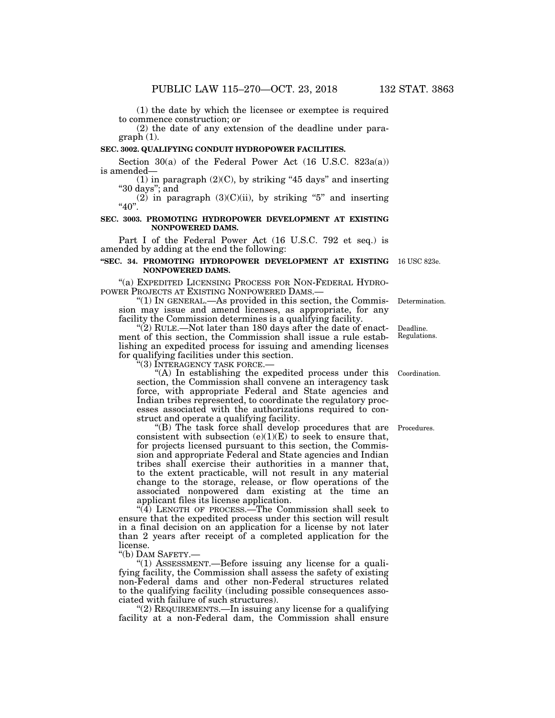(1) the date by which the licensee or exemptee is required to commence construction; or

(2) the date of any extension of the deadline under paragraph (1).

## **SEC. 3002. QUALIFYING CONDUIT HYDROPOWER FACILITIES.**

Section  $30(a)$  of the Federal Power Act  $(16 \text{ U.S.C. } 823a(a))$ is amended—

(1) in paragraph  $(2)(C)$ , by striking "45 days" and inserting ''30 days''; and

(2) in paragraph  $(3)(C)(ii)$ , by striking "5" and inserting  $"40".$ 

# **SEC. 3003. PROMOTING HYDROPOWER DEVELOPMENT AT EXISTING NONPOWERED DAMS.**

Part I of the Federal Power Act (16 U.S.C. 792 et seq.) is amended by adding at the end the following:

## **''SEC. 34. PROMOTING HYDROPOWER DEVELOPMENT AT EXISTING**  16 USC 823e. **NONPOWERED DAMS.**

''(a) EXPEDITED LICENSING PROCESS FOR NON-FEDERAL HYDRO-

POWER PROJECTS AT EXISTING NONPOWERED DAMS.— ''(1) IN GENERAL.—As provided in this section, the Commission may issue and amend licenses, as appropriate, for any facility the Commission determines is a qualifying facility.

" $(2)$  RULE.—Not later than 180 days after the date of enactment of this section, the Commission shall issue a rule establishing an expedited process for issuing and amending licenses for qualifying facilities under this section.

'(3) INTERAGENCY TASK FORCE.—

''(A) In establishing the expedited process under this section, the Commission shall convene an interagency task force, with appropriate Federal and State agencies and Indian tribes represented, to coordinate the regulatory processes associated with the authorizations required to construct and operate a qualifying facility.

''(B) The task force shall develop procedures that are Procedures. consistent with subsection  $(e)(1)(E)$  to seek to ensure that, for projects licensed pursuant to this section, the Commission and appropriate Federal and State agencies and Indian tribes shall exercise their authorities in a manner that, to the extent practicable, will not result in any material change to the storage, release, or flow operations of the associated nonpowered dam existing at the time an applicant files its license application.

''(4) LENGTH OF PROCESS.—The Commission shall seek to ensure that the expedited process under this section will result in a final decision on an application for a license by not later than 2 years after receipt of a completed application for the license.

"(b) DAM SAFETY.-

" $(1)$  ASSESSMENT.—Before issuing any license for a qualifying facility, the Commission shall assess the safety of existing non-Federal dams and other non-Federal structures related to the qualifying facility (including possible consequences associated with failure of such structures).

''(2) REQUIREMENTS.—In issuing any license for a qualifying facility at a non-Federal dam, the Commission shall ensure

Determination.

Deadline. Regulations.

Coordination.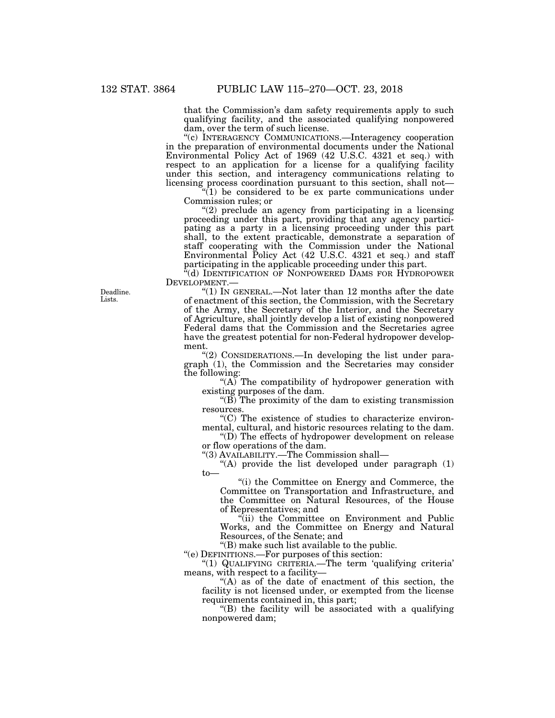that the Commission's dam safety requirements apply to such qualifying facility, and the associated qualifying nonpowered dam, over the term of such license.

''(c) INTERAGENCY COMMUNICATIONS.—Interagency cooperation in the preparation of environmental documents under the National Environmental Policy Act of 1969 (42 U.S.C. 4321 et seq.) with respect to an application for a license for a qualifying facility under this section, and interagency communications relating to licensing process coordination pursuant to this section, shall not—

 $(1)$  be considered to be ex parte communications under Commission rules; or

 $(2)$  preclude an agency from participating in a licensing proceeding under this part, providing that any agency participating as a party in a licensing proceeding under this part shall, to the extent practicable, demonstrate a separation of staff cooperating with the Commission under the National Environmental Policy Act (42 U.S.C. 4321 et seq.) and staff participating in the applicable proceeding under this part.

<sup>t</sup>(d) IDENTIFICATION OF NONPOWERED DAMS FOR HYDROPOWER DEVELOPMENT.—

"(1) IN GENERAL.—Not later than  $12$  months after the date of enactment of this section, the Commission, with the Secretary of the Army, the Secretary of the Interior, and the Secretary of Agriculture, shall jointly develop a list of existing nonpowered Federal dams that the Commission and the Secretaries agree have the greatest potential for non-Federal hydropower development.

"(2) CONSIDERATIONS.—In developing the list under paragraph (1), the Commission and the Secretaries may consider the following:

" $(A)$ "The compatibility of hydropower generation with existing purposes of the dam.

" $(B)$  The proximity of the dam to existing transmission resources.

''(C) The existence of studies to characterize environmental, cultural, and historic resources relating to the dam.

''(D) The effects of hydropower development on release or flow operations of the dam.

''(3) AVAILABILITY.—The Commission shall—

"(A) provide the list developed under paragraph  $(1)$ to—

''(i) the Committee on Energy and Commerce, the Committee on Transportation and Infrastructure, and the Committee on Natural Resources, of the House of Representatives; and

''(ii) the Committee on Environment and Public Works, and the Committee on Energy and Natural Resources, of the Senate; and

''(B) make such list available to the public.

''(e) DEFINITIONS.—For purposes of this section:

''(1) QUALIFYING CRITERIA.—The term 'qualifying criteria' means, with respect to a facility—

''(A) as of the date of enactment of this section, the facility is not licensed under, or exempted from the license requirements contained in, this part;

''(B) the facility will be associated with a qualifying nonpowered dam;

Deadline. Lists.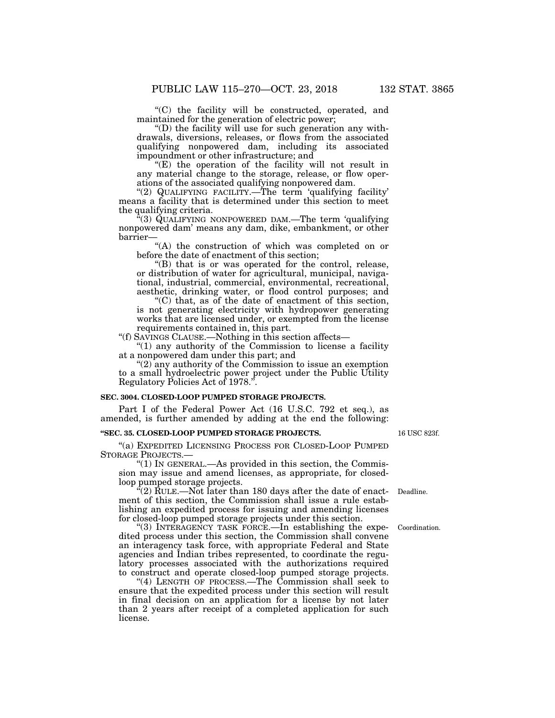''(C) the facility will be constructed, operated, and maintained for the generation of electric power;

''(D) the facility will use for such generation any withdrawals, diversions, releases, or flows from the associated qualifying nonpowered dam, including its associated impoundment or other infrastructure; and

 $E(E)$  the operation of the facility will not result in any material change to the storage, release, or flow operations of the associated qualifying nonpowered dam.

''(2) QUALIFYING FACILITY.—The term 'qualifying facility' means a facility that is determined under this section to meet the qualifying criteria.

''(3) QUALIFYING NONPOWERED DAM.—The term 'qualifying nonpowered dam' means any dam, dike, embankment, or other barrier—

''(A) the construction of which was completed on or before the date of enactment of this section;

''(B) that is or was operated for the control, release, or distribution of water for agricultural, municipal, navigational, industrial, commercial, environmental, recreational, aesthetic, drinking water, or flood control purposes; and

''(C) that, as of the date of enactment of this section, is not generating electricity with hydropower generating works that are licensed under, or exempted from the license requirements contained in, this part.

''(f) SAVINGS CLAUSE.—Nothing in this section affects—

''(1) any authority of the Commission to license a facility at a nonpowered dam under this part; and

 $''(2)$  any authority of the Commission to issue an exemption to a small hydroelectric power project under the Public Utility Regulatory Policies Act of 1978.''.

#### **SEC. 3004. CLOSED-LOOP PUMPED STORAGE PROJECTS.**

Part I of the Federal Power Act (16 U.S.C. 792 et seq.), as amended, is further amended by adding at the end the following:

# **''SEC. 35. CLOSED-LOOP PUMPED STORAGE PROJECTS.**

''(a) EXPEDITED LICENSING PROCESS FOR CLOSED-LOOP PUMPED STORAGE PROJECTS.—

''(1) IN GENERAL.—As provided in this section, the Commission may issue and amend licenses, as appropriate, for closedloop pumped storage projects.

 $C(2)$  RULE.—Not later than 180 days after the date of enact- Deadline. ment of this section, the Commission shall issue a rule establishing an expedited process for issuing and amending licenses for closed-loop pumped storage projects under this section.

"(3) INTERAGENCY TASK FORCE.—In establishing the expedited process under this section, the Commission shall convene an interagency task force, with appropriate Federal and State agencies and Indian tribes represented, to coordinate the regulatory processes associated with the authorizations required to construct and operate closed-loop pumped storage projects.

''(4) LENGTH OF PROCESS.—The Commission shall seek to ensure that the expedited process under this section will result in final decision on an application for a license by not later than 2 years after receipt of a completed application for such license.

16 USC 823f.

Coordination.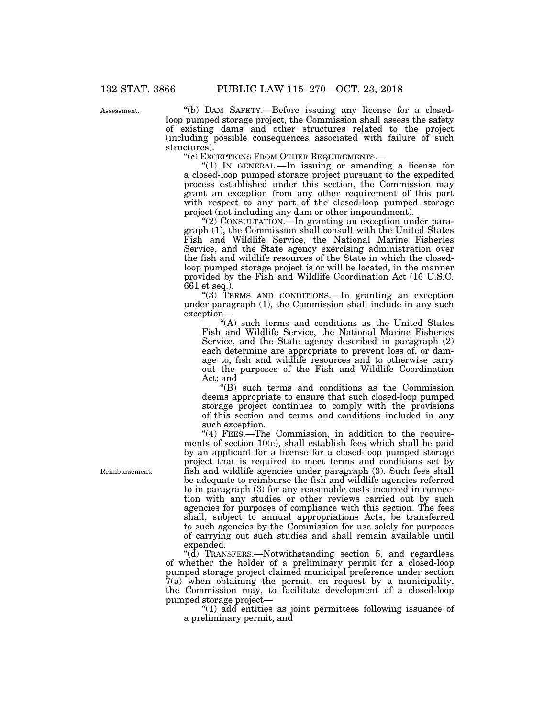Assessment.

''(b) DAM SAFETY.—Before issuing any license for a closedloop pumped storage project, the Commission shall assess the safety of existing dams and other structures related to the project (including possible consequences associated with failure of such structures).

''(c) EXCEPTIONS FROM OTHER REQUIREMENTS.—

''(1) IN GENERAL.—In issuing or amending a license for a closed-loop pumped storage project pursuant to the expedited process established under this section, the Commission may grant an exception from any other requirement of this part with respect to any part of the closed-loop pumped storage project (not including any dam or other impoundment).

''(2) CONSULTATION.—In granting an exception under paragraph (1), the Commission shall consult with the United States Fish and Wildlife Service, the National Marine Fisheries Service, and the State agency exercising administration over the fish and wildlife resources of the State in which the closedloop pumped storage project is or will be located, in the manner provided by the Fish and Wildlife Coordination Act (16 U.S.C. 661 et seq.).

"(3) TERMS AND CONDITIONS.—In granting an exception under paragraph (1), the Commission shall include in any such exception—

''(A) such terms and conditions as the United States Fish and Wildlife Service, the National Marine Fisheries Service, and the State agency described in paragraph (2) each determine are appropriate to prevent loss of, or damage to, fish and wildlife resources and to otherwise carry out the purposes of the Fish and Wildlife Coordination Act; and

''(B) such terms and conditions as the Commission deems appropriate to ensure that such closed-loop pumped storage project continues to comply with the provisions of this section and terms and conditions included in any such exception.

"(4) FEES.—The Commission, in addition to the requirements of section 10(e), shall establish fees which shall be paid by an applicant for a license for a closed-loop pumped storage project that is required to meet terms and conditions set by fish and wildlife agencies under paragraph (3). Such fees shall be adequate to reimburse the fish and wildlife agencies referred to in paragraph (3) for any reasonable costs incurred in connection with any studies or other reviews carried out by such agencies for purposes of compliance with this section. The fees shall, subject to annual appropriations Acts, be transferred to such agencies by the Commission for use solely for purposes of carrying out such studies and shall remain available until expended.

''(d) TRANSFERS.—Notwithstanding section 5, and regardless of whether the holder of a preliminary permit for a closed-loop pumped storage project claimed municipal preference under section 7(a) when obtaining the permit, on request by a municipality, the Commission may, to facilitate development of a closed-loop pumped storage project—

''(1) add entities as joint permittees following issuance of a preliminary permit; and

Reimbursement.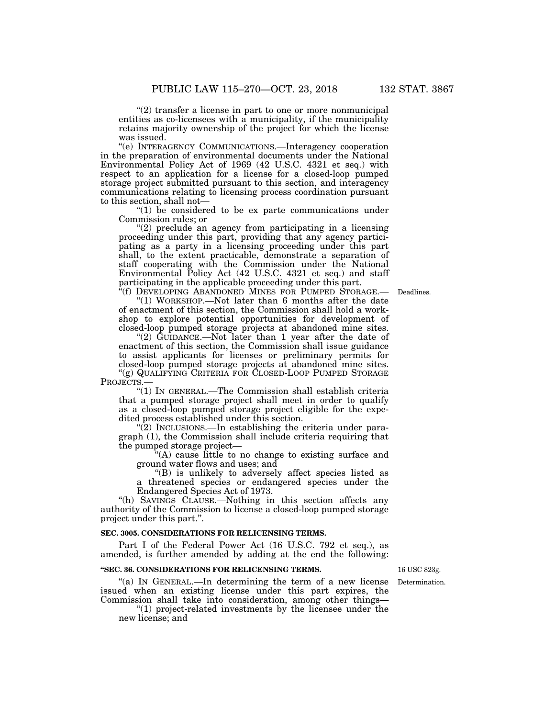"(2) transfer a license in part to one or more nonmunicipal entities as co-licensees with a municipality, if the municipality retains majority ownership of the project for which the license was issued.

''(e) INTERAGENCY COMMUNICATIONS.—Interagency cooperation in the preparation of environmental documents under the National Environmental Policy Act of 1969 (42 U.S.C. 4321 et seq.) with respect to an application for a license for a closed-loop pumped storage project submitted pursuant to this section, and interagency communications relating to licensing process coordination pursuant to this section, shall not—

''(1) be considered to be ex parte communications under Commission rules; or

 $''(2)$  preclude an agency from participating in a licensing proceeding under this part, providing that any agency participating as a party in a licensing proceeding under this part shall, to the extent practicable, demonstrate a separation of staff cooperating with the Commission under the National Environmental Policy Act (42 U.S.C. 4321 et seq.) and staff participating in the applicable proceeding under this part.

"(f) DEVELOPING ABANDONED MINES FOR PUMPED STORAGE.— ''(1) WORKSHOP.—Not later than 6 months after the date of enactment of this section, the Commission shall hold a workshop to explore potential opportunities for development of closed-loop pumped storage projects at abandoned mine sites.

"(2) GUIDANCE.—Not later than 1 year after the date of enactment of this section, the Commission shall issue guidance to assist applicants for licenses or preliminary permits for closed-loop pumped storage projects at abandoned mine sites. ''(g) QUALIFYING CRITERIA FOR CLOSED-LOOP PUMPED STORAGE PROJECTS.—

''(1) IN GENERAL.—The Commission shall establish criteria that a pumped storage project shall meet in order to qualify as a closed-loop pumped storage project eligible for the expedited process established under this section.

" $(2)$  INCLUSIONS.—In establishing the criteria under paragraph (1), the Commission shall include criteria requiring that the pumped storage project—

''(A) cause little to no change to existing surface and ground water flows and uses; and

''(B) is unlikely to adversely affect species listed as a threatened species or endangered species under the Endangered Species Act of 1973.

''(h) SAVINGS CLAUSE.—Nothing in this section affects any authority of the Commission to license a closed-loop pumped storage project under this part.''.

## **SEC. 3005. CONSIDERATIONS FOR RELICENSING TERMS.**

Part I of the Federal Power Act (16 U.S.C. 792 et seq.), as amended, is further amended by adding at the end the following:

# **''SEC. 36. CONSIDERATIONS FOR RELICENSING TERMS.**

"(a) IN GENERAL.—In determining the term of a new license issued when an existing license under this part expires, the Commission shall take into consideration, among other things—

 $''(1)$  project-related investments by the licensee under the new license; and

Determination. 16 USC 823g.

Deadlines.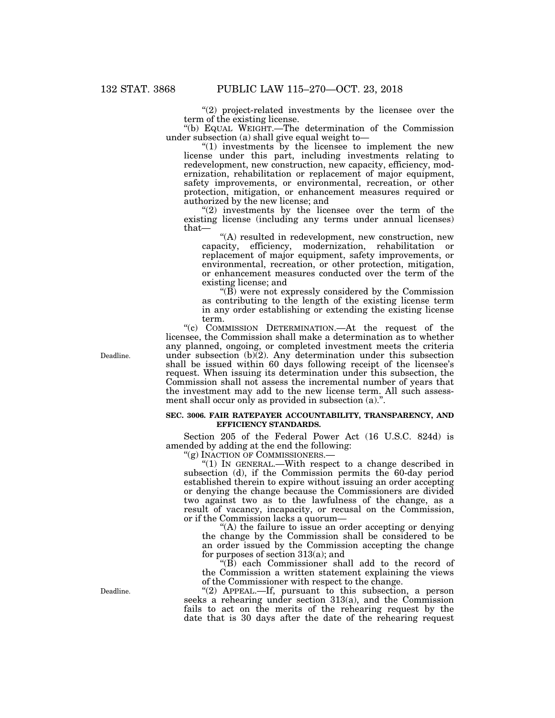"(2) project-related investments by the licensee over the term of the existing license.

''(b) EQUAL WEIGHT.—The determination of the Commission under subsection (a) shall give equal weight to—

"(1) investments by the licensee to implement the new license under this part, including investments relating to redevelopment, new construction, new capacity, efficiency, modernization, rehabilitation or replacement of major equipment, safety improvements, or environmental, recreation, or other protection, mitigation, or enhancement measures required or authorized by the new license; and

"(2) investments by the licensee over the term of the existing license (including any terms under annual licenses) that—

''(A) resulted in redevelopment, new construction, new capacity, efficiency, modernization, rehabilitation or replacement of major equipment, safety improvements, or environmental, recreation, or other protection, mitigation, or enhancement measures conducted over the term of the existing license; and

''(B) were not expressly considered by the Commission as contributing to the length of the existing license term in any order establishing or extending the existing license term.

''(c) COMMISSION DETERMINATION.—At the request of the licensee, the Commission shall make a determination as to whether any planned, ongoing, or completed investment meets the criteria under subsection  $(b)(2)$ . Any determination under this subsection shall be issued within 60 days following receipt of the licensee's request. When issuing its determination under this subsection, the Commission shall not assess the incremental number of years that the investment may add to the new license term. All such assessment shall occur only as provided in subsection (a).".

## **SEC. 3006. FAIR RATEPAYER ACCOUNTABILITY, TRANSPARENCY, AND EFFICIENCY STANDARDS.**

Section 205 of the Federal Power Act (16 U.S.C. 824d) is amended by adding at the end the following:

''(g) INACTION OF COMMISSIONERS.—

''(1) IN GENERAL.—With respect to a change described in subsection (d), if the Commission permits the 60-day period established therein to expire without issuing an order accepting or denying the change because the Commissioners are divided two against two as to the lawfulness of the change, as a result of vacancy, incapacity, or recusal on the Commission, or if the Commission lacks a quorum—

''(A) the failure to issue an order accepting or denying the change by the Commission shall be considered to be an order issued by the Commission accepting the change for purposes of section 313(a); and

''(B) each Commissioner shall add to the record of the Commission a written statement explaining the views of the Commissioner with respect to the change.

"(2) APPEAL.—If, pursuant to this subsection, a person seeks a rehearing under section 313(a), and the Commission fails to act on the merits of the rehearing request by the date that is 30 days after the date of the rehearing request

Deadline.

Deadline.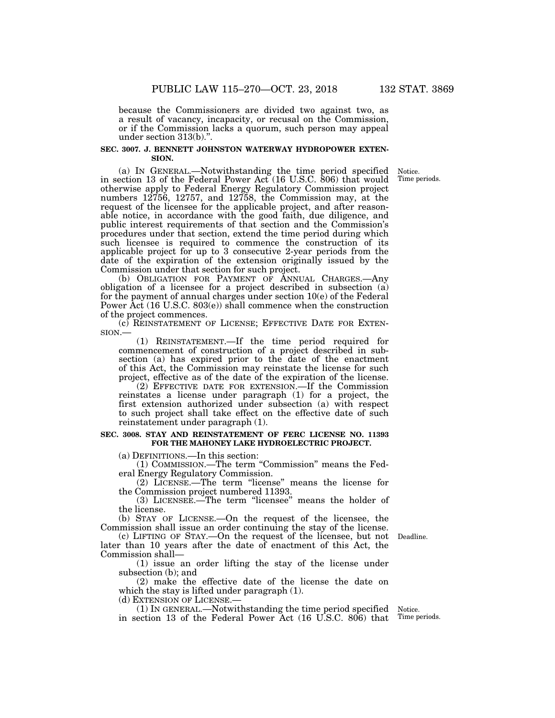because the Commissioners are divided two against two, as a result of vacancy, incapacity, or recusal on the Commission, or if the Commission lacks a quorum, such person may appeal under section 313(b).''.

## **SEC. 3007. J. BENNETT JOHNSTON WATERWAY HYDROPOWER EXTEN-SION.**

(a) IN GENERAL.—Notwithstanding the time period specified in section 13 of the Federal Power Act (16 U.S.C. 806) that would otherwise apply to Federal Energy Regulatory Commission project numbers 12756, 12757, and 12758, the Commission may, at the request of the licensee for the applicable project, and after reasonable notice, in accordance with the good faith, due diligence, and public interest requirements of that section and the Commission's procedures under that section, extend the time period during which such licensee is required to commence the construction of its applicable project for up to 3 consecutive 2-year periods from the date of the expiration of the extension originally issued by the Commission under that section for such project.

(b) OBLIGATION FOR PAYMENT OF ANNUAL CHARGES.—Any obligation of a licensee for a project described in subsection (a) for the payment of annual charges under section 10(e) of the Federal Power Act (16 U.S.C. 803(e)) shall commence when the construction

of the project commences.<br>
(c) REINSTATEMENT OF LICENSE; EFFECTIVE DATE FOR EXTEN-

SION.— (1) REINSTATEMENT.—If the time period required for commencement of construction of a project described in subsection (a) has expired prior to the date of the enactment of this Act, the Commission may reinstate the license for such project, effective as of the date of the expiration of the license.

(2) EFFECTIVE DATE FOR EXTENSION.—If the Commission reinstates a license under paragraph (1) for a project, the first extension authorized under subsection (a) with respect to such project shall take effect on the effective date of such reinstatement under paragraph (1).

## **SEC. 3008. STAY AND REINSTATEMENT OF FERC LICENSE NO. 11393 FOR THE MAHONEY LAKE HYDROELECTRIC PROJECT.**

(a) DEFINITIONS.—In this section:

(1) COMMISSION.—The term ''Commission'' means the Federal Energy Regulatory Commission.

(2) LICENSE.—The term ''license'' means the license for the Commission project numbered 11393.

(3) LICENSEE.—The term ''licensee'' means the holder of the license.

(b) STAY OF LICENSE.—On the request of the licensee, the Commission shall issue an order continuing the stay of the license.

(c) LIFTING OF STAY.—On the request of the licensee, but not Deadline. later than 10 years after the date of enactment of this Act, the Commission shall—

(1) issue an order lifting the stay of the license under subsection (b); and

(2) make the effective date of the license the date on which the stay is lifted under paragraph (1).

(d) EXTENSION OF LICENSE.—

(1) IN GENERAL.—Notwithstanding the time period specified Notice. in section 13 of the Federal Power Act (16 U.S.C. 806) that

Time periods.

Notice. Time periods.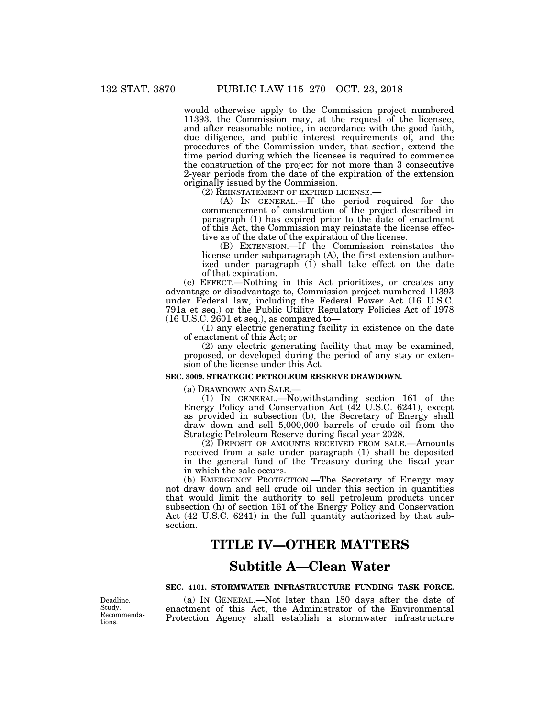would otherwise apply to the Commission project numbered 11393, the Commission may, at the request of the licensee, and after reasonable notice, in accordance with the good faith, due diligence, and public interest requirements of, and the procedures of the Commission under, that section, extend the time period during which the licensee is required to commence the construction of the project for not more than 3 consecutive 2-year periods from the date of the expiration of the extension originally issued by the Commission.<br>(2) REINSTATEMENT OF EXPIRED LICENSE.

 $(A)$  In GENERAL.—If the period required for the commencement of construction of the project described in paragraph (1) has expired prior to the date of enactment of this Act, the Commission may reinstate the license effective as of the date of the expiration of the license.

(B) EXTENSION.—If the Commission reinstates the license under subparagraph (A), the first extension authorized under paragraph  $(i)$  shall take effect on the date of that expiration.

(e) EFFECT.—Nothing in this Act prioritizes, or creates any advantage or disadvantage to, Commission project numbered 11393 under Federal law, including the Federal Power Act (16 U.S.C. 791a et seq.) or the Public Utility Regulatory Policies Act of 1978 (16 U.S.C. 2601 et seq.), as compared to—

(1) any electric generating facility in existence on the date of enactment of this Act; or

(2) any electric generating facility that may be examined, proposed, or developed during the period of any stay or extension of the license under this Act.

## **SEC. 3009. STRATEGIC PETROLEUM RESERVE DRAWDOWN.**

(a) DRAWDOWN AND SALE.—

(1) IN GENERAL.—Notwithstanding section 161 of the Energy Policy and Conservation Act (42 U.S.C. 6241), except as provided in subsection (b), the Secretary of Energy shall draw down and sell 5,000,000 barrels of crude oil from the Strategic Petroleum Reserve during fiscal year 2028.

(2) DEPOSIT OF AMOUNTS RECEIVED FROM SALE.—Amounts received from a sale under paragraph (1) shall be deposited in the general fund of the Treasury during the fiscal year in which the sale occurs.

(b) EMERGENCY PROTECTION.—The Secretary of Energy may not draw down and sell crude oil under this section in quantities that would limit the authority to sell petroleum products under subsection (h) of section 161 of the Energy Policy and Conservation Act (42 U.S.C. 6241) in the full quantity authorized by that subsection.

# **TITLE IV—OTHER MATTERS**

# **Subtitle A—Clean Water**

# **SEC. 4101. STORMWATER INFRASTRUCTURE FUNDING TASK FORCE.**

Deadline. Study. Recommendations.

(a) IN GENERAL.—Not later than 180 days after the date of enactment of this Act, the Administrator of the Environmental Protection Agency shall establish a stormwater infrastructure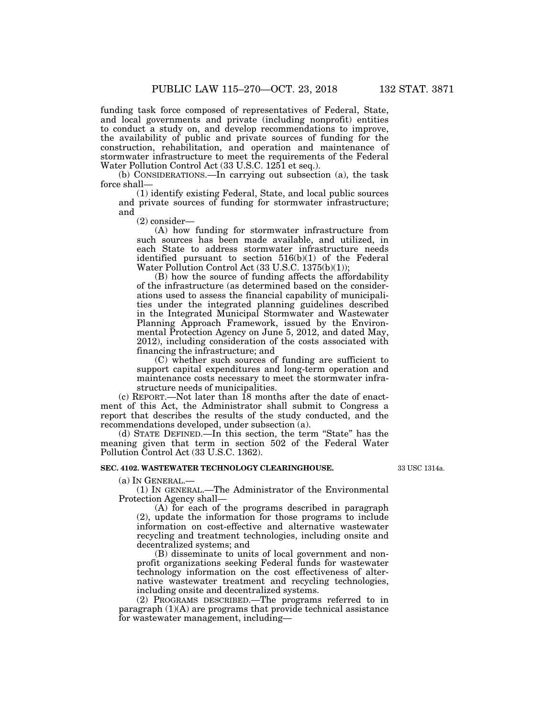funding task force composed of representatives of Federal, State, and local governments and private (including nonprofit) entities to conduct a study on, and develop recommendations to improve, the availability of public and private sources of funding for the construction, rehabilitation, and operation and maintenance of stormwater infrastructure to meet the requirements of the Federal Water Pollution Control Act (33 U.S.C. 1251 et seq.).

(b) CONSIDERATIONS.—In carrying out subsection (a), the task force shall—

(1) identify existing Federal, State, and local public sources and private sources of funding for stormwater infrastructure; and

(2) consider—

(A) how funding for stormwater infrastructure from such sources has been made available, and utilized, in each State to address stormwater infrastructure needs identified pursuant to section 516(b)(1) of the Federal Water Pollution Control Act (33 U.S.C. 1375(b)(1));

(B) how the source of funding affects the affordability of the infrastructure (as determined based on the considerations used to assess the financial capability of municipalities under the integrated planning guidelines described in the Integrated Municipal Stormwater and Wastewater Planning Approach Framework, issued by the Environmental Protection Agency on June 5, 2012, and dated May, 2012), including consideration of the costs associated with financing the infrastructure; and

(C) whether such sources of funding are sufficient to support capital expenditures and long-term operation and maintenance costs necessary to meet the stormwater infrastructure needs of municipalities.

(c) REPORT.—Not later than 18 months after the date of enactment of this Act, the Administrator shall submit to Congress a report that describes the results of the study conducted, and the recommendations developed, under subsection (a).

(d) STATE DEFINED.—In this section, the term ''State'' has the meaning given that term in section 502 of the Federal Water Pollution Control Act (33 U.S.C. 1362).

# **SEC. 4102. WASTEWATER TECHNOLOGY CLEARINGHOUSE.**

33 USC 1314a.

(a) IN GENERAL.—

(1) IN GENERAL.—The Administrator of the Environmental Protection Agency shall—

(A) for each of the programs described in paragraph (2), update the information for those programs to include information on cost-effective and alternative wastewater recycling and treatment technologies, including onsite and decentralized systems; and

(B) disseminate to units of local government and nonprofit organizations seeking Federal funds for wastewater technology information on the cost effectiveness of alternative wastewater treatment and recycling technologies, including onsite and decentralized systems.

(2) PROGRAMS DESCRIBED.—The programs referred to in paragraph  $(1)(A)$  are programs that provide technical assistance for wastewater management, including—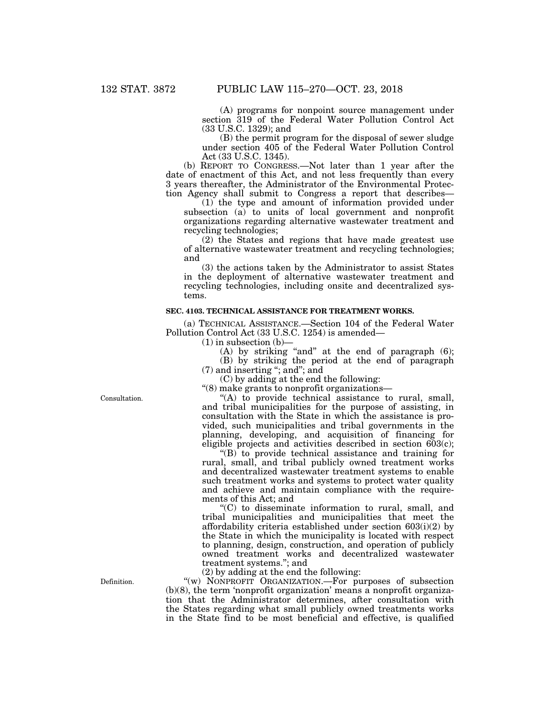(A) programs for nonpoint source management under section 319 of the Federal Water Pollution Control Act (33 U.S.C. 1329); and

(B) the permit program for the disposal of sewer sludge under section 405 of the Federal Water Pollution Control Act (33 U.S.C. 1345).

(b) REPORT TO CONGRESS.—Not later than 1 year after the date of enactment of this Act, and not less frequently than every 3 years thereafter, the Administrator of the Environmental Protection Agency shall submit to Congress a report that describes—

(1) the type and amount of information provided under subsection (a) to units of local government and nonprofit organizations regarding alternative wastewater treatment and recycling technologies;

(2) the States and regions that have made greatest use of alternative wastewater treatment and recycling technologies; and

(3) the actions taken by the Administrator to assist States in the deployment of alternative wastewater treatment and recycling technologies, including onsite and decentralized systems.

# **SEC. 4103. TECHNICAL ASSISTANCE FOR TREATMENT WORKS.**

(a) TECHNICAL ASSISTANCE.—Section 104 of the Federal Water Pollution Control Act (33 U.S.C. 1254) is amended—

 $(1)$  in subsection  $(b)$ —

(A) by striking "and" at the end of paragraph  $(6)$ ;

(B) by striking the period at the end of paragraph (7) and inserting ''; and''; and

(C) by adding at the end the following:

''(8) make grants to nonprofit organizations—

"(A) to provide technical assistance to rural, small, and tribal municipalities for the purpose of assisting, in consultation with the State in which the assistance is provided, such municipalities and tribal governments in the planning, developing, and acquisition of financing for eligible projects and activities described in section 603(c);

" $(B)$  to provide technical assistance and training for rural, small, and tribal publicly owned treatment works and decentralized wastewater treatment systems to enable such treatment works and systems to protect water quality and achieve and maintain compliance with the requirements of this Act; and

''(C) to disseminate information to rural, small, and tribal municipalities and municipalities that meet the affordability criteria established under section 603(i)(2) by the State in which the municipality is located with respect to planning, design, construction, and operation of publicly owned treatment works and decentralized wastewater treatment systems.''; and

(2) by adding at the end the following:

''(w) NONPROFIT ORGANIZATION.—For purposes of subsection (b)(8), the term 'nonprofit organization' means a nonprofit organization that the Administrator determines, after consultation with the States regarding what small publicly owned treatments works in the State find to be most beneficial and effective, is qualified

Consultation.

Definition.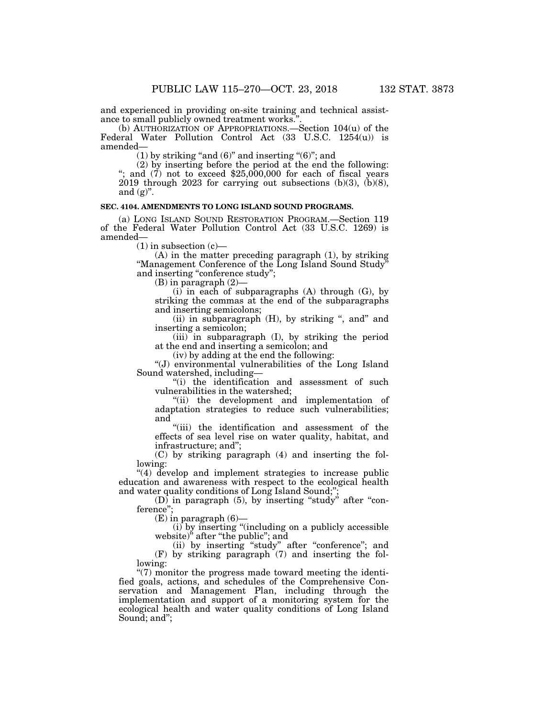and experienced in providing on-site training and technical assistance to small publicly owned treatment works.''.

(b) AUTHORIZATION OF APPROPRIATIONS.—Section 104(u) of the Federal Water Pollution Control Act (33 U.S.C. 1254(u)) is amended—

(1) by striking "and (6)" and inserting "(6)"; and (2) by inserting before the period at the end the following: "; and  $(7)$  not to exceed \$25,000,000 for each of fiscal years 2019 through 2023 for carrying out subsections  $(b)(3)$ ,  $(b)(8)$ , and  $(g)$ ".

### **SEC. 4104. AMENDMENTS TO LONG ISLAND SOUND PROGRAMS.**

(a) LONG ISLAND SOUND RESTORATION PROGRAM.—Section 119 of the Federal Water Pollution Control Act (33 U.S.C. 1269) is amended—

 $(1)$  in subsection  $(c)$ —

(A) in the matter preceding paragraph (1), by striking ''Management Conference of the Long Island Sound Study'' and inserting "conference study";

(B) in paragraph (2)—

 $(i)$  in each of subparagraphs  $(A)$  through  $(G)$ , by striking the commas at the end of the subparagraphs and inserting semicolons;

(ii) in subparagraph  $(H)$ , by striking ", and" and inserting a semicolon;

(iii) in subparagraph (I), by striking the period at the end and inserting a semicolon; and

(iv) by adding at the end the following:

''(J) environmental vulnerabilities of the Long Island Sound watershed, including—

"(i) the identification and assessment of such vulnerabilities in the watershed;

''(ii) the development and implementation of adaptation strategies to reduce such vulnerabilities; and

"(iii) the identification and assessment of the effects of sea level rise on water quality, habitat, and infrastructure; and'';

(C) by striking paragraph (4) and inserting the following:

"(4) develop and implement strategies to increase public education and awareness with respect to the ecological health and water quality conditions of Long Island Sound;'';

(D) in paragraph  $(5)$ , by inserting "study" after "conference'';

 $(E)$  in paragraph  $(6)$ —

(i) by inserting ''(including on a publicly accessible website)" after "the public"; and

(ii) by inserting ''study'' after ''conference''; and (F) by striking paragraph (7) and inserting the following:

''(7) monitor the progress made toward meeting the identified goals, actions, and schedules of the Comprehensive Conservation and Management Plan, including through the implementation and support of a monitoring system for the ecological health and water quality conditions of Long Island Sound; and'';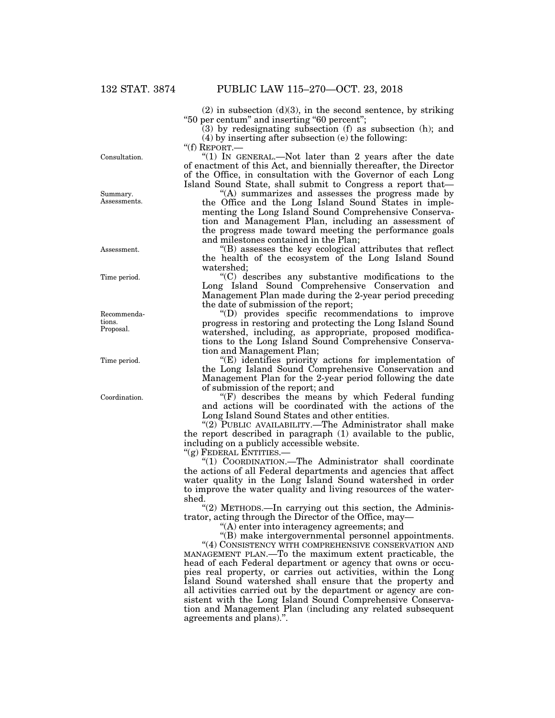$(2)$  in subsection  $(d)(3)$ , in the second sentence, by striking ''50 per centum'' and inserting ''60 percent'';

(3) by redesignating subsection (f) as subsection (h); and (4) by inserting after subsection (e) the following:

"(f) REPORT.-

"(1) In GENERAL.—Not later than 2 years after the date of enactment of this Act, and biennially thereafter, the Director of the Office, in consultation with the Governor of each Long Island Sound State, shall submit to Congress a report that—

''(A) summarizes and assesses the progress made by the Office and the Long Island Sound States in implementing the Long Island Sound Comprehensive Conservation and Management Plan, including an assessment of the progress made toward meeting the performance goals and milestones contained in the Plan;

''(B) assesses the key ecological attributes that reflect the health of the ecosystem of the Long Island Sound watershed;

''(C) describes any substantive modifications to the Long Island Sound Comprehensive Conservation and Management Plan made during the 2-year period preceding the date of submission of the report;

''(D) provides specific recommendations to improve progress in restoring and protecting the Long Island Sound watershed, including, as appropriate, proposed modifications to the Long Island Sound Comprehensive Conservation and Management Plan;

''(E) identifies priority actions for implementation of the Long Island Sound Comprehensive Conservation and Management Plan for the 2-year period following the date of submission of the report; and

 $(F)$  describes the means by which Federal funding and actions will be coordinated with the actions of the Long Island Sound States and other entities.

"(2) PUBLIC AVAILABILITY.—The Administrator shall make the report described in paragraph (1) available to the public, including on a publicly accessible website.

''(g) FEDERAL ENTITIES.—

''(1) COORDINATION.—The Administrator shall coordinate the actions of all Federal departments and agencies that affect water quality in the Long Island Sound watershed in order to improve the water quality and living resources of the watershed.

"(2) METHODS.—In carrying out this section, the Administrator, acting through the Director of the Office, may—

''(A) enter into interagency agreements; and

''(B) make intergovernmental personnel appointments.

"(4) CONSISTENCY WITH COMPREHENSIVE CONSERVATION AND MANAGEMENT PLAN.—To the maximum extent practicable, the head of each Federal department or agency that owns or occupies real property, or carries out activities, within the Long Island Sound watershed shall ensure that the property and all activities carried out by the department or agency are consistent with the Long Island Sound Comprehensive Conservation and Management Plan (including any related subsequent agreements and plans).''.

Consultation.

Summary. Assessments.

Assessment.

Time period.

Recommendations. Proposal.

Time period.

Coordination.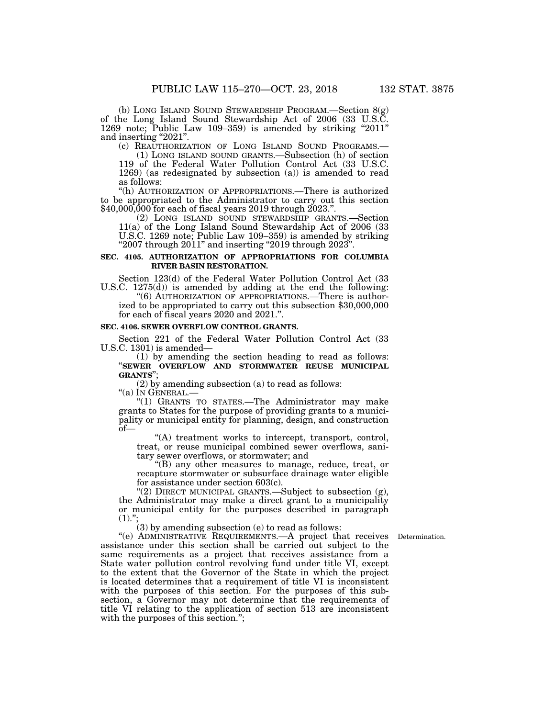(b) LONG ISLAND SOUND STEWARDSHIP PROGRAM.—Section 8(g) of the Long Island Sound Stewardship Act of 2006 (33 U.S.C. 1269 note; Public Law 109–359) is amended by striking ''2011'' and inserting "2021".<br>(c) REAUTHORIZATION OF LONG ISLAND SOUND PROGRAMS.—

 $(1)$  LONG ISLAND SOUND GRANTS.—Subsection  $(h)$  of section 119 of the Federal Water Pollution Control Act (33 U.S.C. 1269) (as redesignated by subsection (a)) is amended to read as follows:

''(h) AUTHORIZATION OF APPROPRIATIONS.—There is authorized to be appropriated to the Administrator to carry out this section  $$40,000,000$  for each of fiscal years 2019 through  $2023$ .".

(2) LONG ISLAND SOUND STEWARDSHIP GRANTS.—Section 11(a) of the Long Island Sound Stewardship Act of 2006 (33 U.S.C. 1269 note; Public Law 109–359) is amended by striking ''2007 through 2011'' and inserting ''2019 through 2023''.

### **SEC. 4105. AUTHORIZATION OF APPROPRIATIONS FOR COLUMBIA RIVER BASIN RESTORATION.**

Section 123(d) of the Federal Water Pollution Control Act (33 U.S.C. 1275(d)) is amended by adding at the end the following:

''(6) AUTHORIZATION OF APPROPRIATIONS.—There is authorized to be appropriated to carry out this subsection \$30,000,000 for each of fiscal years 2020 and 2021.''.

### **SEC. 4106. SEWER OVERFLOW CONTROL GRANTS.**

Section 221 of the Federal Water Pollution Control Act (33 U.S.C. 1301) is amended—<br>(1) by amending the section heading to read as follows:

(1) by amending the section heading to read as follows: ''**SEWER OVERFLOW AND STORMWATER REUSE MUNICIPAL GRANTS**'';

(2) by amending subsection (a) to read as follows:<br>"(a) IN GENERAL.—

"(1) GRANTS TO STATES.—The Administrator may make grants to States for the purpose of providing grants to a municipality or municipal entity for planning, design, and construction of—

''(A) treatment works to intercept, transport, control, treat, or reuse municipal combined sewer overflows, sanitary sewer overflows, or stormwater; and

''(B) any other measures to manage, reduce, treat, or recapture stormwater or subsurface drainage water eligible for assistance under section 603(c).

"(2) DIRECT MUNICIPAL GRANTS.—Subject to subsection  $(g)$ , the Administrator may make a direct grant to a municipality or municipal entity for the purposes described in paragraph  $(1).$ ";

(3) by amending subsection (e) to read as follows:

Determination.

''(e) ADMINISTRATIVE REQUIREMENTS.—A project that receives assistance under this section shall be carried out subject to the same requirements as a project that receives assistance from a State water pollution control revolving fund under title VI, except to the extent that the Governor of the State in which the project is located determines that a requirement of title VI is inconsistent with the purposes of this section. For the purposes of this subsection, a Governor may not determine that the requirements of title VI relating to the application of section 513 are inconsistent with the purposes of this section.'';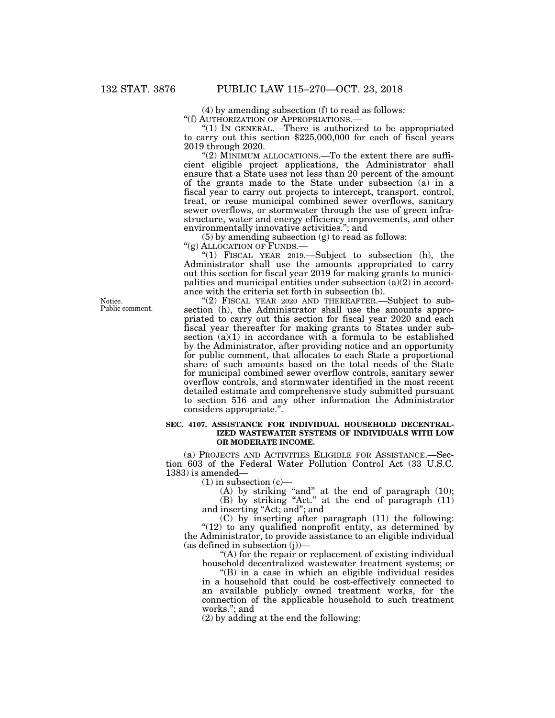(4) by amending subsection (f) to read as follows: " $(f)$  AUTHORIZATION OF APPROPRIATIONS.—

"(1) IN GENERAL.—There is authorized to be appropriated to carry out this section \$225,000,000 for each of fiscal years 2019 through 2020.

" $(2)$  MINIMUM ALLOCATIONS.—To the extent there are sufficient eligible project applications, the Administrator shall ensure that a State uses not less than 20 percent of the amount of the grants made to the State under subsection (a) in a fiscal year to carry out projects to intercept, transport, control, treat, or reuse municipal combined sewer overflows, sanitary sewer overflows, or stormwater through the use of green infrastructure, water and energy efficiency improvements, and other environmentally innovative activities.''; and

(5) by amending subsection (g) to read as follows: " $(g)$  ALLOCATION OF FUNDS.—

"(1) FISCAL YEAR 2019.—Subject to subsection (h), the Administrator shall use the amounts appropriated to carry out this section for fiscal year 2019 for making grants to municipalities and municipal entities under subsection (a)(2) in accordance with the criteria set forth in subsection (b).

"(2) FISCAL YEAR 2020 AND THEREAFTER.—Subject to subsection (h), the Administrator shall use the amounts appropriated to carry out this section for fiscal year 2020 and each fiscal year thereafter for making grants to States under subsection  $(a)(1)$  in accordance with a formula to be established by the Administrator, after providing notice and an opportunity for public comment, that allocates to each State a proportional share of such amounts based on the total needs of the State for municipal combined sewer overflow controls, sanitary sewer overflow controls, and stormwater identified in the most recent detailed estimate and comprehensive study submitted pursuant to section 516 and any other information the Administrator considers appropriate.''.

### **SEC. 4107. ASSISTANCE FOR INDIVIDUAL HOUSEHOLD DECENTRAL-IZED WASTEWATER SYSTEMS OF INDIVIDUALS WITH LOW OR MODERATE INCOME.**

(a) PROJECTS AND ACTIVITIES ELIGIBLE FOR ASSISTANCE.—Section 603 of the Federal Water Pollution Control Act (33 U.S.C. 1383) is amended—

 $(1)$  in subsection  $(c)$ —

(A) by striking "and" at the end of paragraph  $(10)$ ; (B) by striking ''Act.'' at the end of paragraph (11)

and inserting "Act; and"; and

(C) by inserting after paragraph (11) the following:  $"(12)$  to any qualified nonprofit entity, as determined by the Administrator, to provide assistance to an eligible individual (as defined in subsection (j))—

''(A) for the repair or replacement of existing individual household decentralized wastewater treatment systems; or

''(B) in a case in which an eligible individual resides in a household that could be cost-effectively connected to an available publicly owned treatment works, for the connection of the applicable household to such treatment works.''; and

(2) by adding at the end the following:

Notice. Public comment.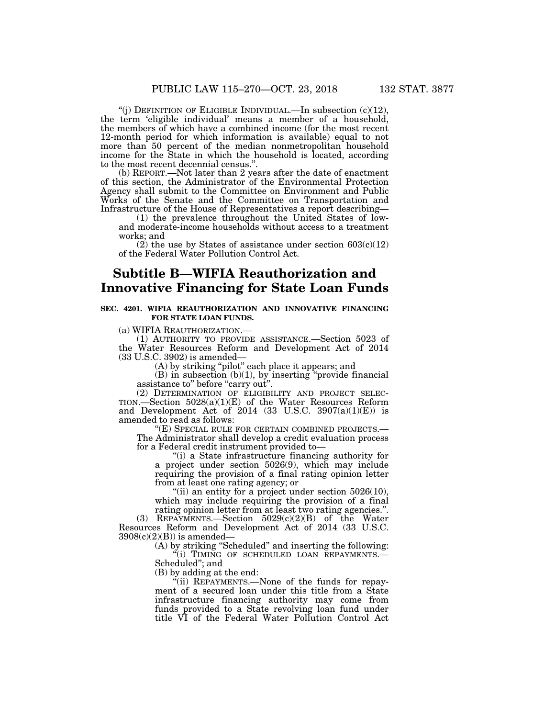''(j) DEFINITION OF ELIGIBLE INDIVIDUAL.—In subsection (c)(12), the term 'eligible individual' means a member of a household, the members of which have a combined income (for the most recent 12-month period for which information is available) equal to not more than 50 percent of the median nonmetropolitan household income for the State in which the household is located, according to the most recent decennial census.''.

(b) REPORT.—Not later than 2 years after the date of enactment of this section, the Administrator of the Environmental Protection Agency shall submit to the Committee on Environment and Public Works of the Senate and the Committee on Transportation and Infrastructure of the House of Representatives a report describing—

(1) the prevalence throughout the United States of lowand moderate-income households without access to a treatment works; and

(2) the use by States of assistance under section  $603(c)(12)$ of the Federal Water Pollution Control Act.

# **Subtitle B—WIFIA Reauthorization and Innovative Financing for State Loan Funds**

### **SEC. 4201. WIFIA REAUTHORIZATION AND INNOVATIVE FINANCING FOR STATE LOAN FUNDS.**

(a) WIFIA REAUTHORIZATION.— (1) AUTHORITY TO PROVIDE ASSISTANCE.—Section 5023 of the Water Resources Reform and Development Act of 2014 (33 U.S.C. 3902) is amended—

(A) by striking ''pilot'' each place it appears; and

 $(B)$  in subsection  $(b)(1)$ , by inserting "provide financial assistance to" before "carry out".<br>(2) DETERMINATION OF ELIGIBILITY AND PROJECT SELEC-

(2) DETERMINATION OF ELIGIBILITY AND PROJECT SELECTION.—Section  $5028(a)(1)(E)$  of the Water Resources Reform and Development Act of  $2014$  (33 U.S.C. 3907(a)(1)(E)) is amended to read as follows:<br>"(E) SPECIAL RULE FOR CERTAIN COMBINED PROJECTS.—

The Administrator shall develop a credit evaluation process. for a Federal credit instrument provided to—

''(i) a State infrastructure financing authority for a project under section 5026(9), which may include requiring the provision of a final rating opinion letter from at least one rating agency; or

"(ii) an entity for a project under section 5026(10), which may include requiring the provision of a final rating opinion letter from at least two rating agencies.".

(3) REPAYMENTS.—Section 5029(c)(2)(B) of the Water Resources Reform and Development Act of 2014 (33 U.S.C.  $3908(c)(2)(B)$  is amended-

(A) by striking ''Scheduled'' and inserting the following:

''(i) TIMING OF SCHEDULED LOAN REPAYMENTS.— Scheduled''; and

(B) by adding at the end:

''(ii) REPAYMENTS.—None of the funds for repayment of a secured loan under this title from a State infrastructure financing authority may come from funds provided to a State revolving loan fund under title VI of the Federal Water Pollution Control Act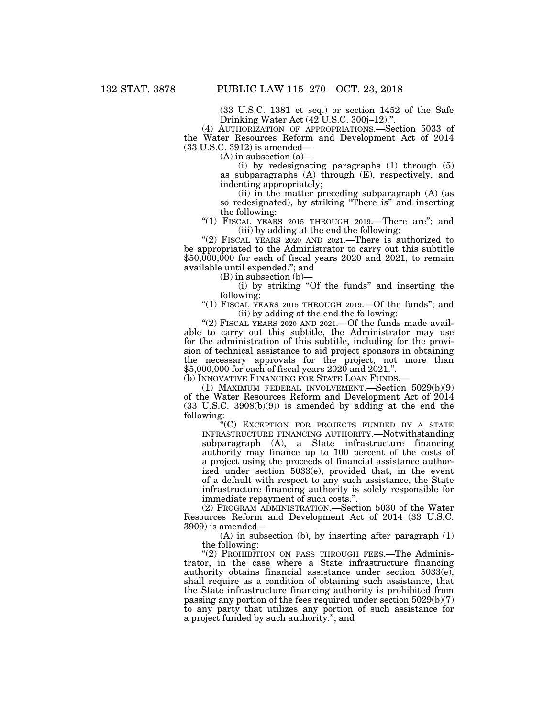(33 U.S.C. 1381 et seq.) or section 1452 of the Safe Drinking Water Act (42 U.S.C. 300j–12).''.

(4) AUTHORIZATION OF APPROPRIATIONS.—Section 5033 of the Water Resources Reform and Development Act of 2014 (33 U.S.C. 3912) is amended—

(A) in subsection (a)—

(i) by redesignating paragraphs (1) through (5) as subparagraphs  $(A)$  through  $(\vec{E})$ , respectively, and indenting appropriately;

(ii) in the matter preceding subparagraph (A) (as so redesignated), by striking ''There is'' and inserting the following:

"(1) FISCAL YEARS 2015 THROUGH 2019. There are"; and (iii) by adding at the end the following:

"(2) FISCAL YEARS 2020 AND 2021.—There is authorized to be appropriated to the Administrator to carry out this subtitle \$50,000,000 for each of fiscal years 2020 and 2021, to remain available until expended.''; and

 $(B)$  in subsection  $(b)$ –

(i) by striking ''Of the funds'' and inserting the following:

"(1) FISCAL YEARS 2015 THROUGH 2019. $-$ Of the funds"; and (ii) by adding at the end the following:

"(2) FISCAL YEARS 2020 AND 2021. - Of the funds made available to carry out this subtitle, the Administrator may use for the administration of this subtitle, including for the provision of technical assistance to aid project sponsors in obtaining the necessary approvals for the project, not more than \$5,000,000 for each of fiscal years 2020 and 2021.''.

(b) INNOVATIVE FINANCING FOR STATE LOAN FUNDS.—

(1) MAXIMUM FEDERAL INVOLVEMENT.—Section 5029(b)(9) of the Water Resources Reform and Development Act of 2014 (33 U.S.C. 3908(b)(9)) is amended by adding at the end the following:

''(C) EXCEPTION FOR PROJECTS FUNDED BY A STATE INFRASTRUCTURE FINANCING AUTHORITY.—Notwithstanding subparagraph (A), a State infrastructure financing authority may finance up to 100 percent of the costs of a project using the proceeds of financial assistance authorized under section 5033(e), provided that, in the event of a default with respect to any such assistance, the State infrastructure financing authority is solely responsible for immediate repayment of such costs.''.

(2) PROGRAM ADMINISTRATION.—Section 5030 of the Water Resources Reform and Development Act of 2014 (33 U.S.C. 3909) is amended—

(A) in subsection (b), by inserting after paragraph (1) the following:

"(2) PROHIBITION ON PASS THROUGH FEES.-The Administrator, in the case where a State infrastructure financing authority obtains financial assistance under section 5033(e), shall require as a condition of obtaining such assistance, that the State infrastructure financing authority is prohibited from passing any portion of the fees required under section 5029(b)(7) to any party that utilizes any portion of such assistance for a project funded by such authority.''; and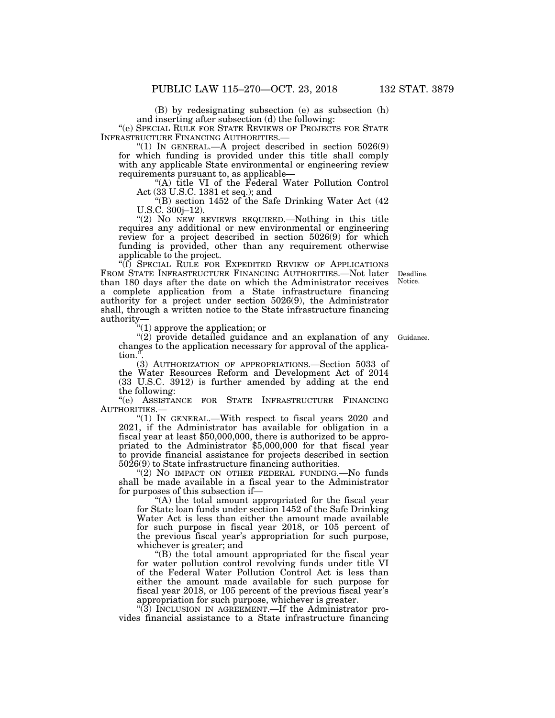(B) by redesignating subsection (e) as subsection (h) and inserting after subsection (d) the following:

''(e) SPECIAL RULE FOR STATE REVIEWS OF PROJECTS FOR STATE INFRASTRUCTURE FINANCING AUTHORITIES.—<br>
"(1) IN GENERAL.—A project described in section 5026(9)

for which funding is provided under this title shall comply with any applicable State environmental or engineering review requirements pursuant to, as applicable—

''(A) title VI of the Federal Water Pollution Control Act (33 U.S.C. 1381 et seq.); and

''(B) section 1452 of the Safe Drinking Water Act (42 U.S.C. 300j–12).

''(2) NO NEW REVIEWS REQUIRED.—Nothing in this title requires any additional or new environmental or engineering review for a project described in section 5026(9) for which funding is provided, other than any requirement otherwise applicable to the project.

''(f) SPECIAL RULE FOR EXPEDITED REVIEW OF APPLICATIONS FROM STATE INFRASTRUCTURE FINANCING AUTHORITIES.—Not later than 180 days after the date on which the Administrator receives a complete application from a State infrastructure financing authority for a project under section 5026(9), the Administrator shall, through a written notice to the State infrastructure financing authority—

''(1) approve the application; or

"(2) provide detailed guidance and an explanation of any changes to the application necessary for approval of the application."

(3) AUTHORIZATION OF APPROPRIATIONS.—Section 5033 of the Water Resources Reform and Development Act of 2014 (33 U.S.C. 3912) is further amended by adding at the end the following:

''(e) ASSISTANCE FOR STATE INFRASTRUCTURE FINANCING AUTHORITIES.—

''(1) IN GENERAL.—With respect to fiscal years 2020 and 2021, if the Administrator has available for obligation in a fiscal year at least \$50,000,000, there is authorized to be appropriated to the Administrator \$5,000,000 for that fiscal year to provide financial assistance for projects described in section 5026(9) to State infrastructure financing authorities.

''(2) NO IMPACT ON OTHER FEDERAL FUNDING.—No funds shall be made available in a fiscal year to the Administrator for purposes of this subsection if—

''(A) the total amount appropriated for the fiscal year for State loan funds under section 1452 of the Safe Drinking Water Act is less than either the amount made available for such purpose in fiscal year 2018, or 105 percent of the previous fiscal year's appropriation for such purpose, whichever is greater; and

''(B) the total amount appropriated for the fiscal year for water pollution control revolving funds under title VI of the Federal Water Pollution Control Act is less than either the amount made available for such purpose for fiscal year 2018, or 105 percent of the previous fiscal year's appropriation for such purpose, whichever is greater.

"(3) INCLUSION IN AGREEMENT.—If the Administrator provides financial assistance to a State infrastructure financing

Guidance.

Deadline. Notice.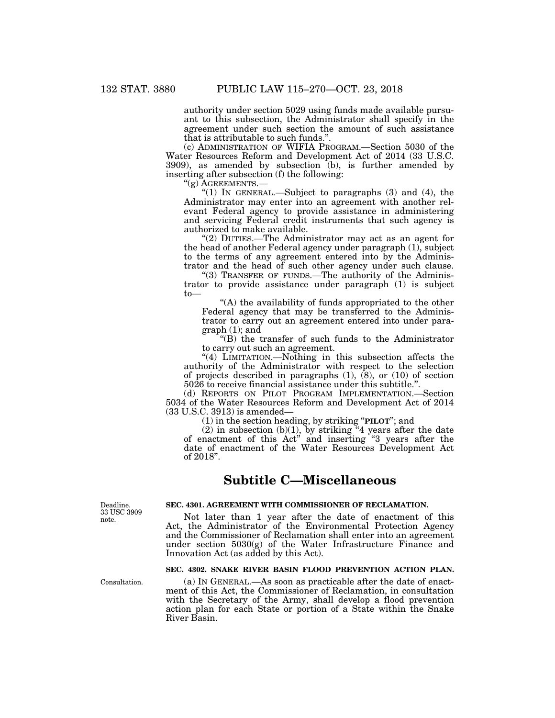authority under section 5029 using funds made available pursuant to this subsection, the Administrator shall specify in the agreement under such section the amount of such assistance that is attributable to such funds.''.

(c) ADMINISTRATION OF WIFIA PROGRAM.—Section 5030 of the Water Resources Reform and Development Act of 2014 (33 U.S.C. 3909), as amended by subsection (b), is further amended by inserting after subsection (f) the following:

''(g) AGREEMENTS.—

" $(1)$  In GENERAL.—Subject to paragraphs  $(3)$  and  $(4)$ , the Administrator may enter into an agreement with another relevant Federal agency to provide assistance in administering and servicing Federal credit instruments that such agency is authorized to make available.

''(2) DUTIES.—The Administrator may act as an agent for the head of another Federal agency under paragraph (1), subject to the terms of any agreement entered into by the Administrator and the head of such other agency under such clause.

"(3) TRANSFER OF FUNDS.—The authority of the Administrator to provide assistance under paragraph (1) is subject to—

''(A) the availability of funds appropriated to the other Federal agency that may be transferred to the Administrator to carry out an agreement entered into under para $graph (1)$ ; and

''(B) the transfer of such funds to the Administrator to carry out such an agreement.

"(4) LIMITATION.—Nothing in this subsection affects the authority of the Administrator with respect to the selection of projects described in paragraphs  $(1)$ ,  $(8)$ , or  $(10)$  of section 5026 to receive financial assistance under this subtitle.''.

(d) REPORTS ON PILOT PROGRAM IMPLEMENTATION.—Section 5034 of the Water Resources Reform and Development Act of 2014 (33 U.S.C. 3913) is amended—

(1) in the section heading, by striking ''**PILOT**''; and

 $(2)$  in subsection  $(b)(1)$ , by striking "4 years after the date of enactment of this Act'' and inserting ''3 years after the date of enactment of the Water Resources Development Act of 2018''.

## **Subtitle C—Miscellaneous**

Deadline. 33 USC 3909 note.

Consultation.

#### **SEC. 4301. AGREEMENT WITH COMMISSIONER OF RECLAMATION.**

Not later than 1 year after the date of enactment of this Act, the Administrator of the Environmental Protection Agency and the Commissioner of Reclamation shall enter into an agreement under section 5030(g) of the Water Infrastructure Finance and Innovation Act (as added by this Act).

## **SEC. 4302. SNAKE RIVER BASIN FLOOD PREVENTION ACTION PLAN.**

(a) IN GENERAL.—As soon as practicable after the date of enactment of this Act, the Commissioner of Reclamation, in consultation with the Secretary of the Army, shall develop a flood prevention action plan for each State or portion of a State within the Snake River Basin.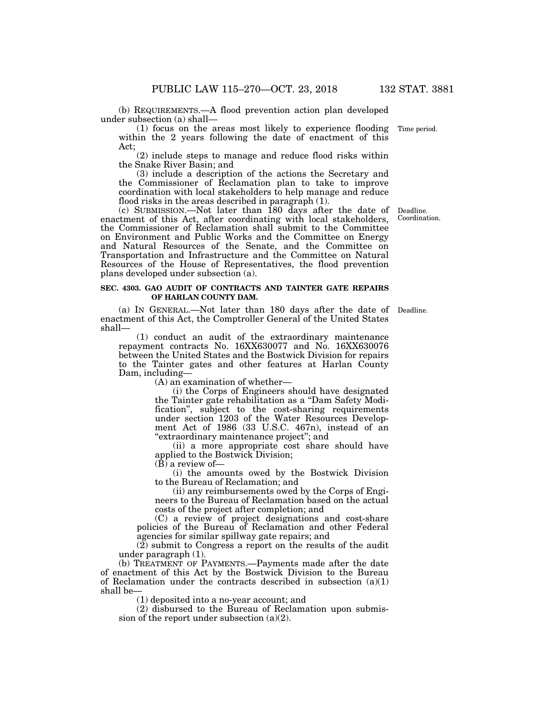(b) REQUIREMENTS.—A flood prevention action plan developed under subsection (a) shall—

(1) focus on the areas most likely to experience flooding within the 2 years following the date of enactment of this Act;

(2) include steps to manage and reduce flood risks within the Snake River Basin; and

(3) include a description of the actions the Secretary and the Commissioner of Reclamation plan to take to improve coordination with local stakeholders to help manage and reduce flood risks in the areas described in paragraph (1).

(c) SUBMISSION.—Not later than 180 days after the date of enactment of this Act, after coordinating with local stakeholders, the Commissioner of Reclamation shall submit to the Committee on Environment and Public Works and the Committee on Energy and Natural Resources of the Senate, and the Committee on Transportation and Infrastructure and the Committee on Natural Resources of the House of Representatives, the flood prevention plans developed under subsection (a).

### **SEC. 4303. GAO AUDIT OF CONTRACTS AND TAINTER GATE REPAIRS OF HARLAN COUNTY DAM.**

(a) IN GENERAL.—Not later than 180 days after the date of Deadline. enactment of this Act, the Comptroller General of the United States shall—

(1) conduct an audit of the extraordinary maintenance repayment contracts No. 16XX630077 and No. 16XX630076 between the United States and the Bostwick Division for repairs to the Tainter gates and other features at Harlan County Dam, including—

(A) an examination of whether—

(i) the Corps of Engineers should have designated the Tainter gate rehabilitation as a ''Dam Safety Modification'', subject to the cost-sharing requirements under section 1203 of the Water Resources Development Act of 1986 (33 U.S.C. 467n), instead of an ''extraordinary maintenance project''; and

(ii) a more appropriate cost share should have applied to the Bostwick Division;

 $(\overline{B})$  a review of-

(i) the amounts owed by the Bostwick Division to the Bureau of Reclamation; and

(ii) any reimbursements owed by the Corps of Engineers to the Bureau of Reclamation based on the actual costs of the project after completion; and

(C) a review of project designations and cost-share policies of the Bureau of Reclamation and other Federal agencies for similar spillway gate repairs; and

(2) submit to Congress a report on the results of the audit under paragraph (1).

(b) TREATMENT OF PAYMENTS.—Payments made after the date of enactment of this Act by the Bostwick Division to the Bureau of Reclamation under the contracts described in subsection  $(a)(1)$ shall be—

(1) deposited into a no-year account; and

(2) disbursed to the Bureau of Reclamation upon submission of the report under subsection (a)(2).

Deadline. Coordination.

Time period.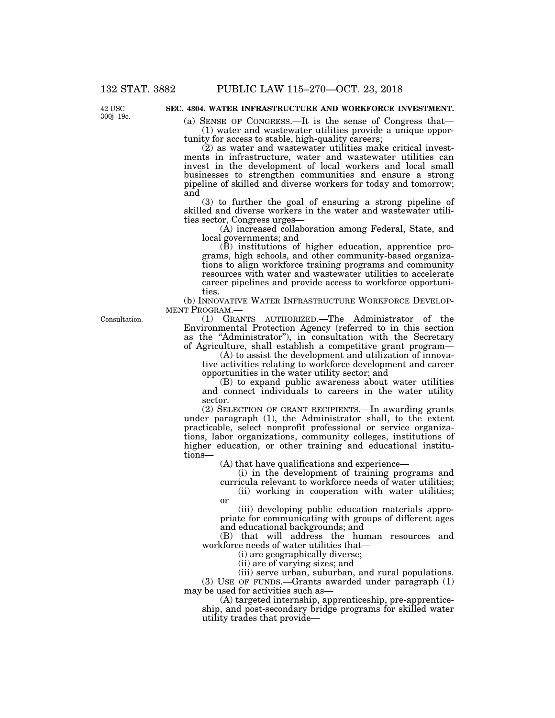**SEC. 4304. WATER INFRASTRUCTURE AND WORKFORCE INVESTMENT.** 

42 USC 300j–19e.

Consultation.

(a) SENSE OF CONGRESS.—It is the sense of Congress that— (1) water and wastewater utilities provide a unique opportunity for access to stable, high-quality careers;

(2) as water and wastewater utilities make critical investments in infrastructure, water and wastewater utilities can invest in the development of local workers and local small businesses to strengthen communities and ensure a strong pipeline of skilled and diverse workers for today and tomorrow; and

(3) to further the goal of ensuring a strong pipeline of skilled and diverse workers in the water and wastewater utilities sector, Congress urges—

(A) increased collaboration among Federal, State, and local governments; and

 $(\bar{B})$  institutions of higher education, apprentice programs, high schools, and other community-based organizations to align workforce training programs and community resources with water and wastewater utilities to accelerate career pipelines and provide access to workforce opportunities.

(b) INNOVATIVE WATER INFRASTRUCTURE WORKFORCE DEVELOP-MENT PROGRAM.—

(1) GRANTS AUTHORIZED.—The Administrator of the Environmental Protection Agency (referred to in this section as the ''Administrator''), in consultation with the Secretary of Agriculture, shall establish a competitive grant program—

(A) to assist the development and utilization of innovative activities relating to workforce development and career opportunities in the water utility sector; and

(B) to expand public awareness about water utilities and connect individuals to careers in the water utility sector.

(2) SELECTION OF GRANT RECIPIENTS.—In awarding grants under paragraph (1), the Administrator shall, to the extent practicable, select nonprofit professional or service organizations, labor organizations, community colleges, institutions of higher education, or other training and educational institutions—

(A) that have qualifications and experience—

(i) in the development of training programs and curricula relevant to workforce needs of water utilities;

(ii) working in cooperation with water utilities; or

(iii) developing public education materials appropriate for communicating with groups of different ages and educational backgrounds; and

(B) that will address the human resources and workforce needs of water utilities that—

(i) are geographically diverse;

(ii) are of varying sizes; and

(iii) serve urban, suburban, and rural populations. (3) USE OF FUNDS.—Grants awarded under paragraph (1) may be used for activities such as—

(A) targeted internship, apprenticeship, pre-apprenticeship, and post-secondary bridge programs for skilled water utility trades that provide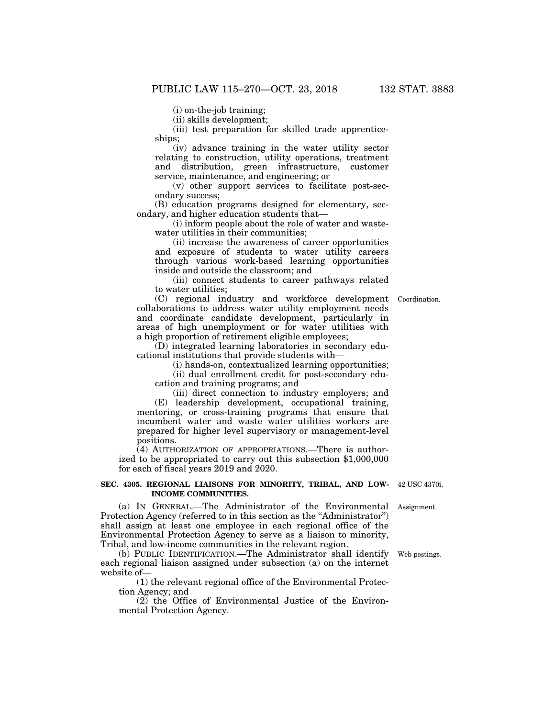(i) on-the-job training;

(ii) skills development;

(iii) test preparation for skilled trade apprenticeships;

(iv) advance training in the water utility sector relating to construction, utility operations, treatment and distribution, green infrastructure, customer service, maintenance, and engineering; or

(v) other support services to facilitate post-secondary success;

(B) education programs designed for elementary, secondary, and higher education students that—

(i) inform people about the role of water and wastewater utilities in their communities;

(ii) increase the awareness of career opportunities and exposure of students to water utility careers through various work-based learning opportunities inside and outside the classroom; and

(iii) connect students to career pathways related to water utilities;

(C) regional industry and workforce development Coordination. collaborations to address water utility employment needs and coordinate candidate development, particularly in areas of high unemployment or for water utilities with a high proportion of retirement eligible employees;

(D) integrated learning laboratories in secondary educational institutions that provide students with—

(i) hands-on, contextualized learning opportunities; (ii) dual enrollment credit for post-secondary edu-

cation and training programs; and

(iii) direct connection to industry employers; and (E) leadership development, occupational training, mentoring, or cross-training programs that ensure that incumbent water and waste water utilities workers are prepared for higher level supervisory or management-level positions.

(4) AUTHORIZATION OF APPROPRIATIONS.—There is authorized to be appropriated to carry out this subsection \$1,000,000 for each of fiscal years 2019 and 2020.

#### **SEC. 4305. REGIONAL LIAISONS FOR MINORITY, TRIBAL, AND LOW-**42 USC 4370i. **INCOME COMMUNITIES.**

(a) IN GENERAL.—The Administrator of the Environmental Assignment. Protection Agency (referred to in this section as the ''Administrator'') shall assign at least one employee in each regional office of the Environmental Protection Agency to serve as a liaison to minority, Tribal, and low-income communities in the relevant region.

(b) PUBLIC IDENTIFICATION.—The Administrator shall identify each regional liaison assigned under subsection (a) on the internet website of—

(1) the relevant regional office of the Environmental Protection Agency; and

(2) the Office of Environmental Justice of the Environmental Protection Agency.

Web postings.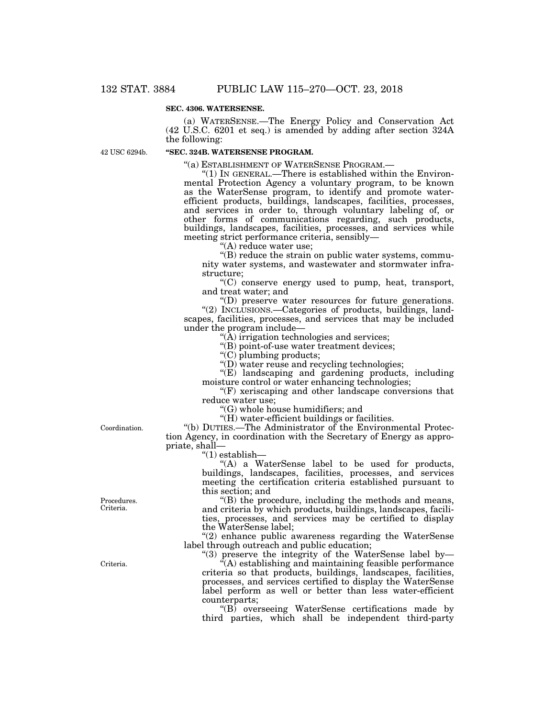### **SEC. 4306. WATERSENSE.**

(a) WATERSENSE.—The Energy Policy and Conservation Act (42 U.S.C. 6201 et seq.) is amended by adding after section 324A the following:

42 USC 6294b.

## **''SEC. 324B. WATERSENSE PROGRAM.**

''(a) ESTABLISHMENT OF WATERSENSE PROGRAM.— ''(1) IN GENERAL.—There is established within the Environmental Protection Agency a voluntary program, to be known as the WaterSense program, to identify and promote waterefficient products, buildings, landscapes, facilities, processes, and services in order to, through voluntary labeling of, or other forms of communications regarding, such products, buildings, landscapes, facilities, processes, and services while meeting strict performance criteria, sensibly—

''(A) reduce water use;

''(B) reduce the strain on public water systems, community water systems, and wastewater and stormwater infrastructure;

''(C) conserve energy used to pump, heat, transport, and treat water; and

''(D) preserve water resources for future generations. "(2) INCLUSIONS.—Categories of products, buildings, landscapes, facilities, processes, and services that may be included under the program include—

 $\mathcal{A}$ ) irrigation technologies and services;

"(B) point-of-use water treatment devices;

''(C) plumbing products;

''(D) water reuse and recycling technologies;

''(E) landscaping and gardening products, including moisture control or water enhancing technologies;

"(F) xeriscaping and other landscape conversions that reduce water use;

''(G) whole house humidifiers; and

"(H) water-efficient buildings or facilities.

''(b) DUTIES.—The Administrator of the Environmental Protection Agency, in coordination with the Secretary of Energy as appropriate, shall—

''(1) establish—

''(A) a WaterSense label to be used for products, buildings, landscapes, facilities, processes, and services meeting the certification criteria established pursuant to this section; and

''(B) the procedure, including the methods and means, and criteria by which products, buildings, landscapes, facilities, processes, and services may be certified to display the WaterSense label;

"(2) enhance public awareness regarding the WaterSense label through outreach and public education;

''(3) preserve the integrity of the WaterSense label by—  $\mathcal{F}(A)$  establishing and maintaining feasible performance

criteria so that products, buildings, landscapes, facilities, processes, and services certified to display the WaterSense label perform as well or better than less water-efficient counterparts;

 $\mathrm{``(B)}$  overseeing WaterSense certifications made by third parties, which shall be independent third-party

Coordination.

Procedures. Criteria.

Criteria.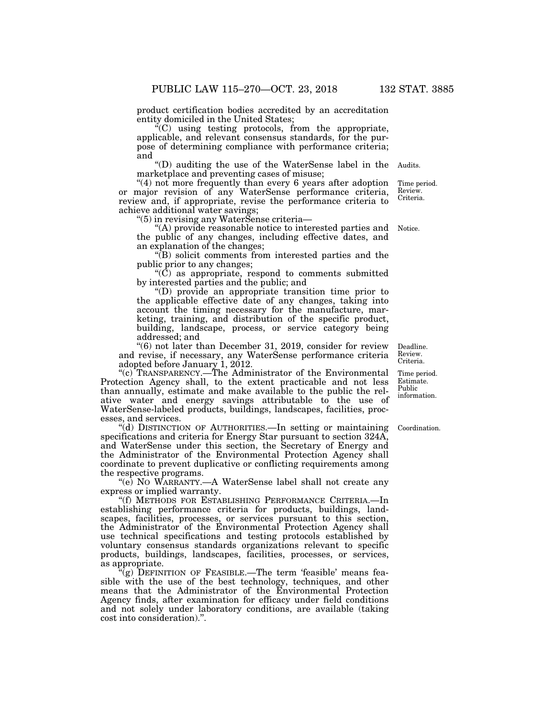product certification bodies accredited by an accreditation entity domiciled in the United States;

''(C) using testing protocols, from the appropriate, applicable, and relevant consensus standards, for the purpose of determining compliance with performance criteria; and

''(D) auditing the use of the WaterSense label in the Audits. marketplace and preventing cases of misuse;

"(4) not more frequently than every 6 years after adoption or major revision of any WaterSense performance criteria, review and, if appropriate, revise the performance criteria to achieve additional water savings;

''(5) in revising any WaterSense criteria—

''(A) provide reasonable notice to interested parties and the public of any changes, including effective dates, and an explanation of the changes; Notice.

''(B) solicit comments from interested parties and the public prior to any changes;

 $(C)$  as appropriate, respond to comments submitted by interested parties and the public; and

''(D) provide an appropriate transition time prior to the applicable effective date of any changes, taking into account the timing necessary for the manufacture, marketing, training, and distribution of the specific product, building, landscape, process, or service category being addressed; and

''(6) not later than December 31, 2019, consider for review and revise, if necessary, any WaterSense performance criteria adopted before January 1, 2012.

''(c) TRANSPARENCY.—The Administrator of the Environmental Protection Agency shall, to the extent practicable and not less than annually, estimate and make available to the public the relative water and energy savings attributable to the use of WaterSense-labeled products, buildings, landscapes, facilities, processes, and services.

''(d) DISTINCTION OF AUTHORITIES.—In setting or maintaining specifications and criteria for Energy Star pursuant to section 324A, and WaterSense under this section, the Secretary of Energy and the Administrator of the Environmental Protection Agency shall coordinate to prevent duplicative or conflicting requirements among the respective programs. Coordination.

''(e) NO WARRANTY.—A WaterSense label shall not create any express or implied warranty.

''(f) METHODS FOR ESTABLISHING PERFORMANCE CRITERIA.—In establishing performance criteria for products, buildings, landscapes, facilities, processes, or services pursuant to this section, the Administrator of the Environmental Protection Agency shall use technical specifications and testing protocols established by voluntary consensus standards organizations relevant to specific products, buildings, landscapes, facilities, processes, or services, as appropriate.

 $\mathcal{F}(g)$  DEFINITION OF FEASIBLE.—The term 'feasible' means feasible with the use of the best technology, techniques, and other means that the Administrator of the Environmental Protection Agency finds, after examination for efficacy under field conditions and not solely under laboratory conditions, are available (taking cost into consideration).''.

Time period. Estimate. Review. Criteria.

Deadline.

Public information.

Time period. Review. Criteria.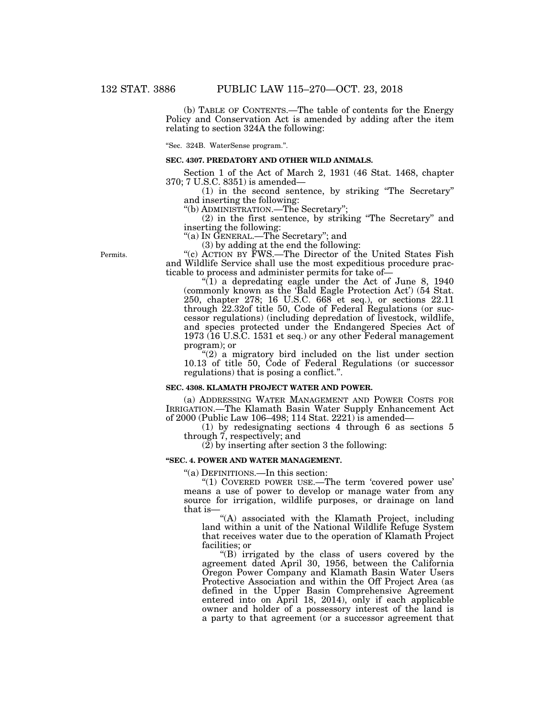(b) TABLE OF CONTENTS.—The table of contents for the Energy Policy and Conservation Act is amended by adding after the item relating to section 324A the following:

''Sec. 324B. WaterSense program.''.

### **SEC. 4307. PREDATORY AND OTHER WILD ANIMALS.**

Section 1 of the Act of March 2, 1931 (46 Stat. 1468, chapter 370; 7 U.S.C. 8351) is amended—

(1) in the second sentence, by striking ''The Secretary'' and inserting the following:

''(b) ADMINISTRATION.—The Secretary'';

(2) in the first sentence, by striking ''The Secretary'' and inserting the following:

''(a) IN GENERAL.—The Secretary''; and

(3) by adding at the end the following:

"(c) ACTION BY FWS.—The Director of the United States Fish and Wildlife Service shall use the most expeditious procedure practicable to process and administer permits for take of—

 $(1)$  a depredating eagle under the Act of June 8, 1940 (commonly known as the 'Bald Eagle Protection Act') (54 Stat. 250, chapter 278; 16 U.S.C. 668 et seq.), or sections 22.11 through 22.32of title 50, Code of Federal Regulations (or successor regulations) (including depredation of livestock, wildlife, and species protected under the Endangered Species Act of 1973 (16 U.S.C. 1531 et seq.) or any other Federal management program); or

"(2)  $a$  migratory bird included on the list under section 10.13 of title 50, Code of Federal Regulations (or successor regulations) that is posing a conflict.''.

### **SEC. 4308. KLAMATH PROJECT WATER AND POWER.**

(a) ADDRESSING WATER MANAGEMENT AND POWER COSTS FOR IRRIGATION.—The Klamath Basin Water Supply Enhancement Act of 2000 (Public Law 106–498; 114 Stat. 2221) is amended—

(1) by redesignating sections 4 through 6 as sections 5 through 7, respectively; and

 $(2)$  by inserting after section 3 the following:

#### **''SEC. 4. POWER AND WATER MANAGEMENT.**

''(a) DEFINITIONS.—In this section:

''(1) COVERED POWER USE.—The term 'covered power use' means a use of power to develop or manage water from any source for irrigation, wildlife purposes, or drainage on land that is-

"(A) associated with the Klamath Project, including land within a unit of the National Wildlife Refuge System that receives water due to the operation of Klamath Project facilities; or

''(B) irrigated by the class of users covered by the agreement dated April 30, 1956, between the California Oregon Power Company and Klamath Basin Water Users Protective Association and within the Off Project Area (as defined in the Upper Basin Comprehensive Agreement entered into on April 18, 2014), only if each applicable owner and holder of a possessory interest of the land is a party to that agreement (or a successor agreement that

Permits.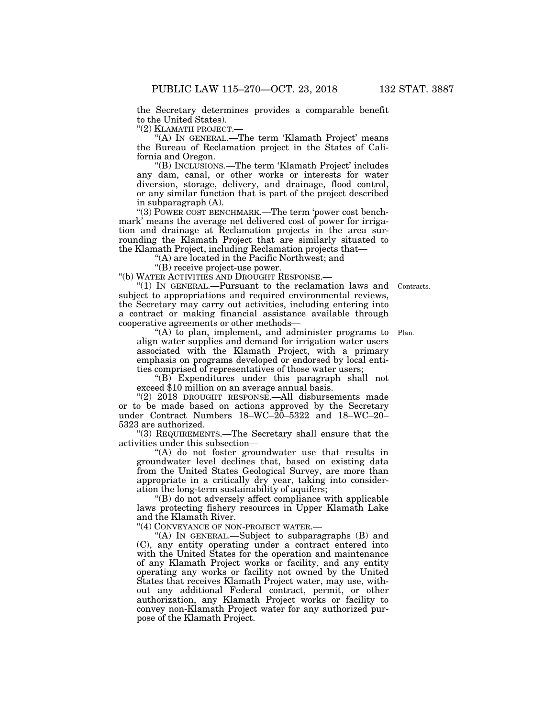the Secretary determines provides a comparable benefit to the United States).

''(2) KLAMATH PROJECT.—

"(A) IN GENERAL.—The term 'Klamath Project' means the Bureau of Reclamation project in the States of California and Oregon.

''(B) INCLUSIONS.—The term 'Klamath Project' includes any dam, canal, or other works or interests for water diversion, storage, delivery, and drainage, flood control, or any similar function that is part of the project described in subparagraph (A).

"(3) POWER COST BENCHMARK.—The term 'power cost benchmark' means the average net delivered cost of power for irrigation and drainage at Reclamation projects in the area surrounding the Klamath Project that are similarly situated to the Klamath Project, including Reclamation projects that—

''(A) are located in the Pacific Northwest; and

''(B) receive project-use power.

''(b) WATER ACTIVITIES AND DROUGHT RESPONSE.—

"(1) IN GENERAL.—Pursuant to the reclamation laws and Contracts. subject to appropriations and required environmental reviews, the Secretary may carry out activities, including entering into a contract or making financial assistance available through cooperative agreements or other methods—

''(A) to plan, implement, and administer programs to Plan. align water supplies and demand for irrigation water users associated with the Klamath Project, with a primary emphasis on programs developed or endorsed by local entities comprised of representatives of those water users;

''(B) Expenditures under this paragraph shall not exceed \$10 million on an average annual basis.

''(2) 2018 DROUGHT RESPONSE.—All disbursements made or to be made based on actions approved by the Secretary under Contract Numbers 18–WC–20–5322 and 18–WC–20– 5323 are authorized.

''(3) REQUIREMENTS.—The Secretary shall ensure that the activities under this subsection—

''(A) do not foster groundwater use that results in groundwater level declines that, based on existing data from the United States Geological Survey, are more than appropriate in a critically dry year, taking into consideration the long-term sustainability of aquifers;

''(B) do not adversely affect compliance with applicable laws protecting fishery resources in Upper Klamath Lake and the Klamath River.

''(4) CONVEYANCE OF NON-PROJECT WATER.—

"(A) IN GENERAL.—Subject to subparagraphs  $(B)$  and (C), any entity operating under a contract entered into with the United States for the operation and maintenance of any Klamath Project works or facility, and any entity operating any works or facility not owned by the United States that receives Klamath Project water, may use, without any additional Federal contract, permit, or other authorization, any Klamath Project works or facility to convey non-Klamath Project water for any authorized purpose of the Klamath Project.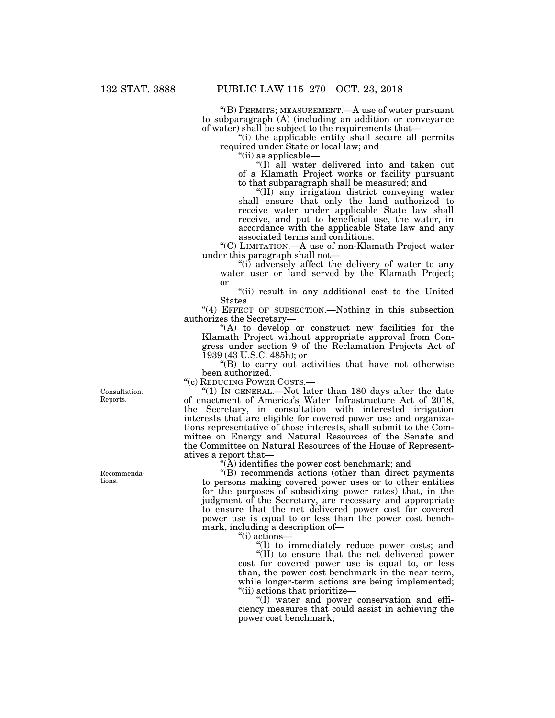''(B) PERMITS; MEASUREMENT.—A use of water pursuant to subparagraph (A) (including an addition or conveyance of water) shall be subject to the requirements that—

''(i) the applicable entity shall secure all permits required under State or local law; and

''(ii) as applicable—

''(I) all water delivered into and taken out of a Klamath Project works or facility pursuant to that subparagraph shall be measured; and

''(II) any irrigation district conveying water shall ensure that only the land authorized to receive water under applicable State law shall receive, and put to beneficial use, the water, in accordance with the applicable State law and any associated terms and conditions.

''(C) LIMITATION.—A use of non-Klamath Project water under this paragraph shall not—

"(i) adversely affect the delivery of water to any water user or land served by the Klamath Project; or

''(ii) result in any additional cost to the United States.

"(4) EFFECT OF SUBSECTION.—Nothing in this subsection authorizes the Secretary—

"(A) to develop or construct new facilities for the Klamath Project without appropriate approval from Congress under section 9 of the Reclamation Projects Act of 1939 (43 U.S.C. 485h); or

''(B) to carry out activities that have not otherwise been authorized.

''(c) REDUCING POWER COSTS.—

"(1) IN GENERAL.—Not later than 180 days after the date of enactment of America's Water Infrastructure Act of 2018, the Secretary, in consultation with interested irrigation interests that are eligible for covered power use and organizations representative of those interests, shall submit to the Committee on Energy and Natural Resources of the Senate and the Committee on Natural Resources of the House of Representatives a report that—

 $(A)$  identifies the power cost benchmark; and

''(B) recommends actions (other than direct payments to persons making covered power uses or to other entities for the purposes of subsidizing power rates) that, in the judgment of the Secretary, are necessary and appropriate to ensure that the net delivered power cost for covered power use is equal to or less than the power cost benchmark, including a description of—

''(i) actions—

''(I) to immediately reduce power costs; and ''(II) to ensure that the net delivered power

cost for covered power use is equal to, or less than, the power cost benchmark in the near term, while longer-term actions are being implemented; ''(ii) actions that prioritize—

''(I) water and power conservation and efficiency measures that could assist in achieving the power cost benchmark;

Consultation. Reports.

Recommendations.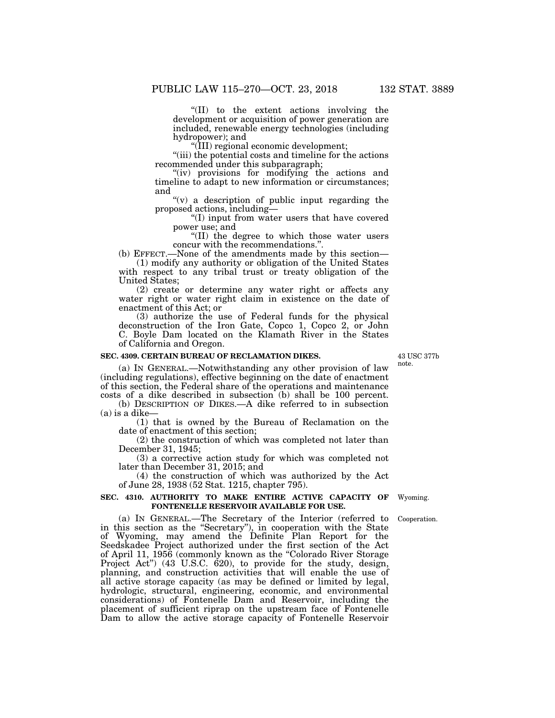''(II) to the extent actions involving the development or acquisition of power generation are included, renewable energy technologies (including hydropower); and

''(III) regional economic development;

"(iii) the potential costs and timeline for the actions recommended under this subparagraph;

"(iv) provisions for modifying the actions and timeline to adapt to new information or circumstances; and

"(v) a description of public input regarding the proposed actions, including—

''(I) input from water users that have covered power use; and

''(II) the degree to which those water users concur with the recommendations.''.

(b) EFFECT.—None of the amendments made by this section—

(1) modify any authority or obligation of the United States with respect to any tribal trust or treaty obligation of the United States;

(2) create or determine any water right or affects any water right or water right claim in existence on the date of enactment of this Act; or

(3) authorize the use of Federal funds for the physical deconstruction of the Iron Gate, Copco 1, Copco 2, or John C. Boyle Dam located on the Klamath River in the States of California and Oregon.

### **SEC. 4309. CERTAIN BUREAU OF RECLAMATION DIKES.**

43 USC 377b note.

(a) IN GENERAL.—Notwithstanding any other provision of law (including regulations), effective beginning on the date of enactment of this section, the Federal share of the operations and maintenance costs of a dike described in subsection (b) shall be 100 percent.

(b) DESCRIPTION OF DIKES.—A dike referred to in subsection  $(a)$  is a dike-

(1) that is owned by the Bureau of Reclamation on the date of enactment of this section;

(2) the construction of which was completed not later than December 31, 1945;

(3) a corrective action study for which was completed not later than December 31, 2015; and

(4) the construction of which was authorized by the Act of June 28, 1938 (52 Stat. 1215, chapter 795).

#### **SEC. 4310. AUTHORITY TO MAKE ENTIRE ACTIVE CAPACITY OF FONTENELLE RESERVOIR AVAILABLE FOR USE.**  Wyoming.

Cooperation.

(a) IN GENERAL.—The Secretary of the Interior (referred to in this section as the ''Secretary''), in cooperation with the State of Wyoming, may amend the Definite Plan Report for the Seedskadee Project authorized under the first section of the Act of April 11, 1956 (commonly known as the ''Colorado River Storage Project Act'') (43 U.S.C. 620), to provide for the study, design, planning, and construction activities that will enable the use of all active storage capacity (as may be defined or limited by legal, hydrologic, structural, engineering, economic, and environmental considerations) of Fontenelle Dam and Reservoir, including the placement of sufficient riprap on the upstream face of Fontenelle Dam to allow the active storage capacity of Fontenelle Reservoir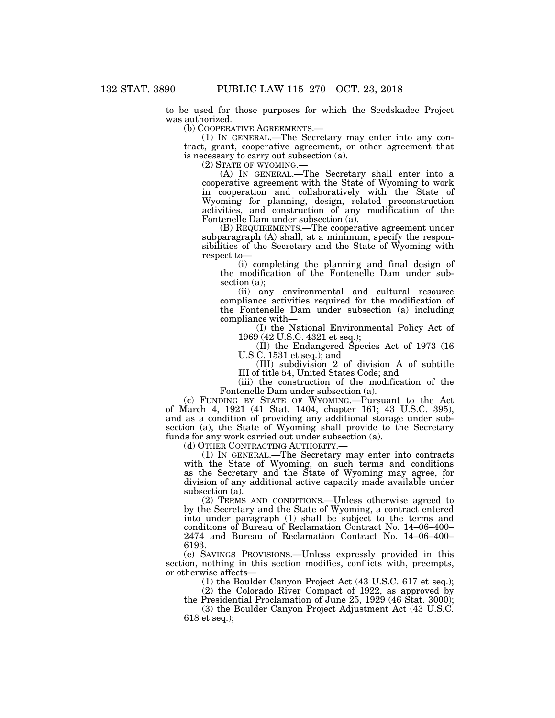to be used for those purposes for which the Seedskadee Project was authorized.

(b) COOPERATIVE AGREEMENTS.—

(1) IN GENERAL.—The Secretary may enter into any contract, grant, cooperative agreement, or other agreement that is necessary to carry out subsection (a).<br>(2) STATE OF WYOMING.—

(A) IN GENERAL.—The Secretary shall enter into a cooperative agreement with the State of Wyoming to work in cooperation and collaboratively with the State of Wyoming for planning, design, related preconstruction activities, and construction of any modification of the Fontenelle Dam under subsection (a).

(B) REQUIREMENTS.—The cooperative agreement under subparagraph (A) shall, at a minimum, specify the responsibilities of the Secretary and the State of Wyoming with respect to—

(i) completing the planning and final design of the modification of the Fontenelle Dam under subsection (a):

(ii) any environmental and cultural resource compliance activities required for the modification of the Fontenelle Dam under subsection (a) including compliance with—

(I) the National Environmental Policy Act of 1969 (42 U.S.C. 4321 et seq.);

(II) the Endangered Species Act of 1973 (16 U.S.C. 1531 et seq.); and

(III) subdivision 2 of division A of subtitle III of title 54, United States Code; and

(iii) the construction of the modification of the Fontenelle Dam under subsection (a).

(c) FUNDING BY STATE OF WYOMING.—Pursuant to the Act of March 4, 1921 (41 Stat. 1404, chapter 161; 43 U.S.C. 395), and as a condition of providing any additional storage under subsection (a), the State of Wyoming shall provide to the Secretary funds for any work carried out under subsection (a).

(d) OTHER CONTRACTING AUTHORITY.—

(1) IN GENERAL.—The Secretary may enter into contracts with the State of Wyoming, on such terms and conditions as the Secretary and the State of Wyoming may agree, for division of any additional active capacity made available under subsection (a).

(2) TERMS AND CONDITIONS.—Unless otherwise agreed to by the Secretary and the State of Wyoming, a contract entered into under paragraph (1) shall be subject to the terms and conditions of Bureau of Reclamation Contract No. 14–06–400– 2474 and Bureau of Reclamation Contract No. 14–06–400– 6193.

(e) SAVINGS PROVISIONS.—Unless expressly provided in this section, nothing in this section modifies, conflicts with, preempts, or otherwise affects—

(1) the Boulder Canyon Project Act (43 U.S.C. 617 et seq.);

(2) the Colorado River Compact of 1922, as approved by the Presidential Proclamation of June 25, 1929 (46 Stat. 3000);

(3) the Boulder Canyon Project Adjustment Act (43 U.S.C. 618 et seq.);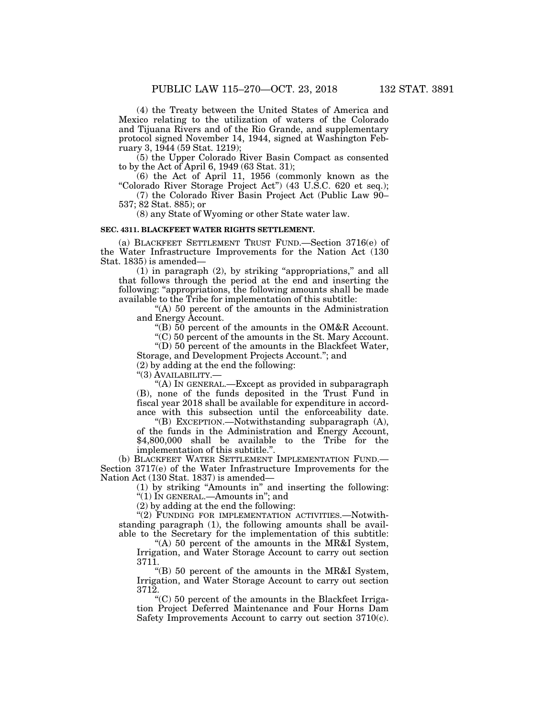(4) the Treaty between the United States of America and Mexico relating to the utilization of waters of the Colorado and Tijuana Rivers and of the Rio Grande, and supplementary protocol signed November 14, 1944, signed at Washington February 3, 1944 (59 Stat. 1219);

(5) the Upper Colorado River Basin Compact as consented to by the Act of April 6, 1949 (63 Stat. 31);

(6) the Act of April 11, 1956 (commonly known as the "Colorado River Storage Project Act") (43 U.S.C. 620 et seq.);

(7) the Colorado River Basin Project Act (Public Law  $90-$ 537; 82 Stat. 885); or

(8) any State of Wyoming or other State water law.

### **SEC. 4311. BLACKFEET WATER RIGHTS SETTLEMENT.**

(a) BLACKFEET SETTLEMENT TRUST FUND.—Section 3716(e) of the Water Infrastructure Improvements for the Nation Act (130 Stat. 1835) is amended—

(1) in paragraph (2), by striking ''appropriations,'' and all that follows through the period at the end and inserting the following: "appropriations, the following amounts shall be made available to the Tribe for implementation of this subtitle:

''(A) 50 percent of the amounts in the Administration and Energy Account.

"(B)  $50$  percent of the amounts in the OM&R Account.

''(C) 50 percent of the amounts in the St. Mary Account.

''(D) 50 percent of the amounts in the Blackfeet Water, Storage, and Development Projects Account.''; and

(2) by adding at the end the following:

''(3) AVAILABILITY.—

''(A) IN GENERAL.—Except as provided in subparagraph (B), none of the funds deposited in the Trust Fund in fiscal year 2018 shall be available for expenditure in accordance with this subsection until the enforceability date.

''(B) EXCEPTION.—Notwithstanding subparagraph (A), of the funds in the Administration and Energy Account, \$4,800,000 shall be available to the Tribe for the implementation of this subtitle.''.

(b) BLACKFEET WATER SETTLEMENT IMPLEMENTATION FUND.— Section 3717(e) of the Water Infrastructure Improvements for the Nation Act (130 Stat. 1837) is amended—

(1) by striking ''Amounts in'' and inserting the following: ''(1) IN GENERAL.—Amounts in''; and

(2) by adding at the end the following:

"(2) FUNDING FOR IMPLEMENTATION ACTIVITIES.—Notwithstanding paragraph (1), the following amounts shall be available to the Secretary for the implementation of this subtitle:

''(A) 50 percent of the amounts in the MR&I System, Irrigation, and Water Storage Account to carry out section 3711.

''(B) 50 percent of the amounts in the MR&I System, Irrigation, and Water Storage Account to carry out section 3712.

 $C$ ) 50 percent of the amounts in the Blackfeet Irrigation Project Deferred Maintenance and Four Horns Dam Safety Improvements Account to carry out section 3710(c).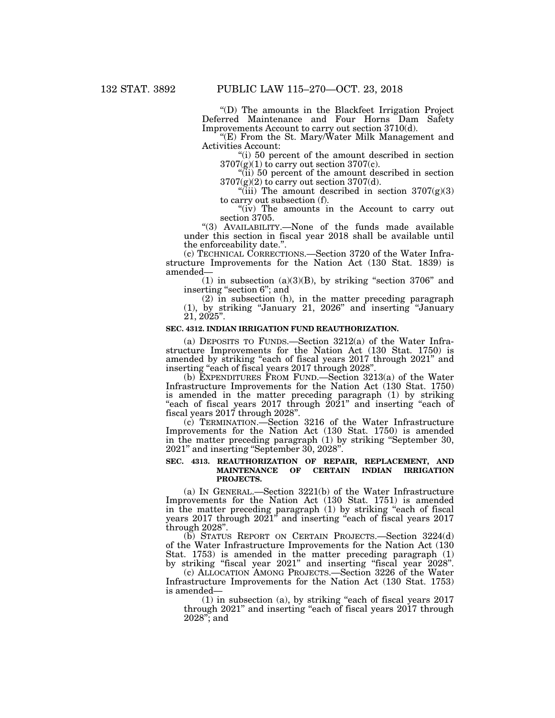''(D) The amounts in the Blackfeet Irrigation Project Deferred Maintenance and Four Horns Dam Safety Improvements Account to carry out section 3710(d).

''(E) From the St. Mary/Water Milk Management and Activities Account:

''(i) 50 percent of the amount described in section 3707(g)(1) to carry out section 3707(c).

"(ii) 50 percent of the amount described in section  $3707(g)(2)$  to carry out section  $3707(d)$ .

"(iii) The amount described in section  $3707(g)(3)$ to carry out subsection (f).

"(iv) The amounts in the Account to carry out section 3705.

''(3) AVAILABILITY.—None of the funds made available under this section in fiscal year 2018 shall be available until the enforceability date.''.

(c) TECHNICAL CORRECTIONS.—Section 3720 of the Water Infrastructure Improvements for the Nation Act (130 Stat. 1839) is amended—

 $(1)$  in subsection  $(a)(3)(B)$ , by striking "section 3706" and inserting "section 6"; and

(2) in subsection (h), in the matter preceding paragraph (1), by striking ''January 21, 2026'' and inserting ''January  $21,\,2025".$ 

### **SEC. 4312. INDIAN IRRIGATION FUND REAUTHORIZATION.**

(a) DEPOSITS TO FUNDS.—Section 3212(a) of the Water Infrastructure Improvements for the Nation Act (130 Stat. 1750) is amended by striking "each of fiscal years 2017 through 2021" and inserting ''each of fiscal years 2017 through 2028''.

(b) EXPENDITURES FROM FUND.—Section 3213(a) of the Water Infrastructure Improvements for the Nation Act (130 Stat. 1750) is amended in the matter preceding paragraph (1) by striking "each of fiscal years 2017 through 2021" and inserting "each of fiscal years 2017 through 2028''.

(c) TERMINATION.—Section 3216 of the Water Infrastructure Improvements for the Nation Act (130 Stat. 1750) is amended in the matter preceding paragraph (1) by striking ''September 30, 2021'' and inserting ''September 30, 2028''.

### **SEC. 4313. REAUTHORIZATION OF REPAIR, REPLACEMENT, AND MAINTENANCE OF CERTAIN INDIAN IRRIGATION PROJECTS.**

(a) IN GENERAL.—Section 3221(b) of the Water Infrastructure Improvements for the Nation Act (130 Stat. 1751) is amended in the matter preceding paragraph (1) by striking ''each of fiscal years 2017 through 2021" and inserting "each of fiscal years 2017 through 2028''.

(b) STATUS REPORT ON CERTAIN PROJECTS.—Section 3224(d) of the Water Infrastructure Improvements for the Nation Act (130 Stat. 1753) is amended in the matter preceding paragraph (1) by striking ''fiscal year 2021'' and inserting ''fiscal year 2028''.

(c) ALLOCATION AMONG PROJECTS.—Section 3226 of the Water Infrastructure Improvements for the Nation Act (130 Stat. 1753) is amended—

 $(1)$  in subsection  $(a)$ , by striking "each of fiscal years  $2017$ through 2021" and inserting "each of fiscal years 2017 through 2028''; and